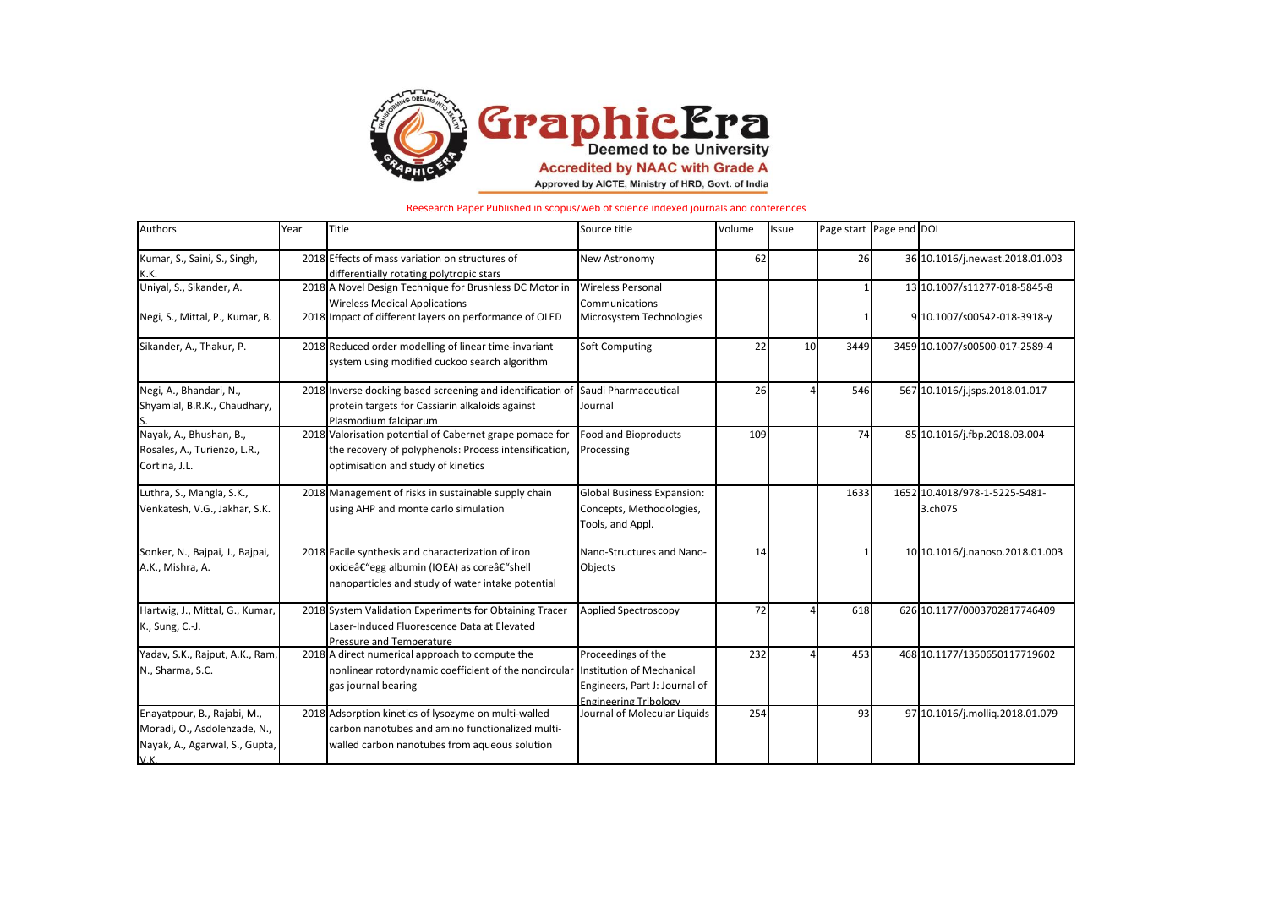

Reesearch Paper Published in scopus/web of science indexed journals and conferences

| Authors                                                                                               | Year | Title                                                                                                                                                     | Source title                                                                                                     | Volume | Issue | Page start Page end DOI |                                          |
|-------------------------------------------------------------------------------------------------------|------|-----------------------------------------------------------------------------------------------------------------------------------------------------------|------------------------------------------------------------------------------------------------------------------|--------|-------|-------------------------|------------------------------------------|
| Kumar, S., Saini, S., Singh,<br>K.K.                                                                  |      | 2018 Effects of mass variation on structures of<br>differentially rotating polytropic stars                                                               | New Astronomy                                                                                                    | 62     |       | 26                      | 36 10.1016/j.newast.2018.01.003          |
| Uniyal, S., Sikander, A.                                                                              |      | 2018 A Novel Design Technique for Brushless DC Motor in<br><b>Wireless Medical Applications</b>                                                           | <b>Wireless Personal</b><br>Communications                                                                       |        |       |                         | 13 10.1007/s11277-018-5845-8             |
| Negi, S., Mittal, P., Kumar, B.                                                                       |      | 2018 Impact of different layers on performance of OLED                                                                                                    | Microsystem Technologies                                                                                         |        |       |                         | 9 10.1007/s00542-018-3918-y              |
| Sikander, A., Thakur, P.                                                                              |      | 2018 Reduced order modelling of linear time-invariant<br>system using modified cuckoo search algorithm                                                    | Soft Computing                                                                                                   | 22     | 10    | 3449                    | 3459 10.1007/s00500-017-2589-4           |
| Negi, A., Bhandari, N.,<br>Shyamlal, B.R.K., Chaudhary,                                               |      | 2018 Inverse docking based screening and identification of<br>protein targets for Cassiarin alkaloids against<br>Plasmodium falciparum                    | Saudi Pharmaceutical<br>Journal                                                                                  | 26     |       | 546                     | 567 10.1016/j.jsps.2018.01.017           |
| Nayak, A., Bhushan, B.,<br>Rosales, A., Turienzo, L.R.,<br>Cortina, J.L.                              |      | 2018 Valorisation potential of Cabernet grape pomace for<br>the recovery of polyphenols: Process intensification,<br>optimisation and study of kinetics   | Food and Bioproducts<br>Processing                                                                               | 109    |       | 74                      | 85 10.1016/j.fbp.2018.03.004             |
| Luthra, S., Mangla, S.K.,<br>Venkatesh, V.G., Jakhar, S.K.                                            |      | 2018 Management of risks in sustainable supply chain<br>using AHP and monte carlo simulation                                                              | <b>Global Business Expansion:</b><br>Concepts, Methodologies,<br>Tools, and Appl.                                |        |       | 1633                    | 1652 10.4018/978-1-5225-5481-<br>3.ch075 |
| Sonker, N., Bajpai, J., Bajpai,<br>A.K., Mishra, A.                                                   |      | 2018 Facile synthesis and characterization of iron<br>oxide–egg albumin (IOEA) as core–shell<br>nanoparticles and study of water intake potential         | Nano-Structures and Nano-<br>Objects                                                                             | 14     |       |                         | 10 10.1016/j.nanoso.2018.01.003          |
| Hartwig, J., Mittal, G., Kumar,<br>K., Sung, C.-J.                                                    |      | 2018 System Validation Experiments for Obtaining Tracer<br>Laser-Induced Fluorescence Data at Elevated<br>Pressure and Temperature                        | <b>Applied Spectroscopy</b>                                                                                      | 72     |       | 618                     | 626 10.1177/0003702817746409             |
| Yadav, S.K., Rajput, A.K., Ram,<br>N., Sharma, S.C.                                                   |      | 2018 A direct numerical approach to compute the<br>nonlinear rotordynamic coefficient of the noncircular<br>gas journal bearing                           | Proceedings of the<br>Institution of Mechanical<br>Engineers, Part J: Journal of<br><b>Engineering Tribology</b> | 232    |       | 453                     | 468 10.1177/1350650117719602             |
| Enayatpour, B., Rajabi, M.,<br>Moradi, O., Asdolehzade, N.,<br>Nayak, A., Agarwal, S., Gupta,<br>V.K. |      | 2018 Adsorption kinetics of lysozyme on multi-walled<br>carbon nanotubes and amino functionalized multi-<br>walled carbon nanotubes from aqueous solution | Journal of Molecular Liquids                                                                                     | 254    |       | 93                      | 97 10.1016/j.mollig.2018.01.079          |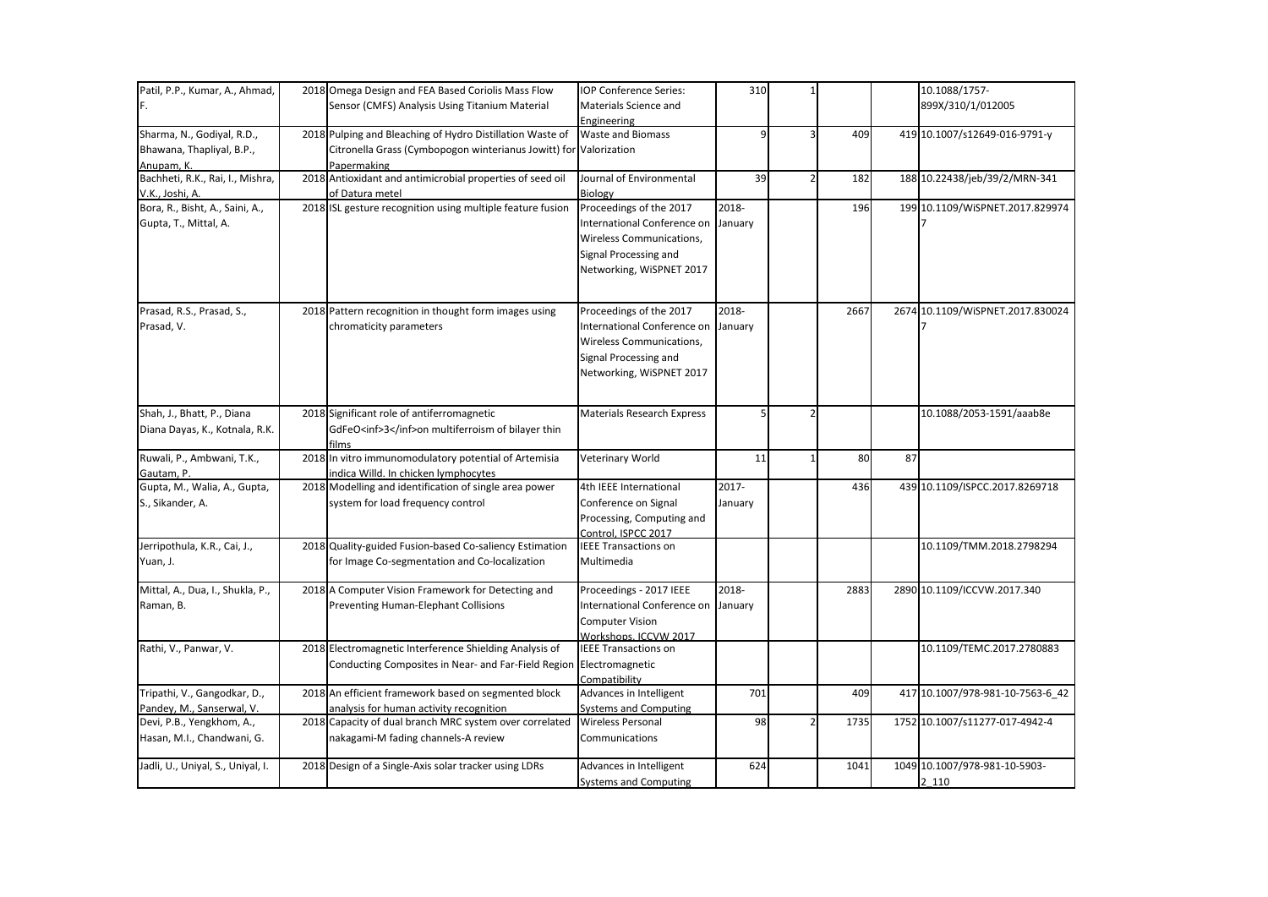| Patil, P.P., Kumar, A., Ahmad,    | 2018 Omega Design and FEA Based Coriolis Mass Flow                | IOP Conference Series:                          | 310     |      |    | 10.1088/1757-                    |
|-----------------------------------|-------------------------------------------------------------------|-------------------------------------------------|---------|------|----|----------------------------------|
| F.                                | Sensor (CMFS) Analysis Using Titanium Material                    | Materials Science and                           |         |      |    | 899X/310/1/012005                |
|                                   |                                                                   | Engineering                                     |         |      |    |                                  |
| Sharma, N., Godiyal, R.D.,        | 2018 Pulping and Bleaching of Hydro Distillation Waste of         | <b>Waste and Biomass</b>                        |         | 409  |    | 419 10.1007/s12649-016-9791-y    |
| Bhawana, Thapliyal, B.P.,         | Citronella Grass (Cymbopogon winterianus Jowitt) for Valorization |                                                 |         |      |    |                                  |
| Anupam. K.                        | Papermaking                                                       |                                                 |         |      |    |                                  |
| Bachheti, R.K., Rai, I., Mishra,  | 2018 Antioxidant and antimicrobial properties of seed oil         | Journal of Environmental                        | 39      | 182  |    | 188 10.22438/jeb/39/2/MRN-341    |
| V.K., Joshi, A.                   | of Datura metel                                                   | Biology                                         |         |      |    |                                  |
| Bora, R., Bisht, A., Saini, A.,   | 2018 ISL gesture recognition using multiple feature fusion        | Proceedings of the 2017                         | 2018-   | 196  |    | 199 10.1109/WISPNET.2017.829974  |
| Gupta, T., Mittal, A.             |                                                                   | International Conference on                     | January |      |    |                                  |
|                                   |                                                                   | Wireless Communications,                        |         |      |    |                                  |
|                                   |                                                                   | Signal Processing and                           |         |      |    |                                  |
|                                   |                                                                   | Networking, WiSPNET 2017                        |         |      |    |                                  |
|                                   |                                                                   |                                                 |         |      |    |                                  |
| Prasad, R.S., Prasad, S.,         | 2018 Pattern recognition in thought form images using             | Proceedings of the 2017                         | 2018-   | 2667 |    | 2674 10.1109/WiSPNET.2017.830024 |
| Prasad, V.                        | chromaticity parameters                                           | International Conference on                     | January |      |    |                                  |
|                                   |                                                                   | Wireless Communications,                        |         |      |    |                                  |
|                                   |                                                                   | Signal Processing and                           |         |      |    |                                  |
|                                   |                                                                   | Networking, WiSPNET 2017                        |         |      |    |                                  |
|                                   |                                                                   |                                                 |         |      |    |                                  |
| Shah, J., Bhatt, P., Diana        | 2018 Significant role of antiferromagnetic                        | Materials Research Express                      | 5       |      |    | 10.1088/2053-1591/aaab8e         |
| Diana Dayas, K., Kotnala, R.K.    | GdFeO <inf>3</inf> on multiferroism of bilayer thin               |                                                 |         |      |    |                                  |
|                                   | films                                                             |                                                 |         |      |    |                                  |
| Ruwali, P., Ambwani, T.K.,        | 2018 In vitro immunomodulatory potential of Artemisia             | Veterinary World                                | 11      | 80   | 87 |                                  |
| Gautam, P.                        | indica Willd. In chicken lymphocytes                              |                                                 |         |      |    |                                  |
| Gupta, M., Walia, A., Gupta,      | 2018 Modelling and identification of single area power            | 4th IEEE International                          | 2017-   | 436  |    | 439 10.1109/ISPCC.2017.8269718   |
| S., Sikander, A.                  | system for load frequency control                                 | Conference on Signal                            | January |      |    |                                  |
|                                   |                                                                   | Processing, Computing and                       |         |      |    |                                  |
|                                   |                                                                   | Control, ISPCC 2017                             |         |      |    |                                  |
| Jerripothula, K.R., Cai, J.,      | 2018 Quality-guided Fusion-based Co-saliency Estimation           | <b>IEEE Transactions on</b>                     |         |      |    | 10.1109/TMM.2018.2798294         |
| Yuan, J.                          | for Image Co-segmentation and Co-localization                     | Multimedia                                      |         |      |    |                                  |
| Mittal, A., Dua, I., Shukla, P.,  | 2018 A Computer Vision Framework for Detecting and                | Proceedings - 2017 IEEE                         | 2018-   | 2883 |    | 2890 10.1109/ICCVW.2017.340      |
| Raman, B.                         | <b>Preventing Human-Elephant Collisions</b>                       | International Conference on January             |         |      |    |                                  |
|                                   |                                                                   |                                                 |         |      |    |                                  |
|                                   |                                                                   | <b>Computer Vision</b><br>Workshops, ICCVW 2017 |         |      |    |                                  |
| Rathi, V., Panwar, V.             | 2018 Electromagnetic Interference Shielding Analysis of           | <b>IEEE Transactions on</b>                     |         |      |    | 10.1109/TEMC.2017.2780883        |
|                                   | Conducting Composites in Near- and Far-Field Region               | Electromagnetic                                 |         |      |    |                                  |
|                                   |                                                                   | Compatibility                                   |         |      |    |                                  |
| Tripathi, V., Gangodkar, D.,      | 2018 An efficient framework based on segmented block              | Advances in Intelligent                         | 701     | 409  |    | 417 10.1007/978-981-10-7563-6 42 |
| Pandey, M., Sanserwal, V.         | analysis for human activity recognition                           | Systems and Computing                           |         |      |    |                                  |
| Devi, P.B., Yengkhom, A.,         | 2018 Capacity of dual branch MRC system over correlated           | <b>Wireless Personal</b>                        | 98      | 1735 |    | 1752 10.1007/s11277-017-4942-4   |
| Hasan, M.I., Chandwani, G.        | nakagami-M fading channels-A review                               | Communications                                  |         |      |    |                                  |
| Jadli, U., Uniyal, S., Uniyal, I. | 2018 Design of a Single-Axis solar tracker using LDRs             | Advances in Intelligent                         | 624     | 1041 |    | 1049 10.1007/978-981-10-5903-    |
|                                   |                                                                   | Systems and Computing                           |         |      |    | 2 1 1 0                          |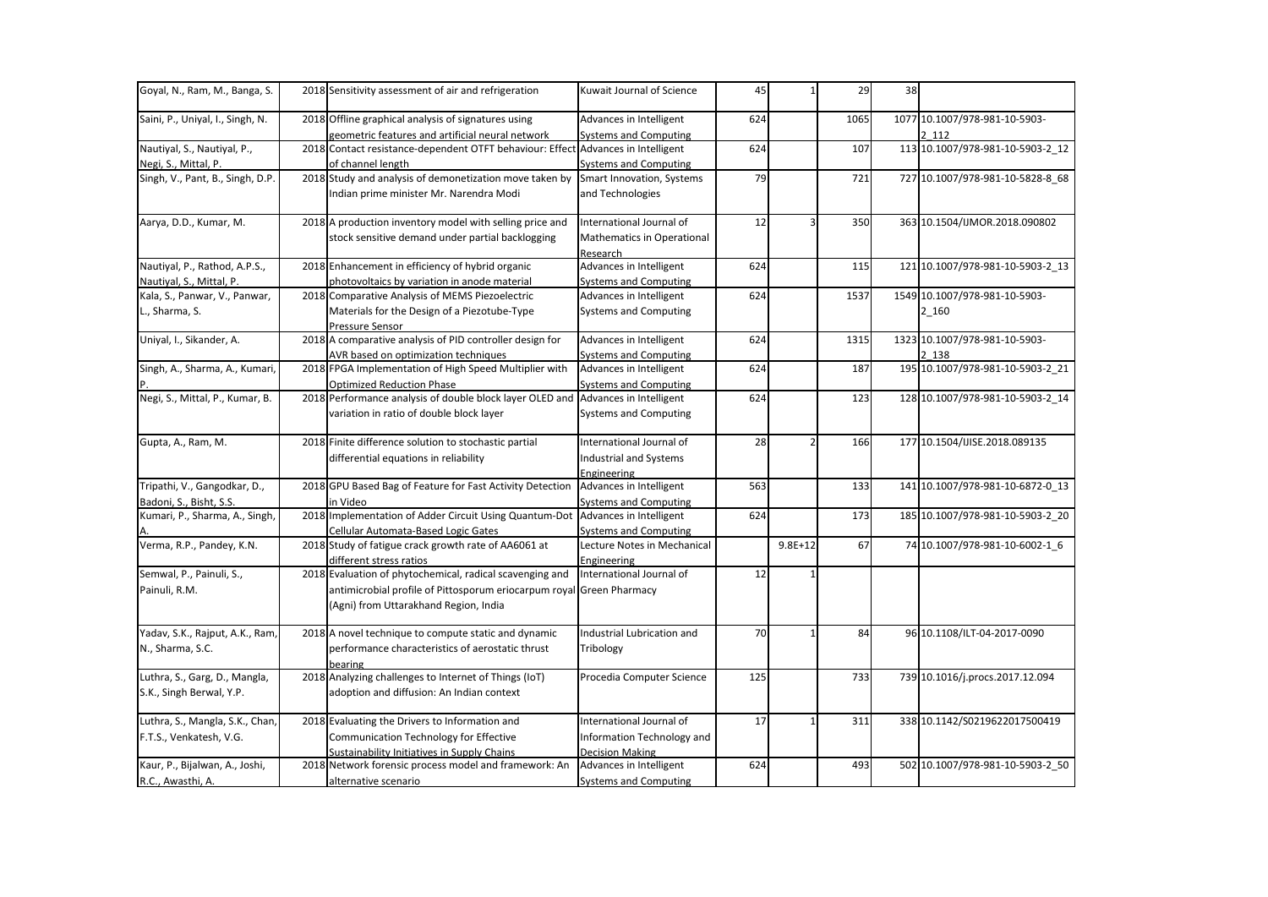| Goyal, N., Ram, M., Banga, S.    | 2018 Sensitivity assessment of air and refrigeration                                                    | Kuwait Journal of Science                               | 45  |             | 29   | 38 |                                        |
|----------------------------------|---------------------------------------------------------------------------------------------------------|---------------------------------------------------------|-----|-------------|------|----|----------------------------------------|
| Saini, P., Uniyal, I., Singh, N. | 2018 Offline graphical analysis of signatures using<br>geometric features and artificial neural network | Advances in Intelligent<br><b>Systems and Computing</b> | 624 |             | 1065 |    | 1077 10.1007/978-981-10-5903-<br>2 112 |
| Nautiyal, S., Nautiyal, P.,      | 2018 Contact resistance-dependent OTFT behaviour: Effect Advances in Intelligent                        |                                                         | 624 |             | 107  |    | 113 10.1007/978-981-10-5903-2_12       |
| Negi, S., Mittal, P.             | of channel length                                                                                       | Systems and Computing                                   |     |             |      |    |                                        |
| Singh, V., Pant, B., Singh, D.P. | 2018 Study and analysis of demonetization move taken by<br>Indian prime minister Mr. Narendra Modi      | Smart Innovation, Systems<br>and Technologies           | 79  |             | 721  |    | 727 10.1007/978-981-10-5828-8 68       |
| Aarya, D.D., Kumar, M.           | 2018 A production inventory model with selling price and                                                | International Journal of                                | 12  |             | 350  |    | 363 10.1504/IJMOR.2018.090802          |
|                                  | stock sensitive demand under partial backlogging                                                        | Mathematics in Operational<br>Research                  |     |             |      |    |                                        |
| Nautiyal, P., Rathod, A.P.S.,    | 2018 Enhancement in efficiency of hybrid organic                                                        | Advances in Intelligent                                 | 624 |             | 115  |    | 121 10.1007/978-981-10-5903-2 13       |
| Nautiyal, S., Mittal, P.         | photovoltaics by variation in anode material                                                            | <b>Systems and Computing</b>                            |     |             |      |    |                                        |
| Kala, S., Panwar, V., Panwar,    | 2018 Comparative Analysis of MEMS Piezoelectric                                                         | Advances in Intelligent                                 | 624 |             | 1537 |    | 1549 10.1007/978-981-10-5903-          |
| L., Sharma, S.                   | Materials for the Design of a Piezotube-Type<br>Pressure Sensor                                         | Systems and Computing                                   |     |             |      |    | 2 160                                  |
| Uniyal, I., Sikander, A.         | 2018 A comparative analysis of PID controller design for                                                | Advances in Intelligent                                 | 624 |             | 1315 |    | 1323 10.1007/978-981-10-5903-          |
|                                  | AVR based on optimization techniques                                                                    | Systems and Computing                                   |     |             |      |    | 2 138                                  |
| Singh, A., Sharma, A., Kumari,   | 2018 FPGA Implementation of High Speed Multiplier with                                                  | Advances in Intelligent                                 | 624 |             | 187  |    | 195 10.1007/978-981-10-5903-2 21       |
|                                  | <b>Optimized Reduction Phase</b>                                                                        | Systems and Computing                                   |     |             |      |    |                                        |
| Negi, S., Mittal, P., Kumar, B.  | 2018 Performance analysis of double block layer OLED and Advances in Intelligent                        |                                                         | 624 |             | 123  |    | 128 10.1007/978-981-10-5903-2_14       |
|                                  | variation in ratio of double block layer                                                                | Systems and Computing                                   |     |             |      |    |                                        |
| Gupta, A., Ram, M.               | 2018 Finite difference solution to stochastic partial                                                   | International Journal of                                | 28  |             | 166  |    | 177 10.1504/IJISE.2018.089135          |
|                                  | differential equations in reliability                                                                   | Industrial and Systems                                  |     |             |      |    |                                        |
|                                  |                                                                                                         | Engineering                                             |     |             |      |    |                                        |
| Tripathi, V., Gangodkar, D.,     | 2018 GPU Based Bag of Feature for Fast Activity Detection                                               | Advances in Intelligent                                 | 563 |             | 133  |    | 141 10.1007/978-981-10-6872-0_13       |
| Badoni, S., Bisht, S.S.          | in Video                                                                                                | <b>Systems and Computing</b>                            |     |             |      |    |                                        |
| Kumari, P., Sharma, A., Singh,   | 2018 Implementation of Adder Circuit Using Quantum-Dot Advances in Intelligent                          |                                                         | 624 |             | 173  |    | 185 10.1007/978-981-10-5903-2 20       |
|                                  | Cellular Automata-Based Logic Gates                                                                     | Systems and Computing                                   |     |             |      |    |                                        |
| Verma, R.P., Pandey, K.N.        | 2018 Study of fatigue crack growth rate of AA6061 at                                                    | Lecture Notes in Mechanical                             |     | $9.8E + 12$ | 67   |    | 74 10.1007/978-981-10-6002-1 6         |
|                                  | different stress ratios                                                                                 | Engineering                                             |     |             |      |    |                                        |
| Semwal, P., Painuli, S.,         | 2018 Evaluation of phytochemical, radical scavenging and                                                | International Journal of                                | 12  |             |      |    |                                        |
| Painuli, R.M.                    | antimicrobial profile of Pittosporum eriocarpum royal Green Pharmacy                                    |                                                         |     |             |      |    |                                        |
|                                  | (Agni) from Uttarakhand Region, India                                                                   |                                                         |     |             |      |    |                                        |
| Yadav, S.K., Rajput, A.K., Ram,  | 2018 A novel technique to compute static and dynamic                                                    | Industrial Lubrication and                              | 70  |             | 84   |    | 96 10.1108/ILT-04-2017-0090            |
| N., Sharma, S.C.                 | performance characteristics of aerostatic thrust                                                        | Tribology                                               |     |             |      |    |                                        |
|                                  | bearing                                                                                                 |                                                         |     |             |      |    |                                        |
| Luthra, S., Garg, D., Mangla,    | 2018 Analyzing challenges to Internet of Things (IoT)                                                   | Procedia Computer Science                               | 125 |             | 733  |    | 739 10.1016/j.procs.2017.12.094        |
| S.K., Singh Berwal, Y.P.         | adoption and diffusion: An Indian context                                                               |                                                         |     |             |      |    |                                        |
| Luthra, S., Mangla, S.K., Chan,  | 2018 Evaluating the Drivers to Information and                                                          | International Journal of                                | 17  |             | 311  |    | 338 10.1142/S0219622017500419          |
| F.T.S., Venkatesh, V.G.          | Communication Technology for Effective                                                                  | Information Technology and                              |     |             |      |    |                                        |
|                                  | Sustainability Initiatives in Supply Chains                                                             | <b>Decision Making</b>                                  |     |             |      |    |                                        |
| Kaur, P., Bijalwan, A., Joshi,   | 2018 Network forensic process model and framework: An                                                   | Advances in Intelligent                                 | 624 |             | 493  |    | 502 10.1007/978-981-10-5903-2_50       |
| R.C., Awasthi, A.                | alternative scenario                                                                                    | Systems and Computing                                   |     |             |      |    |                                        |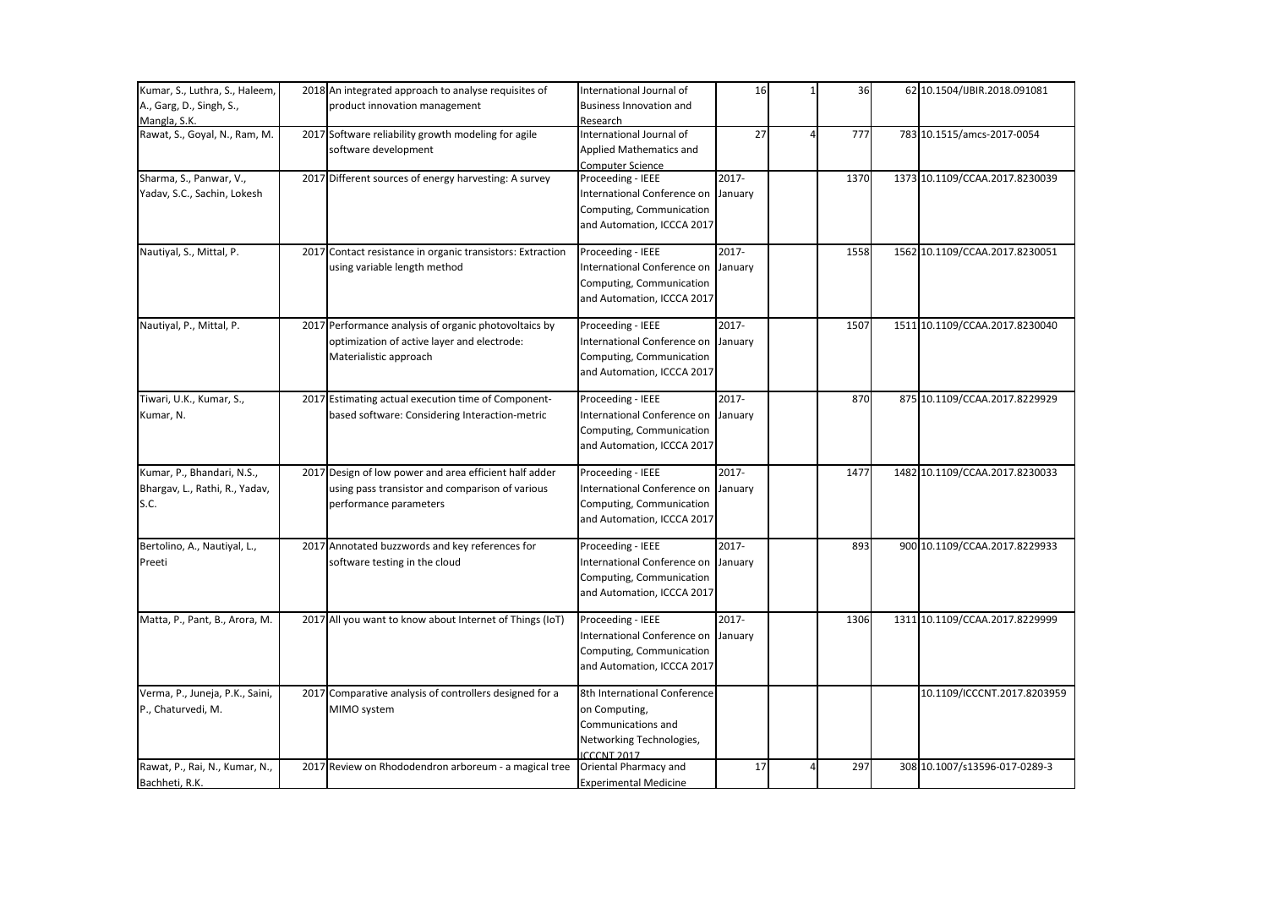| Kumar, S., Luthra, S., Haleem,  | 2018 An integrated approach to analyse requisites of       | International Journal of             | 16       | 36   | 62 10.1504/IJBIR.2018.091081   |
|---------------------------------|------------------------------------------------------------|--------------------------------------|----------|------|--------------------------------|
| A., Garg, D., Singh, S.,        | product innovation management                              | <b>Business Innovation and</b>       |          |      |                                |
| Mangla, S.K.                    |                                                            | Research                             |          |      |                                |
| Rawat, S., Goyal, N., Ram, M.   | 2017 Software reliability growth modeling for agile        | International Journal of             | 27       | 777  | 783 10.1515/amcs-2017-0054     |
|                                 | software development                                       | Applied Mathematics and              |          |      |                                |
|                                 |                                                            | <b>Computer Science</b>              |          |      |                                |
| Sharma, S., Panwar, V.,         | 2017 Different sources of energy harvesting: A survey      | Proceeding - IEEE                    | 2017-    | 1370 | 1373 10.1109/CCAA.2017.8230039 |
| Yadav, S.C., Sachin, Lokesh     |                                                            | International Conference on          | January  |      |                                |
|                                 |                                                            | Computing, Communication             |          |      |                                |
|                                 |                                                            | and Automation, ICCCA 2017           |          |      |                                |
| Nautiyal, S., Mittal, P.        | 2017 Contact resistance in organic transistors: Extraction | Proceeding - IEEE                    | $2017 -$ | 1558 | 1562 10.1109/CCAA.2017.8230051 |
|                                 | using variable length method                               | International Conference on          | January  |      |                                |
|                                 |                                                            | Computing, Communication             |          |      |                                |
|                                 |                                                            | and Automation, ICCCA 2017           |          |      |                                |
| Nautiyal, P., Mittal, P.        | 2017 Performance analysis of organic photovoltaics by      | Proceeding - IEEE                    | 2017-    | 1507 | 1511 10.1109/CCAA.2017.8230040 |
|                                 | optimization of active layer and electrode:                | International Conference on          | January  |      |                                |
|                                 | Materialistic approach                                     | Computing, Communication             |          |      |                                |
|                                 |                                                            | and Automation, ICCCA 2017           |          |      |                                |
| Tiwari, U.K., Kumar, S.,        | 2017 Estimating actual execution time of Component-        | Proceeding - IEEE                    | $2017 -$ | 870  | 875 10.1109/CCAA.2017.8229929  |
| Kumar, N.                       | based software: Considering Interaction-metric             | International Conference on          | January  |      |                                |
|                                 |                                                            | Computing, Communication             |          |      |                                |
|                                 |                                                            | and Automation, ICCCA 2017           |          |      |                                |
| Kumar, P., Bhandari, N.S.,      | 2017 Design of low power and area efficient half adder     | Proceeding - IEEE                    | $2017 -$ | 1477 | 1482 10.1109/CCAA.2017.8230033 |
| Bhargav, L., Rathi, R., Yadav,  | using pass transistor and comparison of various            | International Conference on January  |          |      |                                |
| S.C.                            | performance parameters                                     | Computing, Communication             |          |      |                                |
|                                 |                                                            | and Automation, ICCCA 2017           |          |      |                                |
| Bertolino, A., Nautiyal, L.,    | 2017 Annotated buzzwords and key references for            | Proceeding - IEEE                    | $2017 -$ | 893  | 900 10.1109/CCAA.2017.8229933  |
| Preeti                          | software testing in the cloud                              | International Conference on January  |          |      |                                |
|                                 |                                                            | Computing, Communication             |          |      |                                |
|                                 |                                                            | and Automation, ICCCA 2017           |          |      |                                |
| Matta, P., Pant, B., Arora, M.  | 2017 All you want to know about Internet of Things (IoT)   | Proceeding - IEEE                    | $2017 -$ | 1306 | 1311 10.1109/CCAA.2017.8229999 |
|                                 |                                                            | International Conference on January  |          |      |                                |
|                                 |                                                            | Computing, Communication             |          |      |                                |
|                                 |                                                            | and Automation, ICCCA 2017           |          |      |                                |
| Verma, P., Juneja, P.K., Saini, | 2017 Comparative analysis of controllers designed for a    | 8th International Conference         |          |      | 10.1109/ICCCNT.2017.8203959    |
| P., Chaturvedi, M.              | MIMO system                                                | on Computing,                        |          |      |                                |
|                                 |                                                            | Communications and                   |          |      |                                |
|                                 |                                                            | Networking Technologies,             |          |      |                                |
| Rawat, P., Rai, N., Kumar, N.,  | 2017 Review on Rhododendron arboreum - a magical tree      | ICCCNT 2017<br>Oriental Pharmacy and | 17       | 297  | 308 10.1007/s13596-017-0289-3  |
| Bachheti, R.K.                  |                                                            | <b>Experimental Medicine</b>         |          |      |                                |
|                                 |                                                            |                                      |          |      |                                |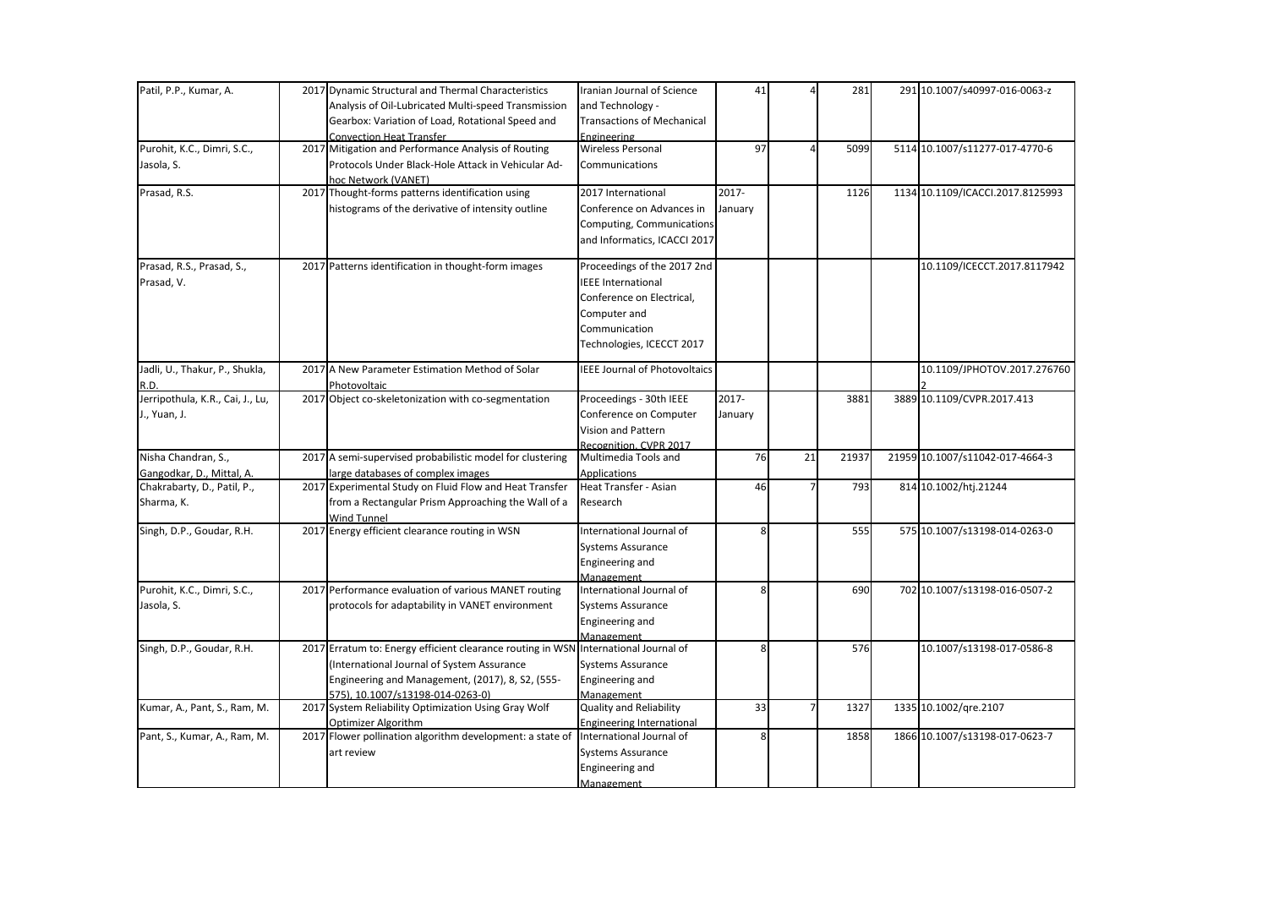| Patil, P.P., Kumar, A.           |      | 2017 Dynamic Structural and Thermal Characteristics                                 | Iranian Journal of Science           | 41       |                | 281   | 291 10.1007/s40997-016-0063-z    |
|----------------------------------|------|-------------------------------------------------------------------------------------|--------------------------------------|----------|----------------|-------|----------------------------------|
|                                  |      | Analysis of Oil-Lubricated Multi-speed Transmission                                 | and Technology -                     |          |                |       |                                  |
|                                  |      | Gearbox: Variation of Load, Rotational Speed and                                    | <b>Transactions of Mechanical</b>    |          |                |       |                                  |
|                                  |      | <b>Convection Heat Transfer</b>                                                     | Engineering                          |          |                |       |                                  |
| Purohit, K.C., Dimri, S.C.,      |      | 2017 Mitigation and Performance Analysis of Routing                                 | <b>Wireless Personal</b>             | 97       | 4              | 5099  | 5114 10.1007/s11277-017-4770-6   |
| Jasola, S.                       |      | Protocols Under Black-Hole Attack in Vehicular Ad-                                  | Communications                       |          |                |       |                                  |
|                                  |      | hoc Network (VANET)                                                                 |                                      |          |                |       |                                  |
| Prasad, R.S.                     |      | 2017 Thought-forms patterns identification using                                    | 2017 International                   | 2017-    |                | 1126  | 1134 10.1109/ICACCI.2017.8125993 |
|                                  |      | histograms of the derivative of intensity outline                                   | Conference on Advances in            | January  |                |       |                                  |
|                                  |      |                                                                                     | Computing, Communications            |          |                |       |                                  |
|                                  |      |                                                                                     | and Informatics, ICACCI 2017         |          |                |       |                                  |
|                                  |      |                                                                                     |                                      |          |                |       |                                  |
| Prasad, R.S., Prasad, S.,        |      | 2017 Patterns identification in thought-form images                                 | Proceedings of the 2017 2nd          |          |                |       | 10.1109/ICECCT.2017.8117942      |
| Prasad, V.                       |      |                                                                                     | <b>IEEE</b> International            |          |                |       |                                  |
|                                  |      |                                                                                     | Conference on Electrical,            |          |                |       |                                  |
|                                  |      |                                                                                     | Computer and                         |          |                |       |                                  |
|                                  |      |                                                                                     | Communication                        |          |                |       |                                  |
|                                  |      |                                                                                     | Technologies, ICECCT 2017            |          |                |       |                                  |
|                                  |      |                                                                                     |                                      |          |                |       |                                  |
| Jadli, U., Thakur, P., Shukla,   | 2017 | A New Parameter Estimation Method of Solar                                          | <b>IEEE Journal of Photovoltaics</b> |          |                |       | 10.1109/JPHOTOV.2017.276760      |
| R.D.                             |      | Photovoltaic                                                                        |                                      |          |                |       |                                  |
| Jerripothula, K.R., Cai, J., Lu, |      | 2017 Object co-skeletonization with co-segmentation                                 | Proceedings - 30th IEEE              | $2017 -$ |                | 3881  | 3889 10.1109/CVPR.2017.413       |
| J., Yuan, J.                     |      |                                                                                     | Conference on Computer               | January  |                |       |                                  |
|                                  |      |                                                                                     | <b>Vision and Pattern</b>            |          |                |       |                                  |
|                                  |      |                                                                                     | Recognition, CVPR 2017               |          |                |       |                                  |
| Nisha Chandran, S.,              |      | 2017 A semi-supervised probabilistic model for clustering                           | Multimedia Tools and                 | 76       | 21             | 21937 | 21959 10.1007/s11042-017-4664-3  |
| Gangodkar, D., Mittal, A.        |      | large databases of complex images                                                   | <b>Applications</b>                  |          |                |       |                                  |
| Chakrabarty, D., Patil, P.,      |      | 2017 Experimental Study on Fluid Flow and Heat Transfer                             | Heat Transfer - Asian                | 46       | $\overline{7}$ | 793   | 814 10.1002/htj.21244            |
| Sharma, K.                       |      | from a Rectangular Prism Approaching the Wall of a                                  | Research                             |          |                |       |                                  |
|                                  |      | <b>Wind Tunnel</b>                                                                  |                                      |          |                |       |                                  |
| Singh, D.P., Goudar, R.H.        |      | 2017 Energy efficient clearance routing in WSN                                      | International Journal of             | 8        |                | 555   | 575 10.1007/s13198-014-0263-0    |
|                                  |      |                                                                                     | <b>Systems Assurance</b>             |          |                |       |                                  |
|                                  |      |                                                                                     | Engineering and                      |          |                |       |                                  |
|                                  |      |                                                                                     | Management                           |          |                |       |                                  |
| Purohit, K.C., Dimri, S.C.,      |      | 2017 Performance evaluation of various MANET routing                                | International Journal of             | 8        |                | 690   | 702 10.1007/s13198-016-0507-2    |
| Jasola, S.                       |      | protocols for adaptability in VANET environment                                     | <b>Systems Assurance</b>             |          |                |       |                                  |
|                                  |      |                                                                                     | Engineering and                      |          |                |       |                                  |
|                                  |      |                                                                                     | Management                           |          |                |       |                                  |
| Singh, D.P., Goudar, R.H.        |      | 2017 Erratum to: Energy efficient clearance routing in WSN International Journal of |                                      | 8        |                | 576   | 10.1007/s13198-017-0586-8        |
|                                  |      | (International Journal of System Assurance                                          | <b>Systems Assurance</b>             |          |                |       |                                  |
|                                  |      | Engineering and Management, (2017), 8, S2, (555-                                    | Engineering and                      |          |                |       |                                  |
|                                  |      | 575). 10.1007/s13198-014-0263-0)                                                    | Management                           |          |                |       |                                  |
| Kumar, A., Pant, S., Ram, M.     |      | 2017 System Reliability Optimization Using Gray Wolf                                | <b>Quality and Reliability</b>       | 33       | 7 <sup>1</sup> | 1327  | 1335 10.1002/qre.2107            |
|                                  |      | Optimizer Algorithm                                                                 | <b>Engineering International</b>     |          |                |       |                                  |
| Pant, S., Kumar, A., Ram, M.     |      | 2017 Flower pollination algorithm development: a state of                           | International Journal of             | 8        |                | 1858  | 1866 10.1007/s13198-017-0623-7   |
|                                  |      | art review                                                                          | <b>Systems Assurance</b>             |          |                |       |                                  |
|                                  |      |                                                                                     | Engineering and                      |          |                |       |                                  |
|                                  |      |                                                                                     | Management                           |          |                |       |                                  |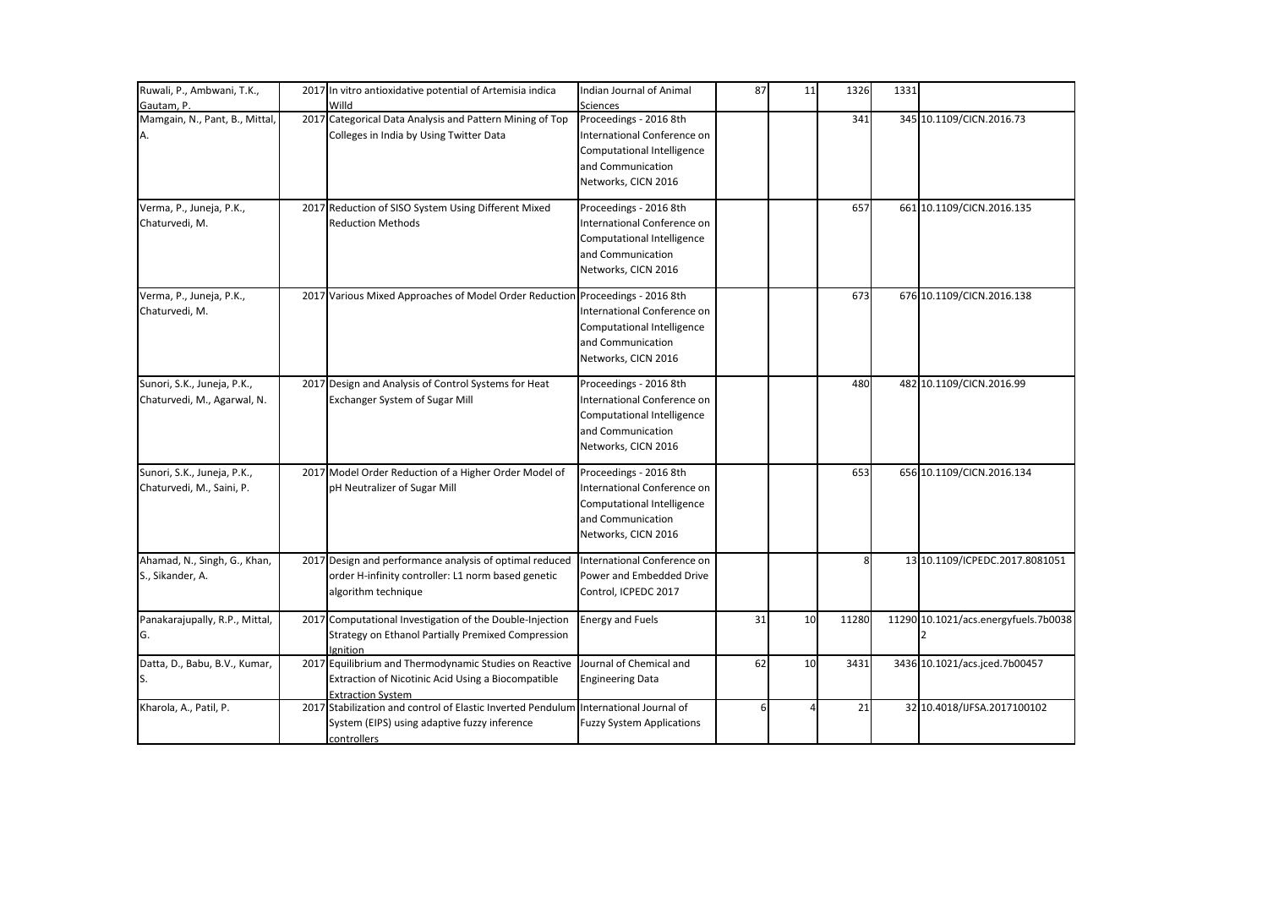| Ruwali, P., Ambwani, T.K.,                                 | 2017 In vitro antioxidative potential of Artemisia indica                                                                                | Indian Journal of Animal                                                                                                        | 87 | 11 | 1326  | 1331 |                                      |
|------------------------------------------------------------|------------------------------------------------------------------------------------------------------------------------------------------|---------------------------------------------------------------------------------------------------------------------------------|----|----|-------|------|--------------------------------------|
| Gautam, P.                                                 | Willd                                                                                                                                    | <b>Sciences</b>                                                                                                                 |    |    |       |      |                                      |
| Mamgain, N., Pant, B., Mittal,<br>А.                       | 2017 Categorical Data Analysis and Pattern Mining of Top<br>Colleges in India by Using Twitter Data                                      | Proceedings - 2016 8th<br>International Conference on<br>Computational Intelligence<br>and Communication<br>Networks, CICN 2016 |    |    | 341   |      | 345 10.1109/CICN.2016.73             |
| Verma, P., Juneja, P.K.,<br>Chaturvedi, M.                 | 2017 Reduction of SISO System Using Different Mixed<br><b>Reduction Methods</b>                                                          | Proceedings - 2016 8th<br>International Conference on<br>Computational Intelligence<br>and Communication<br>Networks, CICN 2016 |    |    | 657   |      | 661 10.1109/CICN.2016.135            |
| Verma, P., Juneja, P.K.,<br>Chaturvedi, M.                 | 2017 Various Mixed Approaches of Model Order Reduction                                                                                   | Proceedings - 2016 8th<br>International Conference on<br>Computational Intelligence<br>and Communication<br>Networks, CICN 2016 |    |    | 673   |      | 676 10.1109/CICN.2016.138            |
| Sunori, S.K., Juneja, P.K.,<br>Chaturvedi, M., Agarwal, N. | 2017 Design and Analysis of Control Systems for Heat<br>Exchanger System of Sugar Mill                                                   | Proceedings - 2016 8th<br>International Conference on<br>Computational Intelligence<br>and Communication<br>Networks, CICN 2016 |    |    | 480   |      | 482 10.1109/CICN.2016.99             |
| Sunori, S.K., Juneja, P.K.,<br>Chaturvedi, M., Saini, P.   | 2017 Model Order Reduction of a Higher Order Model of<br>pH Neutralizer of Sugar Mill                                                    | Proceedings - 2016 8th<br>International Conference on<br>Computational Intelligence<br>and Communication<br>Networks, CICN 2016 |    |    | 653   |      | 656 10.1109/CICN.2016.134            |
| Ahamad, N., Singh, G., Khan,<br>S., Sikander, A.           | 2017 Design and performance analysis of optimal reduced<br>order H-infinity controller: L1 norm based genetic<br>algorithm technique     | International Conference on<br>Power and Embedded Drive<br>Control, ICPEDC 2017                                                 |    |    | 8     |      | 13 10.1109/ICPEDC.2017.8081051       |
| Panakarajupally, R.P., Mittal,<br>G.                       | 2017 Computational Investigation of the Double-Injection<br>Strategy on Ethanol Partially Premixed Compression<br>lgnition               | <b>Energy and Fuels</b>                                                                                                         | 31 | 10 | 11280 |      | 11290 10.1021/acs.energyfuels.7b0038 |
| Datta, D., Babu, B.V., Kumar,                              | 2017 Equilibrium and Thermodynamic Studies on Reactive<br>Extraction of Nicotinic Acid Using a Biocompatible<br><b>Extraction System</b> | Journal of Chemical and<br><b>Engineering Data</b>                                                                              | 62 | 10 | 3431  |      | 3436 10.1021/acs.jced.7b00457        |
| Kharola, A., Patil, P.                                     | 2017 Stabilization and control of Elastic Inverted Pendulum<br>System (EIPS) using adaptive fuzzy inference<br>controllers               | International Journal of<br><b>Fuzzy System Applications</b>                                                                    | 6  |    | 21    |      | 32 10.4018/IJFSA.2017100102          |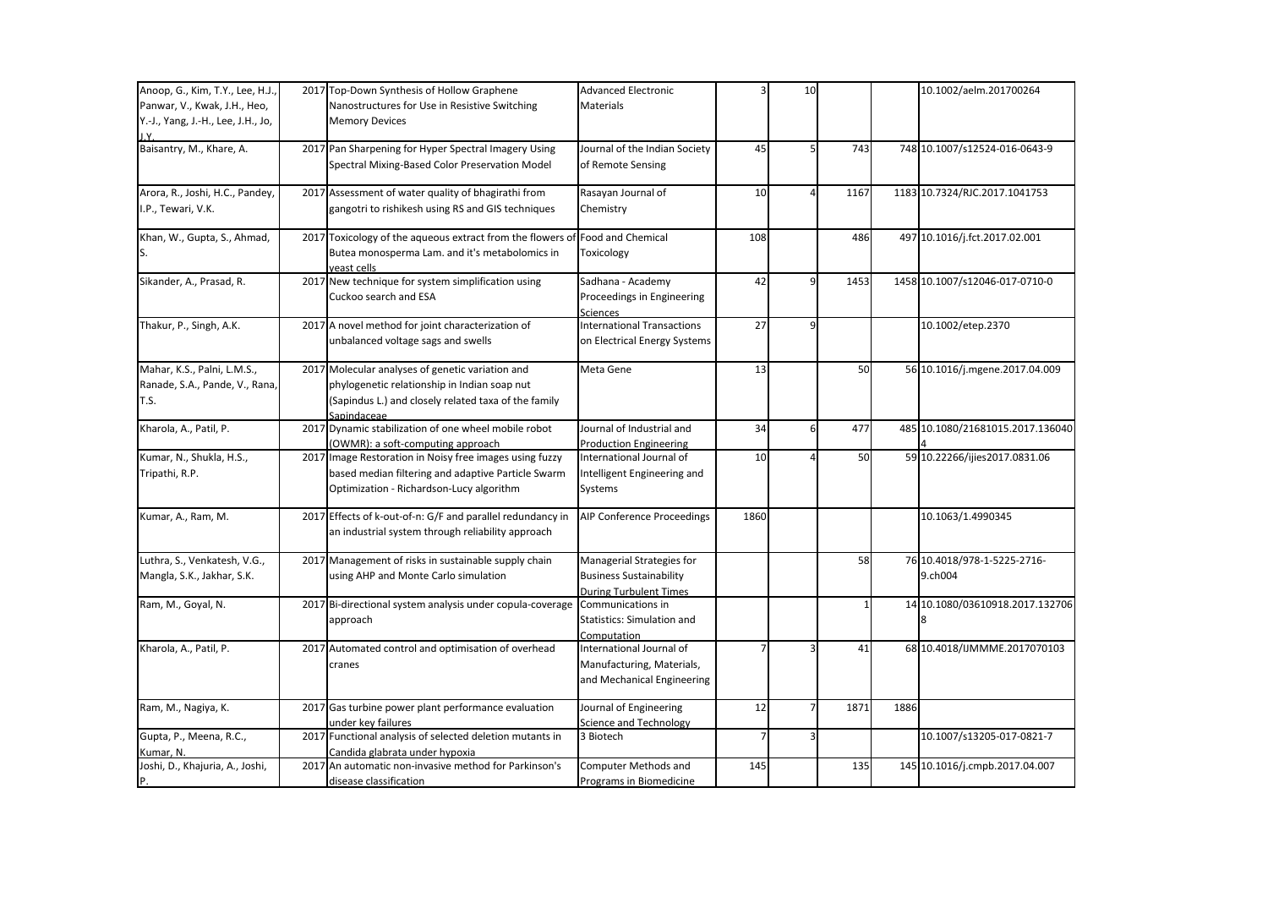| Anoop, G., Kim, T.Y., Lee, H.J.,   | 2017 Top-Down Synthesis of Hollow Graphene                 | <b>Advanced Electronic</b>        |      | 10             |      |      | 10.1002/aelm.201700264           |
|------------------------------------|------------------------------------------------------------|-----------------------------------|------|----------------|------|------|----------------------------------|
| Panwar, V., Kwak, J.H., Heo,       | Nanostructures for Use in Resistive Switching              | Materials                         |      |                |      |      |                                  |
| Y.-J., Yang, J.-H., Lee, J.H., Jo, | <b>Memory Devices</b>                                      |                                   |      |                |      |      |                                  |
|                                    |                                                            |                                   |      |                |      |      |                                  |
| Baisantry, M., Khare, A.           | 2017 Pan Sharpening for Hyper Spectral Imagery Using       | Journal of the Indian Society     | 45   | 5 <sub>l</sub> | 743  |      | 748 10.1007/s12524-016-0643-9    |
|                                    | Spectral Mixing-Based Color Preservation Model             | of Remote Sensing                 |      |                |      |      |                                  |
| Arora, R., Joshi, H.C., Pandey,    | 2017 Assessment of water quality of bhagirathi from        | Rasayan Journal of                | 10   |                | 1167 |      | 1183 10.7324/RJC.2017.1041753    |
| I.P., Tewari, V.K.                 | gangotri to rishikesh using RS and GIS techniques          | Chemistry                         |      |                |      |      |                                  |
|                                    |                                                            |                                   |      |                |      |      |                                  |
| Khan, W., Gupta, S., Ahmad,        | 2017 Toxicology of the aqueous extract from the flowers of | <b>Food and Chemical</b>          | 108  |                | 486  |      | 497 10.1016/j.fct.2017.02.001    |
| S.                                 | Butea monosperma Lam. and it's metabolomics in             | Toxicology                        |      |                |      |      |                                  |
|                                    | veast cells                                                |                                   |      |                |      |      |                                  |
| Sikander, A., Prasad, R.           | 2017 New technique for system simplification using         | Sadhana - Academy                 | 42   | 9              | 1453 |      | 1458 10.1007/s12046-017-0710-0   |
|                                    | Cuckoo search and ESA                                      | Proceedings in Engineering        |      |                |      |      |                                  |
|                                    |                                                            | Sciences                          |      |                |      |      |                                  |
| Thakur, P., Singh, A.K.            | 2017 A novel method for joint characterization of          | <b>International Transactions</b> | 27   | 9              |      |      | 10.1002/etep.2370                |
|                                    | unbalanced voltage sags and swells                         | on Electrical Energy Systems      |      |                |      |      |                                  |
| Mahar, K.S., Palni, L.M.S.,        | 2017 Molecular analyses of genetic variation and           | Meta Gene                         | 13   |                | 50   |      | 56 10.1016/j.mgene.2017.04.009   |
| Ranade, S.A., Pande, V., Rana,     | phylogenetic relationship in Indian soap nut               |                                   |      |                |      |      |                                  |
| T.S.                               | (Sapindus L.) and closely related taxa of the family       |                                   |      |                |      |      |                                  |
|                                    | Sapindaceae                                                |                                   |      |                |      |      |                                  |
| Kharola, A., Patil, P.             | 2017 Dynamic stabilization of one wheel mobile robot       | Journal of Industrial and         | 34   | $6 \mid$       | 477  |      | 485 10.1080/21681015.2017.136040 |
|                                    | (OWMR): a soft-computing approach                          | <b>Production Engineering</b>     |      |                |      |      |                                  |
| Kumar, N., Shukla, H.S.,           | 2017 Image Restoration in Noisy free images using fuzzy    | International Journal of          | 10   |                | 50   |      | 59 10.22266/ijies2017.0831.06    |
| Tripathi, R.P.                     | based median filtering and adaptive Particle Swarm         | Intelligent Engineering and       |      |                |      |      |                                  |
|                                    | Optimization - Richardson-Lucy algorithm                   | Systems                           |      |                |      |      |                                  |
| Kumar, A., Ram, M.                 | 2017 Effects of k-out-of-n: G/F and parallel redundancy in | <b>AIP Conference Proceedings</b> | 1860 |                |      |      | 10.1063/1.4990345                |
|                                    | an industrial system through reliability approach          |                                   |      |                |      |      |                                  |
|                                    |                                                            |                                   |      |                |      |      |                                  |
| Luthra, S., Venkatesh, V.G.,       | 2017 Management of risks in sustainable supply chain       | Managerial Strategies for         |      |                | 58   |      | 76 10.4018/978-1-5225-2716-      |
| Mangla, S.K., Jakhar, S.K.         | using AHP and Monte Carlo simulation                       | <b>Business Sustainability</b>    |      |                |      |      | 9.ch004                          |
|                                    |                                                            | <b>During Turbulent Times</b>     |      |                |      |      |                                  |
| Ram, M., Goyal, N.                 | 2017 Bi-directional system analysis under copula-coverage  | Communications in                 |      |                |      |      | 14 10.1080/03610918.2017.132706  |
|                                    | approach                                                   | Statistics: Simulation and        |      |                |      |      |                                  |
|                                    |                                                            | Computation                       |      |                |      |      |                                  |
| Kharola, A., Patil, P.             | 2017 Automated control and optimisation of overhead        | International Journal of          |      |                | 41   |      | 68 10.4018/IJMMME.2017070103     |
|                                    | cranes                                                     | Manufacturing, Materials,         |      |                |      |      |                                  |
|                                    |                                                            | and Mechanical Engineering        |      |                |      |      |                                  |
| Ram, M., Nagiya, K.                | 2017 Gas turbine power plant performance evaluation        | Journal of Engineering            | 12   |                | 1871 | 1886 |                                  |
|                                    | under key failures                                         | Science and Technology            |      |                |      |      |                                  |
| Gupta, P., Meena, R.C.,            | 2017 Functional analysis of selected deletion mutants in   | 3 Biotech                         |      |                |      |      | 10.1007/s13205-017-0821-7        |
| Kumar, N.                          | Candida glabrata under hypoxia                             |                                   |      |                |      |      |                                  |
| Joshi, D., Khajuria, A., Joshi,    | 2017 An automatic non-invasive method for Parkinson's      | Computer Methods and              | 145  |                | 135  |      | 145 10.1016/j.cmpb.2017.04.007   |
| P.                                 | disease classification                                     | Programs in Biomedicine           |      |                |      |      |                                  |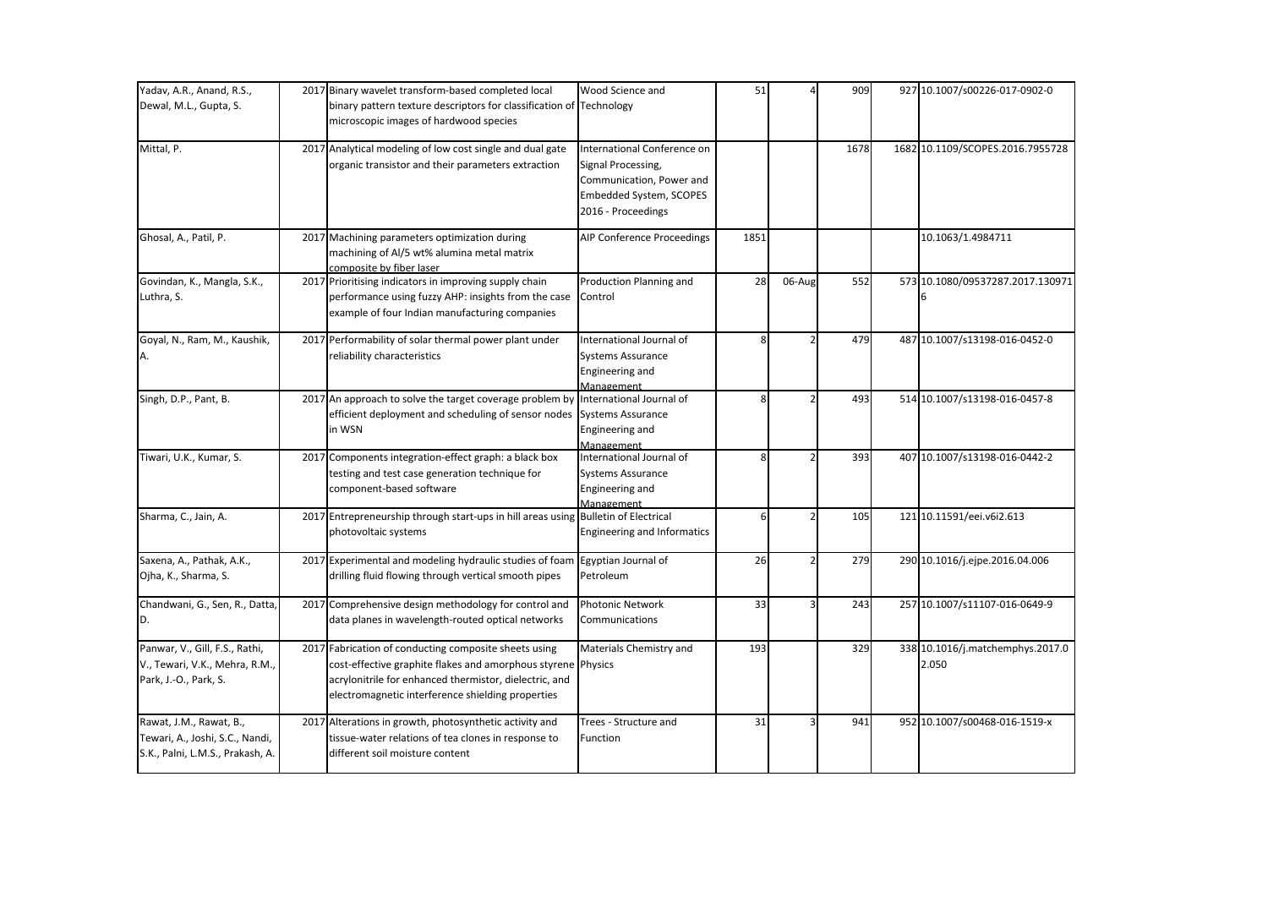| Yadav, A.R., Anand, R.S.,                                                                      | 2017 Binary wavelet transform-based completed local                                                                                                                                                                                  | Wood Science and                                                                                                               | 51   |        | 909  | 927 10.1007/s00226-017-0902-0             |
|------------------------------------------------------------------------------------------------|--------------------------------------------------------------------------------------------------------------------------------------------------------------------------------------------------------------------------------------|--------------------------------------------------------------------------------------------------------------------------------|------|--------|------|-------------------------------------------|
| Dewal, M.L., Gupta, S.                                                                         | binary pattern texture descriptors for classification of Technology<br>microscopic images of hardwood species                                                                                                                        |                                                                                                                                |      |        |      |                                           |
| Mittal, P.                                                                                     | 2017 Analytical modeling of low cost single and dual gate<br>organic transistor and their parameters extraction                                                                                                                      | International Conference on<br>Signal Processing,<br>Communication, Power and<br>Embedded System, SCOPES<br>2016 - Proceedings |      |        | 1678 | 1682 10.1109/SCOPES.2016.7955728          |
| Ghosal, A., Patil, P.                                                                          | 2017 Machining parameters optimization during<br>machining of Al/5 wt% alumina metal matrix<br>composite by fiber laser                                                                                                              | AIP Conference Proceedings                                                                                                     | 1851 |        |      | 10.1063/1.4984711                         |
| Govindan, K., Mangla, S.K.,<br>Luthra, S.                                                      | 2017 Prioritising indicators in improving supply chain<br>performance using fuzzy AHP: insights from the case<br>example of four Indian manufacturing companies                                                                      | Production Planning and<br>Control                                                                                             | 28   | 06-Aug | 552  | 573 10.1080/09537287.2017.130971          |
| Goyal, N., Ram, M., Kaushik,<br>А.                                                             | 2017 Performability of solar thermal power plant under<br>reliability characteristics                                                                                                                                                | International Journal of<br>Systems Assurance<br>Engineering and<br>Management                                                 |      |        | 479  | 487 10.1007/s13198-016-0452-0             |
| Singh, D.P., Pant, B.                                                                          | 2017 An approach to solve the target coverage problem by<br>efficient deployment and scheduling of sensor nodes<br>in WSN                                                                                                            | International Journal of<br>Systems Assurance<br>Engineering and<br>Management                                                 | 8    |        | 493  | 514 10.1007/s13198-016-0457-8             |
| Tiwari, U.K., Kumar, S.                                                                        | 2017 Components integration-effect graph: a black box<br>testing and test case generation technique for<br>component-based software                                                                                                  | International Journal of<br><b>Systems Assurance</b><br>Engineering and<br>Management                                          |      |        | 393  | 407 10.1007/s13198-016-0442-2             |
| Sharma, C., Jain, A.                                                                           | 2017 Entrepreneurship through start-ups in hill areas using Bulletin of Electrical<br>photovoltaic systems                                                                                                                           | Engineering and Informatics                                                                                                    | 6    |        | 105  | 121 10.11591/eei.v6i2.613                 |
| Saxena, A., Pathak, A.K.,<br>Ojha, K., Sharma, S.                                              | 2017 Experimental and modeling hydraulic studies of foam Egyptian Journal of<br>drilling fluid flowing through vertical smooth pipes                                                                                                 | Petroleum                                                                                                                      | 26   |        | 279  | 290 10.1016/j.ejpe.2016.04.006            |
| Chandwani, G., Sen, R., Datta,<br>D.                                                           | 2017 Comprehensive design methodology for control and<br>data planes in wavelength-routed optical networks                                                                                                                           | <b>Photonic Network</b><br>Communications                                                                                      | 33   |        | 243  | 257 10.1007/s11107-016-0649-9             |
| Panwar, V., Gill, F.S., Rathi,<br>V., Tewari, V.K., Mehra, R.M.,<br>Park, J.-O., Park, S.      | 2017 Fabrication of conducting composite sheets using<br>cost-effective graphite flakes and amorphous styrene Physics<br>acrylonitrile for enhanced thermistor, dielectric, and<br>electromagnetic interference shielding properties | Materials Chemistry and                                                                                                        | 193  |        | 329  | 338 10.1016/j.matchemphys.2017.0<br>2.050 |
| Rawat, J.M., Rawat, B.,<br>Tewari, A., Joshi, S.C., Nandi,<br>S.K., Palni, L.M.S., Prakash, A. | 2017 Alterations in growth, photosynthetic activity and<br>tissue-water relations of tea clones in response to<br>different soil moisture content                                                                                    | Trees - Structure and<br>Function                                                                                              | 31   |        | 941  | 952 10.1007/s00468-016-1519-x             |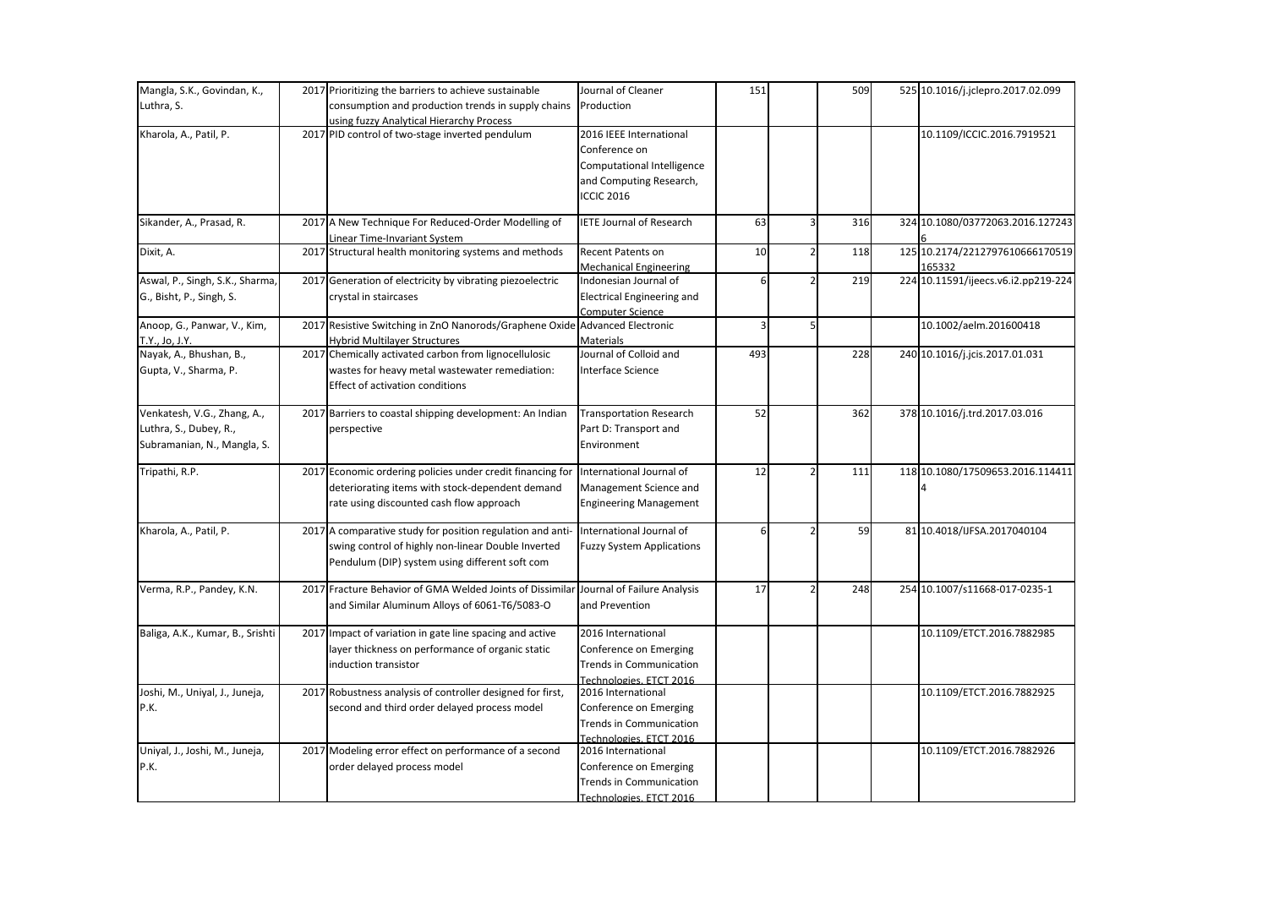| Mangla, S.K., Govindan, K.,      | 2017 Prioritizing the barriers to achieve sustainable                       | Journal of Cleaner                | 151                     |                | 509 | 525 10.1016/j.jclepro.2017.02.099   |
|----------------------------------|-----------------------------------------------------------------------------|-----------------------------------|-------------------------|----------------|-----|-------------------------------------|
| Luthra, S.                       | consumption and production trends in supply chains                          | Production                        |                         |                |     |                                     |
|                                  | using fuzzy Analytical Hierarchy Process                                    |                                   |                         |                |     |                                     |
| Kharola, A., Patil, P.           | 2017 PID control of two-stage inverted pendulum                             | 2016 IEEE International           |                         |                |     | 10.1109/ICCIC.2016.7919521          |
|                                  |                                                                             | Conference on                     |                         |                |     |                                     |
|                                  |                                                                             | Computational Intelligence        |                         |                |     |                                     |
|                                  |                                                                             | and Computing Research,           |                         |                |     |                                     |
|                                  |                                                                             | <b>ICCIC 2016</b>                 |                         |                |     |                                     |
|                                  |                                                                             |                                   |                         |                |     |                                     |
| Sikander, A., Prasad, R.         | 2017 A New Technique For Reduced-Order Modelling of                         | <b>IETE Journal of Research</b>   | 63                      | $\overline{3}$ | 316 | 324 10.1080/03772063.2016.127243    |
|                                  | Linear Time-Invariant System                                                |                                   |                         |                |     |                                     |
| Dixit, A.                        | 2017 Structural health monitoring systems and methods                       | <b>Recent Patents on</b>          | 10                      | $\overline{2}$ | 118 | 125 10.2174/2212797610666170519     |
|                                  |                                                                             | <b>Mechanical Engineering</b>     |                         |                |     | 165332                              |
| Aswal, P., Singh, S.K., Sharma,  | 2017 Generation of electricity by vibrating piezoelectric                   | Indonesian Journal of             |                         |                | 219 | 224 10.11591/ijeecs.v6.i2.pp219-224 |
| G., Bisht, P., Singh, S.         | crystal in staircases                                                       | <b>Electrical Engineering and</b> |                         |                |     |                                     |
|                                  |                                                                             | Computer Science                  |                         |                |     |                                     |
| Anoop, G., Panwar, V., Kim,      | 2017 Resistive Switching in ZnO Nanorods/Graphene Oxide Advanced Electronic |                                   | $\overline{\mathbf{3}}$ | 5 <sub>l</sub> |     | 10.1002/aelm.201600418              |
| T.Y., Jo, J.Y.                   | Hybrid Multilayer Structures                                                | <b>Materials</b>                  |                         |                |     |                                     |
| Nayak, A., Bhushan, B.,          | 2017 Chemically activated carbon from lignocellulosic                       | Journal of Colloid and            | 493                     |                | 228 | 240 10.1016/j.jcis.2017.01.031      |
| Gupta, V., Sharma, P.            | wastes for heavy metal wastewater remediation:                              | Interface Science                 |                         |                |     |                                     |
|                                  | Effect of activation conditions                                             |                                   |                         |                |     |                                     |
|                                  |                                                                             |                                   |                         |                |     |                                     |
| Venkatesh, V.G., Zhang, A.,      | 2017 Barriers to coastal shipping development: An Indian                    | <b>Transportation Research</b>    | 52                      |                | 362 | 378 10.1016/j.trd.2017.03.016       |
| Luthra, S., Dubey, R.,           | perspective                                                                 | Part D: Transport and             |                         |                |     |                                     |
| Subramanian, N., Mangla, S.      |                                                                             | Environment                       |                         |                |     |                                     |
| Tripathi, R.P.                   | 2017 Economic ordering policies under credit financing for                  | International Journal of          | 12                      |                | 111 | 118 10.1080/17509653.2016.114411    |
|                                  | deteriorating items with stock-dependent demand                             | Management Science and            |                         |                |     |                                     |
|                                  | rate using discounted cash flow approach                                    | <b>Engineering Management</b>     |                         |                |     |                                     |
|                                  |                                                                             |                                   |                         |                |     |                                     |
| Kharola, A., Patil, P.           | 2017 A comparative study for position regulation and anti-                  | International Journal of          | ĥ                       |                | 59  | 81 10.4018/IJFSA.2017040104         |
|                                  | swing control of highly non-linear Double Inverted                          | <b>Fuzzy System Applications</b>  |                         |                |     |                                     |
|                                  | Pendulum (DIP) system using different soft com                              |                                   |                         |                |     |                                     |
|                                  |                                                                             |                                   |                         |                |     |                                     |
| Verma, R.P., Pandey, K.N.        | 2017 Fracture Behavior of GMA Welded Joints of Dissimilar                   | Journal of Failure Analysis       | 17                      |                | 248 | 254 10.1007/s11668-017-0235-1       |
|                                  | and Similar Aluminum Alloys of 6061-T6/5083-O                               | and Prevention                    |                         |                |     |                                     |
|                                  |                                                                             |                                   |                         |                |     |                                     |
| Baliga, A.K., Kumar, B., Srishti | 2017 Impact of variation in gate line spacing and active                    | 2016 International                |                         |                |     | 10.1109/ETCT.2016.7882985           |
|                                  | layer thickness on performance of organic static                            | Conference on Emerging            |                         |                |     |                                     |
|                                  | induction transistor                                                        | <b>Trends in Communication</b>    |                         |                |     |                                     |
|                                  |                                                                             | Technologies, ETCT 2016           |                         |                |     |                                     |
| Joshi, M., Uniyal, J., Juneja,   | 2017 Robustness analysis of controller designed for first,                  | 2016 International                |                         |                |     | 10.1109/ETCT.2016.7882925           |
| P.K.                             | second and third order delayed process model                                | Conference on Emerging            |                         |                |     |                                     |
|                                  |                                                                             | Trends in Communication           |                         |                |     |                                     |
|                                  |                                                                             | Technologies, ETCT 2016           |                         |                |     |                                     |
| Uniyal, J., Joshi, M., Juneja,   | 2017 Modeling error effect on performance of a second                       | 2016 International                |                         |                |     | 10.1109/ETCT.2016.7882926           |
| P.K.                             | order delayed process model                                                 | Conference on Emerging            |                         |                |     |                                     |
|                                  |                                                                             | <b>Trends in Communication</b>    |                         |                |     |                                     |
|                                  |                                                                             | Technologies, ETCT 2016           |                         |                |     |                                     |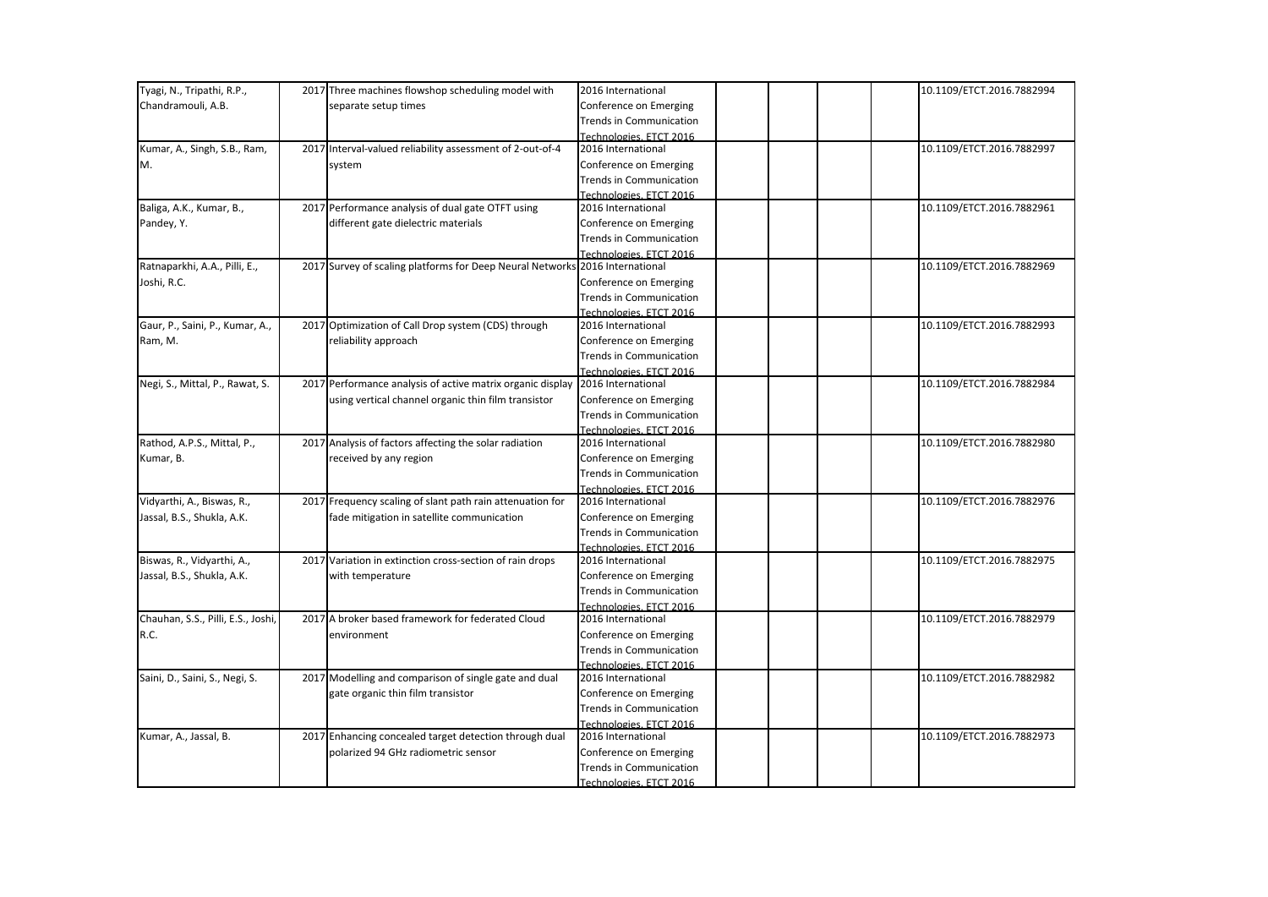| Tyagi, N., Tripathi, R.P.,         | 2017 Three machines flowshop scheduling model with         | 2016 International             | 10.1109/ETCT.2016.7882994 |
|------------------------------------|------------------------------------------------------------|--------------------------------|---------------------------|
| Chandramouli, A.B.                 | separate setup times                                       | Conference on Emerging         |                           |
|                                    |                                                            | <b>Trends in Communication</b> |                           |
|                                    |                                                            | Technologies, ETCT 2016        |                           |
| Kumar, A., Singh, S.B., Ram,       | 2017 Interval-valued reliability assessment of 2-out-of-4  | 2016 International             | 10.1109/ETCT.2016.7882997 |
| М.                                 | system                                                     | Conference on Emerging         |                           |
|                                    |                                                            | <b>Trends in Communication</b> |                           |
|                                    |                                                            | Technologies, ETCT 2016        |                           |
| Baliga, A.K., Kumar, B.,           | 2017 Performance analysis of dual gate OTFT using          | 2016 International             | 10.1109/ETCT.2016.7882961 |
| Pandey, Y.                         | different gate dielectric materials                        | Conference on Emerging         |                           |
|                                    |                                                            | Trends in Communication        |                           |
|                                    |                                                            | Technologies, ETCT 2016        |                           |
| Ratnaparkhi, A.A., Pilli, E.,      | 2017 Survey of scaling platforms for Deep Neural Networks  | 2016 International             | 10.1109/ETCT.2016.7882969 |
| Joshi, R.C.                        |                                                            | Conference on Emerging         |                           |
|                                    |                                                            | <b>Trends in Communication</b> |                           |
|                                    |                                                            | Technologies, ETCT 2016        |                           |
| Gaur, P., Saini, P., Kumar, A.,    | 2017 Optimization of Call Drop system (CDS) through        | 2016 International             | 10.1109/ETCT.2016.7882993 |
| Ram, M.                            | reliability approach                                       | Conference on Emerging         |                           |
|                                    |                                                            | <b>Trends in Communication</b> |                           |
|                                    |                                                            | Technologies, ETCT 2016        |                           |
| Negi, S., Mittal, P., Rawat, S.    | 2017 Performance analysis of active matrix organic display | 2016 International             | 10.1109/ETCT.2016.7882984 |
|                                    | using vertical channel organic thin film transistor        | Conference on Emerging         |                           |
|                                    |                                                            | <b>Trends in Communication</b> |                           |
|                                    |                                                            | Technologies, ETCT 2016        |                           |
| Rathod, A.P.S., Mittal, P.,        | 2017 Analysis of factors affecting the solar radiation     | 2016 International             | 10.1109/ETCT.2016.7882980 |
| Kumar, B.                          | received by any region                                     | Conference on Emerging         |                           |
|                                    |                                                            | <b>Trends in Communication</b> |                           |
|                                    |                                                            | Technologies, ETCT 2016        |                           |
| Vidyarthi, A., Biswas, R.,         | 2017 Frequency scaling of slant path rain attenuation for  | 2016 International             | 10.1109/ETCT.2016.7882976 |
| Jassal, B.S., Shukla, A.K.         | fade mitigation in satellite communication                 | Conference on Emerging         |                           |
|                                    |                                                            | <b>Trends in Communication</b> |                           |
|                                    |                                                            | Technologies. ETCT 2016        |                           |
| Biswas, R., Vidyarthi, A.,         | 2017 Variation in extinction cross-section of rain drops   | 2016 International             | 10.1109/ETCT.2016.7882975 |
| Jassal, B.S., Shukla, A.K.         | with temperature                                           | Conference on Emerging         |                           |
|                                    |                                                            | <b>Trends in Communication</b> |                           |
|                                    |                                                            | Technologies. ETCT 2016        |                           |
| Chauhan, S.S., Pilli, E.S., Joshi, | 2017 A broker based framework for federated Cloud          | 2016 International             | 10.1109/ETCT.2016.7882979 |
| R.C.                               | environment                                                | Conference on Emerging         |                           |
|                                    |                                                            | <b>Trends in Communication</b> |                           |
|                                    |                                                            | Technologies, ETCT 2016        |                           |
| Saini, D., Saini, S., Negi, S.     | 2017 Modelling and comparison of single gate and dual      | 2016 International             | 10.1109/ETCT.2016.7882982 |
|                                    | gate organic thin film transistor                          | Conference on Emerging         |                           |
|                                    |                                                            | <b>Trends in Communication</b> |                           |
|                                    |                                                            | Technologies, ETCT 2016        |                           |
| Kumar, A., Jassal, B.              | 2017 Enhancing concealed target detection through dual     | 2016 International             | 10.1109/ETCT.2016.7882973 |
|                                    | polarized 94 GHz radiometric sensor                        | Conference on Emerging         |                           |
|                                    |                                                            | <b>Trends in Communication</b> |                           |
|                                    |                                                            | Technologies, ETCT 2016        |                           |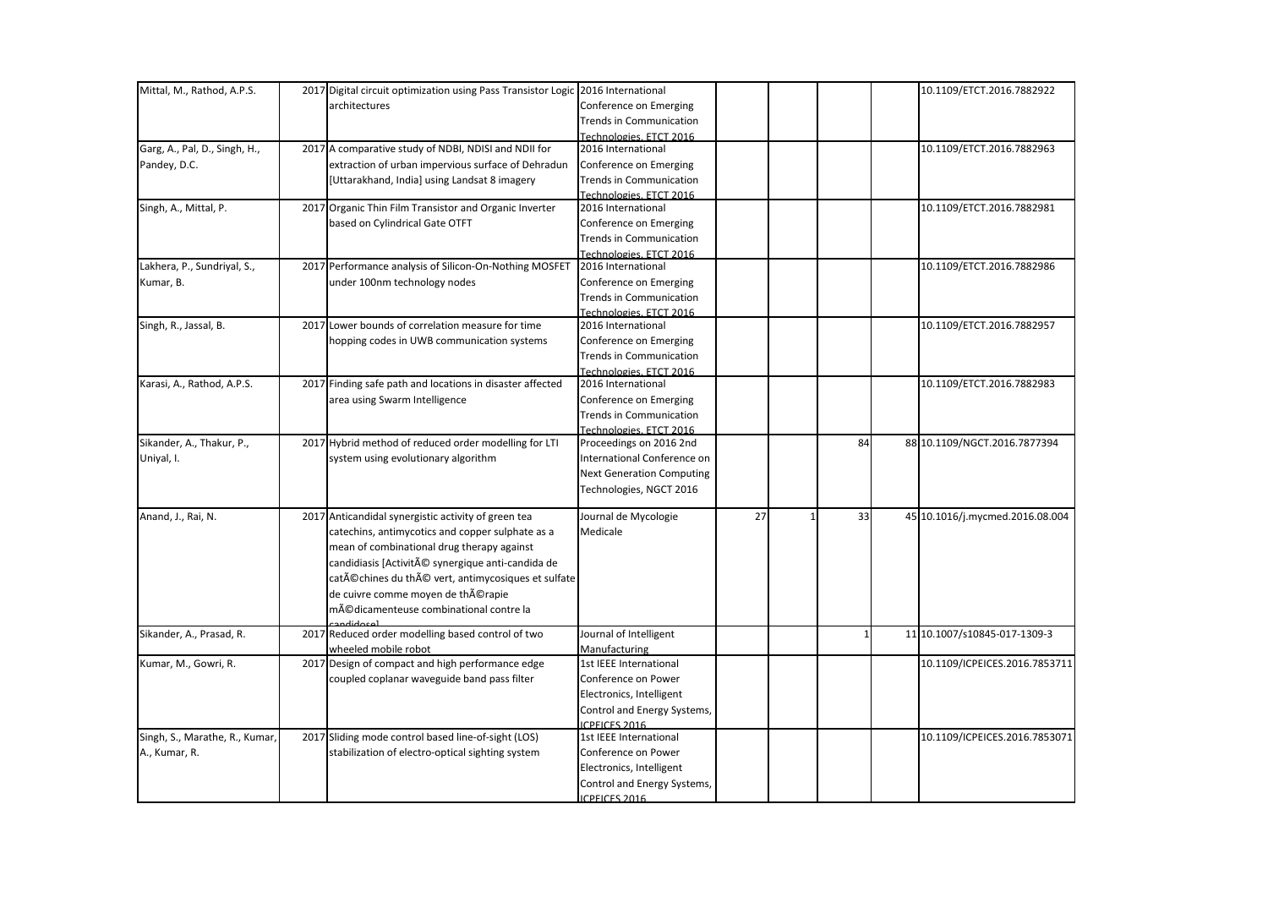| Mittal, M., Rathod, A.P.S.     | 2017 Digital circuit optimization using Pass Transistor Logic 2016 International |                                                |    |              | 10.1109/ETCT.2016.7882922       |
|--------------------------------|----------------------------------------------------------------------------------|------------------------------------------------|----|--------------|---------------------------------|
|                                | architectures                                                                    | Conference on Emerging                         |    |              |                                 |
|                                |                                                                                  | <b>Trends in Communication</b>                 |    |              |                                 |
|                                |                                                                                  | Technologies, ETCT 2016                        |    |              |                                 |
| Garg, A., Pal, D., Singh, H.,  | 2017 A comparative study of NDBI, NDISI and NDII for                             | 2016 International                             |    |              | 10.1109/ETCT.2016.7882963       |
| Pandey, D.C.                   | extraction of urban impervious surface of Dehradun                               | Conference on Emerging                         |    |              |                                 |
|                                | [Uttarakhand, India] using Landsat 8 imagery                                     | <b>Trends in Communication</b>                 |    |              |                                 |
|                                |                                                                                  | Technologies, ETCT 2016                        |    |              |                                 |
| Singh, A., Mittal, P.          | 2017 Organic Thin Film Transistor and Organic Inverter                           | 2016 International                             |    |              | 10.1109/ETCT.2016.7882981       |
|                                | based on Cylindrical Gate OTFT                                                   | Conference on Emerging                         |    |              |                                 |
|                                |                                                                                  | <b>Trends in Communication</b>                 |    |              |                                 |
|                                |                                                                                  | Technologies, ETCT 2016                        |    |              |                                 |
| Lakhera, P., Sundriyal, S.,    | 2017 Performance analysis of Silicon-On-Nothing MOSFET                           | 2016 International                             |    |              | 10.1109/ETCT.2016.7882986       |
| Kumar, B.                      | under 100nm technology nodes                                                     | Conference on Emerging                         |    |              |                                 |
|                                |                                                                                  | <b>Trends in Communication</b>                 |    |              |                                 |
|                                |                                                                                  | Technologies, ETCT 2016                        |    |              |                                 |
| Singh, R., Jassal, B.          | 2017 Lower bounds of correlation measure for time                                | 2016 International                             |    |              | 10.1109/ETCT.2016.7882957       |
|                                | hopping codes in UWB communication systems                                       | Conference on Emerging                         |    |              |                                 |
|                                |                                                                                  | <b>Trends in Communication</b>                 |    |              |                                 |
|                                |                                                                                  | Technologies, ETCT 2016                        |    |              |                                 |
| Karasi, A., Rathod, A.P.S.     | 2017 Finding safe path and locations in disaster affected                        | 2016 International                             |    |              | 10.1109/ETCT.2016.7882983       |
|                                | area using Swarm Intelligence                                                    | Conference on Emerging                         |    |              |                                 |
|                                |                                                                                  | <b>Trends in Communication</b>                 |    |              |                                 |
|                                |                                                                                  | Technologies, ETCT 2016                        |    |              |                                 |
| Sikander, A., Thakur, P.,      | 2017 Hybrid method of reduced order modelling for LTI                            | Proceedings on 2016 2nd                        |    | 84           | 88 10.1109/NGCT.2016.7877394    |
| Uniyal, I.                     | system using evolutionary algorithm                                              | International Conference on                    |    |              |                                 |
|                                |                                                                                  | <b>Next Generation Computing</b>               |    |              |                                 |
|                                |                                                                                  | Technologies, NGCT 2016                        |    |              |                                 |
| Anand, J., Rai, N.             | 2017 Anticandidal synergistic activity of green tea                              | Journal de Mycologie                           | 27 | 33           | 45 10.1016/j.mycmed.2016.08.004 |
|                                | catechins, antimycotics and copper sulphate as a                                 | Medicale                                       |    |              |                                 |
|                                | mean of combinational drug therapy against                                       |                                                |    |              |                                 |
|                                | candidiasis [Activité synergique anti-candida de                                 |                                                |    |              |                                 |
|                                | catéchines du thé vert, antimycosiques et sulfate                                |                                                |    |              |                                 |
|                                | de cuivre comme moyen de thérapie                                                |                                                |    |              |                                 |
|                                | médicamenteuse combinational contre la                                           |                                                |    |              |                                 |
|                                |                                                                                  |                                                |    |              |                                 |
| Sikander, A., Prasad, R.       | 2017 Reduced order modelling based control of two                                | Journal of Intelligent                         |    | $\mathbf{1}$ | 11 10.1007/s10845-017-1309-3    |
|                                | wheeled mobile robot                                                             | Manufacturing<br><b>1st IEEE International</b> |    |              |                                 |
| Kumar, M., Gowri, R.           | 2017 Design of compact and high performance edge                                 |                                                |    |              | 10.1109/ICPEICES.2016.7853711   |
|                                | coupled coplanar waveguide band pass filter                                      | Conference on Power                            |    |              |                                 |
|                                |                                                                                  | Electronics, Intelligent                       |    |              |                                 |
|                                |                                                                                  | Control and Energy Systems,                    |    |              |                                 |
| Singh, S., Marathe, R., Kumar, | 2017 Sliding mode control based line-of-sight (LOS)                              | <b>ICPEICES 2016</b><br>1st IEEE International |    |              | 10.1109/ICPEICES.2016.7853071   |
|                                |                                                                                  |                                                |    |              |                                 |
| A., Kumar, R.                  | stabilization of electro-optical sighting system                                 | Conference on Power                            |    |              |                                 |
|                                |                                                                                  | Electronics, Intelligent                       |    |              |                                 |
|                                |                                                                                  | Control and Energy Systems,                    |    |              |                                 |
|                                |                                                                                  | ICPEICES 2016                                  |    |              |                                 |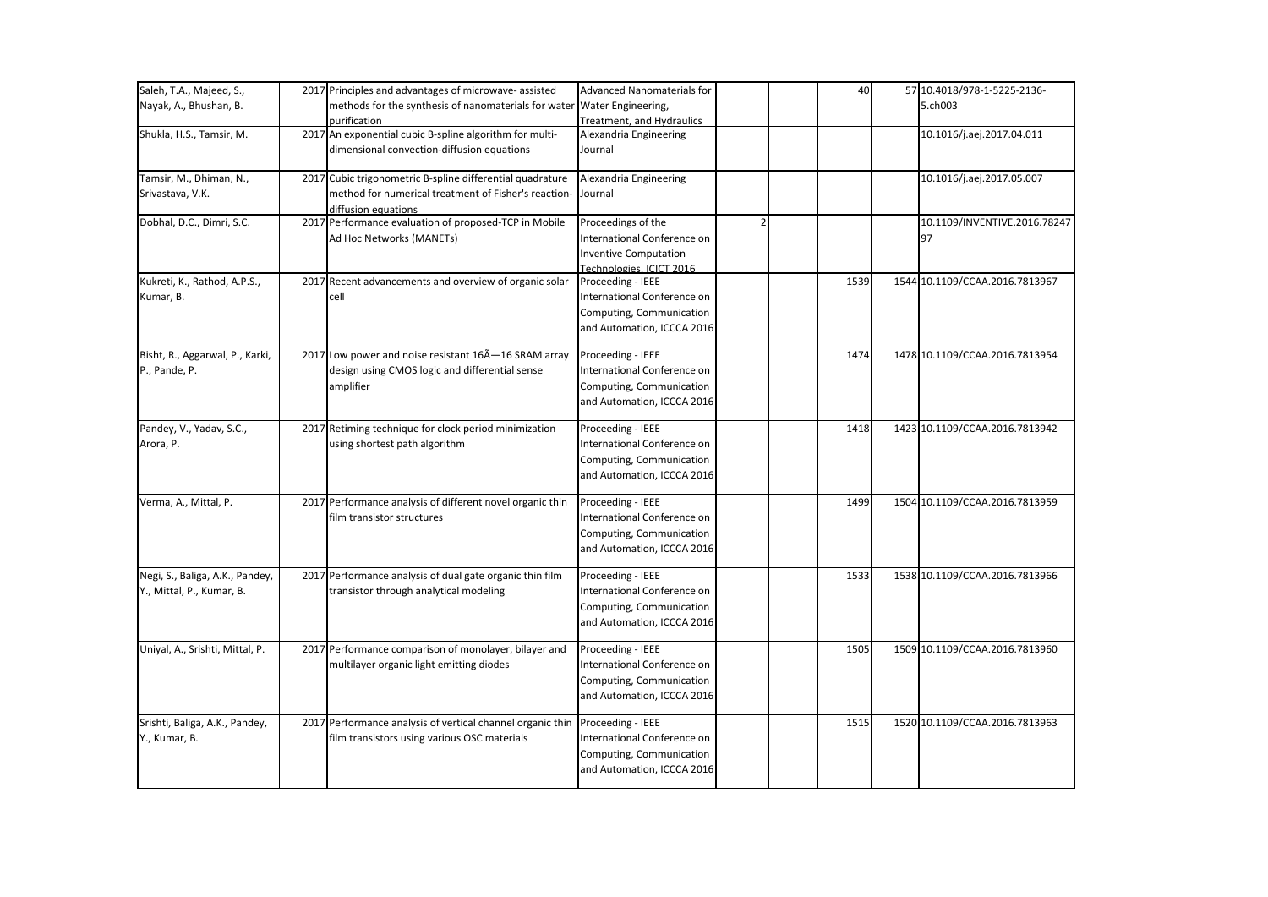| Saleh, T.A., Majeed, S.,        | 2017 Principles and advantages of microwave-assisted                         | Advanced Nanomaterials for                    | 40   | 57 10.4018/978-1-5225-2136-    |
|---------------------------------|------------------------------------------------------------------------------|-----------------------------------------------|------|--------------------------------|
| Nayak, A., Bhushan, B.          | methods for the synthesis of nanomaterials for water                         | Water Engineering,                            |      | 5.ch003                        |
|                                 | purification                                                                 | <b>Treatment. and Hydraulics</b>              |      |                                |
| Shukla, H.S., Tamsir, M.        | 2017 An exponential cubic B-spline algorithm for multi-                      | Alexandria Engineering                        |      | 10.1016/j.aej.2017.04.011      |
|                                 | dimensional convection-diffusion equations                                   | Journal                                       |      |                                |
| Tamsir, M., Dhiman, N.,         | 2017 Cubic trigonometric B-spline differential quadrature                    | Alexandria Engineering                        |      | 10.1016/j.aej.2017.05.007      |
| Srivastava, V.K.                | method for numerical treatment of Fisher's reaction-                         | Journal                                       |      |                                |
|                                 | diffusion equations                                                          |                                               |      |                                |
| Dobhal, D.C., Dimri, S.C.       | 2017 Performance evaluation of proposed-TCP in Mobile                        | Proceedings of the                            |      | 10.1109/INVENTIVE.2016.78247   |
|                                 | Ad Hoc Networks (MANETs)                                                     | International Conference on                   |      | 97                             |
|                                 |                                                                              | <b>Inventive Computation</b>                  |      |                                |
| Kukreti, K., Rathod, A.P.S.,    | 2017 Recent advancements and overview of organic solar                       | Technologies, ICICT 2016<br>Proceeding - IEEE | 1539 | 1544 10.1109/CCAA.2016.7813967 |
| Kumar, B.                       | cell                                                                         | International Conference on                   |      |                                |
|                                 |                                                                              | Computing, Communication                      |      |                                |
|                                 |                                                                              | and Automation, ICCCA 2016                    |      |                                |
|                                 |                                                                              |                                               |      |                                |
| Bisht, R., Aggarwal, P., Karki, | 2017 Low power and noise resistant 16A-16 SRAM array                         | Proceeding - IEEE                             | 1474 | 1478 10.1109/CCAA.2016.7813954 |
| P., Pande, P.                   | design using CMOS logic and differential sense                               | International Conference on                   |      |                                |
|                                 | amplifier                                                                    | Computing, Communication                      |      |                                |
|                                 |                                                                              | and Automation, ICCCA 2016                    |      |                                |
| Pandey, V., Yadav, S.C.,        | 2017 Retiming technique for clock period minimization                        | Proceeding - IEEE                             | 1418 | 1423 10.1109/CCAA.2016.7813942 |
| Arora, P.                       | using shortest path algorithm                                                | International Conference on                   |      |                                |
|                                 |                                                                              | Computing, Communication                      |      |                                |
|                                 |                                                                              | and Automation, ICCCA 2016                    |      |                                |
| Verma, A., Mittal, P.           | 2017 Performance analysis of different novel organic thin                    | Proceeding - IEEE                             | 1499 | 1504 10.1109/CCAA.2016.7813959 |
|                                 | film transistor structures                                                   | International Conference on                   |      |                                |
|                                 |                                                                              | Computing, Communication                      |      |                                |
|                                 |                                                                              | and Automation, ICCCA 2016                    |      |                                |
| Negi, S., Baliga, A.K., Pandey, | 2017 Performance analysis of dual gate organic thin film                     | Proceeding - IEEE                             | 1533 | 1538 10.1109/CCAA.2016.7813966 |
| Y., Mittal, P., Kumar, B.       | transistor through analytical modeling                                       | International Conference on                   |      |                                |
|                                 |                                                                              | Computing, Communication                      |      |                                |
|                                 |                                                                              | and Automation, ICCCA 2016                    |      |                                |
| Uniyal, A., Srishti, Mittal, P. | 2017 Performance comparison of monolayer, bilayer and                        | Proceeding - IEEE                             | 1505 | 1509 10.1109/CCAA.2016.7813960 |
|                                 | multilayer organic light emitting diodes                                     | International Conference on                   |      |                                |
|                                 |                                                                              | Computing, Communication                      |      |                                |
|                                 |                                                                              | and Automation, ICCCA 2016                    |      |                                |
| Srishti, Baliga, A.K., Pandey,  | 2017 Performance analysis of vertical channel organic thin Proceeding - IEEE |                                               | 1515 | 1520 10.1109/CCAA.2016.7813963 |
| Y., Kumar, B.                   | film transistors using various OSC materials                                 | International Conference on                   |      |                                |
|                                 |                                                                              | Computing, Communication                      |      |                                |
|                                 |                                                                              | and Automation, ICCCA 2016                    |      |                                |
|                                 |                                                                              |                                               |      |                                |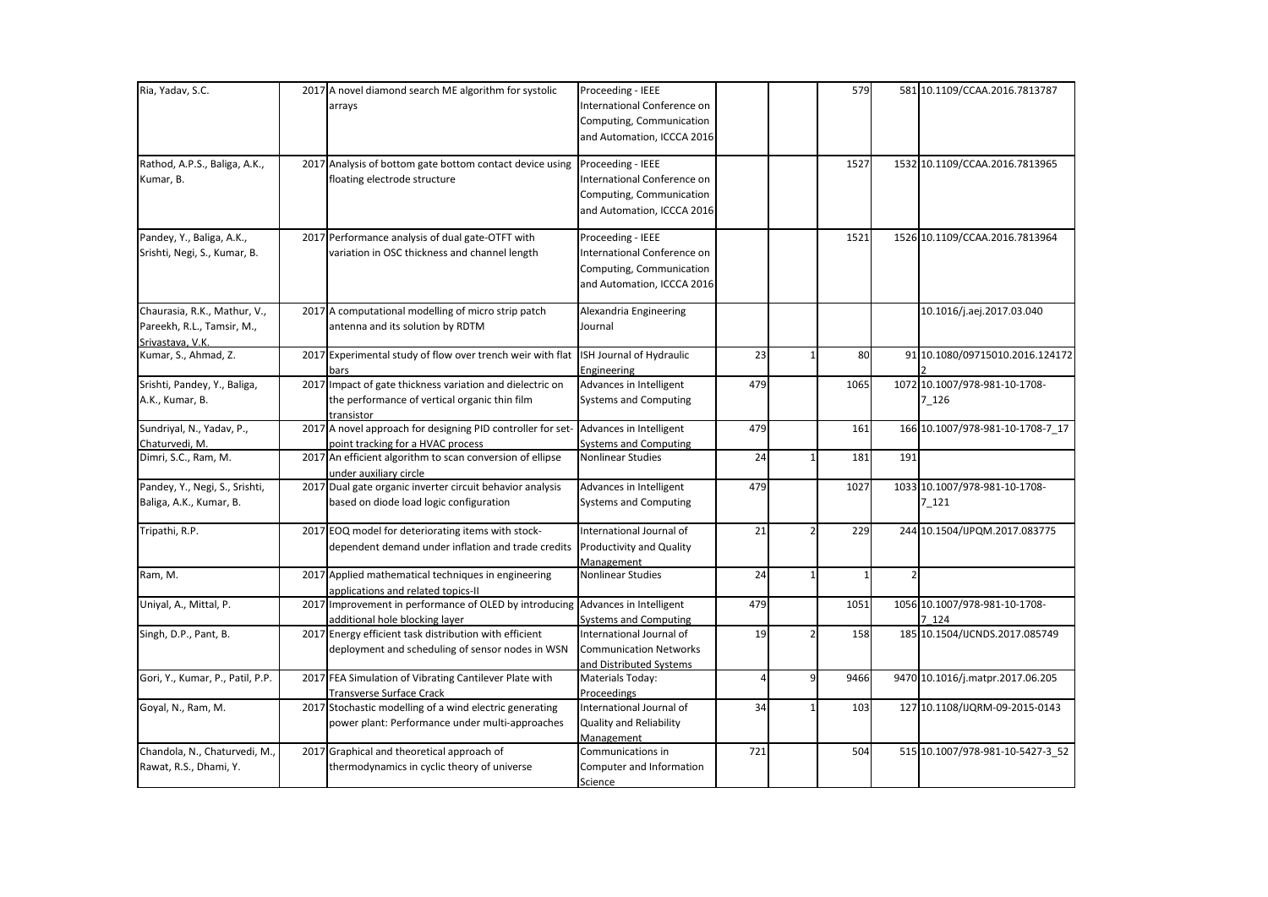| Ria, Yadav, S.C.                 | 2017 A novel diamond search ME algorithm for systolic                                      | Proceeding - IEEE                       |                         |               | 579          |                | 581 10.1109/CCAA.2016.7813787    |
|----------------------------------|--------------------------------------------------------------------------------------------|-----------------------------------------|-------------------------|---------------|--------------|----------------|----------------------------------|
|                                  | arrays                                                                                     | International Conference on             |                         |               |              |                |                                  |
|                                  |                                                                                            | Computing, Communication                |                         |               |              |                |                                  |
|                                  |                                                                                            | and Automation, ICCCA 2016              |                         |               |              |                |                                  |
|                                  |                                                                                            |                                         |                         |               |              |                |                                  |
| Rathod, A.P.S., Baliga, A.K.,    | 2017 Analysis of bottom gate bottom contact device using                                   | Proceeding - IEEE                       |                         |               | 1527         |                | 1532 10.1109/CCAA.2016.7813965   |
| Kumar, B.                        | floating electrode structure                                                               | International Conference on             |                         |               |              |                |                                  |
|                                  |                                                                                            | Computing, Communication                |                         |               |              |                |                                  |
|                                  |                                                                                            | and Automation, ICCCA 2016              |                         |               |              |                |                                  |
| Pandey, Y., Baliga, A.K.,        | 2017 Performance analysis of dual gate-OTFT with                                           | Proceeding - IEEE                       |                         |               | 1521         |                | 1526 10.1109/CCAA.2016.7813964   |
| Srishti, Negi, S., Kumar, B.     | variation in OSC thickness and channel length                                              | International Conference on             |                         |               |              |                |                                  |
|                                  |                                                                                            | Computing, Communication                |                         |               |              |                |                                  |
|                                  |                                                                                            | and Automation, ICCCA 2016              |                         |               |              |                |                                  |
| Chaurasia, R.K., Mathur, V.,     | 2017 A computational modelling of micro strip patch                                        | Alexandria Engineering                  |                         |               |              |                | 10.1016/j.aej.2017.03.040        |
| Pareekh, R.L., Tamsir, M.,       | antenna and its solution by RDTM                                                           | Journal                                 |                         |               |              |                |                                  |
| Srivastava, V.K.                 |                                                                                            |                                         |                         |               |              |                |                                  |
| Kumar, S., Ahmad, Z.             | 2017 Experimental study of flow over trench weir with flat                                 | ISH Journal of Hydraulic                | 23                      |               | 80           |                | 91 10.1080/09715010.2016.124172  |
|                                  | bars                                                                                       | Engineering                             |                         |               |              |                |                                  |
| Srishti, Pandey, Y., Baliga,     | 2017 Impact of gate thickness variation and dielectric on                                  | Advances in Intelligent                 | 479                     |               | 1065         |                | 1072 10.1007/978-981-10-1708-    |
| A.K., Kumar, B.                  | the performance of vertical organic thin film                                              | <b>Systems and Computing</b>            |                         |               |              |                | $7 - 126$                        |
|                                  | transistor                                                                                 |                                         |                         |               |              |                |                                  |
| Sundriyal, N., Yadav, P.,        | 2017 A novel approach for designing PID controller for set- Advances in Intelligent        |                                         | 479                     |               | 161          |                | 166 10.1007/978-981-10-1708-7 17 |
| Chaturvedi, M.                   | point tracking for a HVAC process                                                          | <b>Systems and Computing</b>            |                         |               |              |                |                                  |
| Dimri, S.C., Ram, M.             | 2017 An efficient algorithm to scan conversion of ellipse                                  | <b>Nonlinear Studies</b>                | 24                      | $\mathbf{1}$  | 181          | 191            |                                  |
|                                  | under auxiliary circle                                                                     |                                         |                         |               |              |                |                                  |
| Pandey, Y., Negi, S., Srishti,   | 2017 Dual gate organic inverter circuit behavior analysis                                  | Advances in Intelligent                 | 479                     |               | 1027         |                | 1033 10.1007/978-981-10-1708-    |
| Baliga, A.K., Kumar, B.          | based on diode load logic configuration                                                    | <b>Systems and Computing</b>            |                         |               |              |                | 7 121                            |
| Tripathi, R.P.                   | 2017 EOQ model for deteriorating items with stock-                                         | International Journal of                | 21                      | $\mathfrak z$ | 229          |                | 244 10.1504/IJPQM.2017.083775    |
|                                  | dependent demand under inflation and trade credits Productivity and Quality                |                                         |                         |               |              |                |                                  |
|                                  |                                                                                            | Management                              |                         |               |              |                |                                  |
| Ram, M.                          | 2017 Applied mathematical techniques in engineering                                        | Nonlinear Studies                       | 24                      | $\mathbf{1}$  | $\mathbf{1}$ | $\overline{2}$ |                                  |
|                                  | applications and related topics-II                                                         |                                         |                         |               |              |                |                                  |
| Uniyal, A., Mittal, P.           | 2017 Improvement in performance of OLED by introducing                                     | Advances in Intelligent                 | 479                     |               | 1051         |                | 1056 10.1007/978-981-10-1708-    |
|                                  | additional hole blocking layer                                                             | <b>Systems and Computing</b>            |                         |               |              |                | 7 124                            |
| Singh, D.P., Pant, B.            | 2017 Energy efficient task distribution with efficient                                     | International Journal of                | 19                      |               | 158          |                | 185 10.1504/IJCNDS.2017.085749   |
|                                  | deployment and scheduling of sensor nodes in WSN                                           | <b>Communication Networks</b>           |                         |               |              |                |                                  |
|                                  |                                                                                            | and Distributed Systems                 |                         |               |              |                |                                  |
| Gori, Y., Kumar, P., Patil, P.P. | 2017 FEA Simulation of Vibrating Cantilever Plate with                                     | Materials Today:                        | $\overline{\mathbf{4}}$ | 9             | 9466         |                | 9470 10.1016/j.matpr.2017.06.205 |
|                                  | <b>Transverse Surface Crack</b><br>2017 Stochastic modelling of a wind electric generating | Proceedings<br>International Journal of | 34                      |               | 103          |                | 127 10.1108/IJQRM-09-2015-0143   |
| Goyal, N., Ram, M.               |                                                                                            |                                         |                         |               |              |                |                                  |
|                                  | power plant: Performance under multi-approaches                                            | Quality and Reliability                 |                         |               |              |                |                                  |
| Chandola, N., Chaturvedi, M.,    | 2017 Graphical and theoretical approach of                                                 | Management<br>Communications in         | 721                     |               | 504          |                | 515 10.1007/978-981-10-5427-3_52 |
| Rawat, R.S., Dhami, Y.           | thermodynamics in cyclic theory of universe                                                | Computer and Information                |                         |               |              |                |                                  |
|                                  |                                                                                            |                                         |                         |               |              |                |                                  |
|                                  |                                                                                            | Science                                 |                         |               |              |                |                                  |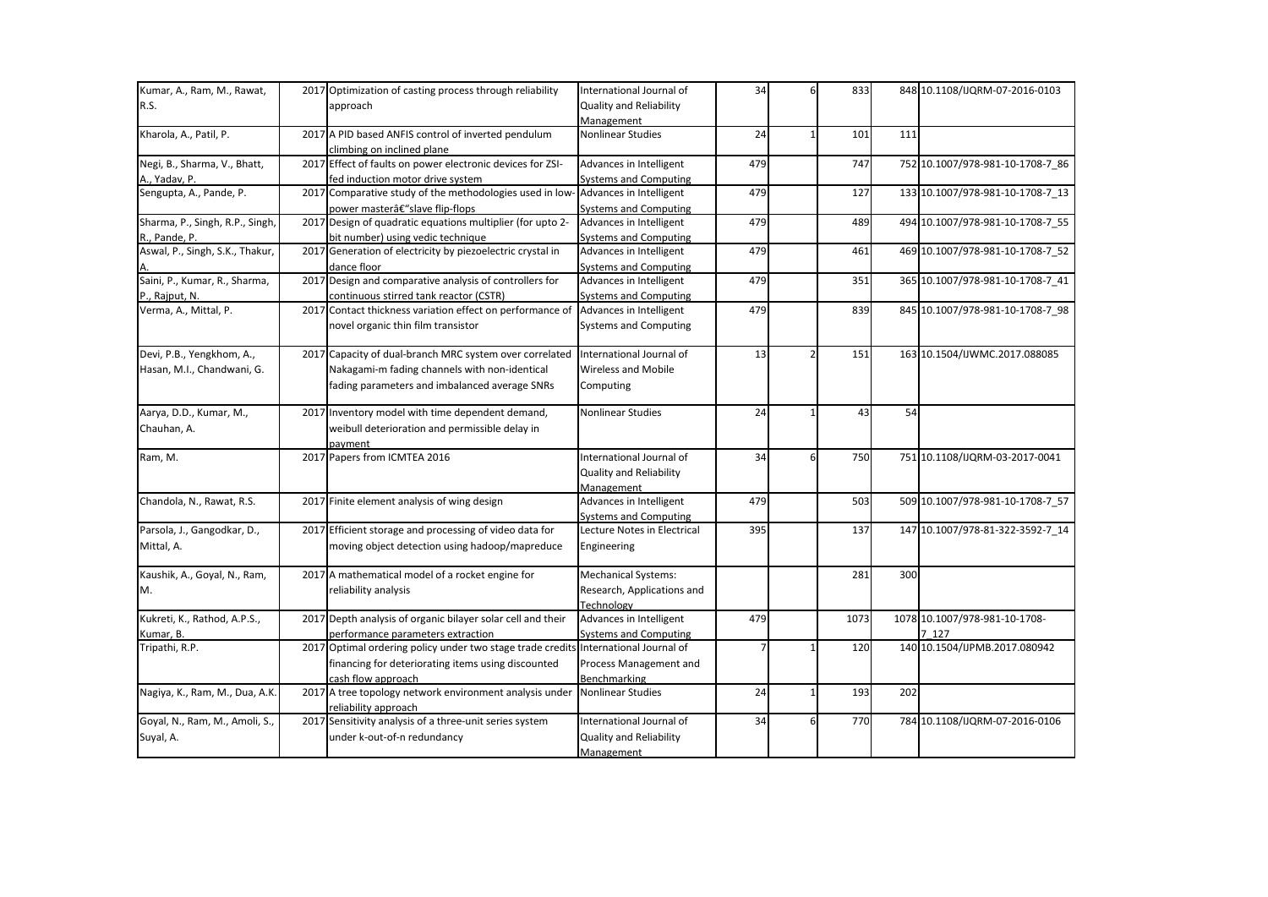| Kumar, A., Ram, M., Rawat,      | 2017 Optimization of casting process through reliability                                        | International Journal of                                | 34  | 6        | 833  |     | 848 10.1108/IJQRM-07-2016-0103   |
|---------------------------------|-------------------------------------------------------------------------------------------------|---------------------------------------------------------|-----|----------|------|-----|----------------------------------|
| R.S.                            | approach                                                                                        | <b>Quality and Reliability</b>                          |     |          |      |     |                                  |
|                                 |                                                                                                 | Management                                              |     |          |      |     |                                  |
| Kharola, A., Patil, P.          | 2017 A PID based ANFIS control of inverted pendulum                                             | Nonlinear Studies                                       | 24  |          | 101  | 111 |                                  |
|                                 | climbing on inclined plane                                                                      |                                                         |     |          |      |     |                                  |
| Negi, B., Sharma, V., Bhatt,    | 2017 Effect of faults on power electronic devices for ZSI-                                      | Advances in Intelligent                                 | 479 |          | 747  |     | 752 10.1007/978-981-10-1708-7_86 |
| A., Yadav, P.                   | fed induction motor drive system                                                                | <b>Systems and Computing</b>                            |     |          |      |     |                                  |
| Sengupta, A., Pande, P.         | 2017 Comparative study of the methodologies used in low-                                        | Advances in Intelligent                                 | 479 |          | 127  |     | 133 10.1007/978-981-10-1708-7 13 |
|                                 | power master–slave flip-flops                                                                   | <b>Systems and Computing</b>                            |     |          |      |     |                                  |
| Sharma, P., Singh, R.P., Singh, | 2017 Design of quadratic equations multiplier (for upto 2-                                      | Advances in Intelligent                                 | 479 |          | 489  |     | 494 10.1007/978-981-10-1708-7_55 |
| R., Pande, P.                   | bit number) using vedic technique                                                               | <b>Systems and Computing</b>                            |     |          |      |     |                                  |
| Aswal, P., Singh, S.K., Thakur, | 2017 Generation of electricity by piezoelectric crystal in                                      | Advances in Intelligent                                 | 479 |          | 461  |     | 469 10.1007/978-981-10-1708-7_52 |
|                                 | dance floor                                                                                     | <b>Systems and Computing</b>                            |     |          |      |     |                                  |
| Saini, P., Kumar, R., Sharma,   | 2017 Design and comparative analysis of controllers for                                         | Advances in Intelligent                                 | 479 |          | 351  |     | 365 10.1007/978-981-10-1708-7_41 |
| P., Rajput, N.                  | continuous stirred tank reactor (CSTR)                                                          | <b>Systems and Computing</b>                            |     |          |      |     |                                  |
| Verma, A., Mittal, P.           | 2017 Contact thickness variation effect on performance of<br>novel organic thin film transistor | Advances in Intelligent<br><b>Systems and Computing</b> | 479 |          | 839  |     | 845 10.1007/978-981-10-1708-7_98 |
|                                 |                                                                                                 |                                                         |     |          |      |     |                                  |
| Devi, P.B., Yengkhom, A.,       | 2017 Capacity of dual-branch MRC system over correlated                                         | International Journal of                                | 13  |          | 151  |     | 163 10.1504/IJWMC.2017.088085    |
| Hasan, M.I., Chandwani, G.      | Nakagami-m fading channels with non-identical                                                   | <b>Wireless and Mobile</b>                              |     |          |      |     |                                  |
|                                 | fading parameters and imbalanced average SNRs                                                   | Computing                                               |     |          |      |     |                                  |
|                                 |                                                                                                 |                                                         |     |          |      |     |                                  |
| Aarya, D.D., Kumar, M.,         | 2017 Inventory model with time dependent demand,                                                | <b>Nonlinear Studies</b>                                | 24  |          | 43   | 54  |                                  |
| Chauhan, A.                     | weibull deterioration and permissible delay in                                                  |                                                         |     |          |      |     |                                  |
|                                 | pavment                                                                                         |                                                         |     |          |      |     |                                  |
| Ram, M.                         | 2017 Papers from ICMTEA 2016                                                                    | International Journal of                                | 34  | 6        | 750  |     | 751 10.1108/IJQRM-03-2017-0041   |
|                                 |                                                                                                 | <b>Quality and Reliability</b>                          |     |          |      |     |                                  |
|                                 |                                                                                                 | Management                                              |     |          |      |     |                                  |
| Chandola, N., Rawat, R.S.       | 2017 Finite element analysis of wing design                                                     | Advances in Intelligent                                 | 479 |          | 503  |     | 509 10.1007/978-981-10-1708-7_57 |
|                                 |                                                                                                 | <b>Systems and Computing</b>                            |     |          |      |     |                                  |
| Parsola, J., Gangodkar, D.,     | 2017 Efficient storage and processing of video data for                                         | Lecture Notes in Electrical                             | 395 |          | 137  |     | 147 10.1007/978-81-322-3592-7 14 |
| Mittal, A.                      | moving object detection using hadoop/mapreduce                                                  | Engineering                                             |     |          |      |     |                                  |
| Kaushik, A., Goyal, N., Ram,    | 2017 A mathematical model of a rocket engine for                                                | <b>Mechanical Systems:</b>                              |     |          | 281  | 300 |                                  |
| M.                              | reliability analysis                                                                            | Research, Applications and                              |     |          |      |     |                                  |
|                                 |                                                                                                 | Technology                                              |     |          |      |     |                                  |
| Kukreti, K., Rathod, A.P.S.,    | 2017 Depth analysis of organic bilayer solar cell and their                                     | Advances in Intelligent                                 | 479 |          | 1073 |     | 1078 10.1007/978-981-10-1708-    |
| Kumar, B.                       | performance parameters extraction                                                               | <b>Systems and Computing</b>                            |     |          |      |     | 7 127                            |
| Tripathi, R.P.                  | 2017 Optimal ordering policy under two stage trade credits International Journal of             |                                                         |     |          | 120  |     | 140 10.1504/IJPMB.2017.080942    |
|                                 | financing for deteriorating items using discounted                                              | Process Management and                                  |     |          |      |     |                                  |
|                                 | cash flow approach                                                                              | Benchmarking                                            |     |          |      |     |                                  |
| Nagiya, K., Ram, M., Dua, A.K.  | 2017 A tree topology network environment analysis under                                         | <b>Nonlinear Studies</b>                                | 24  |          | 193  | 202 |                                  |
|                                 | reliability approach                                                                            |                                                         |     |          |      |     |                                  |
| Goyal, N., Ram, M., Amoli, S.,  | 2017 Sensitivity analysis of a three-unit series system                                         | International Journal of                                | 34  | $6 \mid$ | 770  |     | 784 10.1108/IJQRM-07-2016-0106   |
| Suyal, A.                       | under k-out-of-n redundancy                                                                     | <b>Quality and Reliability</b>                          |     |          |      |     |                                  |
|                                 |                                                                                                 | Management                                              |     |          |      |     |                                  |
|                                 |                                                                                                 |                                                         |     |          |      |     |                                  |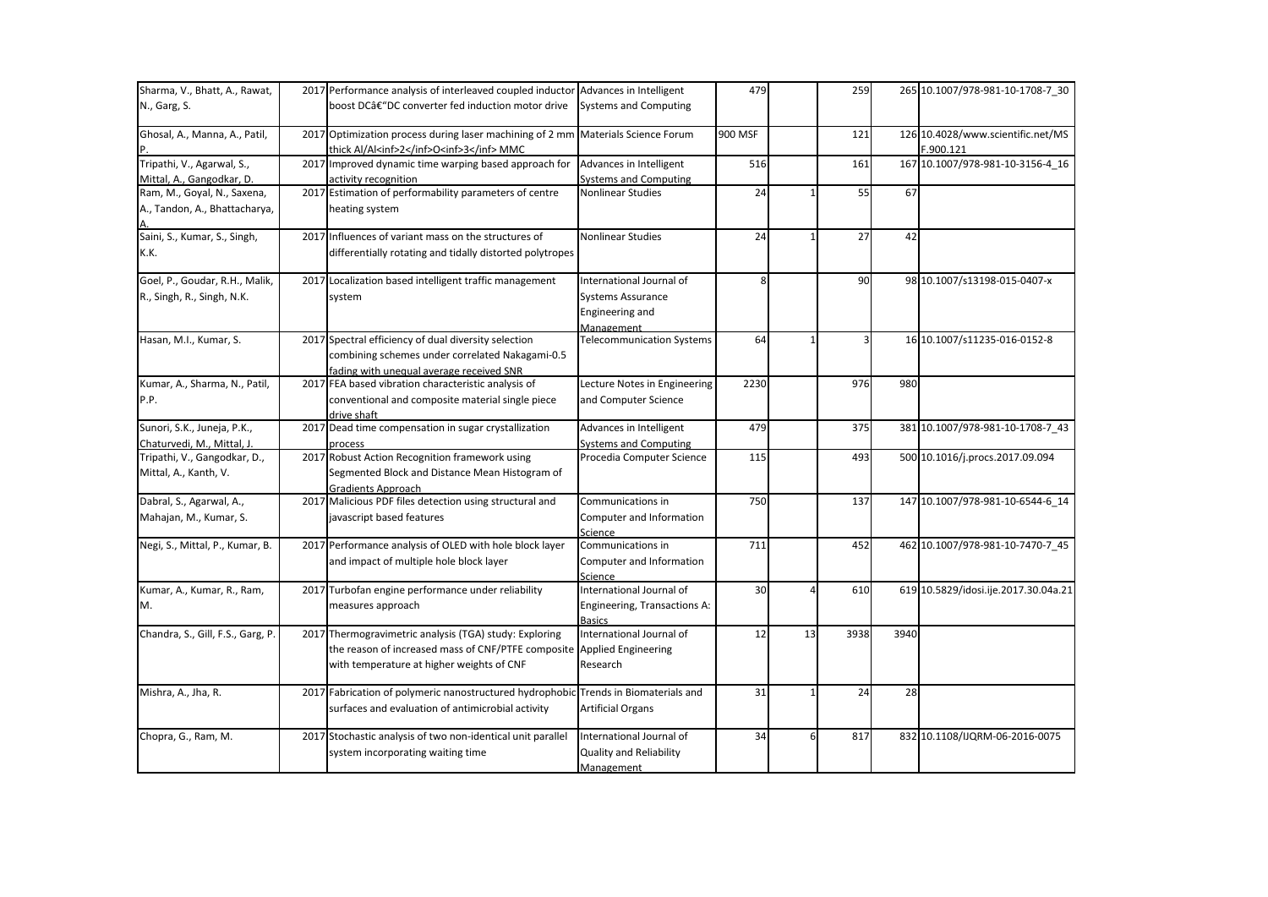| Sharma, V., Bhatt, A., Rawat,     | 2017 Performance analysis of interleaved coupled inductor Advances in Intelligent   |                                  | 479     |    | 259  |      | 265 10.1007/978-981-10-1708-7 30     |
|-----------------------------------|-------------------------------------------------------------------------------------|----------------------------------|---------|----|------|------|--------------------------------------|
| N., Garg, S.                      | boost DCâ€"DC converter fed induction motor drive                                   | <b>Systems and Computing</b>     |         |    |      |      |                                      |
| Ghosal, A., Manna, A., Patil,     | 2017 Optimization process during laser machining of 2 mm Materials Science Forum    |                                  | 900 MSF |    | 121  |      | 126 10.4028/www.scientific.net/MS    |
|                                   | thick Al/Al <inf>2</inf> O <inf>3</inf> MMC                                         |                                  |         |    |      |      | F.900.121                            |
| Tripathi, V., Agarwal, S.,        | 2017 Improved dynamic time warping based approach for                               | Advances in Intelligent          | 516     |    | 161  |      | 167 10.1007/978-981-10-3156-4_16     |
| Mittal, A., Gangodkar, D.         | activity recognition                                                                | <b>Systems and Computing</b>     |         |    |      |      |                                      |
| Ram, M., Goyal, N., Saxena,       | 2017 Estimation of performability parameters of centre                              | Nonlinear Studies                | 24      |    | 55   | 67   |                                      |
| A., Tandon, A., Bhattacharya,     | heating system                                                                      |                                  |         |    |      |      |                                      |
| Saini, S., Kumar, S., Singh,      | 2017 Influences of variant mass on the structures of                                | <b>Nonlinear Studies</b>         | 24      |    | 27   | 42   |                                      |
| K.K.                              | differentially rotating and tidally distorted polytropes                            |                                  |         |    |      |      |                                      |
| Goel, P., Goudar, R.H., Malik,    | 2017 Localization based intelligent traffic management                              | International Journal of         | 8       |    | 90   |      | 98 10.1007/s13198-015-0407-x         |
| R., Singh, R., Singh, N.K.        | system                                                                              | <b>Systems Assurance</b>         |         |    |      |      |                                      |
|                                   |                                                                                     | Engineering and                  |         |    |      |      |                                      |
|                                   |                                                                                     | Management                       |         |    |      |      |                                      |
| Hasan, M.I., Kumar, S.            | 2017 Spectral efficiency of dual diversity selection                                | <b>Telecommunication Systems</b> | 64      |    | 3    |      | 16 10.1007/s11235-016-0152-8         |
|                                   | combining schemes under correlated Nakagami-0.5                                     |                                  |         |    |      |      |                                      |
|                                   | fading with unequal average received SNR                                            |                                  |         |    |      |      |                                      |
| Kumar, A., Sharma, N., Patil,     | 2017 FEA based vibration characteristic analysis of                                 | Lecture Notes in Engineering     | 2230    |    | 976  | 980  |                                      |
| P.P.                              | conventional and composite material single piece                                    | and Computer Science             |         |    |      |      |                                      |
|                                   | drive shaft                                                                         |                                  |         |    |      |      |                                      |
| Sunori, S.K., Juneja, P.K.,       | 2017 Dead time compensation in sugar crystallization                                | Advances in Intelligent          | 479     |    | 375  |      | 381 10.1007/978-981-10-1708-7_43     |
| Chaturvedi, M., Mittal, J.        | process                                                                             | <b>Systems and Computing</b>     |         |    |      |      |                                      |
| Tripathi, V., Gangodkar, D.,      | 2017 Robust Action Recognition framework using                                      | Procedia Computer Science        | 115     |    | 493  |      | 500 10.1016/j.procs.2017.09.094      |
| Mittal, A., Kanth, V.             | Segmented Block and Distance Mean Histogram of                                      |                                  |         |    |      |      |                                      |
|                                   | <b>Gradients Approach</b>                                                           |                                  |         |    |      |      |                                      |
| Dabral, S., Agarwal, A.,          | 2017 Malicious PDF files detection using structural and                             | Communications in                | 750     |    | 137  |      | 147 10.1007/978-981-10-6544-6 14     |
| Mahajan, M., Kumar, S.            | javascript based features                                                           | Computer and Information         |         |    |      |      |                                      |
|                                   |                                                                                     | Science                          |         |    |      |      |                                      |
| Negi, S., Mittal, P., Kumar, B.   | 2017 Performance analysis of OLED with hole block layer                             | Communications in                | 711     |    | 452  |      | 462 10.1007/978-981-10-7470-7_45     |
|                                   | and impact of multiple hole block layer                                             | Computer and Information         |         |    |      |      |                                      |
|                                   |                                                                                     | Science                          |         |    |      |      |                                      |
| Kumar, A., Kumar, R., Ram,        | 2017 Turbofan engine performance under reliability                                  | International Journal of         | 30      |    | 610  |      | 619 10.5829/idosi.ije.2017.30.04a.21 |
| M.                                | measures approach                                                                   | Engineering, Transactions A:     |         |    |      |      |                                      |
|                                   |                                                                                     | <b>Basics</b>                    |         |    |      |      |                                      |
| Chandra, S., Gill, F.S., Garg, P. | 2017 Thermogravimetric analysis (TGA) study: Exploring                              | International Journal of         | 12      | 13 | 3938 | 3940 |                                      |
|                                   | the reason of increased mass of CNF/PTFE composite                                  | <b>Applied Engineering</b>       |         |    |      |      |                                      |
|                                   | with temperature at higher weights of CNF                                           | Research                         |         |    |      |      |                                      |
| Mishra, A., Jha, R.               | 2017 Fabrication of polymeric nanostructured hydrophobic Trends in Biomaterials and |                                  | 31      |    | 24   | 28   |                                      |
|                                   | surfaces and evaluation of antimicrobial activity                                   | <b>Artificial Organs</b>         |         |    |      |      |                                      |
| Chopra, G., Ram, M.               | 2017 Stochastic analysis of two non-identical unit parallel                         | International Journal of         | 34      | 6  | 817  |      | 832 10.1108/IJQRM-06-2016-0075       |
|                                   | system incorporating waiting time                                                   | Quality and Reliability          |         |    |      |      |                                      |
|                                   |                                                                                     | Management                       |         |    |      |      |                                      |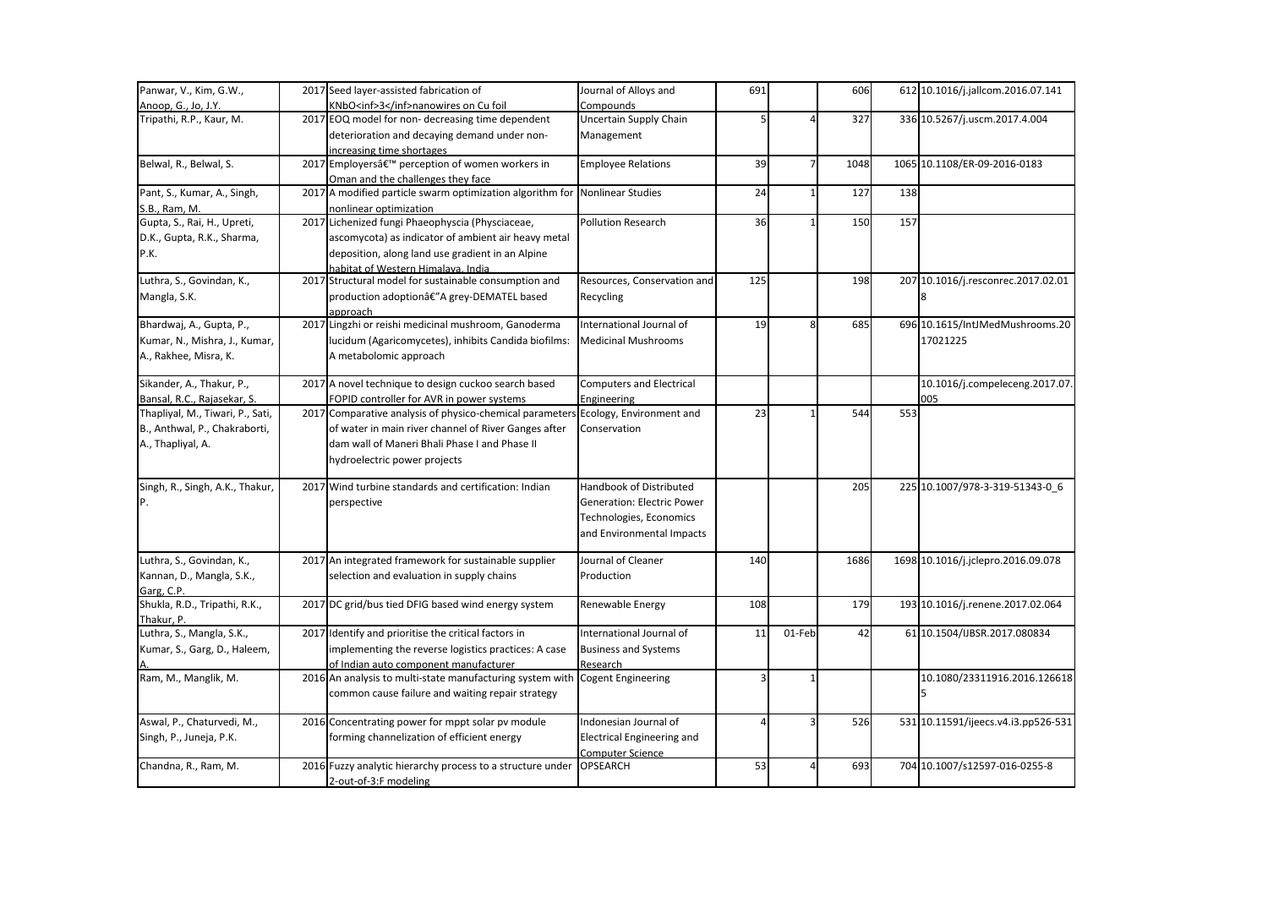| Panwar, V., Kim, G.W.,           | 2017 Seed layer-assisted fabrication of                                           | Journal of Alloys and             | 691 |        | 606  |     | 612 10.1016/j.jallcom.2016.07.141   |
|----------------------------------|-----------------------------------------------------------------------------------|-----------------------------------|-----|--------|------|-----|-------------------------------------|
| Anoop, G., Jo, J.Y.              | KNbO <inf>3</inf> nanowires on Cu foil                                            | Compounds                         |     |        |      |     |                                     |
| Tripathi, R.P., Kaur, M.         | 2017 EOQ model for non-decreasing time dependent                                  | Uncertain Supply Chain            |     |        | 327  |     | 336 10.5267/j.uscm.2017.4.004       |
|                                  | deterioration and decaying demand under non-                                      | Management                        |     |        |      |     |                                     |
|                                  | increasing time shortages                                                         |                                   |     |        |      |     |                                     |
| Belwal, R., Belwal, S.           | 2017 Employers' perception of women workers in                                    | <b>Employee Relations</b>         | 39  |        | 1048 |     | 1065 10.1108/ER-09-2016-0183        |
|                                  | Oman and the challenges they face                                                 |                                   |     |        |      |     |                                     |
| Pant, S., Kumar, A., Singh,      | 2017 A modified particle swarm optimization algorithm for Nonlinear Studies       |                                   | 24  |        | 127  | 138 |                                     |
| S.B., Ram, M.                    | nonlinear optimization                                                            |                                   |     |        |      |     |                                     |
| Gupta, S., Rai, H., Upreti,      | 2017 Lichenized fungi Phaeophyscia (Physciaceae,                                  | <b>Pollution Research</b>         | 36  |        | 150  | 157 |                                     |
| D.K., Gupta, R.K., Sharma,       | ascomycota) as indicator of ambient air heavy metal                               |                                   |     |        |      |     |                                     |
| P.K.                             | deposition, along land use gradient in an Alpine                                  |                                   |     |        |      |     |                                     |
|                                  | habitat of Western Himalava, India                                                |                                   |     |        |      |     |                                     |
| Luthra, S., Govindan, K.,        | 2017 Structural model for sustainable consumption and                             | Resources, Conservation and       | 125 |        | 198  |     | 207 10.1016/j.resconrec.2017.02.01  |
| Mangla, S.K.                     | production adoptionâ€"A grey-DEMATEL based                                        | Recycling                         |     |        |      |     |                                     |
|                                  | approach                                                                          |                                   |     |        |      |     |                                     |
| Bhardwaj, A., Gupta, P.,         | 2017 Lingzhi or reishi medicinal mushroom, Ganoderma                              | International Journal of          | 19  |        | 685  |     | 696 10.1615/IntJMedMushrooms.20     |
| Kumar, N., Mishra, J., Kumar,    | lucidum (Agaricomycetes), inhibits Candida biofilms:                              | <b>Medicinal Mushrooms</b>        |     |        |      |     | 17021225                            |
| A., Rakhee, Misra, K.            | A metabolomic approach                                                            |                                   |     |        |      |     |                                     |
| Sikander, A., Thakur, P.,        | 2017 A novel technique to design cuckoo search based                              | <b>Computers and Electrical</b>   |     |        |      |     | 10.1016/j.compeleceng.2017.07.      |
| Bansal, R.C., Rajasekar, S.      | FOPID controller for AVR in power systems                                         | Engineering                       |     |        |      |     | 005                                 |
| Thapliyal, M., Tiwari, P., Sati, | 2017 Comparative analysis of physico-chemical parameters Ecology, Environment and |                                   | 23  |        | 544  | 553 |                                     |
| B., Anthwal, P., Chakraborti,    | of water in main river channel of River Ganges after                              | Conservation                      |     |        |      |     |                                     |
| A., Thapliyal, A.                | dam wall of Maneri Bhali Phase I and Phase II                                     |                                   |     |        |      |     |                                     |
|                                  | hydroelectric power projects                                                      |                                   |     |        |      |     |                                     |
| Singh, R., Singh, A.K., Thakur,  | 2017 Wind turbine standards and certification: Indian                             | Handbook of Distributed           |     |        | 205  |     | 225 10.1007/978-3-319-51343-0 6     |
| IP.                              |                                                                                   | <b>Generation: Electric Power</b> |     |        |      |     |                                     |
|                                  | perspective                                                                       |                                   |     |        |      |     |                                     |
|                                  |                                                                                   | Technologies, Economics           |     |        |      |     |                                     |
|                                  |                                                                                   | and Environmental Impacts         |     |        |      |     |                                     |
| Luthra, S., Govindan, K.,        | 2017 An integrated framework for sustainable supplier                             | Journal of Cleaner                | 140 |        | 1686 |     | 1698 10.1016/j.jclepro.2016.09.078  |
| Kannan, D., Mangla, S.K.,        | selection and evaluation in supply chains                                         | Production                        |     |        |      |     |                                     |
| Garg. C.P.                       |                                                                                   |                                   |     |        |      |     |                                     |
| Shukla, R.D., Tripathi, R.K.,    | 2017 DC grid/bus tied DFIG based wind energy system                               | Renewable Energy                  | 108 |        | 179  |     | 193 10.1016/j.renene.2017.02.064    |
| Thakur, P.                       |                                                                                   |                                   |     |        |      |     |                                     |
| Luthra, S., Mangla, S.K.,        | 2017 Identify and prioritise the critical factors in                              | International Journal of          | 11  | 01-Feb | 42   |     | 61 10.1504/IJBSR.2017.080834        |
| Kumar, S., Garg, D., Haleem,     | implementing the reverse logistics practices: A case                              | <b>Business and Systems</b>       |     |        |      |     |                                     |
|                                  | of Indian auto component manufacturer                                             | Research                          |     |        |      |     |                                     |
| Ram, M., Manglik, M.             | 2016 An analysis to multi-state manufacturing system with                         | <b>Cogent Engineering</b>         |     |        |      |     | 10.1080/23311916.2016.126618        |
|                                  | common cause failure and waiting repair strategy                                  |                                   |     |        |      |     |                                     |
| Aswal, P., Chaturvedi, M.,       | 2016 Concentrating power for mppt solar pv module                                 | Indonesian Journal of             |     |        | 526  |     | 531 10.11591/ijeecs.v4.i3.pp526-531 |
| Singh, P., Juneja, P.K.          | forming channelization of efficient energy                                        | <b>Electrical Engineering and</b> |     |        |      |     |                                     |
|                                  |                                                                                   | <b>Computer Science</b>           |     |        |      |     |                                     |
| Chandna, R., Ram, M.             | 2016 Fuzzy analytic hierarchy process to a structure under                        | OPSEARCH                          | 53  |        | 693  |     | 704 10.1007/s12597-016-0255-8       |
|                                  | 2-out-of-3:F modeling                                                             |                                   |     |        |      |     |                                     |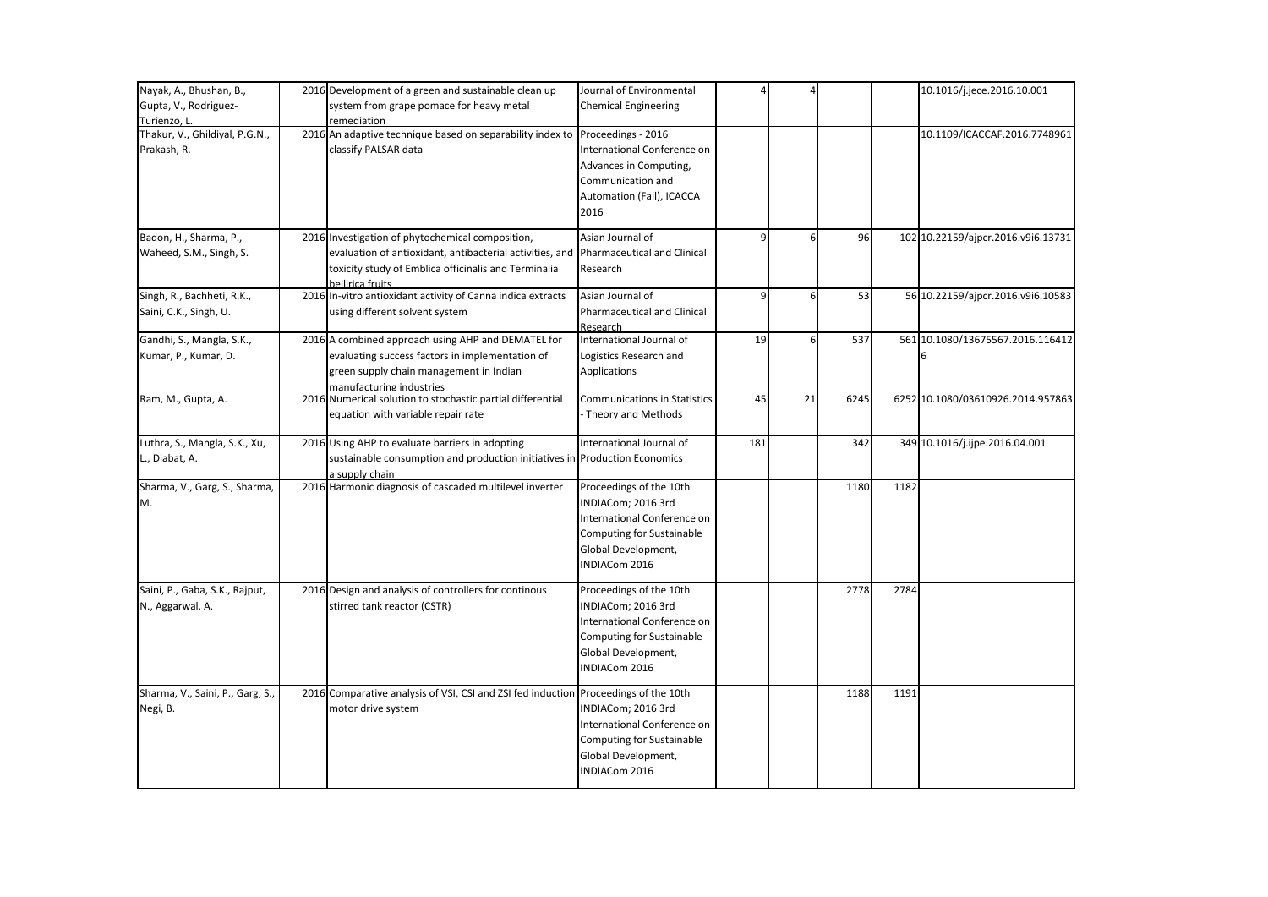| Nayak, A., Bhushan, B.,          | 2016 Development of a green and sustainable clean up                                   | Journal of Environmental            |                |    |      |      | 10.1016/j.jece.2016.10.001         |
|----------------------------------|----------------------------------------------------------------------------------------|-------------------------------------|----------------|----|------|------|------------------------------------|
| Gupta, V., Rodriguez-            | system from grape pomace for heavy metal                                               | <b>Chemical Engineering</b>         |                |    |      |      |                                    |
| Turienzo. L.                     | remediation                                                                            |                                     |                |    |      |      |                                    |
| Thakur, V., Ghildiyal, P.G.N.,   | 2016 An adaptive technique based on separability index to                              | Proceedings - 2016                  |                |    |      |      | 10.1109/ICACCAF.2016.7748961       |
| Prakash, R.                      | classify PALSAR data                                                                   | International Conference on         |                |    |      |      |                                    |
|                                  |                                                                                        | Advances in Computing,              |                |    |      |      |                                    |
|                                  |                                                                                        | Communication and                   |                |    |      |      |                                    |
|                                  |                                                                                        | Automation (Fall), ICACCA           |                |    |      |      |                                    |
|                                  |                                                                                        | 2016                                |                |    |      |      |                                    |
| Badon, H., Sharma, P.,           | 2016 Investigation of phytochemical composition,                                       | Asian Journal of                    | $\overline{9}$ | 6  | 96   |      | 102 10.22159/ajpcr.2016.v9i6.13731 |
| Waheed, S.M., Singh, S.          | evaluation of antioxidant, antibacterial activities, and                               | <b>Pharmaceutical and Clinical</b>  |                |    |      |      |                                    |
|                                  | toxicity study of Emblica officinalis and Terminalia<br>bellirica fruits               | Research                            |                |    |      |      |                                    |
| Singh, R., Bachheti, R.K.,       | 2016 In-vitro antioxidant activity of Canna indica extracts                            | Asian Journal of                    | $\overline{9}$ | 6  | 53   |      | 56 10.22159/ajpcr.2016.v9i6.10583  |
| Saini, C.K., Singh, U.           | using different solvent system                                                         | <b>Pharmaceutical and Clinical</b>  |                |    |      |      |                                    |
|                                  |                                                                                        | Research                            |                |    |      |      |                                    |
| Gandhi, S., Mangla, S.K.,        | 2016 A combined approach using AHP and DEMATEL for                                     | International Journal of            | 19             | 6  | 537  |      | 561 10.1080/13675567.2016.116412   |
| Kumar, P., Kumar, D.             | evaluating success factors in implementation of                                        | Logistics Research and              |                |    |      |      |                                    |
|                                  | green supply chain management in Indian                                                | Applications                        |                |    |      |      |                                    |
| Ram, M., Gupta, A.               | manufacturing industries<br>2016 Numerical solution to stochastic partial differential | <b>Communications in Statistics</b> | 45             | 21 | 6245 |      | 6252 10.1080/03610926.2014.957863  |
|                                  |                                                                                        |                                     |                |    |      |      |                                    |
|                                  | equation with variable repair rate                                                     | - Theory and Methods                |                |    |      |      |                                    |
| Luthra, S., Mangla, S.K., Xu,    | 2016 Using AHP to evaluate barriers in adopting                                        | International Journal of            | 181            |    | 342  |      | 349 10.1016/j.ijpe.2016.04.001     |
| L., Diabat, A.                   | sustainable consumption and production initiatives in Production Economics             |                                     |                |    |      |      |                                    |
|                                  | a supply chain                                                                         |                                     |                |    |      |      |                                    |
| Sharma, V., Garg, S., Sharma,    | 2016 Harmonic diagnosis of cascaded multilevel inverter                                | Proceedings of the 10th             |                |    | 1180 | 1182 |                                    |
| M.                               |                                                                                        | INDIACom; 2016 3rd                  |                |    |      |      |                                    |
|                                  |                                                                                        | International Conference on         |                |    |      |      |                                    |
|                                  |                                                                                        | Computing for Sustainable           |                |    |      |      |                                    |
|                                  |                                                                                        | Global Development,                 |                |    |      |      |                                    |
|                                  |                                                                                        | INDIACom 2016                       |                |    |      |      |                                    |
| Saini, P., Gaba, S.K., Rajput,   | 2016 Design and analysis of controllers for continous                                  | Proceedings of the 10th             |                |    | 2778 | 2784 |                                    |
| N., Aggarwal, A.                 | stirred tank reactor (CSTR)                                                            | INDIACom; 2016 3rd                  |                |    |      |      |                                    |
|                                  |                                                                                        | International Conference on         |                |    |      |      |                                    |
|                                  |                                                                                        | Computing for Sustainable           |                |    |      |      |                                    |
|                                  |                                                                                        | Global Development,                 |                |    |      |      |                                    |
|                                  |                                                                                        | INDIACom 2016                       |                |    |      |      |                                    |
| Sharma, V., Saini, P., Garg, S., | 2016 Comparative analysis of VSI, CSI and ZSI fed induction Proceedings of the 10th    |                                     |                |    | 1188 | 1191 |                                    |
| Negi, B.                         | motor drive system                                                                     | INDIACom; 2016 3rd                  |                |    |      |      |                                    |
|                                  |                                                                                        | International Conference on         |                |    |      |      |                                    |
|                                  |                                                                                        | <b>Computing for Sustainable</b>    |                |    |      |      |                                    |
|                                  |                                                                                        | Global Development,                 |                |    |      |      |                                    |
|                                  |                                                                                        | INDIACom 2016                       |                |    |      |      |                                    |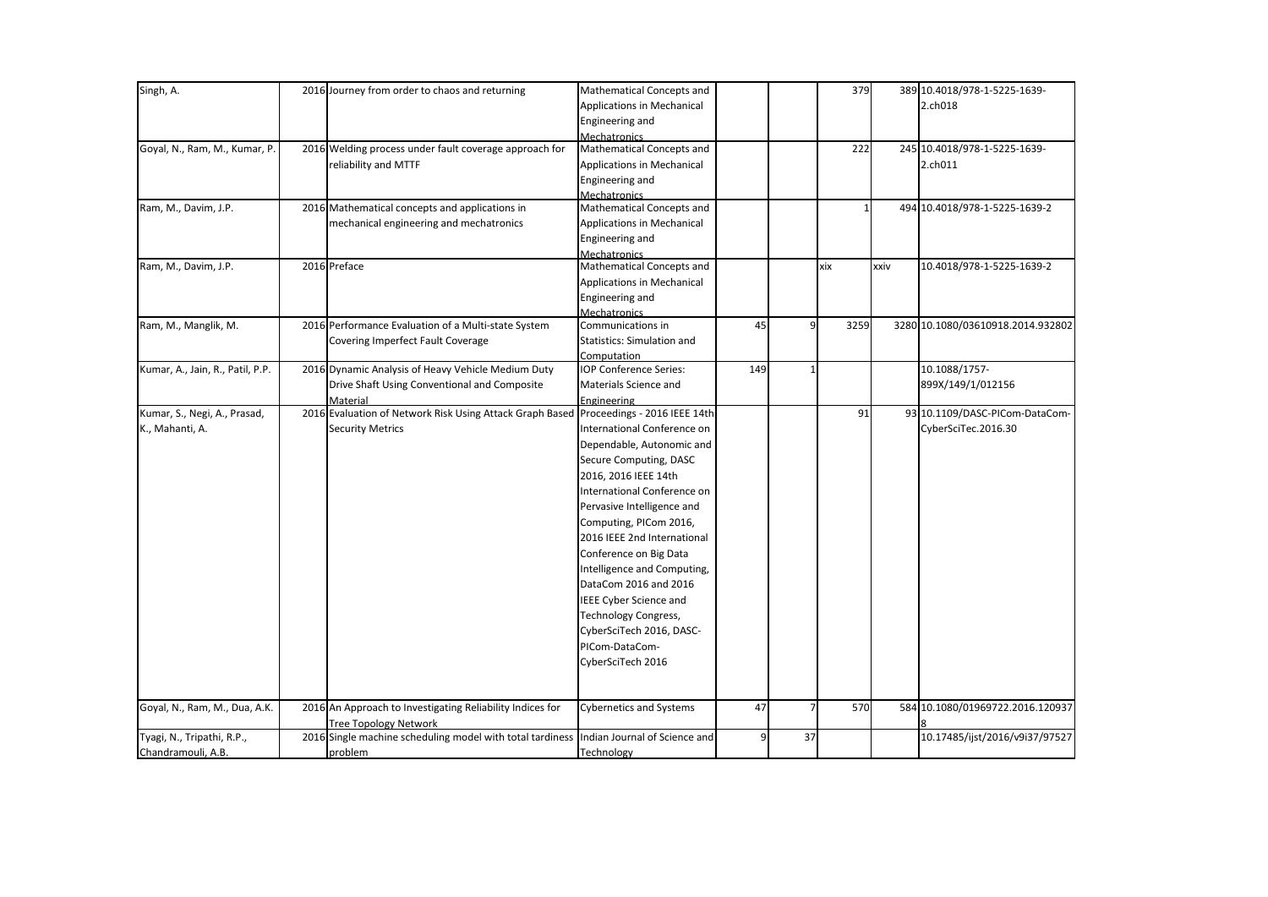| Singh, A.                        | 2016 Journey from order to chaos and returning                                        | Mathematical Concepts and         |     |    | 379  |      | 389 10.4018/978-1-5225-1639-      |
|----------------------------------|---------------------------------------------------------------------------------------|-----------------------------------|-----|----|------|------|-----------------------------------|
|                                  |                                                                                       | <b>Applications in Mechanical</b> |     |    |      |      | 2.ch018                           |
|                                  |                                                                                       | Engineering and                   |     |    |      |      |                                   |
|                                  |                                                                                       | Mechatronics                      |     |    |      |      |                                   |
| Goyal, N., Ram, M., Kumar, P.    | 2016 Welding process under fault coverage approach for                                | Mathematical Concepts and         |     |    | 222  |      | 245 10.4018/978-1-5225-1639-      |
|                                  | reliability and MTTF                                                                  | Applications in Mechanical        |     |    |      |      | 2.ch011                           |
|                                  |                                                                                       | Engineering and                   |     |    |      |      |                                   |
|                                  |                                                                                       | <b>Mechatronics</b>               |     |    |      |      |                                   |
| Ram, M., Davim, J.P.             | 2016 Mathematical concepts and applications in                                        | Mathematical Concepts and         |     |    |      |      | 494 10.4018/978-1-5225-1639-2     |
|                                  | mechanical engineering and mechatronics                                               | Applications in Mechanical        |     |    |      |      |                                   |
|                                  |                                                                                       | Engineering and                   |     |    |      |      |                                   |
|                                  |                                                                                       | <b>Mechatronics</b>               |     |    |      |      |                                   |
| Ram, M., Davim, J.P.             | 2016 Preface                                                                          | Mathematical Concepts and         |     |    | xix  | xxiv | 10.4018/978-1-5225-1639-2         |
|                                  |                                                                                       | Applications in Mechanical        |     |    |      |      |                                   |
|                                  |                                                                                       | Engineering and                   |     |    |      |      |                                   |
|                                  |                                                                                       | Mechatronics                      |     |    |      |      |                                   |
| Ram, M., Manglik, M.             | 2016 Performance Evaluation of a Multi-state System                                   | Communications in                 | 45  | q  | 3259 |      | 3280 10.1080/03610918.2014.932802 |
|                                  | Covering Imperfect Fault Coverage                                                     | <b>Statistics: Simulation and</b> |     |    |      |      |                                   |
|                                  |                                                                                       | Computation                       |     |    |      |      |                                   |
| Kumar, A., Jain, R., Patil, P.P. | 2016 Dynamic Analysis of Heavy Vehicle Medium Duty                                    | IOP Conference Series:            | 149 |    |      |      | 10.1088/1757-                     |
|                                  | Drive Shaft Using Conventional and Composite                                          | Materials Science and             |     |    |      |      | 899X/149/1/012156                 |
|                                  | Material                                                                              | Engineering                       |     |    |      |      |                                   |
| Kumar, S., Negi, A., Prasad,     | 2016 Evaluation of Network Risk Using Attack Graph Based Proceedings - 2016 IEEE 14th |                                   |     |    | 91   |      | 93 10.1109/DASC-PICom-DataCom-    |
| K., Mahanti, A.                  | <b>Security Metrics</b>                                                               | International Conference on       |     |    |      |      | CyberSciTec.2016.30               |
|                                  |                                                                                       | Dependable, Autonomic and         |     |    |      |      |                                   |
|                                  |                                                                                       | Secure Computing, DASC            |     |    |      |      |                                   |
|                                  |                                                                                       | 2016, 2016 IEEE 14th              |     |    |      |      |                                   |
|                                  |                                                                                       | International Conference on       |     |    |      |      |                                   |
|                                  |                                                                                       | Pervasive Intelligence and        |     |    |      |      |                                   |
|                                  |                                                                                       | Computing, PICom 2016,            |     |    |      |      |                                   |
|                                  |                                                                                       | 2016 IEEE 2nd International       |     |    |      |      |                                   |
|                                  |                                                                                       |                                   |     |    |      |      |                                   |
|                                  |                                                                                       | Conference on Big Data            |     |    |      |      |                                   |
|                                  |                                                                                       | Intelligence and Computing,       |     |    |      |      |                                   |
|                                  |                                                                                       | DataCom 2016 and 2016             |     |    |      |      |                                   |
|                                  |                                                                                       | <b>IEEE Cyber Science and</b>     |     |    |      |      |                                   |
|                                  |                                                                                       | <b>Technology Congress,</b>       |     |    |      |      |                                   |
|                                  |                                                                                       | CyberSciTech 2016, DASC-          |     |    |      |      |                                   |
|                                  |                                                                                       | PICom-DataCom-                    |     |    |      |      |                                   |
|                                  |                                                                                       | CyberSciTech 2016                 |     |    |      |      |                                   |
|                                  |                                                                                       |                                   |     |    |      |      |                                   |
| Goyal, N., Ram, M., Dua, A.K.    | 2016 An Approach to Investigating Reliability Indices for                             | <b>Cybernetics and Systems</b>    | 47  |    | 570  |      | 584 10.1080/01969722.2016.120937  |
|                                  | <b>Tree Topology Network</b>                                                          |                                   |     |    |      |      |                                   |
| Tyagi, N., Tripathi, R.P.,       | 2016 Single machine scheduling model with total tardiness                             | Indian Journal of Science and     | 9   | 37 |      |      | 10.17485/ijst/2016/v9i37/97527    |
| Chandramouli, A.B.               | problem                                                                               | Technology                        |     |    |      |      |                                   |
|                                  |                                                                                       |                                   |     |    |      |      |                                   |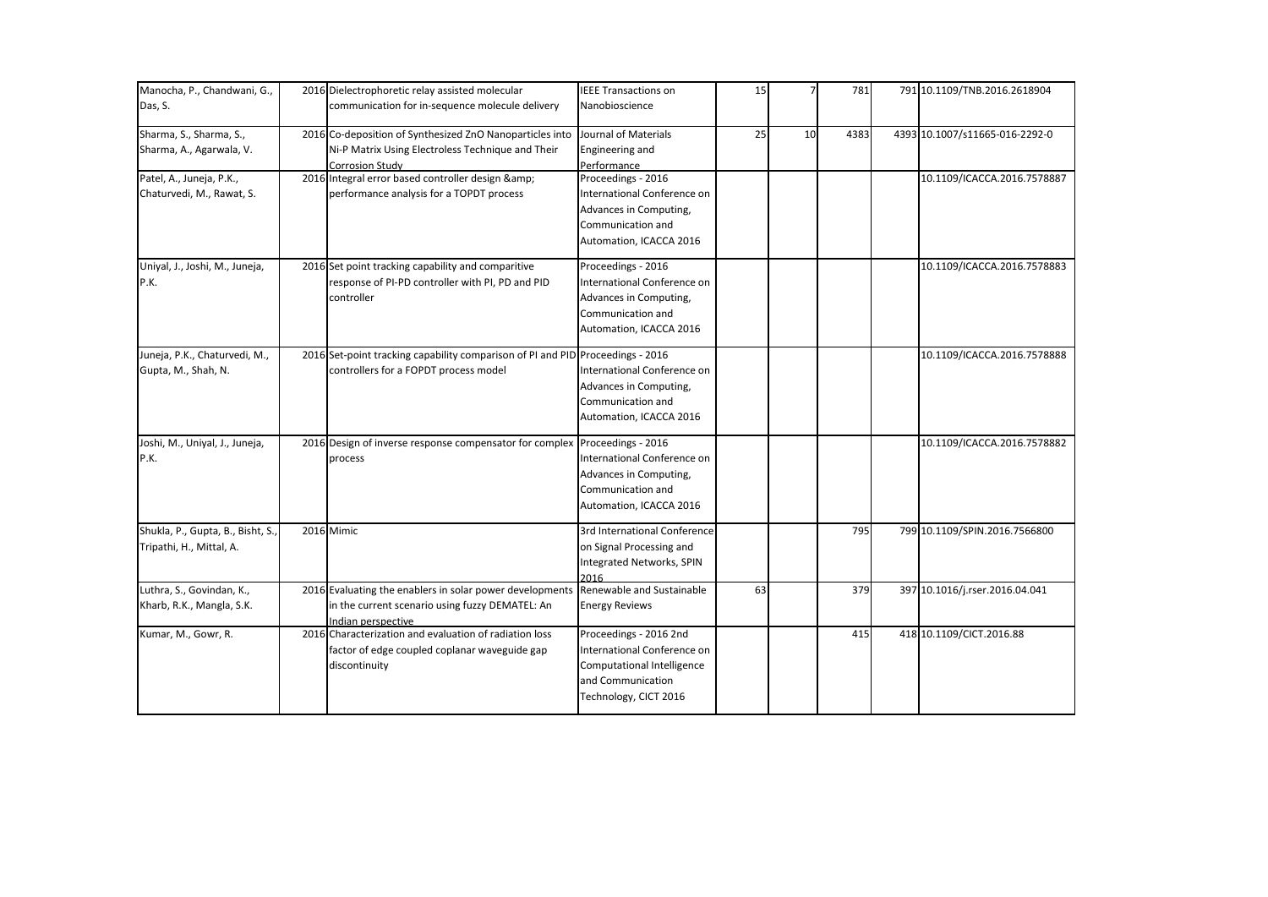| Manocha, P., Chandwani, G.,                                   | 2016 Dielectrophoretic relay assisted molecular                                                                                         | <b>IEEE Transactions on</b>                                                                                                       | 15 |    | 781  | 791 10.1109/TNB.2016.2618904   |
|---------------------------------------------------------------|-----------------------------------------------------------------------------------------------------------------------------------------|-----------------------------------------------------------------------------------------------------------------------------------|----|----|------|--------------------------------|
| Das, S.                                                       | communication for in-sequence molecule delivery                                                                                         | Nanobioscience                                                                                                                    |    |    |      |                                |
| Sharma, S., Sharma, S.,<br>Sharma, A., Agarwala, V.           | 2016 Co-deposition of Synthesized ZnO Nanoparticles into<br>Ni-P Matrix Using Electroless Technique and Their<br><b>Corrosion Study</b> | Journal of Materials<br>Engineering and<br>Performance                                                                            | 25 | 10 | 4383 | 4393 10.1007/s11665-016-2292-0 |
| Patel, A., Juneja, P.K.,<br>Chaturvedi, M., Rawat, S.         | 2016 Integral error based controller design &<br>performance analysis for a TOPDT process                                               | Proceedings - 2016<br>International Conference on<br>Advances in Computing,<br>Communication and<br>Automation, ICACCA 2016       |    |    |      | 10.1109/ICACCA.2016.7578887    |
| Uniyal, J., Joshi, M., Juneja,<br>P.K.                        | 2016 Set point tracking capability and comparitive<br>response of PI-PD controller with PI, PD and PID<br>controller                    | Proceedings - 2016<br>International Conference on<br>Advances in Computing,<br>Communication and<br>Automation, ICACCA 2016       |    |    |      | 10.1109/ICACCA.2016.7578883    |
| Juneja, P.K., Chaturvedi, M.,<br>Gupta, M., Shah, N.          | 2016 Set-point tracking capability comparison of PI and PID Proceedings - 2016<br>controllers for a FOPDT process model                 | International Conference on<br>Advances in Computing,<br>Communication and<br>Automation, ICACCA 2016                             |    |    |      | 10.1109/ICACCA.2016.7578888    |
| Joshi, M., Uniyal, J., Juneja,<br>P.K.                        | 2016 Design of inverse response compensator for complex Proceedings - 2016<br>process                                                   | International Conference on<br>Advances in Computing,<br>Communication and<br>Automation, ICACCA 2016                             |    |    |      | 10.1109/ICACCA.2016.7578882    |
| Shukla, P., Gupta, B., Bisht, S.,<br>Tripathi, H., Mittal, A. | 2016 Mimic                                                                                                                              | 3rd International Conference<br>on Signal Processing and<br>Integrated Networks, SPIN<br>2016                                     |    |    | 795  | 799 10.1109/SPIN.2016.7566800  |
| Luthra, S., Govindan, K.,<br>Kharb, R.K., Mangla, S.K.        | 2016 Evaluating the enablers in solar power developments<br>in the current scenario using fuzzy DEMATEL: An<br>Indian perspective       | Renewable and Sustainable<br><b>Energy Reviews</b>                                                                                | 63 |    | 379  | 397 10.1016/j.rser.2016.04.041 |
| Kumar, M., Gowr, R.                                           | 2016 Characterization and evaluation of radiation loss<br>factor of edge coupled coplanar waveguide gap<br>discontinuity                | Proceedings - 2016 2nd<br>International Conference on<br>Computational Intelligence<br>and Communication<br>Technology, CICT 2016 |    |    | 415  | 418 10.1109/CICT.2016.88       |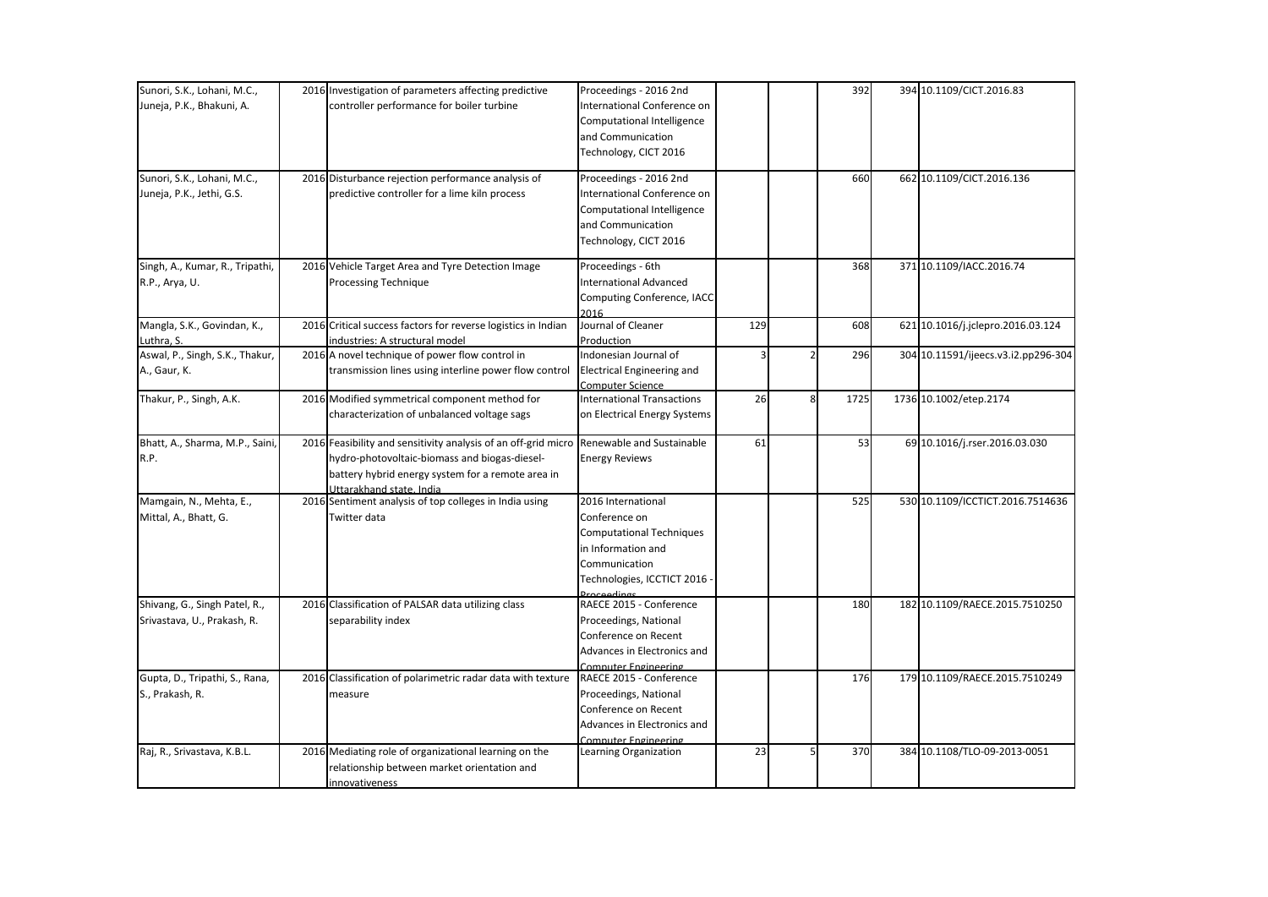| Sunori, S.K., Lohani, M.C.,                                                      | 2016 Investigation of parameters affecting predictive                                                                                                                          | Proceedings - 2016 2nd                                                                                                                                                                               |     |                | 392        | 394 10.1109/CICT.2016.83                                       |
|----------------------------------------------------------------------------------|--------------------------------------------------------------------------------------------------------------------------------------------------------------------------------|------------------------------------------------------------------------------------------------------------------------------------------------------------------------------------------------------|-----|----------------|------------|----------------------------------------------------------------|
| Juneja, P.K., Bhakuni, A.                                                        | controller performance for boiler turbine                                                                                                                                      | International Conference on                                                                                                                                                                          |     |                |            |                                                                |
|                                                                                  |                                                                                                                                                                                | Computational Intelligence                                                                                                                                                                           |     |                |            |                                                                |
|                                                                                  |                                                                                                                                                                                | and Communication                                                                                                                                                                                    |     |                |            |                                                                |
|                                                                                  |                                                                                                                                                                                | Technology, CICT 2016                                                                                                                                                                                |     |                |            |                                                                |
| Sunori, S.K., Lohani, M.C.,                                                      | 2016 Disturbance rejection performance analysis of                                                                                                                             | Proceedings - 2016 2nd                                                                                                                                                                               |     |                | 660        | 662 10.1109/CICT.2016.136                                      |
| Juneja, P.K., Jethi, G.S.                                                        | predictive controller for a lime kiln process                                                                                                                                  | International Conference on                                                                                                                                                                          |     |                |            |                                                                |
|                                                                                  |                                                                                                                                                                                | Computational Intelligence                                                                                                                                                                           |     |                |            |                                                                |
|                                                                                  |                                                                                                                                                                                | and Communication                                                                                                                                                                                    |     |                |            |                                                                |
|                                                                                  |                                                                                                                                                                                | Technology, CICT 2016                                                                                                                                                                                |     |                |            |                                                                |
| Singh, A., Kumar, R., Tripathi,                                                  | 2016 Vehicle Target Area and Tyre Detection Image                                                                                                                              | Proceedings - 6th                                                                                                                                                                                    |     |                | 368        | 371 10.1109/IACC.2016.74                                       |
| R.P., Arya, U.                                                                   | <b>Processing Technique</b>                                                                                                                                                    | <b>International Advanced</b>                                                                                                                                                                        |     |                |            |                                                                |
|                                                                                  |                                                                                                                                                                                | Computing Conference, IACC<br>2016                                                                                                                                                                   |     |                |            |                                                                |
| Mangla, S.K., Govindan, K.,                                                      | 2016 Critical success factors for reverse logistics in Indian                                                                                                                  | Journal of Cleaner                                                                                                                                                                                   | 129 |                | 608        | 621 10.1016/j.jclepro.2016.03.124                              |
| Luthra, S.                                                                       | industries: A structural model                                                                                                                                                 | Production                                                                                                                                                                                           |     |                |            |                                                                |
| Aswal, P., Singh, S.K., Thakur,                                                  | 2016 A novel technique of power flow control in                                                                                                                                | Indonesian Journal of                                                                                                                                                                                | 3   | $\overline{2}$ | 296        | 304 10.11591/ijeecs.v3.i2.pp296-304                            |
| A., Gaur, K.                                                                     | transmission lines using interline power flow control                                                                                                                          | <b>Electrical Engineering and</b>                                                                                                                                                                    |     |                |            |                                                                |
| Thakur, P., Singh, A.K.                                                          | 2016 Modified symmetrical component method for                                                                                                                                 | <b>Computer Science</b><br><b>International Transactions</b>                                                                                                                                         | 26  | 8              | 1725       | 1736 10.1002/etep.2174                                         |
|                                                                                  | characterization of unbalanced voltage sags                                                                                                                                    | on Electrical Energy Systems                                                                                                                                                                         |     |                |            |                                                                |
|                                                                                  |                                                                                                                                                                                |                                                                                                                                                                                                      |     |                |            |                                                                |
| Bhatt, A., Sharma, M.P., Saini,                                                  | 2016 Feasibility and sensitivity analysis of an off-grid micro Renewable and Sustainable                                                                                       |                                                                                                                                                                                                      | 61  |                | 53         | 69 10.1016/j.rser.2016.03.030                                  |
| R.P.                                                                             | hydro-photovoltaic-biomass and biogas-diesel-                                                                                                                                  | <b>Energy Reviews</b>                                                                                                                                                                                |     |                |            |                                                                |
|                                                                                  | battery hybrid energy system for a remote area in                                                                                                                              |                                                                                                                                                                                                      |     |                |            |                                                                |
|                                                                                  | Uttarakhand state, India                                                                                                                                                       |                                                                                                                                                                                                      |     |                |            |                                                                |
| Mamgain, N., Mehta, E.,                                                          | 2016 Sentiment analysis of top colleges in India using                                                                                                                         | 2016 International                                                                                                                                                                                   |     |                | 525        | 530 10.1109/ICCTICT.2016.7514636                               |
| Mittal, A., Bhatt, G.                                                            | Twitter data                                                                                                                                                                   | Conference on                                                                                                                                                                                        |     |                |            |                                                                |
|                                                                                  |                                                                                                                                                                                | <b>Computational Techniques</b>                                                                                                                                                                      |     |                |            |                                                                |
|                                                                                  |                                                                                                                                                                                | in Information and                                                                                                                                                                                   |     |                |            |                                                                |
|                                                                                  |                                                                                                                                                                                | Communication                                                                                                                                                                                        |     |                |            |                                                                |
|                                                                                  |                                                                                                                                                                                |                                                                                                                                                                                                      |     |                |            |                                                                |
| Shivang, G., Singh Patel, R.,                                                    | 2016 Classification of PALSAR data utilizing class                                                                                                                             | RAECE 2015 - Conference                                                                                                                                                                              |     |                | 180        | 182 10.1109/RAECE.2015.7510250                                 |
| Srivastava, U., Prakash, R.                                                      | separability index                                                                                                                                                             | Proceedings, National                                                                                                                                                                                |     |                |            |                                                                |
|                                                                                  |                                                                                                                                                                                | Conference on Recent                                                                                                                                                                                 |     |                |            |                                                                |
|                                                                                  |                                                                                                                                                                                | Advances in Electronics and                                                                                                                                                                          |     |                |            |                                                                |
|                                                                                  |                                                                                                                                                                                | Computer Engineering                                                                                                                                                                                 |     |                |            |                                                                |
|                                                                                  |                                                                                                                                                                                |                                                                                                                                                                                                      |     |                |            |                                                                |
|                                                                                  |                                                                                                                                                                                |                                                                                                                                                                                                      |     |                |            |                                                                |
|                                                                                  |                                                                                                                                                                                |                                                                                                                                                                                                      |     |                |            |                                                                |
|                                                                                  |                                                                                                                                                                                |                                                                                                                                                                                                      |     |                |            |                                                                |
|                                                                                  |                                                                                                                                                                                |                                                                                                                                                                                                      |     | 5              |            |                                                                |
|                                                                                  |                                                                                                                                                                                |                                                                                                                                                                                                      |     |                |            |                                                                |
|                                                                                  | innovativeness                                                                                                                                                                 |                                                                                                                                                                                                      |     |                |            |                                                                |
| Gupta, D., Tripathi, S., Rana,<br>S., Prakash, R.<br>Raj, R., Srivastava, K.B.L. | 2016 Classification of polarimetric radar data with texture<br>measure<br>2016 Mediating role of organizational learning on the<br>relationship between market orientation and | Technologies, ICCTICT 2016<br>Inceedings<br>RAECE 2015 - Conference<br>Proceedings, National<br>Conference on Recent<br>Advances in Electronics and<br>Computer Engineering<br>Learning Organization | 23  |                | 176<br>370 | 179 10.1109/RAECE.2015.7510249<br>384 10.1108/TLO-09-2013-0051 |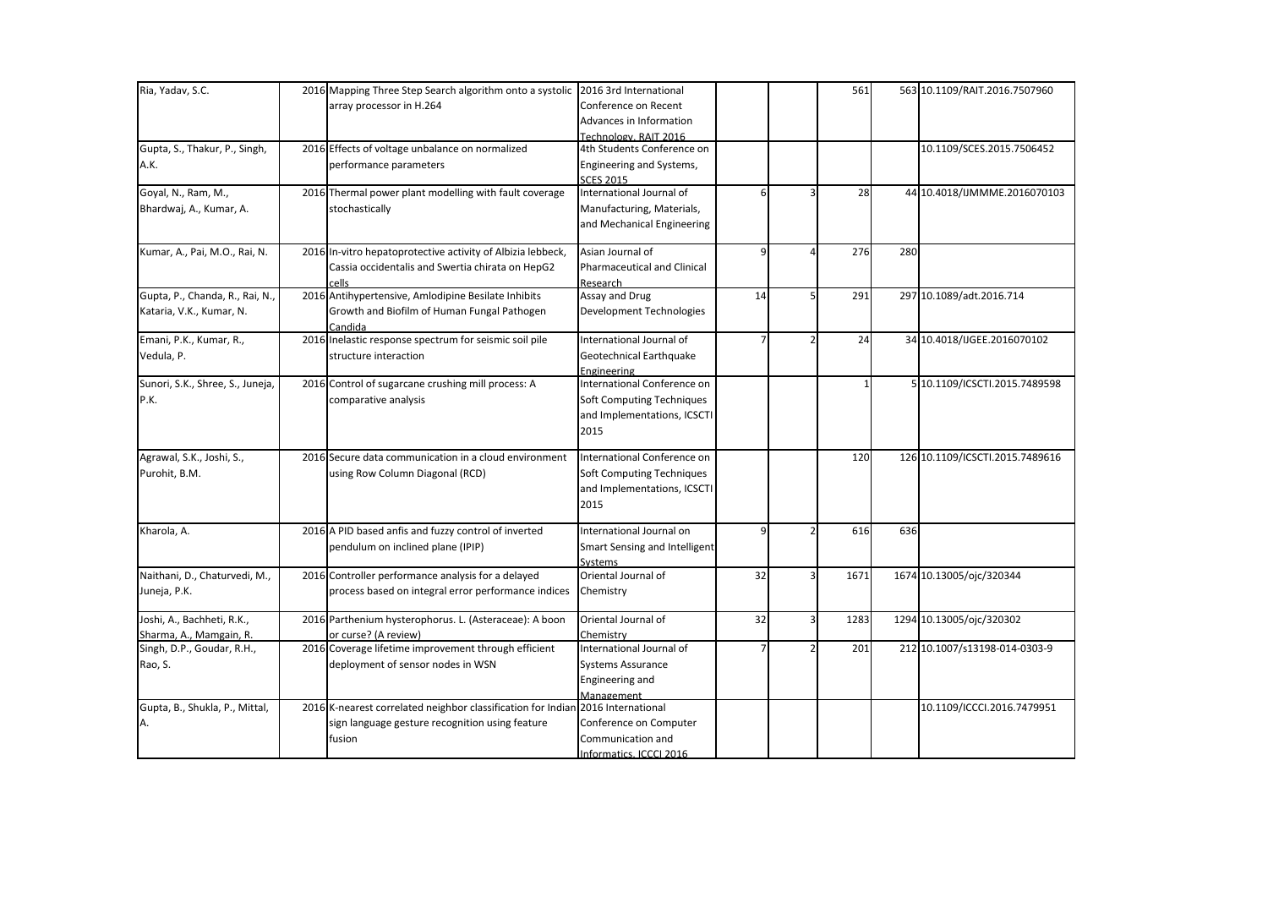| Ria, Yadav, S.C.                 | 2016 Mapping Three Step Search algorithm onto a systolic 2016 3rd International |                                    |    |               | 561  |     | 563 10.1109/RAIT.2016.7507960   |
|----------------------------------|---------------------------------------------------------------------------------|------------------------------------|----|---------------|------|-----|---------------------------------|
|                                  |                                                                                 | Conference on Recent               |    |               |      |     |                                 |
|                                  | array processor in H.264                                                        |                                    |    |               |      |     |                                 |
|                                  |                                                                                 | Advances in Information            |    |               |      |     |                                 |
|                                  |                                                                                 | Technology, RAIT 2016              |    |               |      |     |                                 |
| Gupta, S., Thakur, P., Singh,    | 2016 Effects of voltage unbalance on normalized                                 | 4th Students Conference on         |    |               |      |     | 10.1109/SCES.2015.7506452       |
| A.K.                             | performance parameters                                                          | Engineering and Systems,           |    |               |      |     |                                 |
|                                  |                                                                                 | <b>SCES 2015</b>                   |    |               |      |     |                                 |
| Goyal, N., Ram, M.,              | 2016 Thermal power plant modelling with fault coverage                          | International Journal of           | 6  | 3             | 28   |     | 44 10.4018/IJMMME.2016070103    |
| Bhardwaj, A., Kumar, A.          | stochastically                                                                  | Manufacturing, Materials,          |    |               |      |     |                                 |
|                                  |                                                                                 | and Mechanical Engineering         |    |               |      |     |                                 |
| Kumar, A., Pai, M.O., Rai, N.    | 2016 In-vitro hepatoprotective activity of Albizia lebbeck,                     | Asian Journal of                   | 9  |               | 276  | 280 |                                 |
|                                  | Cassia occidentalis and Swertia chirata on HepG2                                | <b>Pharmaceutical and Clinical</b> |    |               |      |     |                                 |
|                                  | cells                                                                           | Research                           |    |               |      |     |                                 |
| Gupta, P., Chanda, R., Rai, N.,  | 2016 Antihypertensive, Amlodipine Besilate Inhibits                             | Assay and Drug                     | 14 | 5             | 291  |     | 297 10.1089/adt.2016.714        |
| Kataria, V.K., Kumar, N.         | Growth and Biofilm of Human Fungal Pathogen                                     | Development Technologies           |    |               |      |     |                                 |
|                                  | Candida                                                                         |                                    |    |               |      |     |                                 |
| Emani, P.K., Kumar, R.,          | 2016 Inelastic response spectrum for seismic soil pile                          | International Journal of           |    | $\mathfrak z$ | 24   |     | 34 10.4018/IJGEE.2016070102     |
| Vedula, P.                       | structure interaction                                                           | Geotechnical Earthquake            |    |               |      |     |                                 |
|                                  |                                                                                 | Engineering                        |    |               |      |     |                                 |
| Sunori, S.K., Shree, S., Juneja, | 2016 Control of sugarcane crushing mill process: A                              | International Conference on        |    |               |      |     | 5 10.1109/ICSCTI.2015.7489598   |
| P.K.                             | comparative analysis                                                            | Soft Computing Techniques          |    |               |      |     |                                 |
|                                  |                                                                                 | and Implementations, ICSCTI        |    |               |      |     |                                 |
|                                  |                                                                                 | 2015                               |    |               |      |     |                                 |
|                                  |                                                                                 |                                    |    |               |      |     |                                 |
| Agrawal, S.K., Joshi, S.,        | 2016 Secure data communication in a cloud environment                           | International Conference on        |    |               | 120  |     | 126 10.1109/ICSCTI.2015.7489616 |
| Purohit, B.M.                    | using Row Column Diagonal (RCD)                                                 | Soft Computing Techniques          |    |               |      |     |                                 |
|                                  |                                                                                 | and Implementations, ICSCTI        |    |               |      |     |                                 |
|                                  |                                                                                 | 2015                               |    |               |      |     |                                 |
|                                  |                                                                                 |                                    |    |               |      |     |                                 |
| Kharola, A.                      | 2016 A PID based anfis and fuzzy control of inverted                            | International Journal on           | 9  | 2             | 616  | 636 |                                 |
|                                  | pendulum on inclined plane (IPIP)                                               | Smart Sensing and Intelligent      |    |               |      |     |                                 |
|                                  |                                                                                 | Systems                            |    |               |      |     |                                 |
| Naithani, D., Chaturvedi, M.,    | 2016 Controller performance analysis for a delayed                              | Oriental Journal of                | 32 | 3             | 1671 |     | 1674 10.13005/oic/320344        |
|                                  |                                                                                 |                                    |    |               |      |     |                                 |
| Juneja, P.K.                     | process based on integral error performance indices                             | Chemistry                          |    |               |      |     |                                 |
| Joshi, A., Bachheti, R.K.,       | 2016 Parthenium hysterophorus. L. (Asteraceae): A boon                          | Oriental Journal of                | 32 | 3             | 1283 |     | 1294 10.13005/ojc/320302        |
| Sharma, A., Mamgain, R.          | or curse? (A review)                                                            | Chemistry                          |    |               |      |     |                                 |
| Singh, D.P., Goudar, R.H.,       | 2016 Coverage lifetime improvement through efficient                            | International Journal of           |    |               | 201  |     | 212 10.1007/s13198-014-0303-9   |
| Rao, S.                          | deployment of sensor nodes in WSN                                               | Systems Assurance                  |    |               |      |     |                                 |
|                                  |                                                                                 | Engineering and                    |    |               |      |     |                                 |
|                                  |                                                                                 |                                    |    |               |      |     |                                 |
| Gupta, B., Shukla, P., Mittal,   | 2016 K-nearest correlated neighbor classification for Indian 2016 International | Management                         |    |               |      |     | 10.1109/ICCCI.2016.7479951      |
|                                  |                                                                                 |                                    |    |               |      |     |                                 |
|                                  | sign language gesture recognition using feature                                 | Conference on Computer             |    |               |      |     |                                 |
|                                  | fusion                                                                          | Communication and                  |    |               |      |     |                                 |
|                                  |                                                                                 | Informatics. ICCCI 2016            |    |               |      |     |                                 |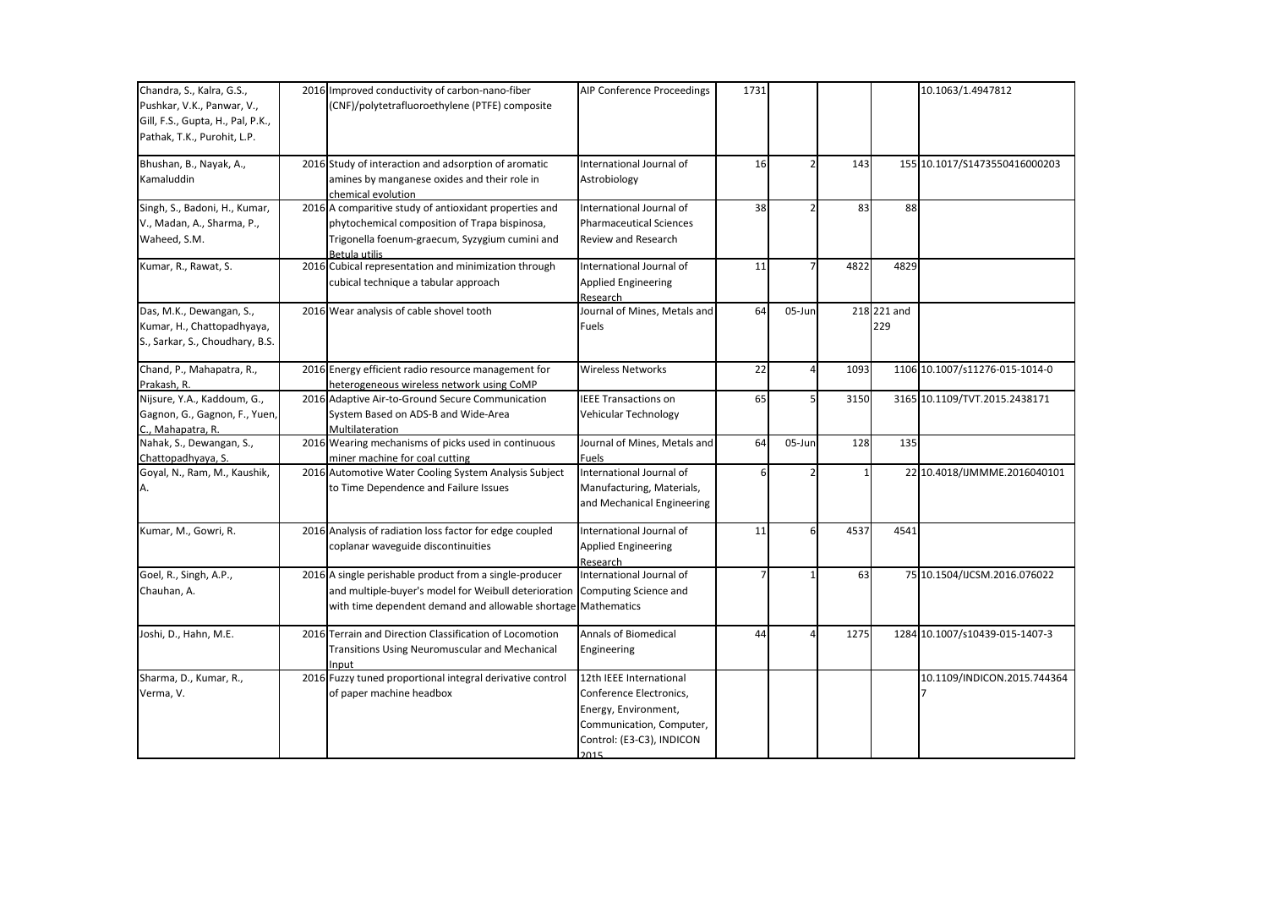| Chandra, S., Kalra, G.S.,<br>Pushkar, V.K., Panwar, V.,<br>Gill, F.S., Gupta, H., Pal, P.K.,<br>Pathak, T.K., Purohit, L.P. | 2016 Improved conductivity of carbon-nano-fiber<br>(CNF)/polytetrafluoroethylene (PTFE) composite                                                                                                      | <b>AIP Conference Proceedings</b>                                                                                                           | 1731 |        |      |                    | 10.1063/1.4947812              |
|-----------------------------------------------------------------------------------------------------------------------------|--------------------------------------------------------------------------------------------------------------------------------------------------------------------------------------------------------|---------------------------------------------------------------------------------------------------------------------------------------------|------|--------|------|--------------------|--------------------------------|
| Bhushan, B., Nayak, A.,<br>Kamaluddin                                                                                       | 2016 Study of interaction and adsorption of aromatic<br>amines by manganese oxides and their role in<br>chemical evolution                                                                             | International Journal of<br>Astrobiology                                                                                                    | 16   |        | 143  |                    | 155 10.1017/S1473550416000203  |
| Singh, S., Badoni, H., Kumar,<br>V., Madan, A., Sharma, P.,<br>Waheed, S.M.                                                 | 2016 A comparitive study of antioxidant properties and<br>phytochemical composition of Trapa bispinosa,<br>Trigonella foenum-graecum, Syzygium cumini and<br>Betula utilis                             | International Journal of<br><b>Pharmaceutical Sciences</b><br>Review and Research                                                           | 38   |        | 83   | 88                 |                                |
| Kumar, R., Rawat, S.                                                                                                        | 2016 Cubical representation and minimization through<br>cubical technique a tabular approach                                                                                                           | International Journal of<br><b>Applied Engineering</b><br>Research                                                                          | 11   |        | 4822 | 4829               |                                |
| Das, M.K., Dewangan, S.,<br>Kumar, H., Chattopadhyaya,<br>S., Sarkar, S., Choudhary, B.S.                                   | 2016 Wear analysis of cable shovel tooth                                                                                                                                                               | Journal of Mines, Metals and<br>Fuels                                                                                                       | 64   | 05-Jun |      | 218 221 and<br>229 |                                |
| Chand, P., Mahapatra, R.,<br>Prakash, R.                                                                                    | 2016 Energy efficient radio resource management for<br>heterogeneous wireless network using CoMP                                                                                                       | <b>Wireless Networks</b>                                                                                                                    | 22   |        | 1093 |                    | 1106 10.1007/s11276-015-1014-0 |
| Nijsure, Y.A., Kaddoum, G.,<br>Gagnon, G., Gagnon, F., Yuen,<br>C., Mahapatra, R.                                           | 2016 Adaptive Air-to-Ground Secure Communication<br>System Based on ADS-B and Wide-Area<br>Multilateration                                                                                             | <b>IEEE Transactions on</b><br>Vehicular Technology                                                                                         | 65   | 5      | 3150 |                    | 3165 10.1109/TVT.2015.2438171  |
| Nahak, S., Dewangan, S.,<br>Chattopadhyaya, S.                                                                              | 2016 Wearing mechanisms of picks used in continuous<br>miner machine for coal cutting                                                                                                                  | Journal of Mines, Metals and<br><b>Fuels</b>                                                                                                | 64   | 05-Jun | 128  | 135                |                                |
| Goyal, N., Ram, M., Kaushik,                                                                                                | 2016 Automotive Water Cooling System Analysis Subject<br>to Time Dependence and Failure Issues                                                                                                         | International Journal of<br>Manufacturing, Materials,<br>and Mechanical Engineering                                                         | 6    |        |      |                    | 22 10.4018/IJMMME.2016040101   |
| Kumar, M., Gowri, R.                                                                                                        | 2016 Analysis of radiation loss factor for edge coupled<br>coplanar waveguide discontinuities                                                                                                          | International Journal of<br><b>Applied Engineering</b><br>Research                                                                          | 11   | 6      | 4537 | 4541               |                                |
| Goel, R., Singh, A.P.,<br>Chauhan, A.                                                                                       | 2016 A single perishable product from a single-producer<br>and multiple-buyer's model for Weibull deterioration Computing Science and<br>with time dependent demand and allowable shortage Mathematics | International Journal of                                                                                                                    |      |        | 63   |                    | 75 10.1504/IJCSM.2016.076022   |
| Joshi, D., Hahn, M.E.                                                                                                       | 2016 Terrain and Direction Classification of Locomotion<br>Transitions Using Neuromuscular and Mechanical<br>Input                                                                                     | <b>Annals of Biomedical</b><br>Engineering                                                                                                  | 44   |        | 1275 |                    | 1284 10.1007/s10439-015-1407-3 |
| Sharma, D., Kumar, R.,<br>Verma, V.                                                                                         | 2016 Fuzzy tuned proportional integral derivative control<br>of paper machine headbox                                                                                                                  | 12th IEEE International<br>Conference Electronics,<br>Energy, Environment,<br>Communication, Computer,<br>Control: (E3-C3), INDICON<br>2015 |      |        |      |                    | 10.1109/INDICON.2015.744364    |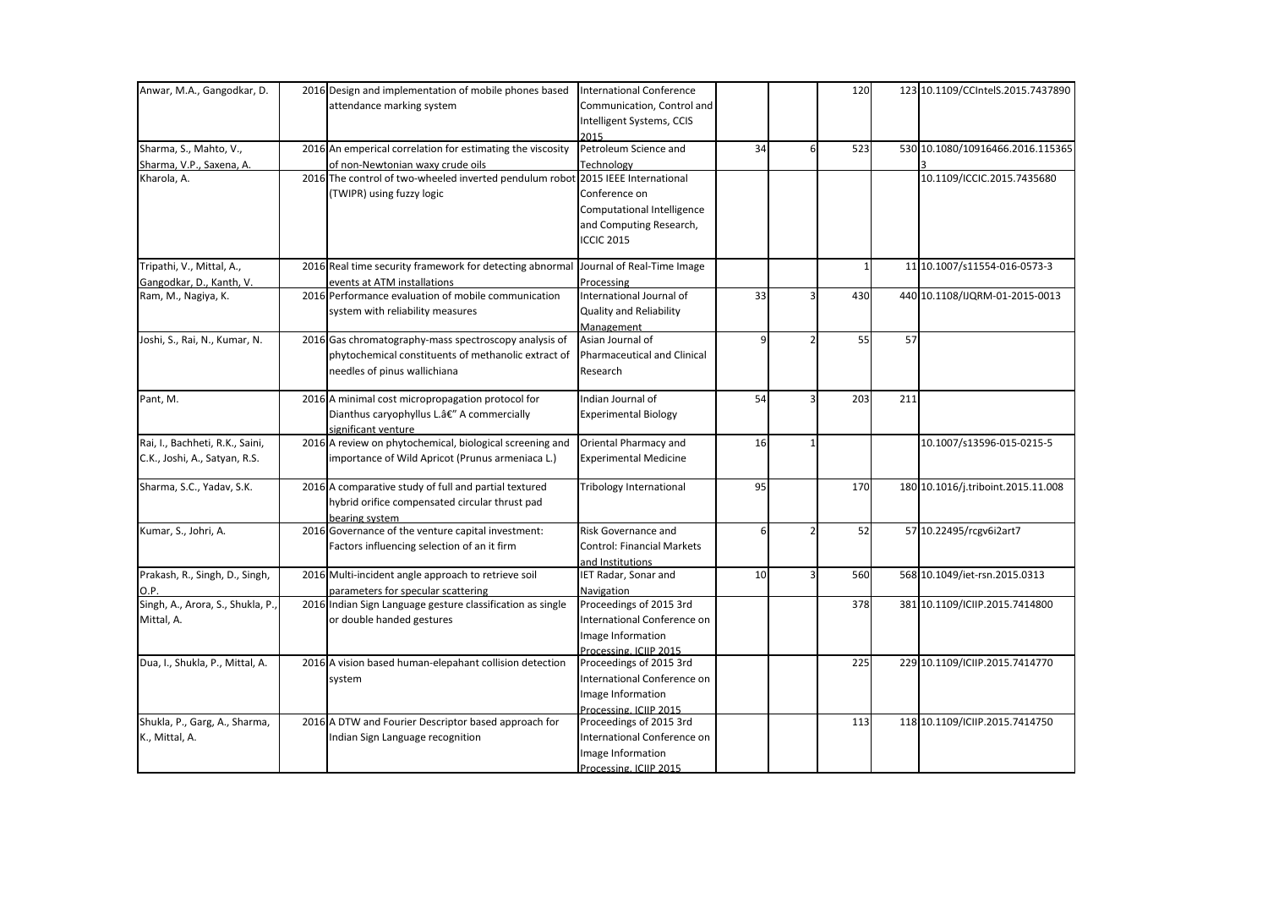| Anwar, M.A., Gangodkar, D.       | 2016 Design and implementation of mobile phones based                               | <b>International Conference</b>   |    |          | 120 |     | 123 10.1109/CCIntelS.2015.7437890  |
|----------------------------------|-------------------------------------------------------------------------------------|-----------------------------------|----|----------|-----|-----|------------------------------------|
|                                  | attendance marking system                                                           | Communication, Control and        |    |          |     |     |                                    |
|                                  |                                                                                     | Intelligent Systems, CCIS         |    |          |     |     |                                    |
|                                  |                                                                                     | 2015                              |    |          |     |     |                                    |
| Sharma, S., Mahto, V.,           | 2016 An emperical correlation for estimating the viscosity                          | Petroleum Science and             | 34 | $6 \mid$ | 523 |     | 530 10.1080/10916466.2016.115365   |
| Sharma, V.P., Saxena, A.         | of non-Newtonian waxy crude oils                                                    | Technology                        |    |          |     |     |                                    |
| Kharola, A.                      | 2016 The control of two-wheeled inverted pendulum robot                             | 2015 IEEE International           |    |          |     |     | 10.1109/ICCIC.2015.7435680         |
|                                  | (TWIPR) using fuzzy logic                                                           | Conference on                     |    |          |     |     |                                    |
|                                  |                                                                                     | Computational Intelligence        |    |          |     |     |                                    |
|                                  |                                                                                     | and Computing Research,           |    |          |     |     |                                    |
|                                  |                                                                                     | <b>ICCIC 2015</b>                 |    |          |     |     |                                    |
| Tripathi, V., Mittal, A.,        | 2016 Real time security framework for detecting abnormal Journal of Real-Time Image |                                   |    |          |     |     | 11 10.1007/s11554-016-0573-3       |
| Gangodkar, D., Kanth, V.         | events at ATM installations                                                         | Processing                        |    |          |     |     |                                    |
| Ram, M., Nagiya, K.              | 2016 Performance evaluation of mobile communication                                 | International Journal of          | 33 |          | 430 |     | 440 10.1108/IJQRM-01-2015-0013     |
|                                  | system with reliability measures                                                    | <b>Quality and Reliability</b>    |    |          |     |     |                                    |
|                                  |                                                                                     | Management                        |    |          |     |     |                                    |
| Joshi, S., Rai, N., Kumar, N.    | 2016 Gas chromatography-mass spectroscopy analysis of                               | Asian Journal of                  | q  |          | 55  | 57  |                                    |
|                                  | phytochemical constituents of methanolic extract of                                 | Pharmaceutical and Clinical       |    |          |     |     |                                    |
|                                  | needles of pinus wallichiana                                                        | Research                          |    |          |     |     |                                    |
|                                  |                                                                                     |                                   |    |          |     |     |                                    |
| Pant, M.                         | 2016 A minimal cost micropropagation protocol for                                   | Indian Journal of                 | 54 |          | 203 | 211 |                                    |
|                                  | Dianthus caryophyllus L.â€" A commercially                                          | <b>Experimental Biology</b>       |    |          |     |     |                                    |
|                                  | significant venture                                                                 |                                   |    |          |     |     |                                    |
| Rai, I., Bachheti, R.K., Saini,  | 2016 A review on phytochemical, biological screening and                            | Oriental Pharmacy and             | 16 |          |     |     | 10.1007/s13596-015-0215-5          |
| C.K., Joshi, A., Satyan, R.S.    | importance of Wild Apricot (Prunus armeniaca L.)                                    | <b>Experimental Medicine</b>      |    |          |     |     |                                    |
| Sharma, S.C., Yadav, S.K.        | 2016 A comparative study of full and partial textured                               | <b>Tribology International</b>    | 95 |          | 170 |     | 180 10.1016/j.triboint.2015.11.008 |
|                                  | hybrid orifice compensated circular thrust pad                                      |                                   |    |          |     |     |                                    |
|                                  | bearing system                                                                      |                                   |    |          |     |     |                                    |
| Kumar, S., Johri, A.             | 2016 Governance of the venture capital investment:                                  | Risk Governance and               | 6  |          | 52  |     | 57 10.22495/rcgv6i2art7            |
|                                  | Factors influencing selection of an it firm                                         | <b>Control: Financial Markets</b> |    |          |     |     |                                    |
|                                  |                                                                                     | and Institutions                  |    |          |     |     |                                    |
| Prakash, R., Singh, D., Singh,   | 2016 Multi-incident angle approach to retrieve soil                                 | IET Radar, Sonar and              | 10 |          | 560 |     | 568 10.1049/iet-rsn.2015.0313      |
|                                  | parameters for specular scattering                                                  | Navigation                        |    |          |     |     |                                    |
| Singh, A., Arora, S., Shukla, P. | 2016 Indian Sign Language gesture classification as single                          | Proceedings of 2015 3rd           |    |          | 378 |     | 381 10.1109/ICIIP.2015.7414800     |
| Mittal, A.                       | or double handed gestures                                                           | International Conference on       |    |          |     |     |                                    |
|                                  |                                                                                     | Image Information                 |    |          |     |     |                                    |
|                                  |                                                                                     | Processing, ICIIP 2015            |    |          |     |     |                                    |
| Dua, I., Shukla, P., Mittal, A.  | 2016 A vision based human-elepahant collision detection                             | Proceedings of 2015 3rd           |    |          | 225 |     | 229 10.1109/ICIIP.2015.7414770     |
|                                  | system                                                                              | International Conference on       |    |          |     |     |                                    |
|                                  |                                                                                     | Image Information                 |    |          |     |     |                                    |
|                                  |                                                                                     | Processing, ICIIP 2015            |    |          |     |     |                                    |
| Shukla, P., Garg, A., Sharma,    | 2016 A DTW and Fourier Descriptor based approach for                                | Proceedings of 2015 3rd           |    |          | 113 |     | 118 10.1109/ICIIP.2015.7414750     |
| K., Mittal, A.                   | Indian Sign Language recognition                                                    | International Conference on       |    |          |     |     |                                    |
|                                  |                                                                                     | Image Information                 |    |          |     |     |                                    |
|                                  |                                                                                     | Processing, ICIIP 2015            |    |          |     |     |                                    |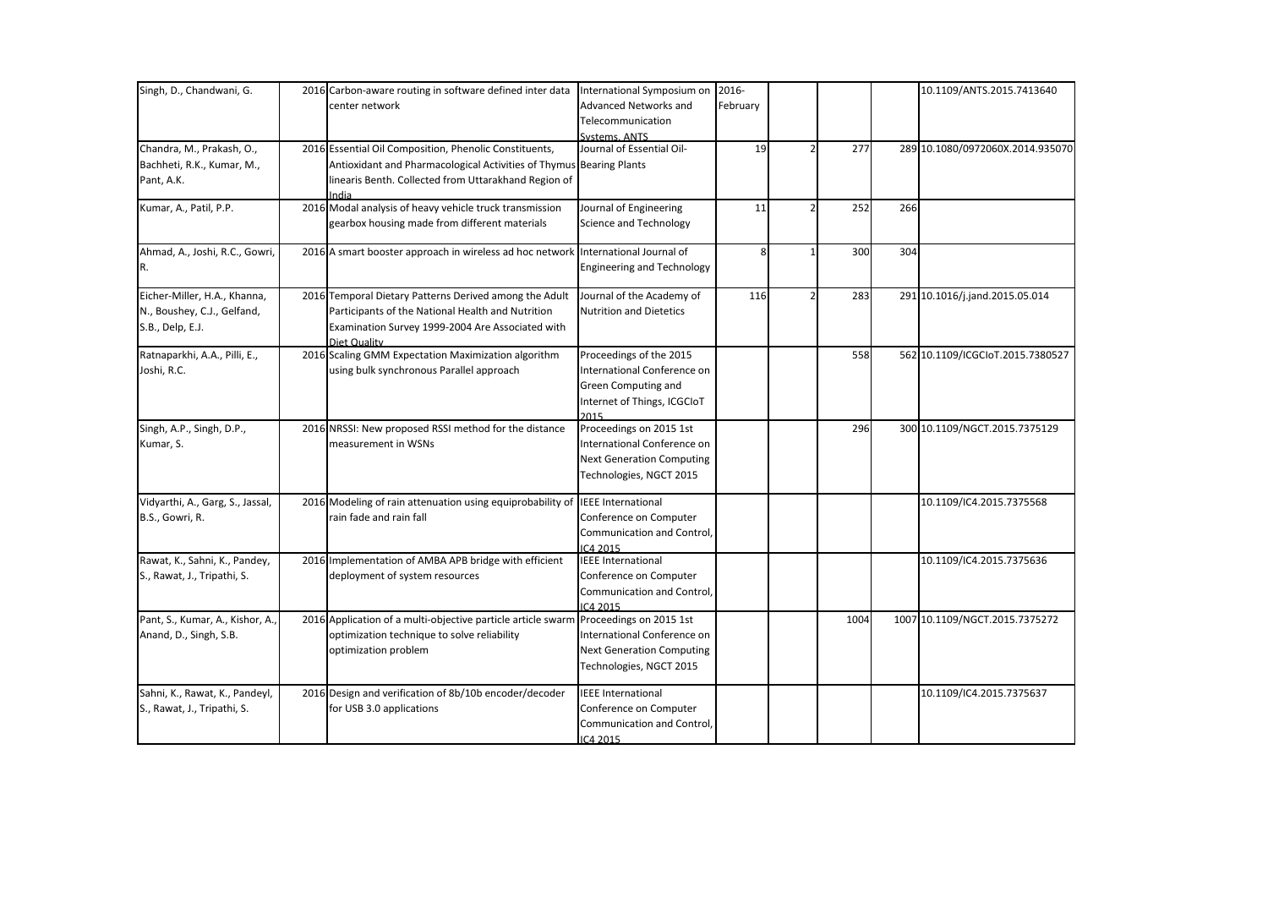| Singh, D., Chandwani, G.         | 2016 Carbon-aware routing in software defined inter data International Symposium on                      |                                                  | 2016-    |      |     | 10.1109/ANTS.2015.7413640        |
|----------------------------------|----------------------------------------------------------------------------------------------------------|--------------------------------------------------|----------|------|-----|----------------------------------|
|                                  | center network                                                                                           | Advanced Networks and                            | February |      |     |                                  |
|                                  |                                                                                                          | Telecommunication                                |          |      |     |                                  |
|                                  |                                                                                                          | Systems, ANTS                                    |          |      |     |                                  |
| Chandra, M., Prakash, O.,        | 2016 Essential Oil Composition, Phenolic Constituents,                                                   | Journal of Essential Oil-                        | 19       | 277  |     | 289 10.1080/0972060X.2014.935070 |
| Bachheti, R.K., Kumar, M.,       | Antioxidant and Pharmacological Activities of Thymus Bearing Plants                                      |                                                  |          |      |     |                                  |
| Pant, A.K.                       | linearis Benth. Collected from Uttarakhand Region of                                                     |                                                  |          |      |     |                                  |
|                                  | ndia                                                                                                     |                                                  |          |      |     |                                  |
| Kumar, A., Patil, P.P.           | 2016 Modal analysis of heavy vehicle truck transmission<br>gearbox housing made from different materials | Journal of Engineering<br>Science and Technology | 11       | 252  | 266 |                                  |
| Ahmad, A., Joshi, R.C., Gowri,   | 2016 A smart booster approach in wireless ad hoc network                                                 | International Journal of                         | 8        | 300  | 304 |                                  |
| IR.                              |                                                                                                          | <b>Engineering and Technology</b>                |          |      |     |                                  |
| Eicher-Miller, H.A., Khanna,     | 2016 Temporal Dietary Patterns Derived among the Adult                                                   | Journal of the Academy of                        | 116      | 283  |     | 291 10.1016/j.jand.2015.05.014   |
| N., Boushey, C.J., Gelfand,      | Participants of the National Health and Nutrition                                                        | <b>Nutrition and Dietetics</b>                   |          |      |     |                                  |
| S.B., Delp, E.J.                 | Examination Survey 1999-2004 Are Associated with<br>Diet Quality                                         |                                                  |          |      |     |                                  |
| Ratnaparkhi, A.A., Pilli, E.,    | 2016 Scaling GMM Expectation Maximization algorithm                                                      | Proceedings of the 2015                          |          | 558  |     | 562 10.1109/ICGCIoT.2015.7380527 |
| Joshi, R.C.                      | using bulk synchronous Parallel approach                                                                 | International Conference on                      |          |      |     |                                  |
|                                  |                                                                                                          | Green Computing and                              |          |      |     |                                  |
|                                  |                                                                                                          | Internet of Things, ICGCIoT<br>2015              |          |      |     |                                  |
| Singh, A.P., Singh, D.P.,        | 2016 NRSSI: New proposed RSSI method for the distance                                                    | Proceedings on 2015 1st                          |          | 296  |     | 300 10.1109/NGCT.2015.7375129    |
| Kumar, S.                        | measurement in WSNs                                                                                      | International Conference on                      |          |      |     |                                  |
|                                  |                                                                                                          | <b>Next Generation Computing</b>                 |          |      |     |                                  |
|                                  |                                                                                                          | Technologies, NGCT 2015                          |          |      |     |                                  |
| Vidyarthi, A., Garg, S., Jassal, | 2016 Modeling of rain attenuation using equiprobability of                                               | <b>IEEE</b> International                        |          |      |     | 10.1109/IC4.2015.7375568         |
| B.S., Gowri, R.                  | rain fade and rain fall                                                                                  | Conference on Computer                           |          |      |     |                                  |
|                                  |                                                                                                          | Communication and Control,                       |          |      |     |                                  |
|                                  |                                                                                                          | IC4 2015                                         |          |      |     |                                  |
| Rawat, K., Sahni, K., Pandey,    | 2016 Implementation of AMBA APB bridge with efficient                                                    | <b>IEEE</b> International                        |          |      |     | 10.1109/IC4.2015.7375636         |
| S., Rawat, J., Tripathi, S.      | deployment of system resources                                                                           | Conference on Computer                           |          |      |     |                                  |
|                                  |                                                                                                          | Communication and Control,<br>IC4 2015           |          |      |     |                                  |
| Pant, S., Kumar, A., Kishor, A., | 2016 Application of a multi-objective particle article swarm                                             | Proceedings on 2015 1st                          |          | 1004 |     | 1007 10.1109/NGCT.2015.7375272   |
| Anand, D., Singh, S.B.           | optimization technique to solve reliability                                                              | International Conference on                      |          |      |     |                                  |
|                                  | optimization problem                                                                                     | <b>Next Generation Computing</b>                 |          |      |     |                                  |
|                                  |                                                                                                          | Technologies, NGCT 2015                          |          |      |     |                                  |
| Sahni, K., Rawat, K., Pandeyl,   | 2016 Design and verification of 8b/10b encoder/decoder                                                   | <b>IEEE International</b>                        |          |      |     | 10.1109/IC4.2015.7375637         |
| S., Rawat, J., Tripathi, S.      | for USB 3.0 applications                                                                                 | Conference on Computer                           |          |      |     |                                  |
|                                  |                                                                                                          | Communication and Control,                       |          |      |     |                                  |
|                                  |                                                                                                          | IC4 2015                                         |          |      |     |                                  |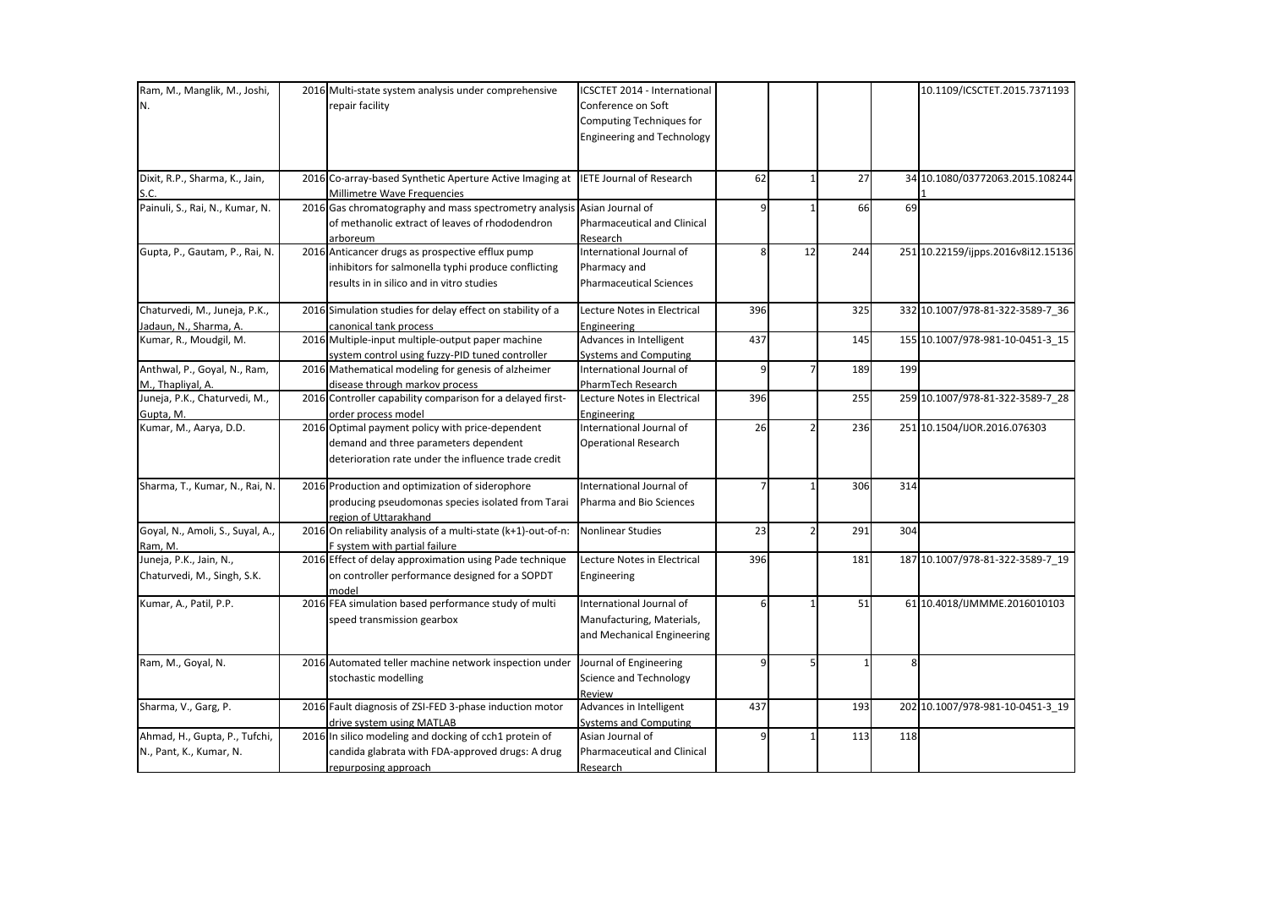| Ram, M., Manglik, M., Joshi,<br>IN.<br>Dixit, R.P., Sharma, K., Jain, | 2016 Multi-state system analysis under comprehensive<br>repair facility<br>2016 Co-array-based Synthetic Aperture Active Imaging at                  | ICSCTET 2014 - International<br>Conference on Soft<br>Computing Techniques for<br><b>Engineering and Technology</b><br><b>IETE Journal of Research</b> | 62  |                          | 27  |                | 10.1109/ICSCTET.2015.7371193<br>34 10.1080/03772063.2015.108244 |
|-----------------------------------------------------------------------|------------------------------------------------------------------------------------------------------------------------------------------------------|--------------------------------------------------------------------------------------------------------------------------------------------------------|-----|--------------------------|-----|----------------|-----------------------------------------------------------------|
| S.C.                                                                  | Millimetre Wave Frequencies                                                                                                                          |                                                                                                                                                        |     |                          |     |                |                                                                 |
| Painuli, S., Rai, N., Kumar, N.                                       | 2016 Gas chromatography and mass spectrometry analysis Asian Journal of<br>of methanolic extract of leaves of rhododendron<br>arboreum               | Pharmaceutical and Clinical<br>Research                                                                                                                |     |                          | 66  | 69             |                                                                 |
| Gupta, P., Gautam, P., Rai, N.                                        | 2016 Anticancer drugs as prospective efflux pump<br>inhibitors for salmonella typhi produce conflicting<br>results in in silico and in vitro studies | International Journal of<br>Pharmacy and<br><b>Pharmaceutical Sciences</b>                                                                             | 8   | 12                       | 244 |                | 251 10.22159/ijpps.2016v8i12.15136                              |
| Chaturvedi, M., Juneja, P.K.,<br>Jadaun, N., Sharma, A.               | 2016 Simulation studies for delay effect on stability of a<br>canonical tank process                                                                 | Lecture Notes in Electrical<br>Engineering                                                                                                             | 396 |                          | 325 |                | 332 10.1007/978-81-322-3589-7 36                                |
| Kumar, R., Moudgil, M.                                                | 2016 Multiple-input multiple-output paper machine<br>system control using fuzzy-PID tuned controller                                                 | Advances in Intelligent<br><b>Systems and Computing</b>                                                                                                | 437 |                          | 145 |                | 155 10.1007/978-981-10-0451-3_15                                |
| Anthwal, P., Goyal, N., Ram,                                          | 2016 Mathematical modeling for genesis of alzheimer                                                                                                  | International Journal of                                                                                                                               | 9   | $\overline{7}$           | 189 | 199            |                                                                 |
| M., Thapliyal, A.                                                     | disease through markov process                                                                                                                       | PharmTech Research                                                                                                                                     |     |                          |     |                |                                                                 |
| Juneja, P.K., Chaturvedi, M.,<br>Gupta, M.                            | 2016 Controller capability comparison for a delayed first-<br>order process model                                                                    | Lecture Notes in Electrical<br>Engineering                                                                                                             | 396 |                          | 255 |                | 259 10.1007/978-81-322-3589-7_28                                |
| Kumar, M., Aarya, D.D.                                                | 2016 Optimal payment policy with price-dependent<br>demand and three parameters dependent<br>deterioration rate under the influence trade credit     | International Journal of<br><b>Operational Research</b>                                                                                                | 26  |                          | 236 |                | 251 10.1504/IJOR.2016.076303                                    |
| Sharma, T., Kumar, N., Rai, N.                                        | 2016 Production and optimization of siderophore<br>producing pseudomonas species isolated from Tarai<br>region of Uttarakhand                        | International Journal of<br>Pharma and Bio Sciences                                                                                                    |     |                          | 306 | 314            |                                                                 |
| Goyal, N., Amoli, S., Suyal, A.,<br>Ram, M.                           | 2016 On reliability analysis of a multi-state (k+1)-out-of-n:<br>F system with partial failure                                                       | Nonlinear Studies                                                                                                                                      | 23  | $\overline{\phantom{a}}$ | 291 | 304            |                                                                 |
| Juneja, P.K., Jain, N.,<br>Chaturvedi, M., Singh, S.K.                | 2016 Effect of delay approximation using Pade technique<br>on controller performance designed for a SOPDT<br>model                                   | Lecture Notes in Electrical<br>Engineering                                                                                                             | 396 |                          | 181 |                | 187 10.1007/978-81-322-3589-7_19                                |
| Kumar, A., Patil, P.P.                                                | 2016 FEA simulation based performance study of multi<br>speed transmission gearbox                                                                   | International Journal of<br>Manufacturing, Materials,<br>and Mechanical Engineering                                                                    | 6   |                          | 51  |                | 61 10.4018/IJMMME.2016010103                                    |
| Ram, M., Goyal, N.                                                    | 2016 Automated teller machine network inspection under<br>stochastic modelling                                                                       | Journal of Engineering<br>Science and Technology<br>Review                                                                                             | Q   |                          |     | 8 <sup>1</sup> |                                                                 |
| Sharma, V., Garg, P.                                                  | 2016 Fault diagnosis of ZSI-FED 3-phase induction motor<br>drive system using MATLAB                                                                 | Advances in Intelligent<br><b>Systems and Computing</b>                                                                                                | 437 |                          | 193 |                | 202 10.1007/978-981-10-0451-3_19                                |
| Ahmad, H., Gupta, P., Tufchi,<br>N., Pant, K., Kumar, N.              | 2016 In silico modeling and docking of cch1 protein of<br>candida glabrata with FDA-approved drugs: A drug<br>repurposing approach                   | Asian Journal of<br>Pharmaceutical and Clinical<br>Research                                                                                            |     |                          | 113 | 118            |                                                                 |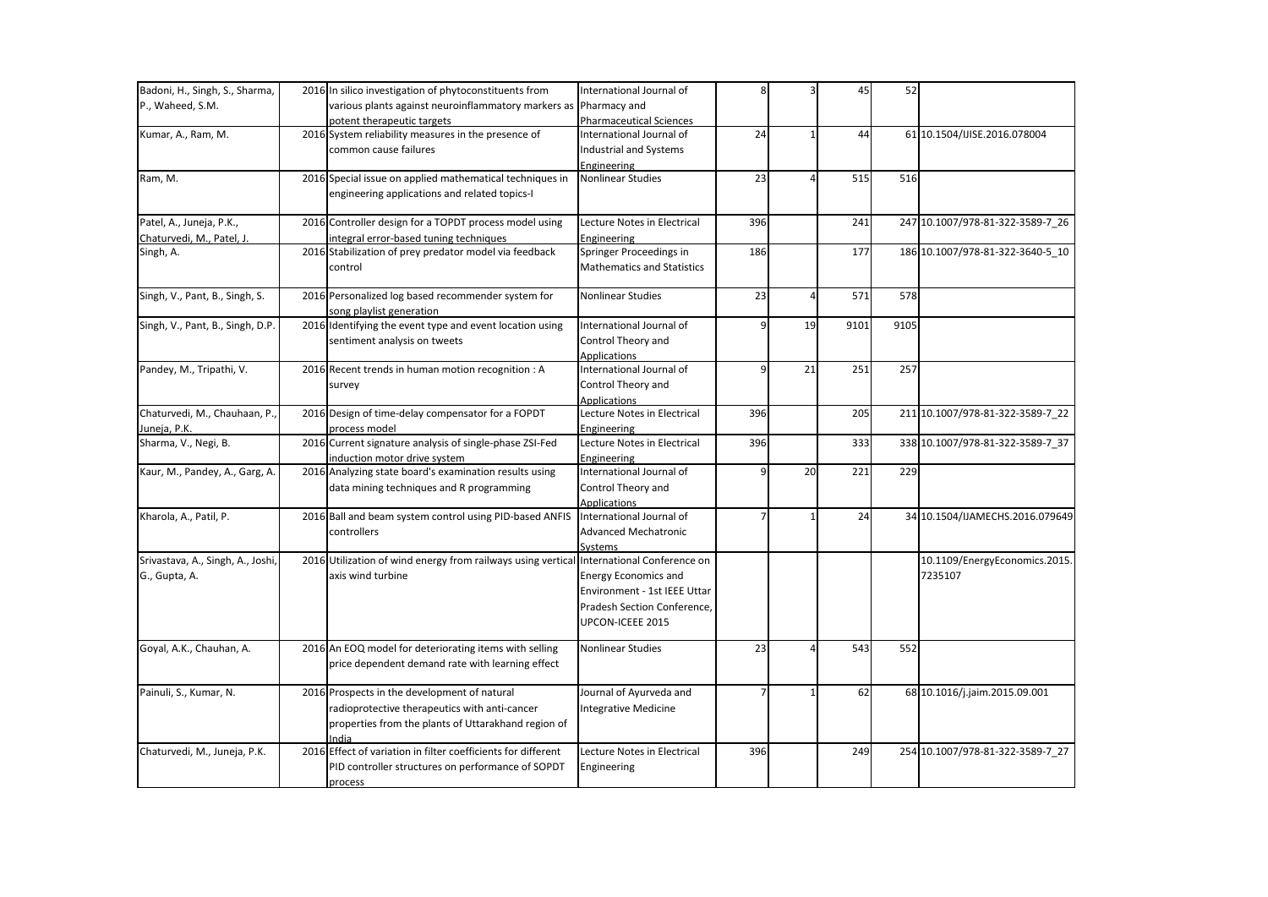| Badoni, H., Singh, S., Sharma,    | 2016 In silico investigation of phytoconstituents from                                   | International Journal of          | 8              |    | 45   | 52   |                                  |
|-----------------------------------|------------------------------------------------------------------------------------------|-----------------------------------|----------------|----|------|------|----------------------------------|
| P., Waheed, S.M.                  | various plants against neuroinflammatory markers as Pharmacy and                         |                                   |                |    |      |      |                                  |
|                                   | potent therapeutic targets                                                               | <b>Pharmaceutical Sciences</b>    |                |    |      |      |                                  |
| Kumar, A., Ram, M.                | 2016 System reliability measures in the presence of                                      | International Journal of          | 24             |    | 44   |      | 61 10.1504/IJISE.2016.078004     |
|                                   | common cause failures                                                                    | Industrial and Systems            |                |    |      |      |                                  |
|                                   |                                                                                          | Engineering                       |                |    |      |      |                                  |
| Ram, M.                           | 2016 Special issue on applied mathematical techniques in                                 | <b>Nonlinear Studies</b>          | 23             |    | 515  | 516  |                                  |
|                                   | engineering applications and related topics-I                                            |                                   |                |    |      |      |                                  |
|                                   |                                                                                          |                                   |                |    |      |      |                                  |
| Patel, A., Juneja, P.K.,          | 2016 Controller design for a TOPDT process model using                                   | Lecture Notes in Electrical       | 396            |    | 241  |      | 247 10.1007/978-81-322-3589-7 26 |
| Chaturvedi, M., Patel, J.         | integral error-based tuning techniques                                                   | Engineering                       |                |    |      |      |                                  |
| Singh, A.                         | 2016 Stabilization of prey predator model via feedback                                   | Springer Proceedings in           | 186            |    | 177  |      | 186 10.1007/978-81-322-3640-5_10 |
|                                   | control                                                                                  | <b>Mathematics and Statistics</b> |                |    |      |      |                                  |
|                                   |                                                                                          |                                   |                |    |      |      |                                  |
| Singh, V., Pant, B., Singh, S.    | 2016 Personalized log based recommender system for                                       | <b>Nonlinear Studies</b>          | 23             |    | 571  | 578  |                                  |
|                                   | song playlist generation                                                                 |                                   |                |    |      |      |                                  |
| Singh, V., Pant, B., Singh, D.P.  | 2016 Identifying the event type and event location using                                 | International Journal of          | q              | 19 | 9101 | 9105 |                                  |
|                                   | sentiment analysis on tweets                                                             | Control Theory and                |                |    |      |      |                                  |
|                                   |                                                                                          | <b>Applications</b>               |                |    |      |      |                                  |
| Pandey, M., Tripathi, V.          | 2016 Recent trends in human motion recognition : A                                       | International Journal of          | $\overline{9}$ | 21 | 251  | 257  |                                  |
|                                   | survey                                                                                   | Control Theory and                |                |    |      |      |                                  |
|                                   |                                                                                          | <b>Applications</b>               |                |    |      |      |                                  |
| Chaturvedi, M., Chauhaan, P.,     | 2016 Design of time-delay compensator for a FOPDT                                        | Lecture Notes in Electrical       | 396            |    | 205  |      | 211 10.1007/978-81-322-3589-7_22 |
| Juneja, P.K.                      | process model                                                                            | Engineering                       |                |    |      |      |                                  |
| Sharma, V., Negi, B.              | 2016 Current signature analysis of single-phase ZSI-Fed                                  | Lecture Notes in Electrical       | 396            |    | 333  |      | 338 10.1007/978-81-322-3589-7_37 |
|                                   | induction motor drive system                                                             | Engineering                       |                |    |      |      |                                  |
| Kaur, M., Pandey, A., Garg, A.    | 2016 Analyzing state board's examination results using                                   | International Journal of          |                | 20 | 221  | 229  |                                  |
|                                   | data mining techniques and R programming                                                 | Control Theory and                |                |    |      |      |                                  |
|                                   |                                                                                          | Applications                      |                |    |      |      |                                  |
| Kharola, A., Patil, P.            | 2016 Ball and beam system control using PID-based ANFIS                                  | International Journal of          |                |    | 24   |      | 34 10.1504/IJAMECHS.2016.079649  |
|                                   | controllers                                                                              | <b>Advanced Mechatronic</b>       |                |    |      |      |                                  |
|                                   |                                                                                          | Systems                           |                |    |      |      |                                  |
| Srivastava, A., Singh, A., Joshi, | 2016 Utilization of wind energy from railways using vertical International Conference on |                                   |                |    |      |      | 10.1109/EnergyEconomics.2015.    |
| G., Gupta, A.                     | axis wind turbine                                                                        | <b>Energy Economics and</b>       |                |    |      |      | 7235107                          |
|                                   |                                                                                          | Environment - 1st IEEE Uttar      |                |    |      |      |                                  |
|                                   |                                                                                          | Pradesh Section Conference,       |                |    |      |      |                                  |
|                                   |                                                                                          | UPCON-ICEEE 2015                  |                |    |      |      |                                  |
|                                   |                                                                                          |                                   |                |    |      |      |                                  |
| Goyal, A.K., Chauhan, A.          | 2016 An EOQ model for deteriorating items with selling                                   | Nonlinear Studies                 | 23             |    | 543  | 552  |                                  |
|                                   | price dependent demand rate with learning effect                                         |                                   |                |    |      |      |                                  |
|                                   |                                                                                          |                                   |                |    |      |      |                                  |
| Painuli, S., Kumar, N.            | 2016 Prospects in the development of natural                                             | Journal of Ayurveda and           | 7              |    | 62   |      | 68 10.1016/j.jaim.2015.09.001    |
|                                   | radioprotective therapeutics with anti-cancer                                            | <b>Integrative Medicine</b>       |                |    |      |      |                                  |
|                                   | properties from the plants of Uttarakhand region of                                      |                                   |                |    |      |      |                                  |
|                                   | India                                                                                    |                                   |                |    |      |      |                                  |
| Chaturvedi, M., Juneja, P.K.      | 2016 Effect of variation in filter coefficients for different                            | Lecture Notes in Electrical       | 396            |    | 249  |      | 254 10.1007/978-81-322-3589-7 27 |
|                                   | PID controller structures on performance of SOPDT                                        | Engineering                       |                |    |      |      |                                  |
|                                   | process                                                                                  |                                   |                |    |      |      |                                  |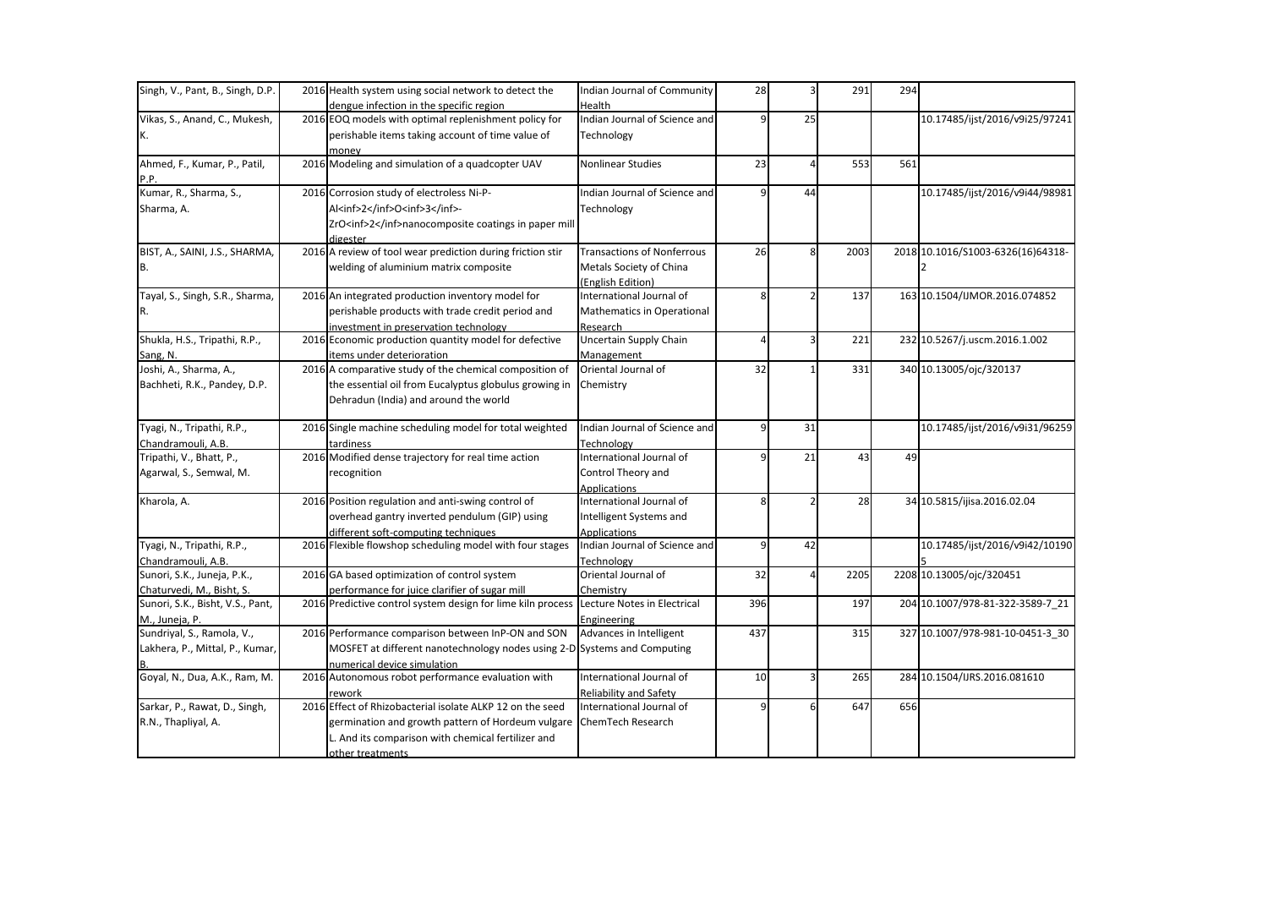| Singh, V., Pant, B., Singh, D.P. | 2016 Health system using social network to detect the                    | Indian Journal of Community                        | 28             |                | 291  | 294 |                                   |
|----------------------------------|--------------------------------------------------------------------------|----------------------------------------------------|----------------|----------------|------|-----|-----------------------------------|
|                                  | dengue infection in the specific region                                  | Health                                             |                |                |      |     |                                   |
| Vikas, S., Anand, C., Mukesh,    | 2016 EOQ models with optimal replenishment policy for                    | Indian Journal of Science and                      | ٩              | 25             |      |     | 10.17485/ijst/2016/v9i25/97241    |
| K.                               | perishable items taking account of time value of                         | Technology                                         |                |                |      |     |                                   |
|                                  | monev                                                                    |                                                    |                |                |      |     |                                   |
| Ahmed, F., Kumar, P., Patil,     | 2016 Modeling and simulation of a quadcopter UAV                         | <b>Nonlinear Studies</b>                           | 23             |                | 553  | 561 |                                   |
| P.P.                             |                                                                          |                                                    |                |                |      |     |                                   |
| Kumar, R., Sharma, S.,           | 2016 Corrosion study of electroless Ni-P-                                | Indian Journal of Science and                      | q              | 44             |      |     | 10.17485/ijst/2016/v9i44/98981    |
| Sharma, A.                       | Al <inf>2</inf> O <inf>3</inf> -                                         | Technology                                         |                |                |      |     |                                   |
|                                  | ZrO <inf>2</inf> nanocomposite coatings in paper mill                    |                                                    |                |                |      |     |                                   |
| BIST, A., SAINI, J.S., SHARMA,   | digester<br>2016 A review of tool wear prediction during friction stir   | <b>Transactions of Nonferrous</b>                  | 26             | 8 <sup>1</sup> | 2003 |     | 2018 10.1016/S1003-6326(16)64318- |
| B.                               | welding of aluminium matrix composite                                    | Metals Society of China                            |                |                |      |     |                                   |
|                                  |                                                                          | (English Edition)                                  |                |                |      |     |                                   |
| Tayal, S., Singh, S.R., Sharma,  | 2016 An integrated production inventory model for                        | International Journal of                           | 8              |                | 137  |     | 163 10.1504/IJMOR.2016.074852     |
| R.                               | perishable products with trade credit period and                         | Mathematics in Operational                         |                |                |      |     |                                   |
|                                  | investment in preservation technology                                    | Research                                           |                |                |      |     |                                   |
| Shukla, H.S., Tripathi, R.P.,    | 2016 Economic production quantity model for defective                    | <b>Uncertain Supply Chain</b>                      |                |                | 221  |     | 232 10.5267/j.uscm.2016.1.002     |
| Sang, N.                         | items under deterioration                                                | Management                                         |                |                |      |     |                                   |
| Joshi, A., Sharma, A.,           | 2016 A comparative study of the chemical composition of                  | Oriental Journal of                                | 32             |                | 331  |     | 340 10.13005/ojc/320137           |
| Bachheti, R.K., Pandey, D.P.     | the essential oil from Eucalyptus globulus growing in                    | Chemistry                                          |                |                |      |     |                                   |
|                                  | Dehradun (India) and around the world                                    |                                                    |                |                |      |     |                                   |
| Tyagi, N., Tripathi, R.P.,       | 2016 Single machine scheduling model for total weighted                  | Indian Journal of Science and                      | q              | 31             |      |     | 10.17485/ijst/2016/v9i31/96259    |
| Chandramouli, A.B.               | tardiness                                                                | Technology                                         |                |                |      |     |                                   |
| Tripathi, V., Bhatt, P.,         | 2016 Modified dense trajectory for real time action                      | International Journal of                           |                | 21             | 43   | 49  |                                   |
| Agarwal, S., Semwal, M.          | recognition                                                              | Control Theory and                                 |                |                |      |     |                                   |
|                                  |                                                                          | Applications                                       |                |                |      |     |                                   |
| Kharola, A.                      | 2016 Position regulation and anti-swing control of                       | International Journal of                           | 8              |                | 28   |     | 34 10.5815/ijisa.2016.02.04       |
|                                  | overhead gantry inverted pendulum (GIP) using                            | Intelligent Systems and                            |                |                |      |     |                                   |
|                                  | different soft-computing techniques                                      | Applications                                       |                |                |      |     |                                   |
| Tyagi, N., Tripathi, R.P.,       | 2016 Flexible flowshop scheduling model with four stages                 | Indian Journal of Science and                      | $\overline{9}$ | 42             |      |     | 10.17485/ijst/2016/v9i42/10190    |
| Chandramouli, A.B.               |                                                                          | Technology                                         |                |                |      |     |                                   |
| Sunori, S.K., Juneja, P.K.,      | 2016 GA based optimization of control system                             | Oriental Journal of                                | 32             |                | 2205 |     | 2208 10.13005/ojc/320451          |
| Chaturvedi, M., Bisht, S.        | performance for juice clarifier of sugar mill                            | Chemistry                                          |                |                |      |     |                                   |
| Sunori, S.K., Bisht, V.S., Pant, | 2016 Predictive control system design for lime kiln process              | Lecture Notes in Electrical                        | 396            |                | 197  |     | 204 10.1007/978-81-322-3589-7_21  |
| M., Juneja, P.                   |                                                                          | Engineering                                        |                |                |      |     |                                   |
| Sundriyal, S., Ramola, V.,       | 2016 Performance comparison between InP-ON and SON                       | Advances in Intelligent                            | 437            |                | 315  |     | 327 10.1007/978-981-10-0451-3_30  |
| Lakhera, P., Mittal, P., Kumar,  | MOSFET at different nanotechnology nodes using 2-D Systems and Computing |                                                    |                |                |      |     |                                   |
| Goyal, N., Dua, A.K., Ram, M.    | numerical device simulation                                              | International Journal of                           |                |                |      |     | 284 10.1504/IJRS.2016.081610      |
|                                  | 2016 Autonomous robot performance evaluation with                        |                                                    | 10             |                | 265  |     |                                   |
| Sarkar, P., Rawat, D., Singh,    | rework<br>2016 Effect of Rhizobacterial isolate ALKP 12 on the seed      | Reliability and Safety<br>International Journal of |                | 6              | 647  | 656 |                                   |
| R.N., Thapliyal, A.              | germination and growth pattern of Hordeum vulgare                        | <b>ChemTech Research</b>                           |                |                |      |     |                                   |
|                                  | L. And its comparison with chemical fertilizer and                       |                                                    |                |                |      |     |                                   |
|                                  |                                                                          |                                                    |                |                |      |     |                                   |
|                                  | other treatments                                                         |                                                    |                |                |      |     |                                   |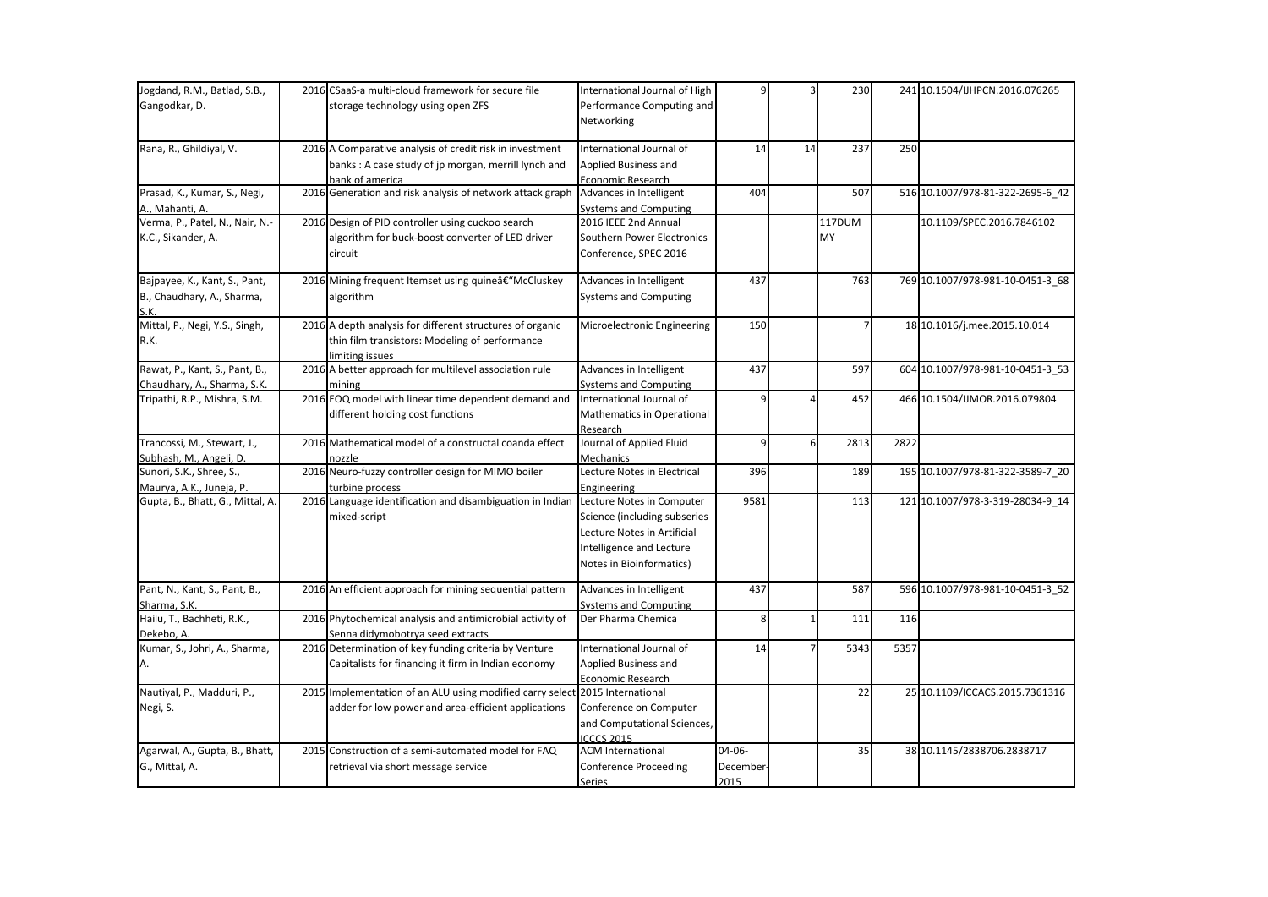| Jogdand, R.M., Batlad, S.B.,     | 2016 CSaaS-a multi-cloud framework for secure file                                  | International Journal of High | 9         |          | 230    |      | 241 10.1504/IJHPCN.2016.076265   |
|----------------------------------|-------------------------------------------------------------------------------------|-------------------------------|-----------|----------|--------|------|----------------------------------|
| Gangodkar, D.                    | storage technology using open ZFS                                                   | Performance Computing and     |           |          |        |      |                                  |
|                                  |                                                                                     | Networking                    |           |          |        |      |                                  |
|                                  |                                                                                     |                               |           |          |        |      |                                  |
| Rana, R., Ghildiyal, V.          | 2016 A Comparative analysis of credit risk in investment                            | International Journal of      | 14        | 14       | 237    | 250  |                                  |
|                                  | banks: A case study of jp morgan, merrill lynch and                                 | Applied Business and          |           |          |        |      |                                  |
|                                  | bank of america                                                                     | Economic Research             |           |          |        |      |                                  |
| Prasad, K., Kumar, S., Negi,     | 2016 Generation and risk analysis of network attack graph                           | Advances in Intelligent       | 404       |          | 507    |      | 516 10.1007/978-81-322-2695-6_42 |
| A., Mahanti, A.                  |                                                                                     | <b>Systems and Computing</b>  |           |          |        |      |                                  |
| Verma, P., Patel, N., Nair, N.-  | 2016 Design of PID controller using cuckoo search                                   | 2016 IEEE 2nd Annual          |           |          | 117DUM |      | 10.1109/SPEC.2016.7846102        |
| K.C., Sikander, A.               | algorithm for buck-boost converter of LED driver                                    | Southern Power Electronics    |           |          | MY     |      |                                  |
|                                  | circuit                                                                             | Conference, SPEC 2016         |           |          |        |      |                                  |
| Bajpayee, K., Kant, S., Pant,    | 2016 Mining frequent Itemset using quine†"McCluskey                                 | Advances in Intelligent       | 437       |          | 763    |      | 769 10.1007/978-981-10-0451-3_68 |
| B., Chaudhary, A., Sharma,       | algorithm                                                                           | <b>Systems and Computing</b>  |           |          |        |      |                                  |
| S.K                              |                                                                                     |                               |           |          |        |      |                                  |
| Mittal, P., Negi, Y.S., Singh,   | 2016 A depth analysis for different structures of organic                           | Microelectronic Engineering   | 150       |          |        |      | 18 10.1016/j.mee.2015.10.014     |
| R.K.                             | thin film transistors: Modeling of performance                                      |                               |           |          |        |      |                                  |
|                                  | limiting issues                                                                     |                               |           |          |        |      |                                  |
| Rawat, P., Kant, S., Pant, B.,   | 2016 A better approach for multilevel association rule                              | Advances in Intelligent       | 437       |          | 597    |      | 604 10.1007/978-981-10-0451-3 53 |
| Chaudhary, A., Sharma, S.K.      | mining                                                                              | <b>Systems and Computing</b>  |           |          |        |      |                                  |
| Tripathi, R.P., Mishra, S.M.     | 2016 EOQ model with linear time dependent demand and                                | International Journal of      | q         |          | 452    |      | 466 10.1504/IJMOR.2016.079804    |
|                                  | different holding cost functions                                                    | Mathematics in Operational    |           |          |        |      |                                  |
|                                  |                                                                                     | Research                      |           |          |        |      |                                  |
| Trancossi, M., Stewart, J.,      | 2016 Mathematical model of a constructal coanda effect                              | Journal of Applied Fluid      | 9         | $6 \mid$ | 2813   | 2822 |                                  |
| Subhash, M., Angeli, D.          | nozzle                                                                              | Mechanics                     |           |          |        |      |                                  |
| Sunori, S.K., Shree, S.,         | 2016 Neuro-fuzzy controller design for MIMO boiler                                  | Lecture Notes in Electrical   | 396       |          | 189    |      | 195 10.1007/978-81-322-3589-7_20 |
| Maurya, A.K., Juneja, P.         | turbine process                                                                     | Engineering                   |           |          |        |      |                                  |
| Gupta, B., Bhatt, G., Mittal, A. | 2016 Language identification and disambiguation in Indian Lecture Notes in Computer |                               | 9581      |          | 113    |      | 121 10.1007/978-3-319-28034-9_14 |
|                                  | mixed-script                                                                        | Science (including subseries  |           |          |        |      |                                  |
|                                  |                                                                                     | Lecture Notes in Artificial   |           |          |        |      |                                  |
|                                  |                                                                                     | Intelligence and Lecture      |           |          |        |      |                                  |
|                                  |                                                                                     | Notes in Bioinformatics)      |           |          |        |      |                                  |
| Pant, N., Kant, S., Pant, B.,    | 2016 An efficient approach for mining sequential pattern                            | Advances in Intelligent       | 437       |          | 587    |      | 596 10.1007/978-981-10-0451-3 52 |
| Sharma, S.K.                     |                                                                                     | <b>Systems and Computing</b>  |           |          |        |      |                                  |
| Hailu, T., Bachheti, R.K.,       | 2016 Phytochemical analysis and antimicrobial activity of                           | Der Pharma Chemica            | 8         |          | 111    | 116  |                                  |
| Dekebo, A.                       | Senna didymobotrya seed extracts                                                    |                               |           |          |        |      |                                  |
| Kumar, S., Johri, A., Sharma,    | 2016 Determination of key funding criteria by Venture                               | International Journal of      | 14        |          | 5343   | 5357 |                                  |
|                                  | Capitalists for financing it firm in Indian economy                                 | Applied Business and          |           |          |        |      |                                  |
|                                  |                                                                                     | <b>Economic Research</b>      |           |          |        |      |                                  |
| Nautiyal, P., Madduri, P.,       | 2015 Implementation of an ALU using modified carry select 2015 International        |                               |           |          | 22     |      | 25 10.1109/ICCACS.2015.7361316   |
| Negi, S.                         | adder for low power and area-efficient applications                                 | Conference on Computer        |           |          |        |      |                                  |
|                                  |                                                                                     | and Computational Sciences,   |           |          |        |      |                                  |
|                                  |                                                                                     | <b>ICCCS 2015</b>             |           |          |        |      |                                  |
| Agarwal, A., Gupta, B., Bhatt,   | 2015 Construction of a semi-automated model for FAQ                                 | <b>ACM International</b>      | 04-06-    |          | 35     |      | 38 10.1145/2838706.2838717       |
| G., Mittal, A.                   | retrieval via short message service                                                 | <b>Conference Proceeding</b>  | December- |          |        |      |                                  |
|                                  |                                                                                     | Series                        | 2015      |          |        |      |                                  |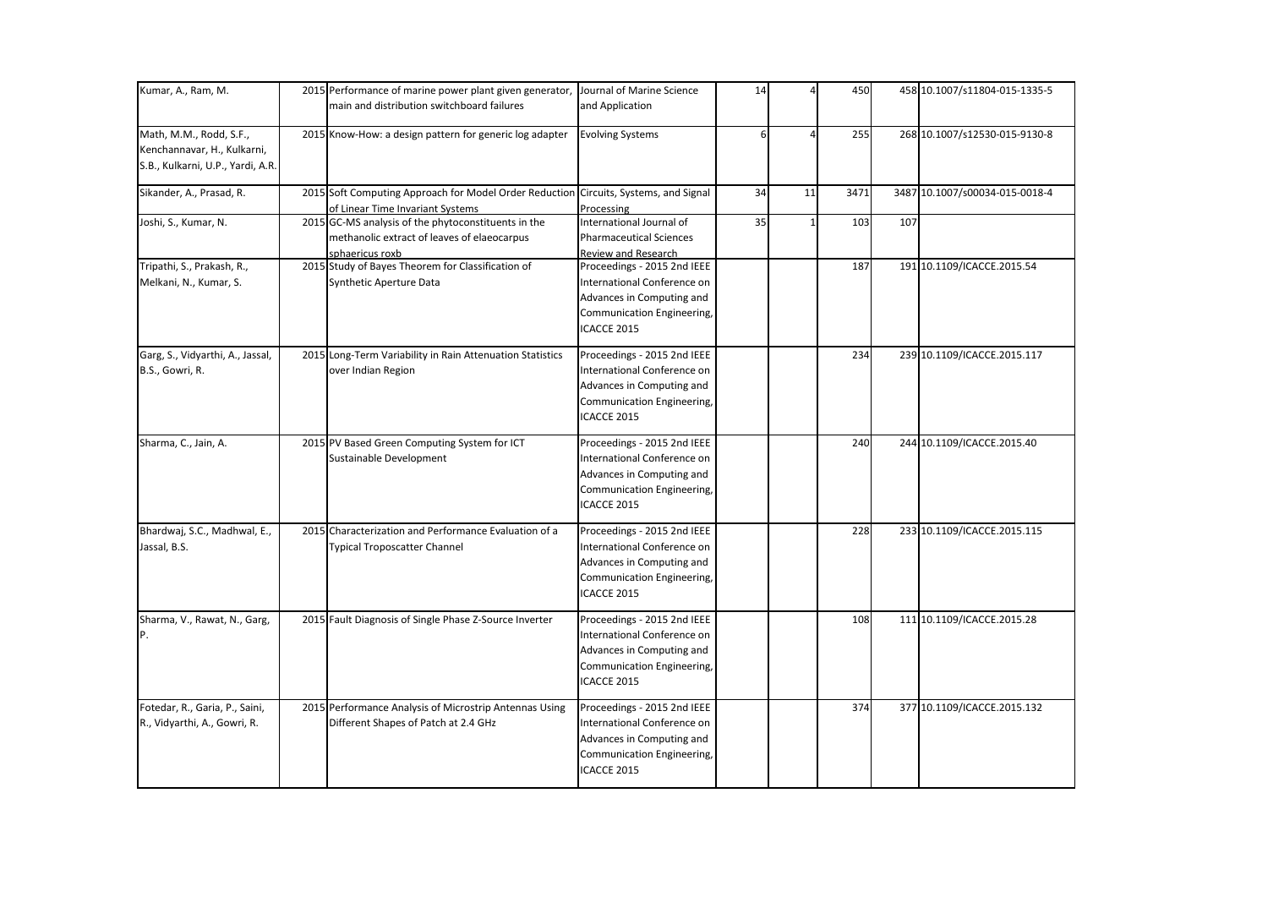| Kumar, A., Ram, M.                                                                          | 2015 Performance of marine power plant given generator, Journal of Marine Science<br>main and distribution switchboard failures | and Application                                                                                                                             | 14 |    | 450  |     | 458 10.1007/s11804-015-1335-5  |
|---------------------------------------------------------------------------------------------|---------------------------------------------------------------------------------------------------------------------------------|---------------------------------------------------------------------------------------------------------------------------------------------|----|----|------|-----|--------------------------------|
| Math, M.M., Rodd, S.F.,<br>Kenchannavar, H., Kulkarni,<br>S.B., Kulkarni, U.P., Yardi, A.R. | 2015 Know-How: a design pattern for generic log adapter                                                                         | <b>Evolving Systems</b>                                                                                                                     |    |    | 255  |     | 268 10.1007/s12530-015-9130-8  |
| Sikander, A., Prasad, R.                                                                    | 2015 Soft Computing Approach for Model Order Reduction Circuits, Systems, and Signal<br>of Linear Time Invariant Systems        | Processing                                                                                                                                  | 34 | 11 | 3471 |     | 3487 10.1007/s00034-015-0018-4 |
| Joshi, S., Kumar, N.                                                                        | 2015 GC-MS analysis of the phytoconstituents in the<br>methanolic extract of leaves of elaeocarpus<br>sphaericus roxb           | International Journal of<br><b>Pharmaceutical Sciences</b><br><b>Review and Research</b>                                                    | 35 |    | 103  | 107 |                                |
| Tripathi, S., Prakash, R.,<br>Melkani, N., Kumar, S.                                        | 2015 Study of Bayes Theorem for Classification of<br>Synthetic Aperture Data                                                    | Proceedings - 2015 2nd IEEE<br>International Conference on<br>Advances in Computing and<br>Communication Engineering,<br>ICACCE 2015        |    |    | 187  |     | 191 10.1109/ICACCE.2015.54     |
| Garg, S., Vidyarthi, A., Jassal,<br>B.S., Gowri, R.                                         | 2015 Long-Term Variability in Rain Attenuation Statistics<br>over Indian Region                                                 | Proceedings - 2015 2nd IEEE<br>International Conference on<br>Advances in Computing and<br>Communication Engineering,<br>ICACCE 2015        |    |    | 234  |     | 239 10.1109/ICACCE.2015.117    |
| Sharma, C., Jain, A.                                                                        | 2015 PV Based Green Computing System for ICT<br>Sustainable Development                                                         | Proceedings - 2015 2nd IEEE<br><b>International Conference on</b><br>Advances in Computing and<br>Communication Engineering,<br>ICACCE 2015 |    |    | 240  |     | 244 10.1109/ICACCE.2015.40     |
| Bhardwaj, S.C., Madhwal, E.,<br>Jassal, B.S.                                                | 2015 Characterization and Performance Evaluation of a<br><b>Typical Troposcatter Channel</b>                                    | Proceedings - 2015 2nd IEEE<br>International Conference on<br>Advances in Computing and<br>Communication Engineering,<br>ICACCE 2015        |    |    | 228  |     | 233 10.1109/ICACCE.2015.115    |
| Sharma, V., Rawat, N., Garg,<br>P.                                                          | 2015 Fault Diagnosis of Single Phase Z-Source Inverter                                                                          | Proceedings - 2015 2nd IEEE<br>International Conference on<br>Advances in Computing and<br>Communication Engineering,<br>ICACCE 2015        |    |    | 108  |     | 111 10.1109/ICACCE.2015.28     |
| Fotedar, R., Garia, P., Saini,<br>R., Vidyarthi, A., Gowri, R.                              | 2015 Performance Analysis of Microstrip Antennas Using<br>Different Shapes of Patch at 2.4 GHz                                  | Proceedings - 2015 2nd IEEE<br>International Conference on<br>Advances in Computing and<br>Communication Engineering,<br>ICACCE 2015        |    |    | 374  |     | 377 10.1109/ICACCE.2015.132    |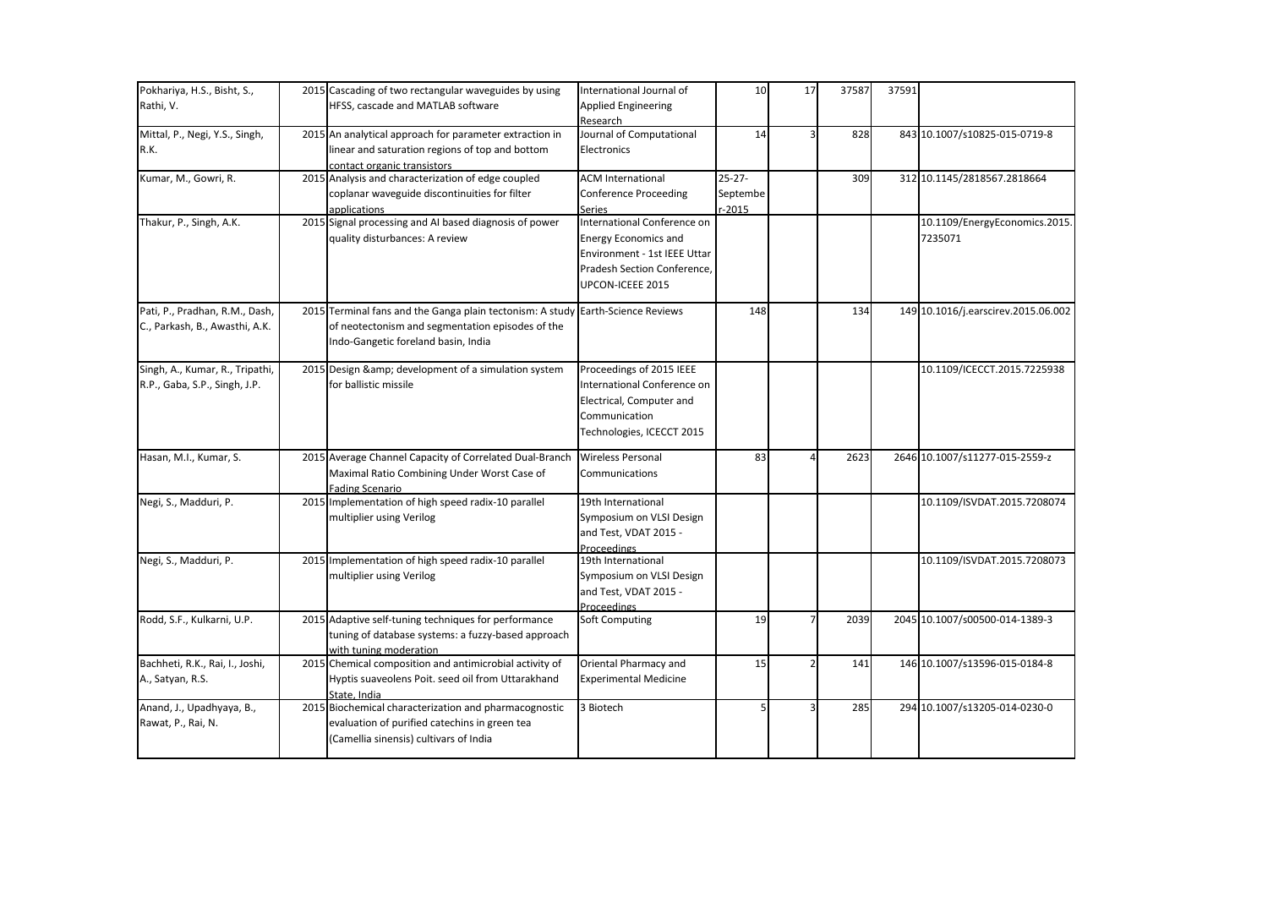| Pokhariya, H.S., Bisht, S.,     |      | 2015 Cascading of two rectangular waveguides by using                      | International Journal of              | 10          | 17 | 37587 | 37591 |                                     |
|---------------------------------|------|----------------------------------------------------------------------------|---------------------------------------|-------------|----|-------|-------|-------------------------------------|
| Rathi, V.                       |      | HFSS, cascade and MATLAB software                                          | <b>Applied Engineering</b>            |             |    |       |       |                                     |
|                                 |      |                                                                            | Research                              |             |    |       |       |                                     |
| Mittal, P., Negi, Y.S., Singh,  |      | 2015 An analytical approach for parameter extraction in                    | Journal of Computational              | 14          |    | 828   |       | 843 10.1007/s10825-015-0719-8       |
| R.K.                            |      | linear and saturation regions of top and bottom                            | Electronics                           |             |    |       |       |                                     |
|                                 |      | contact organic transistors                                                |                                       |             |    |       |       |                                     |
| Kumar, M., Gowri, R.            |      | 2015 Analysis and characterization of edge coupled                         | <b>ACM International</b>              | $25 - 27 -$ |    | 309   |       | 312 10.1145/2818567.2818664         |
|                                 |      | coplanar waveguide discontinuities for filter                              | <b>Conference Proceeding</b>          | Septembe    |    |       |       |                                     |
| Thakur, P., Singh, A.K.         |      | applications<br>2015 Signal processing and AI based diagnosis of power     | Series<br>International Conference on | $-2015$     |    |       |       | 10.1109/EnergyEconomics.2015.       |
|                                 |      | quality disturbances: A review                                             | <b>Energy Economics and</b>           |             |    |       |       | 7235071                             |
|                                 |      |                                                                            | Environment - 1st IEEE Uttar          |             |    |       |       |                                     |
|                                 |      |                                                                            | Pradesh Section Conference,           |             |    |       |       |                                     |
|                                 |      |                                                                            | UPCON-ICEEE 2015                      |             |    |       |       |                                     |
|                                 |      |                                                                            |                                       |             |    |       |       |                                     |
| Pati, P., Pradhan, R.M., Dash,  | 2015 | Terminal fans and the Ganga plain tectonism: A study Earth-Science Reviews |                                       | 148         |    | 134   |       | 149 10.1016/j.earscirev.2015.06.002 |
| C., Parkash, B., Awasthi, A.K.  |      | of neotectonism and segmentation episodes of the                           |                                       |             |    |       |       |                                     |
|                                 |      | Indo-Gangetic foreland basin, India                                        |                                       |             |    |       |       |                                     |
|                                 |      |                                                                            |                                       |             |    |       |       |                                     |
| Singh, A., Kumar, R., Tripathi, |      | 2015 Design & development of a simulation system                           | Proceedings of 2015 IEEE              |             |    |       |       | 10.1109/ICECCT.2015.7225938         |
| R.P., Gaba, S.P., Singh, J.P.   |      | for ballistic missile                                                      | International Conference on           |             |    |       |       |                                     |
|                                 |      |                                                                            | Electrical, Computer and              |             |    |       |       |                                     |
|                                 |      |                                                                            | Communication                         |             |    |       |       |                                     |
|                                 |      |                                                                            | Technologies, ICECCT 2015             |             |    |       |       |                                     |
| Hasan, M.I., Kumar, S.          |      | 2015 Average Channel Capacity of Correlated Dual-Branch                    | <b>Wireless Personal</b>              | 83          |    | 2623  |       | 2646 10.1007/s11277-015-2559-z      |
|                                 |      | Maximal Ratio Combining Under Worst Case of                                | Communications                        |             |    |       |       |                                     |
|                                 |      | <b>Fading Scenario</b>                                                     |                                       |             |    |       |       |                                     |
| Negi, S., Madduri, P.           |      | 2015 Implementation of high speed radix-10 parallel                        | 19th International                    |             |    |       |       | 10.1109/ISVDAT.2015.7208074         |
|                                 |      | multiplier using Verilog                                                   | Symposium on VLSI Design              |             |    |       |       |                                     |
|                                 |      |                                                                            | and Test, VDAT 2015 -                 |             |    |       |       |                                     |
|                                 |      |                                                                            | Proceedings                           |             |    |       |       |                                     |
| Negi, S., Madduri, P.           |      | 2015 Implementation of high speed radix-10 parallel                        | 19th International                    |             |    |       |       | 10.1109/ISVDAT.2015.7208073         |
|                                 |      | multiplier using Verilog                                                   | Symposium on VLSI Design              |             |    |       |       |                                     |
|                                 |      |                                                                            | and Test, VDAT 2015 -                 |             |    |       |       |                                     |
| Rodd, S.F., Kulkarni, U.P.      |      | 2015 Adaptive self-tuning techniques for performance                       | <b>Proceedings</b><br>Soft Computing  | 19          |    | 2039  |       | 2045 10.1007/s00500-014-1389-3      |
|                                 |      | tuning of database systems: a fuzzy-based approach                         |                                       |             |    |       |       |                                     |
|                                 |      | with tuning moderation                                                     |                                       |             |    |       |       |                                     |
| Bachheti, R.K., Rai, I., Joshi, |      | 2015 Chemical composition and antimicrobial activity of                    | Oriental Pharmacy and                 | 15          |    | 141   |       | 146 10.1007/s13596-015-0184-8       |
| A., Satyan, R.S.                |      | Hyptis suaveolens Poit. seed oil from Uttarakhand                          | <b>Experimental Medicine</b>          |             |    |       |       |                                     |
|                                 |      | State, India                                                               |                                       |             |    |       |       |                                     |
| Anand, J., Upadhyaya, B.,       |      | 2015 Biochemical characterization and pharmacognostic                      | 3 Biotech                             |             |    | 285   |       | 294 10.1007/s13205-014-0230-0       |
| Rawat, P., Rai, N.              |      | evaluation of purified catechins in green tea                              |                                       |             |    |       |       |                                     |
|                                 |      | (Camellia sinensis) cultivars of India                                     |                                       |             |    |       |       |                                     |
|                                 |      |                                                                            |                                       |             |    |       |       |                                     |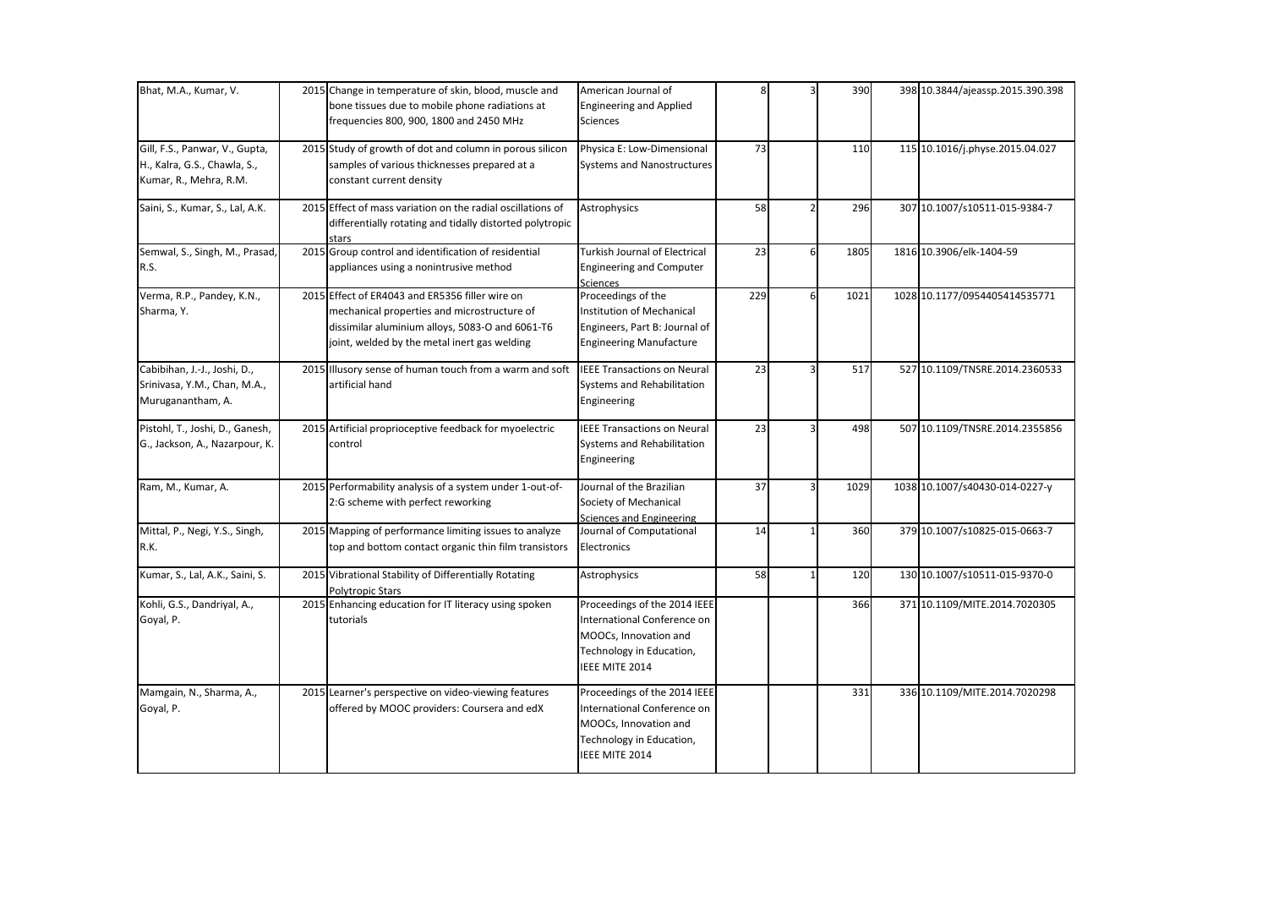| Bhat, M.A., Kumar, V.                                                                    | 2015 Change in temperature of skin, blood, muscle and<br>bone tissues due to mobile phone radiations at<br>frequencies 800, 900, 1800 and 2450 MHz                                                | American Journal of<br><b>Engineering and Applied</b><br>Sciences                                                                  | 8   |               | 390  | 398 10.3844/ajeassp.2015.390.398 |
|------------------------------------------------------------------------------------------|---------------------------------------------------------------------------------------------------------------------------------------------------------------------------------------------------|------------------------------------------------------------------------------------------------------------------------------------|-----|---------------|------|----------------------------------|
| Gill, F.S., Panwar, V., Gupta,<br>H., Kalra, G.S., Chawla, S.,<br>Kumar, R., Mehra, R.M. | 2015 Study of growth of dot and column in porous silicon<br>samples of various thicknesses prepared at a<br>constant current density                                                              | Physica E: Low-Dimensional<br><b>Systems and Nanostructures</b>                                                                    | 73  |               | 110  | 115 10.1016/j.physe.2015.04.027  |
| Saini, S., Kumar, S., Lal, A.K.                                                          | 2015 Effect of mass variation on the radial oscillations of<br>differentially rotating and tidally distorted polytropic                                                                           | Astrophysics                                                                                                                       | 58  | $\mathfrak z$ | 296  | 307 10.1007/s10511-015-9384-7    |
| Semwal, S., Singh, M., Prasad,<br>R.S.                                                   | 2015 Group control and identification of residential<br>appliances using a nonintrusive method                                                                                                    | <b>Turkish Journal of Electrical</b><br><b>Engineering and Computer</b><br>Sciences                                                | 23  | 6             | 1805 | 1816 10.3906/elk-1404-59         |
| Verma, R.P., Pandey, K.N.,<br>Sharma, Y.                                                 | 2015 Effect of ER4043 and ER5356 filler wire on<br>mechanical properties and microstructure of<br>dissimilar aluminium alloys, 5083-O and 6061-T6<br>joint, welded by the metal inert gas welding | Proceedings of the<br>Institution of Mechanical<br>Engineers, Part B: Journal of<br><b>Engineering Manufacture</b>                 | 229 | 6             | 1021 | 1028 10.1177/0954405414535771    |
| Cabibihan, J.-J., Joshi, D.,<br>Srinivasa, Y.M., Chan, M.A.,<br>Muruganantham, A.        | 2015 Illusory sense of human touch from a warm and soft<br>artificial hand                                                                                                                        | <b>IEEE Transactions on Neural</b><br>Systems and Rehabilitation<br>Engineering                                                    | 23  |               | 517  | 527 10.1109/TNSRE.2014.2360533   |
| Pistohl, T., Joshi, D., Ganesh,<br>G., Jackson, A., Nazarpour, K.                        | 2015 Artificial proprioceptive feedback for myoelectric<br>control                                                                                                                                | <b>IEEE Transactions on Neural</b><br>Systems and Rehabilitation<br>Engineering                                                    | 23  | 3             | 498  | 507 10.1109/TNSRE.2014.2355856   |
| Ram, M., Kumar, A.                                                                       | 2015 Performability analysis of a system under 1-out-of-<br>2:G scheme with perfect reworking                                                                                                     | Journal of the Brazilian<br>Society of Mechanical<br>Sciences and Engineering                                                      | 37  | 3             | 1029 | 1038 10.1007/s40430-014-0227-y   |
| Mittal, P., Negi, Y.S., Singh,<br>R.K.                                                   | 2015 Mapping of performance limiting issues to analyze<br>top and bottom contact organic thin film transistors                                                                                    | Journal of Computational<br>Electronics                                                                                            | 14  |               | 360  | 379 10.1007/s10825-015-0663-7    |
| Kumar, S., Lal, A.K., Saini, S.                                                          | 2015 Vibrational Stability of Differentially Rotating<br>Polytropic Stars                                                                                                                         | Astrophysics                                                                                                                       | 58  |               | 120  | 130 10.1007/s10511-015-9370-0    |
| Kohli, G.S., Dandriyal, A.,<br>Goyal, P.                                                 | 2015 Enhancing education for IT literacy using spoken<br>tutorials                                                                                                                                | Proceedings of the 2014 IEEE<br>International Conference on<br>MOOCs, Innovation and<br>Technology in Education,<br>IEEE MITE 2014 |     |               | 366  | 371 10.1109/MITE.2014.7020305    |
| Mamgain, N., Sharma, A.,<br>Goyal, P.                                                    | 2015 Learner's perspective on video-viewing features<br>offered by MOOC providers: Coursera and edX                                                                                               | Proceedings of the 2014 IEEE<br>International Conference on<br>MOOCs, Innovation and<br>Technology in Education,<br>IEEE MITE 2014 |     |               | 331  | 336 10.1109/MITE.2014.7020298    |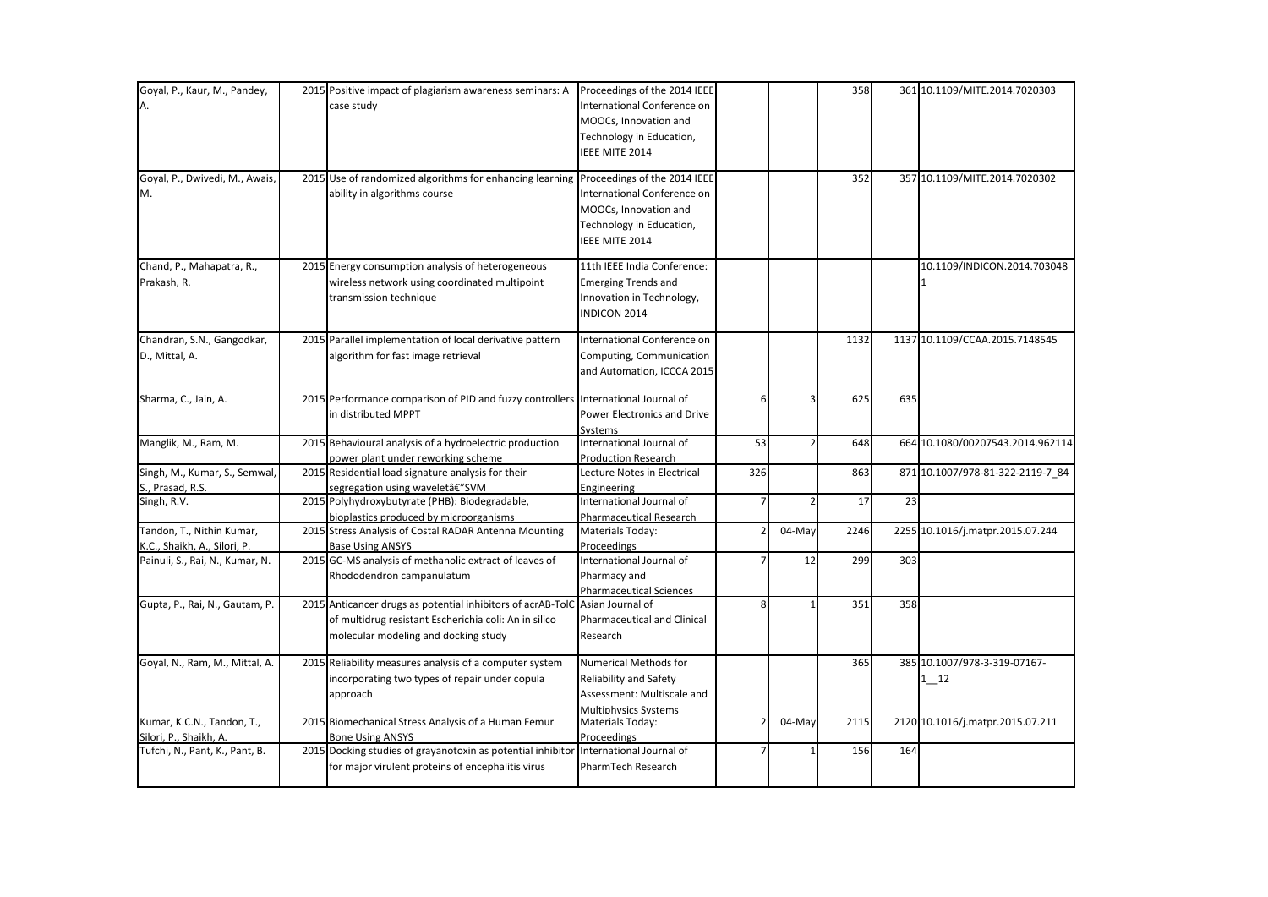| Goyal, P., Kaur, M., Pandey,                              | 2015 Positive impact of plagiarism awareness seminars: A Proceedings of the 2014 IEEE<br>case study                                                                           | International Conference on<br>MOOCs, Innovation and<br>Technology in Education,<br>IEEE MITE 2014                                 |     |                | 358  |     | 361 10.1109/MITE.2014.7020303            |
|-----------------------------------------------------------|-------------------------------------------------------------------------------------------------------------------------------------------------------------------------------|------------------------------------------------------------------------------------------------------------------------------------|-----|----------------|------|-----|------------------------------------------|
| Goyal, P., Dwivedi, M., Awais,<br>M.                      | 2015 Use of randomized algorithms for enhancing learning<br>ability in algorithms course                                                                                      | Proceedings of the 2014 IEEE<br>International Conference on<br>MOOCs, Innovation and<br>Technology in Education,<br>IEEE MITE 2014 |     |                | 352  |     | 357 10.1109/MITE.2014.7020302            |
| Chand, P., Mahapatra, R.,<br>Prakash, R.                  | 2015 Energy consumption analysis of heterogeneous<br>wireless network using coordinated multipoint<br>transmission technique                                                  | 11th IEEE India Conference:<br><b>Emerging Trends and</b><br>Innovation in Technology,<br><b>INDICON 2014</b>                      |     |                |      |     | 10.1109/INDICON.2014.703048              |
| Chandran, S.N., Gangodkar,<br>D., Mittal, A.              | 2015 Parallel implementation of local derivative pattern<br>algorithm for fast image retrieval                                                                                | International Conference on<br>Computing, Communication<br>and Automation, ICCCA 2015                                              |     |                | 1132 |     | 1137 10.1109/CCAA.2015.7148545           |
| Sharma, C., Jain, A.                                      | 2015 Performance comparison of PID and fuzzy controllers International Journal of<br>in distributed MPPT                                                                      | Power Electronics and Drive<br>Systems                                                                                             | 6   | 3              | 625  | 635 |                                          |
| Manglik, M., Ram, M.                                      | 2015 Behavioural analysis of a hydroelectric production<br>power plant under reworking scheme                                                                                 | International Journal of<br><b>Production Research</b>                                                                             | 53  | $\overline{2}$ | 648  |     | 664 10.1080/00207543.2014.962114         |
| Singh, M., Kumar, S., Semwal,<br>S., Prasad, R.S.         | 2015 Residential load signature analysis for their<br>segregation using waveletâ€"SVM                                                                                         | Lecture Notes in Electrical<br>Engineering                                                                                         | 326 |                | 863  |     | 871 10.1007/978-81-322-2119-7 84         |
| Singh, R.V.                                               | 2015 Polyhydroxybutyrate (PHB): Biodegradable,<br>bioplastics produced by microorganisms                                                                                      | International Journal of<br><b>Pharmaceutical Research</b>                                                                         |     |                | 17   | 23  |                                          |
| Tandon, T., Nithin Kumar,<br>K.C., Shaikh, A., Silori, P. | 2015 Stress Analysis of Costal RADAR Antenna Mounting<br><b>Base Using ANSYS</b>                                                                                              | Materials Today:<br>Proceedings                                                                                                    |     | 04-May         | 2246 |     | 2255 10.1016/j.matpr.2015.07.244         |
| Painuli, S., Rai, N., Kumar, N.                           | 2015 GC-MS analysis of methanolic extract of leaves of<br>Rhododendron campanulatum                                                                                           | International Journal of<br>Pharmacy and<br><b>Pharmaceutical Sciences</b>                                                         |     | 12             | 299  | 303 |                                          |
| Gupta, P., Rai, N., Gautam, P.                            | 2015 Anticancer drugs as potential inhibitors of acrAB-TolC Asian Journal of<br>of multidrug resistant Escherichia coli: An in silico<br>molecular modeling and docking study | Pharmaceutical and Clinical<br>Research                                                                                            | Ջ   |                | 351  | 358 |                                          |
| Goyal, N., Ram, M., Mittal, A.                            | 2015 Reliability measures analysis of a computer system<br>incorporating two types of repair under copula<br>approach                                                         | Numerical Methods for<br>Reliability and Safety<br>Assessment: Multiscale and<br><b>Multiphysics Systems</b>                       |     |                | 365  |     | 385 10.1007/978-3-319-07167-<br>$1 - 12$ |
| Kumar, K.C.N., Tandon, T.,<br>Silori, P., Shaikh, A.      | 2015 Biomechanical Stress Analysis of a Human Femur<br><b>Bone Using ANSYS</b>                                                                                                | Materials Today:<br>Proceedings                                                                                                    |     | 04-May         | 2115 |     | 2120 10.1016/j.matpr.2015.07.211         |
| Tufchi, N., Pant, K., Pant, B.                            | 2015 Docking studies of grayanotoxin as potential inhibitor International Journal of<br>for major virulent proteins of encephalitis virus                                     | PharmTech Research                                                                                                                 |     |                | 156  | 164 |                                          |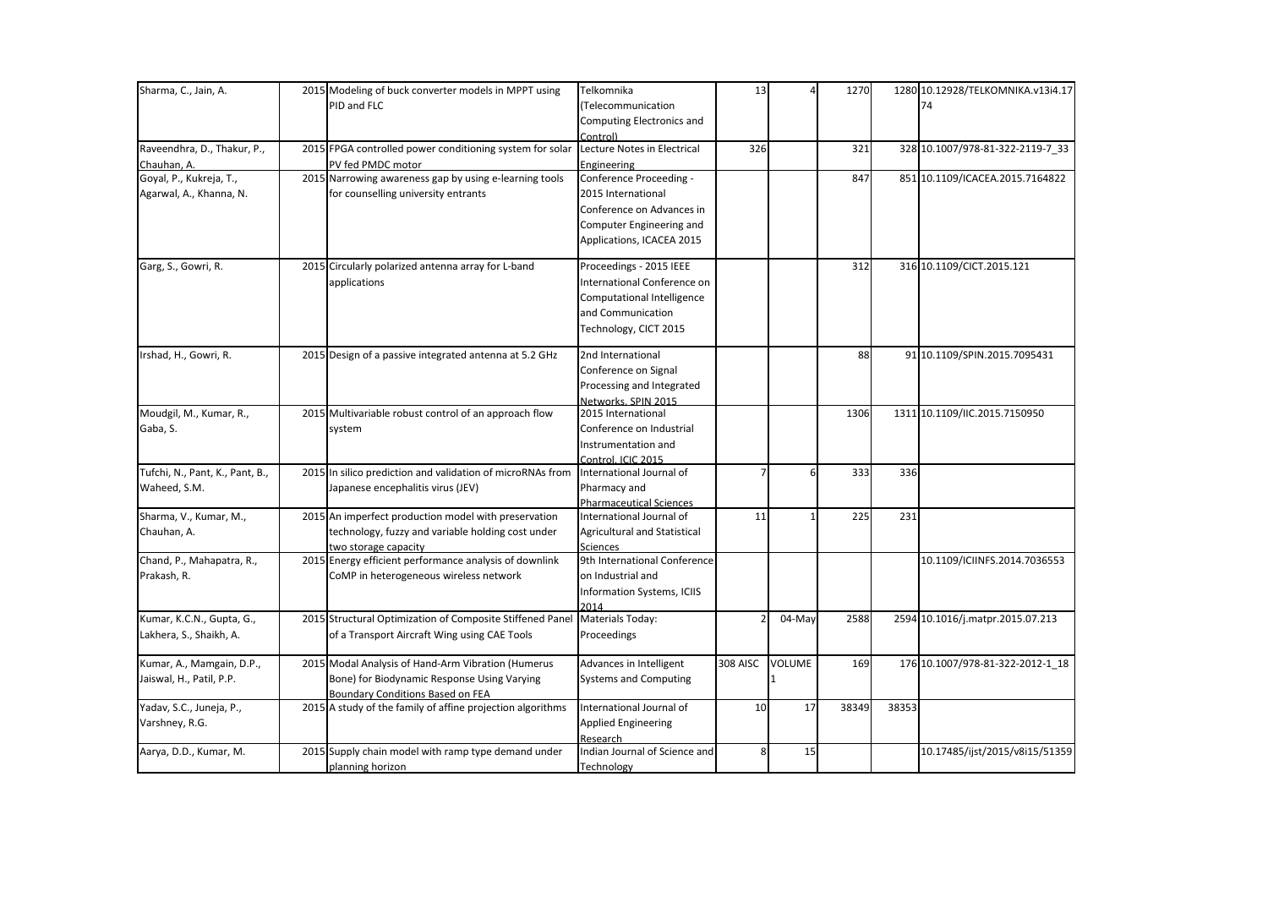| Sharma, C., Jain, A.            | 2015 Modeling of buck converter models in MPPT using       | Telkomnika                     | 13              |               | 1270  |       | 1280 10.12928/TELKOMNIKA.v13i4.17 |
|---------------------------------|------------------------------------------------------------|--------------------------------|-----------------|---------------|-------|-------|-----------------------------------|
|                                 | PID and FLC                                                | (Telecommunication             |                 |               |       |       | 74                                |
|                                 |                                                            | Computing Electronics and      |                 |               |       |       |                                   |
|                                 |                                                            | Control)                       |                 |               |       |       |                                   |
| Raveendhra, D., Thakur, P.,     | 2015 FPGA controlled power conditioning system for solar   | Lecture Notes in Electrical    | 326             |               | 321   |       | 328 10.1007/978-81-322-2119-7_33  |
| Chauhan, A.                     | PV fed PMDC motor                                          | Engineering                    |                 |               |       |       |                                   |
| Goyal, P., Kukreja, T.,         | 2015 Narrowing awareness gap by using e-learning tools     | Conference Proceeding -        |                 |               | 847   |       | 851 10.1109/ICACEA.2015.7164822   |
| Agarwal, A., Khanna, N.         | for counselling university entrants                        | 2015 International             |                 |               |       |       |                                   |
|                                 |                                                            | Conference on Advances in      |                 |               |       |       |                                   |
|                                 |                                                            | Computer Engineering and       |                 |               |       |       |                                   |
|                                 |                                                            | Applications, ICACEA 2015      |                 |               |       |       |                                   |
| Garg, S., Gowri, R.             | 2015 Circularly polarized antenna array for L-band         | Proceedings - 2015 IEEE        |                 |               | 312   |       | 316 10.1109/CICT.2015.121         |
|                                 | applications                                               | International Conference on    |                 |               |       |       |                                   |
|                                 |                                                            | Computational Intelligence     |                 |               |       |       |                                   |
|                                 |                                                            | and Communication              |                 |               |       |       |                                   |
|                                 |                                                            | Technology, CICT 2015          |                 |               |       |       |                                   |
| Irshad, H., Gowri, R.           | 2015 Design of a passive integrated antenna at 5.2 GHz     | 2nd International              |                 |               | 88    |       | 91 10.1109/SPIN.2015.7095431      |
|                                 |                                                            | Conference on Signal           |                 |               |       |       |                                   |
|                                 |                                                            | Processing and Integrated      |                 |               |       |       |                                   |
|                                 |                                                            | Networks. SPIN 2015            |                 |               |       |       |                                   |
| Moudgil, M., Kumar, R.,         | 2015 Multivariable robust control of an approach flow      | 2015 International             |                 |               | 1306  |       | 1311 10.1109/IIC.2015.7150950     |
| Gaba, S.                        | system                                                     | Conference on Industrial       |                 |               |       |       |                                   |
|                                 |                                                            | Instrumentation and            |                 |               |       |       |                                   |
|                                 |                                                            | Control, ICIC 2015             |                 |               |       |       |                                   |
| Tufchi, N., Pant, K., Pant, B., | 2015 In silico prediction and validation of microRNAs from | International Journal of       |                 | 6             | 333   | 336   |                                   |
| Waheed, S.M.                    | Japanese encephalitis virus (JEV)                          | Pharmacy and                   |                 |               |       |       |                                   |
|                                 |                                                            | <b>Pharmaceutical Sciences</b> |                 |               |       |       |                                   |
| Sharma, V., Kumar, M.,          | 2015 An imperfect production model with preservation       | International Journal of       | 11              |               | 225   | 231   |                                   |
| Chauhan, A.                     | technology, fuzzy and variable holding cost under          | Agricultural and Statistical   |                 |               |       |       |                                   |
|                                 | two storage capacity                                       | <b>Sciences</b>                |                 |               |       |       |                                   |
| Chand, P., Mahapatra, R.,       | 2015 Energy efficient performance analysis of downlink     | 9th International Conference   |                 |               |       |       | 10.1109/ICIINFS.2014.7036553      |
| Prakash, R.                     | CoMP in heterogeneous wireless network                     | on Industrial and              |                 |               |       |       |                                   |
|                                 |                                                            | Information Systems, ICIIS     |                 |               |       |       |                                   |
|                                 |                                                            | 2014                           |                 |               |       |       |                                   |
| Kumar, K.C.N., Gupta, G.,       | 2015 Structural Optimization of Composite Stiffened Panel  | Materials Today:               |                 | 04-May        | 2588  |       | 2594 10.1016/j.matpr.2015.07.213  |
| Lakhera, S., Shaikh, A.         | of a Transport Aircraft Wing using CAE Tools               | Proceedings                    |                 |               |       |       |                                   |
| Kumar, A., Mamgain, D.P.,       | 2015 Modal Analysis of Hand-Arm Vibration (Humerus         | Advances in Intelligent        | <b>308 AISC</b> | <b>VOLUME</b> | 169   |       | 176 10.1007/978-81-322-2012-1_18  |
| Jaiswal, H., Patil, P.P.        | Bone) for Biodynamic Response Using Varying                | <b>Systems and Computing</b>   |                 |               |       |       |                                   |
|                                 | <b>Boundary Conditions Based on FEA</b>                    |                                |                 |               |       |       |                                   |
| Yadav, S.C., Juneja, P.,        | 2015 A study of the family of affine projection algorithms | International Journal of       | 10              | 17            | 38349 | 38353 |                                   |
| Varshney, R.G.                  |                                                            | <b>Applied Engineering</b>     |                 |               |       |       |                                   |
|                                 |                                                            | Research                       |                 |               |       |       |                                   |
| Aarya, D.D., Kumar, M.          | 2015 Supply chain model with ramp type demand under        | Indian Journal of Science and  | 8               | 15            |       |       | 10.17485/ijst/2015/v8i15/51359    |
|                                 | planning horizon                                           | Technology                     |                 |               |       |       |                                   |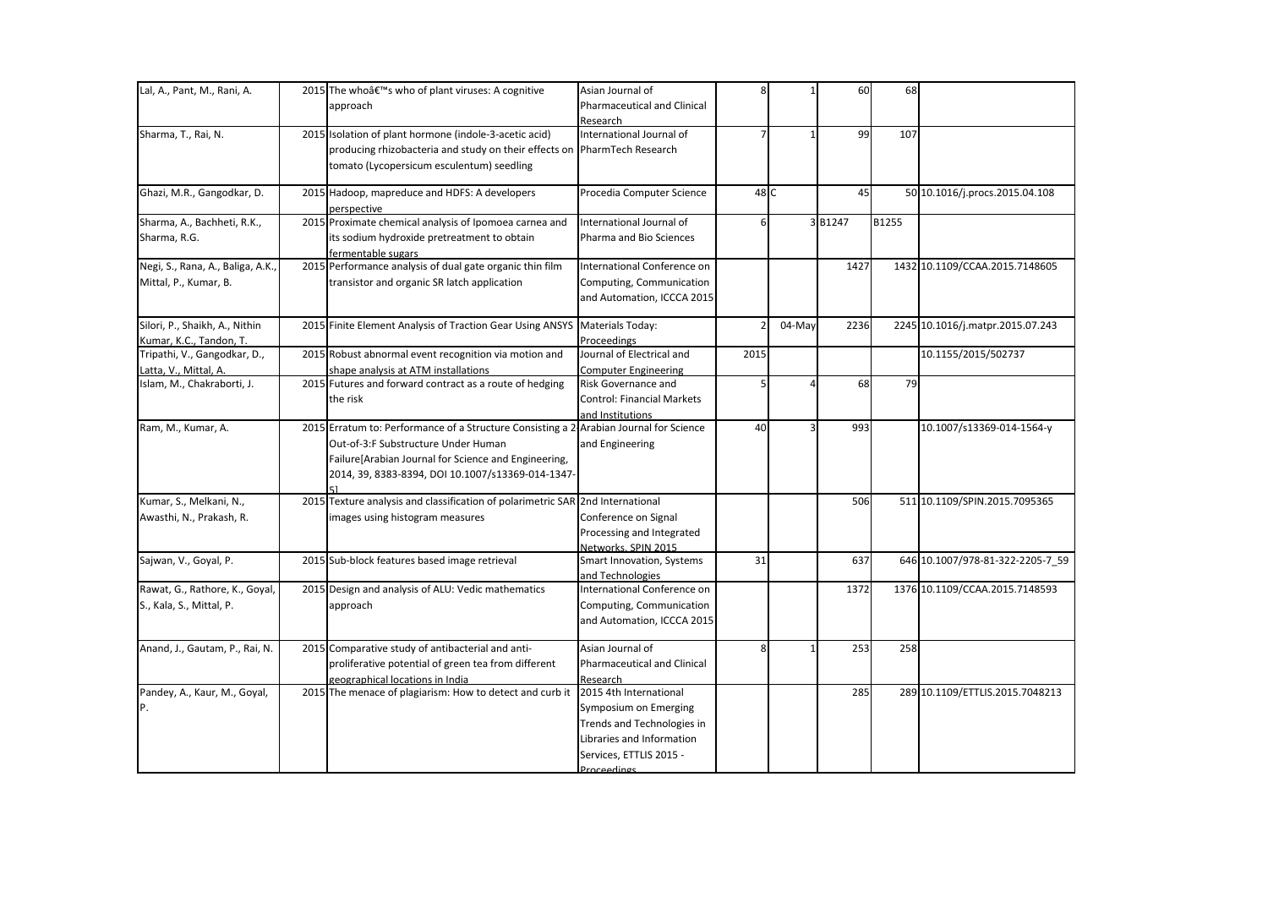| Lal, A., Pant, M., Rani, A.       | 2015 The who's who of plant viruses: A cognitive                                       | Asian Journal of                  | 8    |        | 60     | 68    |                                  |
|-----------------------------------|----------------------------------------------------------------------------------------|-----------------------------------|------|--------|--------|-------|----------------------------------|
|                                   | approach                                                                               | Pharmaceutical and Clinical       |      |        |        |       |                                  |
|                                   |                                                                                        | Research                          |      |        |        |       |                                  |
| Sharma, T., Rai, N.               | 2015 Isolation of plant hormone (indole-3-acetic acid)                                 | International Journal of          |      |        | 99     | 107   |                                  |
|                                   | producing rhizobacteria and study on their effects on PharmTech Research               |                                   |      |        |        |       |                                  |
|                                   | tomato (Lycopersicum esculentum) seedling                                              |                                   |      |        |        |       |                                  |
| Ghazi, M.R., Gangodkar, D.        | 2015 Hadoop, mapreduce and HDFS: A developers                                          | Procedia Computer Science         | 48 C |        | 45     |       | 50 10.1016/j.procs.2015.04.108   |
|                                   | perspective                                                                            |                                   |      |        |        |       |                                  |
| Sharma, A., Bachheti, R.K.,       | 2015 Proximate chemical analysis of Ipomoea carnea and                                 | International Journal of          | 6    |        | 3B1247 | B1255 |                                  |
| Sharma, R.G.                      | its sodium hydroxide pretreatment to obtain<br>fermentable sugars                      | Pharma and Bio Sciences           |      |        |        |       |                                  |
| Negi, S., Rana, A., Baliga, A.K., | 2015 Performance analysis of dual gate organic thin film                               | International Conference on       |      |        | 1427   |       | 1432 10.1109/CCAA.2015.7148605   |
| Mittal, P., Kumar, B.             | transistor and organic SR latch application                                            | Computing, Communication          |      |        |        |       |                                  |
|                                   |                                                                                        | and Automation, ICCCA 2015        |      |        |        |       |                                  |
| Silori, P., Shaikh, A., Nithin    | 2015 Finite Element Analysis of Traction Gear Using ANSYS                              | Materials Today:                  |      | 04-May | 2236   |       | 2245 10.1016/j.matpr.2015.07.243 |
| Kumar, K.C., Tandon, T.           |                                                                                        | Proceedings                       |      |        |        |       |                                  |
| Tripathi, V., Gangodkar, D.,      | 2015 Robust abnormal event recognition via motion and                                  | Journal of Electrical and         | 2015 |        |        |       | 10.1155/2015/502737              |
| Latta, V., Mittal, A.             | shape analysis at ATM installations                                                    | <b>Computer Engineering</b>       |      |        |        |       |                                  |
| Islam, M., Chakraborti, J.        | 2015 Futures and forward contract as a route of hedging                                | Risk Governance and               |      |        | 68     | 79    |                                  |
|                                   | the risk                                                                               | <b>Control: Financial Markets</b> |      |        |        |       |                                  |
| Ram, M., Kumar, A.                | 2015 Erratum to: Performance of a Structure Consisting a 2 Arabian Journal for Science | and Institutions                  | 40   |        | 993    |       | 10.1007/s13369-014-1564-y        |
|                                   | Out-of-3:F Substructure Under Human                                                    | and Engineering                   |      |        |        |       |                                  |
|                                   | Failure [Arabian Journal for Science and Engineering,                                  |                                   |      |        |        |       |                                  |
|                                   | 2014, 39, 8383-8394, DOI 10.1007/s13369-014-1347-                                      |                                   |      |        |        |       |                                  |
|                                   |                                                                                        |                                   |      |        |        |       |                                  |
| Kumar, S., Melkani, N.,           | 2015 Texture analysis and classification of polarimetric SAR 2nd International         |                                   |      |        | 506    |       | 511 10.1109/SPIN.2015.7095365    |
| Awasthi, N., Prakash, R.          | images using histogram measures                                                        | Conference on Signal              |      |        |        |       |                                  |
|                                   |                                                                                        | Processing and Integrated         |      |        |        |       |                                  |
|                                   |                                                                                        | Networks. SPIN 2015               |      |        |        |       |                                  |
| Sajwan, V., Goyal, P.             | 2015 Sub-block features based image retrieval                                          | Smart Innovation, Systems         | 31   |        | 637    |       | 646 10.1007/978-81-322-2205-7_59 |
|                                   |                                                                                        | and Technologies                  |      |        |        |       |                                  |
| Rawat, G., Rathore, K., Goyal,    | 2015 Design and analysis of ALU: Vedic mathematics                                     | International Conference on       |      |        | 1372   |       | 1376 10.1109/CCAA.2015.7148593   |
| S., Kala, S., Mittal, P.          | approach                                                                               | Computing, Communication          |      |        |        |       |                                  |
|                                   |                                                                                        | and Automation, ICCCA 2015        |      |        |        |       |                                  |
| Anand, J., Gautam, P., Rai, N.    | 2015 Comparative study of antibacterial and anti-                                      | Asian Journal of                  | 8    |        | 253    | 258   |                                  |
|                                   | proliferative potential of green tea from different                                    | Pharmaceutical and Clinical       |      |        |        |       |                                  |
|                                   | geographical locations in India                                                        | Research                          |      |        |        |       |                                  |
| Pandey, A., Kaur, M., Goyal,      | 2015 The menace of plagiarism: How to detect and curb it                               | 2015 4th International            |      |        | 285    |       | 289 10.1109/ETTLIS.2015.7048213  |
| P.                                |                                                                                        | Symposium on Emerging             |      |        |        |       |                                  |
|                                   |                                                                                        | Trends and Technologies in        |      |        |        |       |                                  |
|                                   |                                                                                        | Libraries and Information         |      |        |        |       |                                  |
|                                   |                                                                                        | Services, ETTLIS 2015 -           |      |        |        |       |                                  |
|                                   |                                                                                        | Proceedings                       |      |        |        |       |                                  |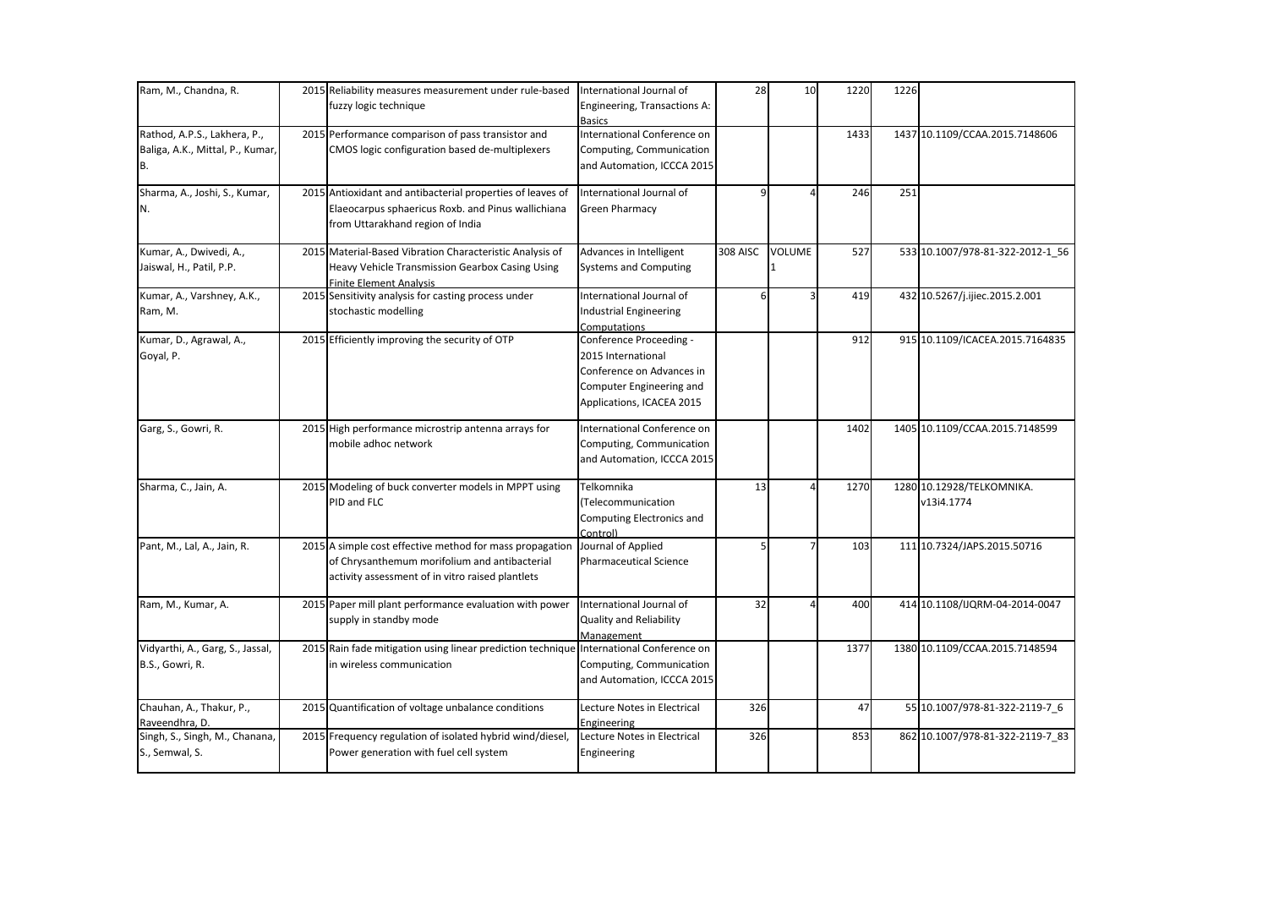| Ram, M., Chandna, R.                                                   | 2015 Reliability measures measurement under rule-based<br>fuzzy logic technique                                                                               | International Journal of<br>Engineering, Transactions A:<br><b>Basics</b>                                                           | 28              | 10     | 1220 | 1226 |                                         |
|------------------------------------------------------------------------|---------------------------------------------------------------------------------------------------------------------------------------------------------------|-------------------------------------------------------------------------------------------------------------------------------------|-----------------|--------|------|------|-----------------------------------------|
| Rathod, A.P.S., Lakhera, P.,<br>Baliga, A.K., Mittal, P., Kumar,<br>B. | 2015 Performance comparison of pass transistor and<br>CMOS logic configuration based de-multiplexers                                                          | International Conference on<br>Computing, Communication<br>and Automation, ICCCA 2015                                               |                 |        | 1433 |      | 1437 10.1109/CCAA.2015.7148606          |
| Sharma, A., Joshi, S., Kumar,<br>N.                                    | 2015 Antioxidant and antibacterial properties of leaves of<br>Elaeocarpus sphaericus Roxb. and Pinus wallichiana<br>from Uttarakhand region of India          | International Journal of<br><b>Green Pharmacy</b>                                                                                   |                 |        | 246  | 251  |                                         |
| Kumar, A., Dwivedi, A.,<br>Jaiswal, H., Patil, P.P.                    | 2015 Material-Based Vibration Characteristic Analysis of<br>Heavy Vehicle Transmission Gearbox Casing Using<br><b>Finite Element Analysis</b>                 | Advances in Intelligent<br><b>Systems and Computing</b>                                                                             | <b>308 AISC</b> | VOLUME | 527  |      | 533 10.1007/978-81-322-2012-1 56        |
| Kumar, A., Varshney, A.K.,<br>Ram, M.                                  | 2015 Sensitivity analysis for casting process under<br>stochastic modelling                                                                                   | International Journal of<br>Industrial Engineering<br>Computations                                                                  | 6               |        | 419  |      | 432 10.5267/j.ijiec.2015.2.001          |
| Kumar, D., Agrawal, A.,<br>Goyal, P.                                   | 2015 Efficiently improving the security of OTP                                                                                                                | Conference Proceeding -<br>2015 International<br>Conference on Advances in<br>Computer Engineering and<br>Applications, ICACEA 2015 |                 |        | 912  |      | 915 10.1109/ICACEA.2015.7164835         |
| Garg, S., Gowri, R.                                                    | 2015 High performance microstrip antenna arrays for<br>mobile adhoc network                                                                                   | International Conference on<br>Computing, Communication<br>and Automation, ICCCA 2015                                               |                 |        | 1402 |      | 1405 10.1109/CCAA.2015.7148599          |
| Sharma, C., Jain, A.                                                   | 2015 Modeling of buck converter models in MPPT using<br>PID and FLC                                                                                           | Telkomnika<br>(Telecommunication<br>Computing Electronics and<br>Controll                                                           | 13              |        | 1270 |      | 1280 10.12928/TELKOMNIKA.<br>v13i4.1774 |
| Pant, M., Lal, A., Jain, R.                                            | 2015 A simple cost effective method for mass propagation<br>of Chrysanthemum morifolium and antibacterial<br>activity assessment of in vitro raised plantlets | Journal of Applied<br><b>Pharmaceutical Science</b>                                                                                 |                 |        | 103  |      | 111 10.7324/JAPS.2015.50716             |
| Ram, M., Kumar, A.                                                     | 2015 Paper mill plant performance evaluation with power<br>supply in standby mode                                                                             | International Journal of<br><b>Quality and Reliability</b><br>Management                                                            | 32              |        | 400  |      | 414 10.1108/IJQRM-04-2014-0047          |
| Vidyarthi, A., Garg, S., Jassal,<br>B.S., Gowri, R.                    | 2015 Rain fade mitigation using linear prediction technique<br>in wireless communication                                                                      | International Conference on<br>Computing, Communication<br>and Automation, ICCCA 2015                                               |                 |        | 1377 |      | 1380 10.1109/CCAA.2015.7148594          |
| Chauhan, A., Thakur, P.,<br>Raveendhra, D.                             | 2015 Quantification of voltage unbalance conditions                                                                                                           | Lecture Notes in Electrical<br>Engineering                                                                                          | 326             |        | 47   |      | 55 10.1007/978-81-322-2119-7_6          |
| Singh, S., Singh, M., Chanana,<br>S., Semwal, S.                       | 2015 Frequency regulation of isolated hybrid wind/diesel,<br>Power generation with fuel cell system                                                           | Lecture Notes in Electrical<br>Engineering                                                                                          | 326             |        | 853  |      | 862 10.1007/978-81-322-2119-7 83        |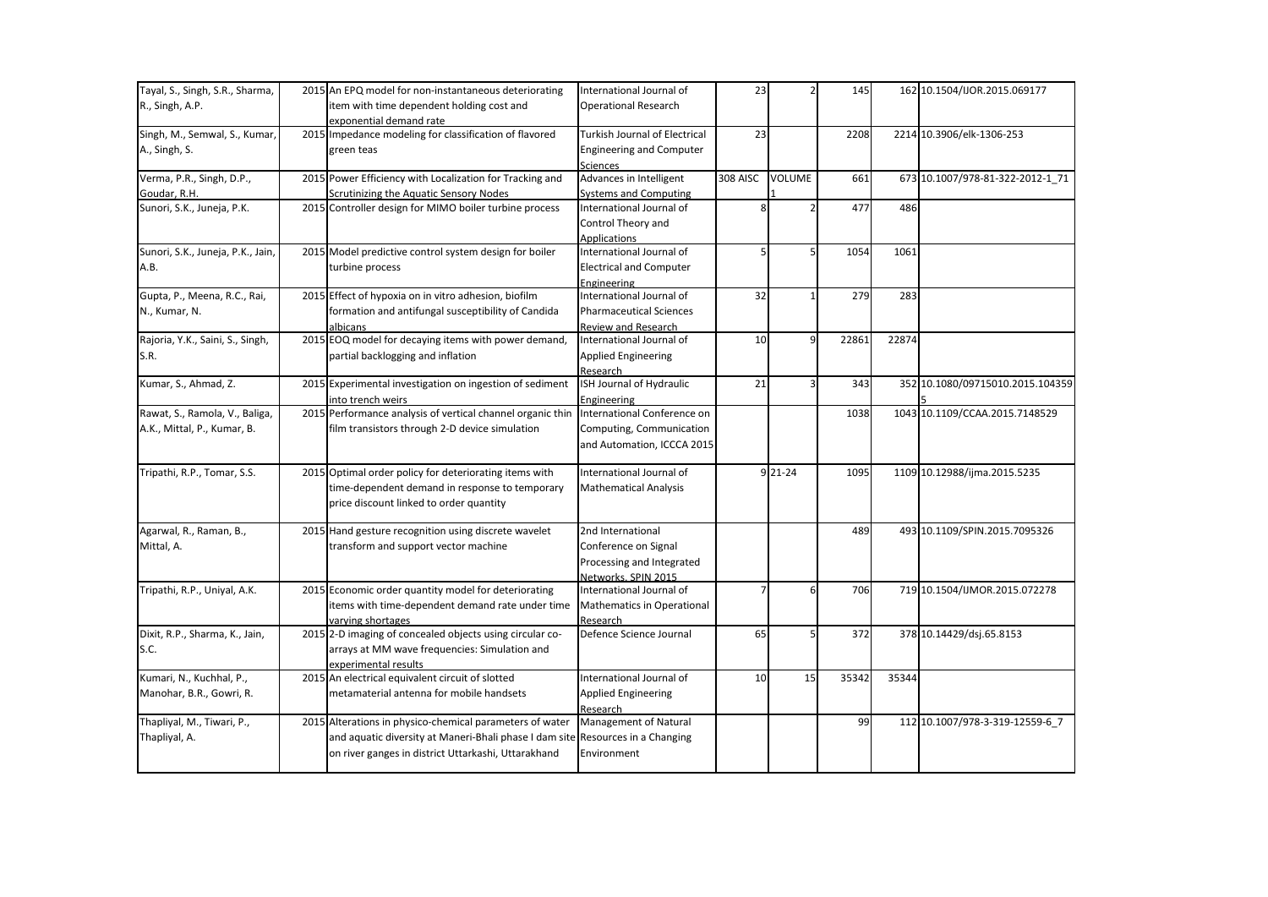| Tayal, S., Singh, S.R., Sharma,   | 2015 An EPQ model for non-instantaneous deteriorating                          | International Journal of             | 23              |               | 145   |       | 162 10.1504/IJOR.2015.069177     |
|-----------------------------------|--------------------------------------------------------------------------------|--------------------------------------|-----------------|---------------|-------|-------|----------------------------------|
| R., Singh, A.P.                   | item with time dependent holding cost and                                      | <b>Operational Research</b>          |                 |               |       |       |                                  |
|                                   | exponential demand rate                                                        |                                      |                 |               |       |       |                                  |
| Singh, M., Semwal, S., Kumar,     | 2015 Impedance modeling for classification of flavored                         | <b>Turkish Journal of Electrical</b> | 23              |               | 2208  |       | 2214 10.3906/elk-1306-253        |
| A., Singh, S.                     | green teas                                                                     | <b>Engineering and Computer</b>      |                 |               |       |       |                                  |
|                                   |                                                                                | <b>Sciences</b>                      |                 |               |       |       |                                  |
| Verma, P.R., Singh, D.P.,         | 2015 Power Efficiency with Localization for Tracking and                       | Advances in Intelligent              | <b>308 AISC</b> | <b>VOLUME</b> | 661   |       | 673 10.1007/978-81-322-2012-1 71 |
| Goudar, R.H.                      | Scrutinizing the Aquatic Sensory Nodes                                         | <b>Systems and Computing</b>         |                 |               |       |       |                                  |
| Sunori, S.K., Juneja, P.K.        | 2015 Controller design for MIMO boiler turbine process                         | International Journal of             |                 |               | 477   | 486   |                                  |
|                                   |                                                                                | Control Theory and                   |                 |               |       |       |                                  |
|                                   |                                                                                | <b>Applications</b>                  |                 |               |       |       |                                  |
| Sunori, S.K., Juneja, P.K., Jain, | 2015 Model predictive control system design for boiler                         | International Journal of             | 5               |               | 1054  | 1061  |                                  |
| A.B.                              | turbine process                                                                | <b>Electrical and Computer</b>       |                 |               |       |       |                                  |
|                                   |                                                                                | Engineering                          |                 |               |       |       |                                  |
| Gupta, P., Meena, R.C., Rai,      | 2015 Effect of hypoxia on in vitro adhesion, biofilm                           | International Journal of             | 32              |               | 279   | 283   |                                  |
| N., Kumar, N.                     | formation and antifungal susceptibility of Candida                             | <b>Pharmaceutical Sciences</b>       |                 |               |       |       |                                  |
|                                   | albicans                                                                       | Review and Research                  |                 |               |       |       |                                  |
| Rajoria, Y.K., Saini, S., Singh,  | 2015 EOQ model for decaying items with power demand,                           | International Journal of             | 10              | 9             | 22861 | 22874 |                                  |
| S.R.                              | partial backlogging and inflation                                              | <b>Applied Engineering</b>           |                 |               |       |       |                                  |
|                                   |                                                                                | Research                             |                 |               |       |       |                                  |
| Kumar, S., Ahmad, Z.              | 2015 Experimental investigation on ingestion of sediment                       | ISH Journal of Hydraulic             | 21              | 3             | 343   |       | 352 10.1080/09715010.2015.104359 |
|                                   | into trench weirs                                                              | Engineering                          |                 |               |       |       |                                  |
| Rawat, S., Ramola, V., Baliga,    | 2015 Performance analysis of vertical channel organic thin                     | International Conference on          |                 |               | 1038  |       | 1043 10.1109/CCAA.2015.7148529   |
| A.K., Mittal, P., Kumar, B.       | film transistors through 2-D device simulation                                 | Computing, Communication             |                 |               |       |       |                                  |
|                                   |                                                                                | and Automation, ICCCA 2015           |                 |               |       |       |                                  |
|                                   |                                                                                |                                      |                 |               |       |       |                                  |
| Tripathi, R.P., Tomar, S.S.       | 2015 Optimal order policy for deteriorating items with                         | International Journal of             |                 | 9 21-24       | 1095  |       | 1109 10.12988/ijma.2015.5235     |
|                                   | time-dependent demand in response to temporary                                 | <b>Mathematical Analysis</b>         |                 |               |       |       |                                  |
|                                   | price discount linked to order quantity                                        |                                      |                 |               |       |       |                                  |
|                                   |                                                                                |                                      |                 |               |       |       |                                  |
| Agarwal, R., Raman, B.,           | 2015 Hand gesture recognition using discrete wavelet                           | 2nd International                    |                 |               | 489   |       | 493 10.1109/SPIN.2015.7095326    |
| Mittal, A.                        | transform and support vector machine                                           | Conference on Signal                 |                 |               |       |       |                                  |
|                                   |                                                                                | Processing and Integrated            |                 |               |       |       |                                  |
|                                   |                                                                                | Networks, SPIN 2015                  |                 |               |       |       |                                  |
| Tripathi, R.P., Uniyal, A.K.      | 2015 Economic order quantity model for deteriorating                           | International Journal of             |                 | 6             | 706   |       | 719 10.1504/IJMOR.2015.072278    |
|                                   | items with time-dependent demand rate under time                               | Mathematics in Operational           |                 |               |       |       |                                  |
|                                   | varying shortages                                                              | Research                             |                 |               |       |       |                                  |
| Dixit, R.P., Sharma, K., Jain,    | 2015 2-D imaging of concealed objects using circular co-                       | Defence Science Journal              | 65              | 5             | 372   |       | 378 10.14429/dsj.65.8153         |
| S.C.                              | arrays at MM wave frequencies: Simulation and                                  |                                      |                 |               |       |       |                                  |
|                                   | experimental results                                                           |                                      |                 |               |       |       |                                  |
| Kumari, N., Kuchhal, P.,          | 2015 An electrical equivalent circuit of slotted                               | International Journal of             | 10              | 15            | 35342 | 35344 |                                  |
| Manohar, B.R., Gowri, R.          | metamaterial antenna for mobile handsets                                       | <b>Applied Engineering</b>           |                 |               |       |       |                                  |
|                                   |                                                                                | Research                             |                 |               |       |       |                                  |
| Thapliyal, M., Tiwari, P.,        | 2015 Alterations in physico-chemical parameters of water                       | <b>Management of Natural</b>         |                 |               | 99    |       | 112 10.1007/978-3-319-12559-6 7  |
| Thapliyal, A.                     | and aquatic diversity at Maneri-Bhali phase I dam site Resources in a Changing |                                      |                 |               |       |       |                                  |
|                                   | on river ganges in district Uttarkashi, Uttarakhand                            | Environment                          |                 |               |       |       |                                  |
|                                   |                                                                                |                                      |                 |               |       |       |                                  |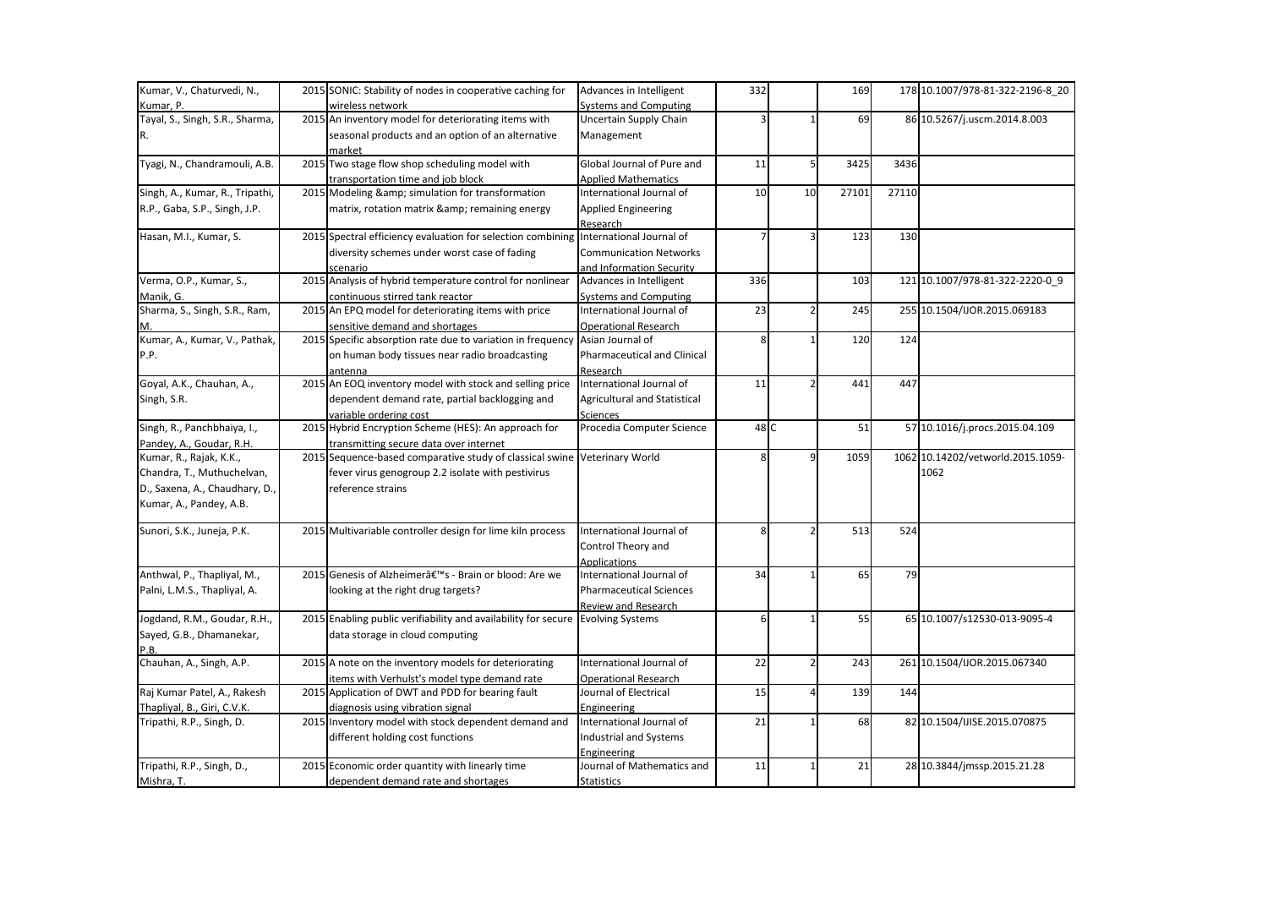| Kumar, V., Chaturvedi, N.,      | 2015 SONIC: Stability of nodes in cooperative caching for                       | Advances in Intelligent        | 332  |                          | 169   |       | 178 10.1007/978-81-322-2196-8 20  |
|---------------------------------|---------------------------------------------------------------------------------|--------------------------------|------|--------------------------|-------|-------|-----------------------------------|
| Kumar, P.                       | wireless network                                                                | <b>Systems and Computing</b>   |      |                          |       |       |                                   |
| Tayal, S., Singh, S.R., Sharma, | 2015 An inventory model for deteriorating items with                            | Uncertain Supply Chain         |      |                          | 69    |       | 86 10.5267/j.uscm.2014.8.003      |
| R.                              | seasonal products and an option of an alternative                               | Management                     |      |                          |       |       |                                   |
|                                 | market                                                                          |                                |      |                          |       |       |                                   |
| Tyagi, N., Chandramouli, A.B.   | 2015 Two stage flow shop scheduling model with                                  | Global Journal of Pure and     | 11   | $\mathsf{S}$             | 3425  | 3436  |                                   |
|                                 | transportation time and job block                                               | <b>Applied Mathematics</b>     |      |                          |       |       |                                   |
| Singh, A., Kumar, R., Tripathi, | 2015 Modeling & simulation for transformation                                   | International Journal of       | 10   | 10                       | 27101 | 27110 |                                   |
| R.P., Gaba, S.P., Singh, J.P.   | matrix, rotation matrix & remaining energy                                      | <b>Applied Engineering</b>     |      |                          |       |       |                                   |
|                                 |                                                                                 | Research                       |      |                          |       |       |                                   |
| Hasan, M.I., Kumar, S.          | 2015 Spectral efficiency evaluation for selection combining                     | International Journal of       |      | 3                        | 123   | 130   |                                   |
|                                 | diversity schemes under worst case of fading                                    | <b>Communication Networks</b>  |      |                          |       |       |                                   |
|                                 | scenario                                                                        | and Information Security       |      |                          |       |       |                                   |
| Verma, O.P., Kumar, S.,         | 2015 Analysis of hybrid temperature control for nonlinear                       | Advances in Intelligent        | 336  |                          | 103   |       | 121 10.1007/978-81-322-2220-0_9   |
| Manik, G.                       | continuous stirred tank reactor                                                 | <b>Systems and Computing</b>   |      |                          |       |       |                                   |
| Sharma, S., Singh, S.R., Ram,   | 2015 An EPQ model for deteriorating items with price                            | International Journal of       | 23   | $\overline{2}$           | 245   |       | 255 10.1504/IJOR.2015.069183      |
|                                 | sensitive demand and shortages                                                  | <b>Operational Research</b>    |      |                          |       |       |                                   |
| Kumar, A., Kumar, V., Pathak,   | 2015 Specific absorption rate due to variation in frequency Asian Journal of    |                                | ጸ    |                          | 120   | 124   |                                   |
| P.P.                            | on human body tissues near radio broadcasting                                   | Pharmaceutical and Clinical    |      |                          |       |       |                                   |
|                                 | antenna                                                                         | Research                       |      |                          |       |       |                                   |
| Goyal, A.K., Chauhan, A.,       | 2015 An EOQ inventory model with stock and selling price                        | International Journal of       | 11   |                          | 441   | 447   |                                   |
| Singh, S.R.                     | dependent demand rate, partial backlogging and                                  | Agricultural and Statistical   |      |                          |       |       |                                   |
|                                 | variable ordering cost                                                          | <b>Sciences</b>                |      |                          |       |       |                                   |
| Singh, R., Panchbhaiya, I.,     | 2015 Hybrid Encryption Scheme (HES): An approach for                            | Procedia Computer Science      | 48 C |                          | 51    |       | 57 10.1016/j.procs.2015.04.109    |
| Pandey, A., Goudar, R.H.        | transmitting secure data over internet                                          |                                |      |                          |       |       |                                   |
| Kumar, R., Rajak, K.K.,         | 2015 Sequence-based comparative study of classical swine Veterinary World       |                                | 8    | 9                        | 1059  |       | 1062 10.14202/vetworld.2015.1059- |
| Chandra, T., Muthuchelvan,      | fever virus genogroup 2.2 isolate with pestivirus                               |                                |      |                          |       |       | 1062                              |
| D., Saxena, A., Chaudhary, D.,  | reference strains                                                               |                                |      |                          |       |       |                                   |
| Kumar, A., Pandey, A.B.         |                                                                                 |                                |      |                          |       |       |                                   |
|                                 |                                                                                 |                                |      |                          |       |       |                                   |
| Sunori, S.K., Juneja, P.K.      | 2015 Multivariable controller design for lime kiln process                      | International Journal of       |      | $\overline{\phantom{a}}$ | 513   | 524   |                                   |
|                                 |                                                                                 | Control Theory and             |      |                          |       |       |                                   |
|                                 |                                                                                 | <b>Applications</b>            |      |                          |       |       |                                   |
| Anthwal, P., Thapliyal, M.,     | 2015 Genesis of Alzheimer's - Brain or blood: Are we                            | International Journal of       | 34   |                          | 65    | 79    |                                   |
| Palni, L.M.S., Thapliyal, A.    | looking at the right drug targets?                                              | <b>Pharmaceutical Sciences</b> |      |                          |       |       |                                   |
|                                 |                                                                                 | <b>Review and Research</b>     |      |                          |       |       |                                   |
| Jogdand, R.M., Goudar, R.H.,    | 2015 Enabling public verifiability and availability for secure Evolving Systems |                                | 6    |                          | 55    |       | 65 10.1007/s12530-013-9095-4      |
| Sayed, G.B., Dhamanekar,        | data storage in cloud computing                                                 |                                |      |                          |       |       |                                   |
| P.B                             |                                                                                 |                                |      |                          |       |       |                                   |
| Chauhan, A., Singh, A.P.        | 2015 A note on the inventory models for deteriorating                           | International Journal of       | 22   | $\overline{2}$           | 243   |       | 261 10.1504/IJOR.2015.067340      |
|                                 | items with Verhulst's model type demand rate                                    | <b>Operational Research</b>    |      |                          |       |       |                                   |
| Raj Kumar Patel, A., Rakesh     | 2015 Application of DWT and PDD for bearing fault                               | Journal of Electrical          | 15   | $\overline{4}$           | 139   | 144   |                                   |
| Thapliyal, B., Giri, C.V.K.     | diagnosis using vibration signal                                                | Engineering                    |      |                          |       |       |                                   |
| Tripathi, R.P., Singh, D.       | 2015 Inventory model with stock dependent demand and                            | International Journal of       | 21   |                          | 68    |       | 82 10.1504/IJISE.2015.070875      |
|                                 | different holding cost functions                                                | Industrial and Systems         |      |                          |       |       |                                   |
|                                 |                                                                                 | Engineering                    |      |                          |       |       |                                   |
| Tripathi, R.P., Singh, D.,      | 2015 Economic order quantity with linearly time                                 | Journal of Mathematics and     | 11   |                          | 21    |       | 28 10.3844/jmssp.2015.21.28       |
| Mishra, T.                      | dependent demand rate and shortages                                             | Statistics                     |      |                          |       |       |                                   |
|                                 |                                                                                 |                                |      |                          |       |       |                                   |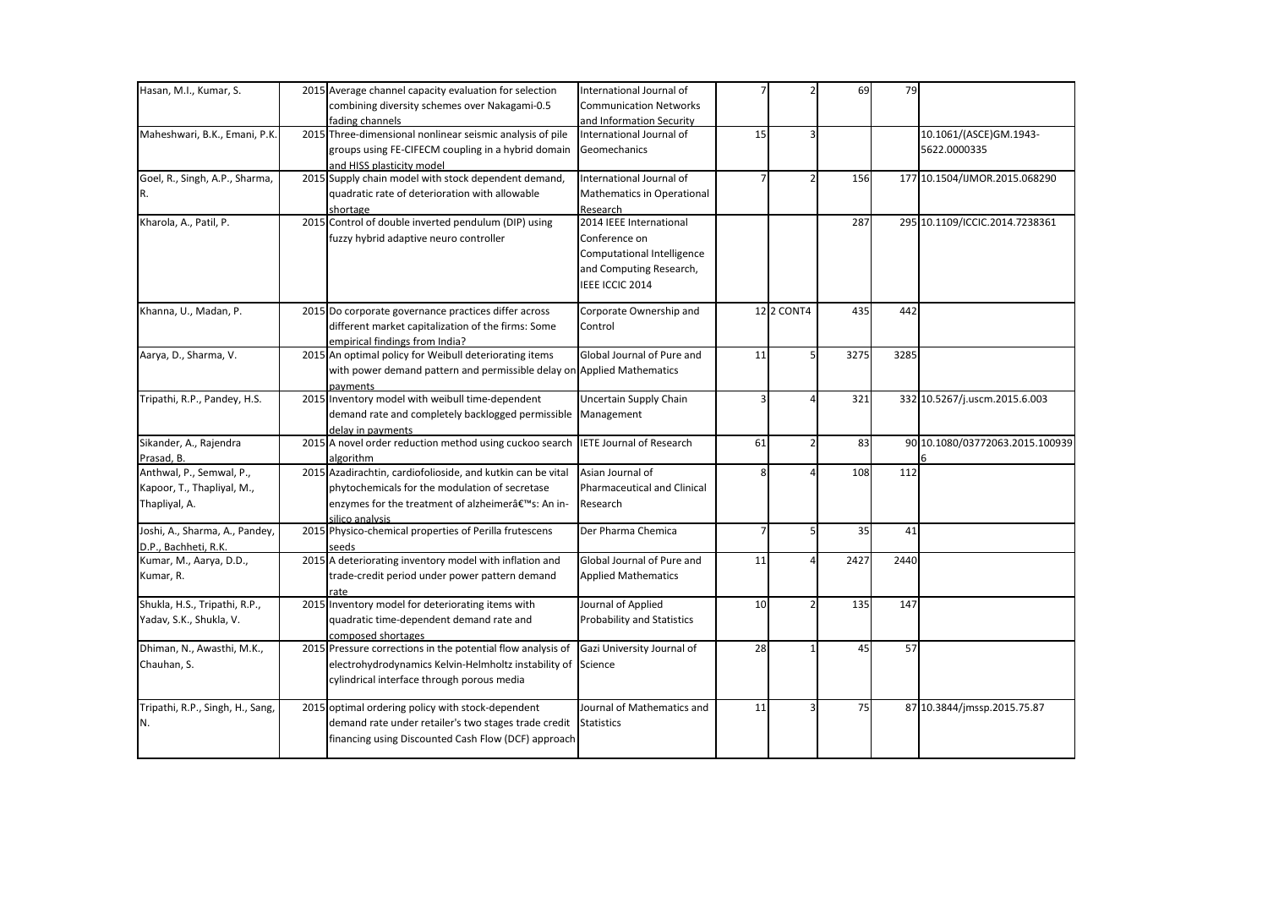| Hasan, M.I., Kumar, S.           | 2015 Average channel capacity evaluation for selection                 | International Journal of           |    |                   | 69   | 79   |                                 |
|----------------------------------|------------------------------------------------------------------------|------------------------------------|----|-------------------|------|------|---------------------------------|
|                                  | combining diversity schemes over Nakagami-0.5                          | <b>Communication Networks</b>      |    |                   |      |      |                                 |
|                                  | fading channels                                                        | and Information Security           |    |                   |      |      |                                 |
| Maheshwari, B.K., Emani, P.K.    | 2015 Three-dimensional nonlinear seismic analysis of pile              | International Journal of           | 15 | 3                 |      |      | 10.1061/(ASCE)GM.1943-          |
|                                  | groups using FE-CIFECM coupling in a hybrid domain                     | Geomechanics                       |    |                   |      |      | 5622.0000335                    |
|                                  | and HISS plasticity model                                              |                                    |    |                   |      |      |                                 |
| Goel, R., Singh, A.P., Sharma,   | 2015 Supply chain model with stock dependent demand,                   | International Journal of           |    | $\overline{2}$    | 156  |      | 177 10.1504/IJMOR.2015.068290   |
| R.                               | quadratic rate of deterioration with allowable                         | <b>Mathematics in Operational</b>  |    |                   |      |      |                                 |
|                                  | shortage                                                               | Research                           |    |                   |      |      |                                 |
| Kharola, A., Patil, P.           | 2015 Control of double inverted pendulum (DIP) using                   | 2014 IEEE International            |    |                   | 287  |      | 295 10.1109/ICCIC.2014.7238361  |
|                                  | fuzzy hybrid adaptive neuro controller                                 | Conference on                      |    |                   |      |      |                                 |
|                                  |                                                                        | <b>Computational Intelligence</b>  |    |                   |      |      |                                 |
|                                  |                                                                        | and Computing Research,            |    |                   |      |      |                                 |
|                                  |                                                                        | IEEE ICCIC 2014                    |    |                   |      |      |                                 |
| Khanna, U., Madan, P.            | 2015 Do corporate governance practices differ across                   | Corporate Ownership and            |    | <b>12 2 CONT4</b> | 435  | 442  |                                 |
|                                  | different market capitalization of the firms: Some                     | Control                            |    |                   |      |      |                                 |
|                                  | empirical findings from India?                                         |                                    |    |                   |      |      |                                 |
| Aarya, D., Sharma, V.            | 2015 An optimal policy for Weibull deteriorating items                 | Global Journal of Pure and         | 11 | 5                 | 3275 | 3285 |                                 |
|                                  | with power demand pattern and permissible delay on Applied Mathematics |                                    |    |                   |      |      |                                 |
|                                  | payments                                                               |                                    |    |                   |      |      |                                 |
| Tripathi, R.P., Pandey, H.S.     | 2015 Inventory model with weibull time-dependent                       | Uncertain Supply Chain             | 3  | 4                 | 321  |      | 332 10.5267/j.uscm.2015.6.003   |
|                                  | demand rate and completely backlogged permissible Management           |                                    |    |                   |      |      |                                 |
|                                  | delay in payments                                                      |                                    |    |                   |      |      |                                 |
| Sikander, A., Rajendra           | 2015 A novel order reduction method using cuckoo search                | <b>IETE Journal of Research</b>    | 61 | $\overline{2}$    | 83   |      | 90 10.1080/03772063.2015.100939 |
| Prasad, B.                       | algorithm                                                              |                                    |    |                   |      |      |                                 |
| Anthwal, P., Semwal, P.,         | 2015 Azadirachtin, cardiofolioside, and kutkin can be vital            | Asian Journal of                   | 8  |                   | 108  | 112  |                                 |
| Kapoor, T., Thapliyal, M.,       | phytochemicals for the modulation of secretase                         | <b>Pharmaceutical and Clinical</b> |    |                   |      |      |                                 |
| Thapliyal, A.                    | enzymes for the treatment of alzheimer's: An in-                       | Research                           |    |                   |      |      |                                 |
|                                  | silico analysis                                                        |                                    |    |                   |      |      |                                 |
| Joshi, A., Sharma, A., Pandey,   | 2015 Physico-chemical properties of Perilla frutescens                 | Der Pharma Chemica                 |    | 5                 | 35   | 41   |                                 |
| D.P., Bachheti, R.K.             | seeds                                                                  |                                    |    |                   |      |      |                                 |
| Kumar, M., Aarya, D.D.,          | 2015 A deteriorating inventory model with inflation and                | Global Journal of Pure and         | 11 | 4                 | 2427 | 2440 |                                 |
| Kumar, R.                        | trade-credit period under power pattern demand                         | <b>Applied Mathematics</b>         |    |                   |      |      |                                 |
|                                  | rate                                                                   |                                    |    |                   |      |      |                                 |
| Shukla, H.S., Tripathi, R.P.,    | 2015 Inventory model for deteriorating items with                      | Journal of Applied                 | 10 | $\overline{2}$    | 135  | 147  |                                 |
| Yadav, S.K., Shukla, V.          | quadratic time-dependent demand rate and                               | <b>Probability and Statistics</b>  |    |                   |      |      |                                 |
|                                  | composed shortages                                                     |                                    |    |                   |      |      |                                 |
| Dhiman, N., Awasthi, M.K.,       | 2015 Pressure corrections in the potential flow analysis of            | Gazi University Journal of         | 28 |                   | 45   | 57   |                                 |
| Chauhan, S.                      | electrohydrodynamics Kelvin-Helmholtz instability of                   | Science                            |    |                   |      |      |                                 |
|                                  | cylindrical interface through porous media                             |                                    |    |                   |      |      |                                 |
| Tripathi, R.P., Singh, H., Sang, | 2015 optimal ordering policy with stock-dependent                      | Journal of Mathematics and         | 11 | 3                 | 75   |      | 87 10.3844/jmssp.2015.75.87     |
| N.                               | demand rate under retailer's two stages trade credit                   | <b>Statistics</b>                  |    |                   |      |      |                                 |
|                                  | financing using Discounted Cash Flow (DCF) approach                    |                                    |    |                   |      |      |                                 |
|                                  |                                                                        |                                    |    |                   |      |      |                                 |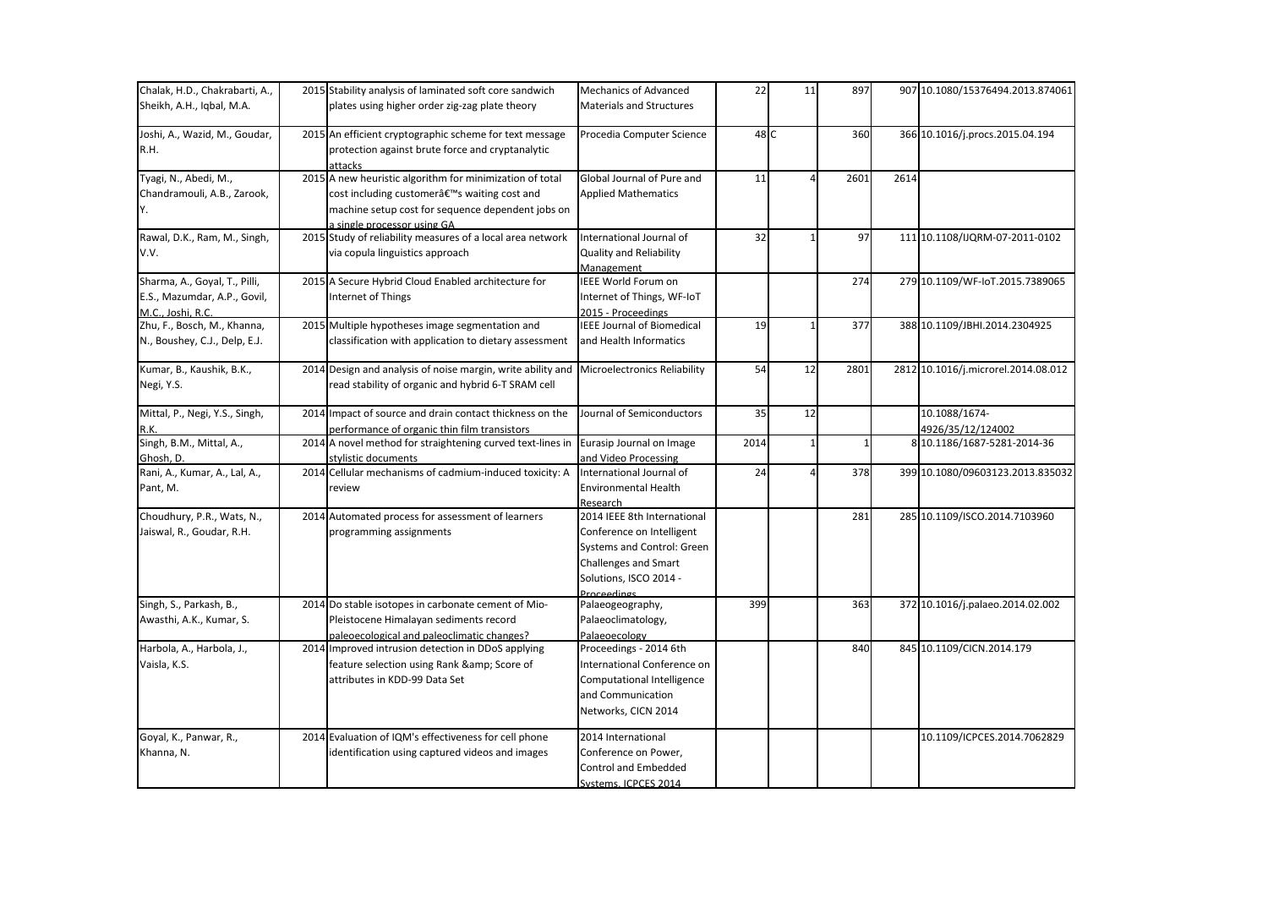| Chalak, H.D., Chakrabarti, A., | 2015 Stability analysis of laminated soft core sandwich     | <b>Mechanics of Advanced</b>      | 22   | 11           | 897          |      | 907 10.1080/15376494.2013.874061    |
|--------------------------------|-------------------------------------------------------------|-----------------------------------|------|--------------|--------------|------|-------------------------------------|
| Sheikh, A.H., Iqbal, M.A.      | plates using higher order zig-zag plate theory              | <b>Materials and Structures</b>   |      |              |              |      |                                     |
| Joshi, A., Wazid, M., Goudar,  | 2015 An efficient cryptographic scheme for text message     | Procedia Computer Science         | 48 C |              | 360          |      | 366 10.1016/j.procs.2015.04.194     |
| R.H.                           | protection against brute force and cryptanalytic            |                                   |      |              |              |      |                                     |
|                                | attacks                                                     |                                   |      |              |              |      |                                     |
| Tyagi, N., Abedi, M.,          | 2015 A new heuristic algorithm for minimization of total    | Global Journal of Pure and        | 11   |              | 2601         | 2614 |                                     |
| Chandramouli, A.B., Zarook,    | cost including customer's waiting cost and                  | <b>Applied Mathematics</b>        |      |              |              |      |                                     |
| IY.                            | machine setup cost for sequence dependent jobs on           |                                   |      |              |              |      |                                     |
|                                | a single processor using GA                                 |                                   |      |              |              |      |                                     |
| Rawal, D.K., Ram, M., Singh,   | 2015 Study of reliability measures of a local area network  | International Journal of          | 32   |              | 97           |      | 111 10.1108/IJQRM-07-2011-0102      |
| V.V.                           | via copula linguistics approach                             | <b>Quality and Reliability</b>    |      |              |              |      |                                     |
|                                |                                                             | Management                        |      |              |              |      |                                     |
| Sharma, A., Goyal, T., Pilli,  | 2015 A Secure Hybrid Cloud Enabled architecture for         | IEEE World Forum on               |      |              | 274          |      | 279 10.1109/WF-IoT.2015.7389065     |
| E.S., Mazumdar, A.P., Govil,   | Internet of Things                                          | Internet of Things, WF-IoT        |      |              |              |      |                                     |
| M.C., Joshi, R.C.              |                                                             | 2015 - Proceedings                |      |              |              |      |                                     |
| Zhu, F., Bosch, M., Khanna,    | 2015 Multiple hypotheses image segmentation and             | <b>IEEE Journal of Biomedical</b> | 19   |              | 377          |      | 388 10.1109/JBHI.2014.2304925       |
| N., Boushey, C.J., Delp, E.J.  | classification with application to dietary assessment       | and Health Informatics            |      |              |              |      |                                     |
| Kumar, B., Kaushik, B.K.,      | 2014 Design and analysis of noise margin, write ability and | Microelectronics Reliability      | 54   | 12           | 2801         |      | 2812 10.1016/j.microrel.2014.08.012 |
| Negi, Y.S.                     | read stability of organic and hybrid 6-T SRAM cell          |                                   |      |              |              |      |                                     |
| Mittal, P., Negi, Y.S., Singh, | 2014 Impact of source and drain contact thickness on the    | Journal of Semiconductors         | 35   | 12           |              |      | 10.1088/1674-                       |
|                                | performance of organic thin film transistors                |                                   |      |              |              |      | 4926/35/12/124002                   |
| Singh, B.M., Mittal, A.,       | 2014 A novel method for straightening curved text-lines in  | Eurasip Journal on Image          | 2014 | $\mathbf{1}$ | $\mathbf{1}$ |      | 8 10.1186/1687-5281-2014-36         |
| Ghosh. D.                      | stylistic documents                                         | and Video Processing              |      |              |              |      |                                     |
| Rani, A., Kumar, A., Lal, A.,  | 2014 Cellular mechanisms of cadmium-induced toxicity: A     | International Journal of          | 24   | 4            | 378          |      | 399 10.1080/09603123.2013.835032    |
| Pant, M.                       | review                                                      | <b>Environmental Health</b>       |      |              |              |      |                                     |
|                                |                                                             | Research                          |      |              |              |      |                                     |
| Choudhury, P.R., Wats, N.,     | 2014 Automated process for assessment of learners           | 2014 IEEE 8th International       |      |              | 281          |      | 285 10.1109/ISCO.2014.7103960       |
| Jaiswal, R., Goudar, R.H.      | programming assignments                                     | Conference on Intelligent         |      |              |              |      |                                     |
|                                |                                                             | Systems and Control: Green        |      |              |              |      |                                     |
|                                |                                                             | <b>Challenges and Smart</b>       |      |              |              |      |                                     |
|                                |                                                             | Solutions, ISCO 2014 -            |      |              |              |      |                                     |
| Singh, S., Parkash, B.,        | 2014 Do stable isotopes in carbonate cement of Mio-         | Proceedings<br>Palaeogeography,   | 399  |              | 363          |      | 372 10.1016/j.palaeo.2014.02.002    |
| Awasthi, A.K., Kumar, S.       | Pleistocene Himalayan sediments record                      | Palaeoclimatology,                |      |              |              |      |                                     |
|                                | paleoecological and paleoclimatic changes?                  | Palaeoecology                     |      |              |              |      |                                     |
| Harbola, A., Harbola, J.,      | 2014 Improved intrusion detection in DDoS applying          | Proceedings - 2014 6th            |      |              | 840          |      | 845 10.1109/CICN.2014.179           |
| Vaisla, K.S.                   | feature selection using Rank & Score of                     | International Conference on       |      |              |              |      |                                     |
|                                | attributes in KDD-99 Data Set                               | Computational Intelligence        |      |              |              |      |                                     |
|                                |                                                             | and Communication                 |      |              |              |      |                                     |
|                                |                                                             | Networks, CICN 2014               |      |              |              |      |                                     |
| Goyal, K., Panwar, R.,         | 2014 Evaluation of IQM's effectiveness for cell phone       | 2014 International                |      |              |              |      | 10.1109/ICPCES.2014.7062829         |
| Khanna, N.                     | identification using captured videos and images             | Conference on Power,              |      |              |              |      |                                     |
|                                |                                                             | <b>Control and Embedded</b>       |      |              |              |      |                                     |
|                                |                                                             | Systems, ICPCES 2014              |      |              |              |      |                                     |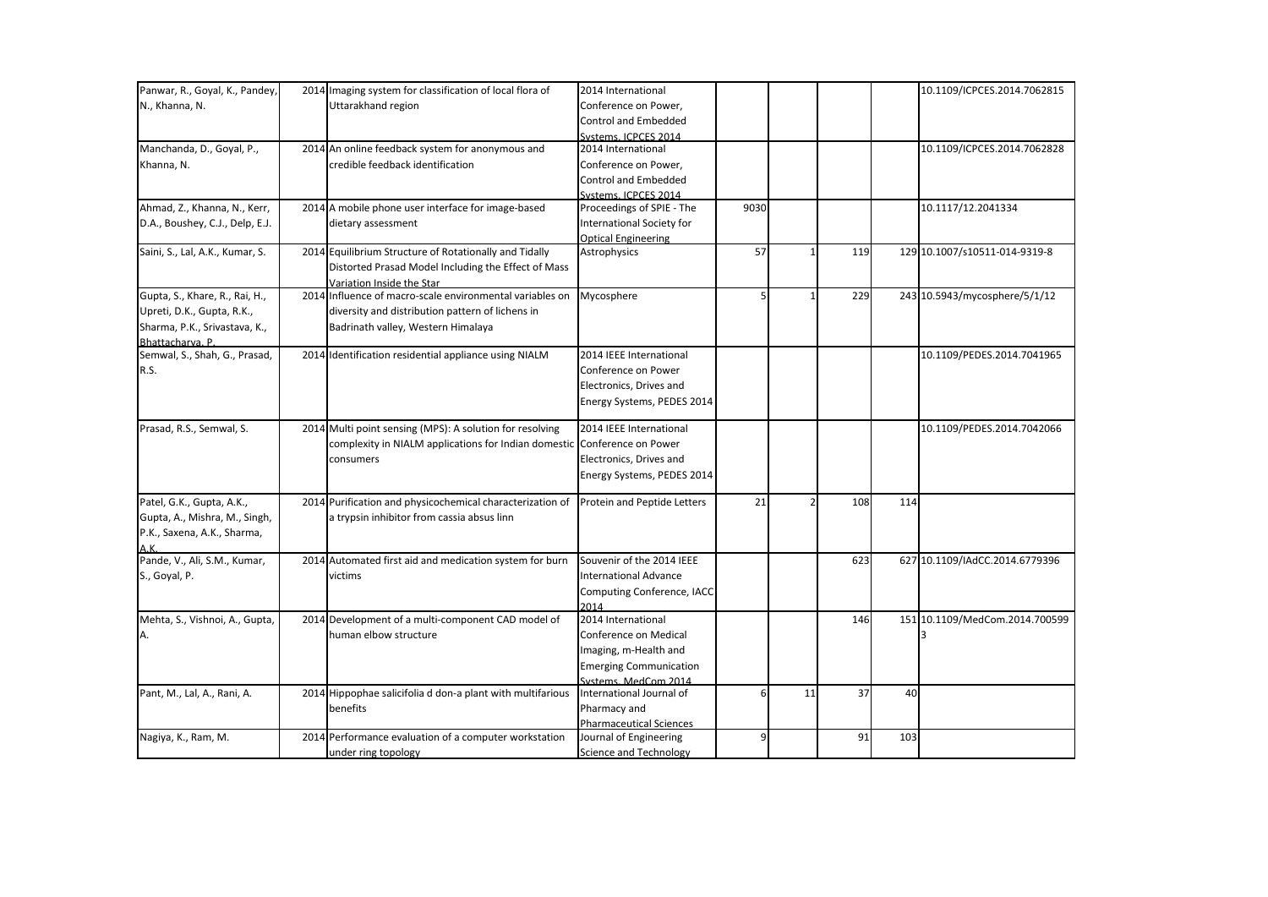| Panwar, R., Goyal, K., Pandey,  | 2014 Imaging system for classification of local flora of                 | 2014 International             |      |    |     |     | 10.1109/ICPCES.2014.7062815    |
|---------------------------------|--------------------------------------------------------------------------|--------------------------------|------|----|-----|-----|--------------------------------|
| N., Khanna, N.                  | Uttarakhand region                                                       | Conference on Power,           |      |    |     |     |                                |
|                                 |                                                                          | <b>Control and Embedded</b>    |      |    |     |     |                                |
|                                 |                                                                          | Systems, ICPCES 2014           |      |    |     |     |                                |
| Manchanda, D., Goyal, P.,       | 2014 An online feedback system for anonymous and                         | 2014 International             |      |    |     |     | 10.1109/ICPCES.2014.7062828    |
| Khanna, N.                      | credible feedback identification                                         | Conference on Power,           |      |    |     |     |                                |
|                                 |                                                                          | <b>Control and Embedded</b>    |      |    |     |     |                                |
|                                 |                                                                          | Systems, ICPCES 2014           |      |    |     |     |                                |
| Ahmad, Z., Khanna, N., Kerr,    | 2014 A mobile phone user interface for image-based                       | Proceedings of SPIE - The      | 9030 |    |     |     | 10.1117/12.2041334             |
| D.A., Boushey, C.J., Delp, E.J. | dietary assessment                                                       | International Society for      |      |    |     |     |                                |
|                                 |                                                                          | <b>Optical Engineering</b>     |      |    |     |     |                                |
| Saini, S., Lal, A.K., Kumar, S. | 2014 Equilibrium Structure of Rotationally and Tidally                   | Astrophysics                   | 57   |    | 119 |     | 129 10.1007/s10511-014-9319-8  |
|                                 | Distorted Prasad Model Including the Effect of Mass                      |                                |      |    |     |     |                                |
|                                 | Variation Inside the Star                                                |                                |      |    |     |     |                                |
| Gupta, S., Khare, R., Rai, H.,  | 2014 Influence of macro-scale environmental variables on                 | Mycosphere                     |      |    | 229 |     | 243 10.5943/mycosphere/5/1/12  |
| Upreti, D.K., Gupta, R.K.,      | diversity and distribution pattern of lichens in                         |                                |      |    |     |     |                                |
| Sharma, P.K., Srivastava, K.,   | Badrinath valley, Western Himalaya                                       |                                |      |    |     |     |                                |
| Bhattacharva. P.                |                                                                          |                                |      |    |     |     |                                |
| Semwal, S., Shah, G., Prasad,   | 2014 Identification residential appliance using NIALM                    | 2014 IEEE International        |      |    |     |     | 10.1109/PEDES.2014.7041965     |
| R.S.                            |                                                                          | Conference on Power            |      |    |     |     |                                |
|                                 |                                                                          | Electronics, Drives and        |      |    |     |     |                                |
|                                 |                                                                          |                                |      |    |     |     |                                |
|                                 |                                                                          | Energy Systems, PEDES 2014     |      |    |     |     |                                |
| Prasad, R.S., Semwal, S.        | 2014 Multi point sensing (MPS): A solution for resolving                 | 2014 IEEE International        |      |    |     |     | 10.1109/PEDES.2014.7042066     |
|                                 | complexity in NIALM applications for Indian domestic Conference on Power |                                |      |    |     |     |                                |
|                                 | consumers                                                                | Electronics, Drives and        |      |    |     |     |                                |
|                                 |                                                                          | Energy Systems, PEDES 2014     |      |    |     |     |                                |
|                                 |                                                                          |                                |      |    |     |     |                                |
| Patel, G.K., Gupta, A.K.,       | 2014 Purification and physicochemical characterization of                | Protein and Peptide Letters    | 21   |    | 108 | 114 |                                |
| Gupta, A., Mishra, M., Singh,   | a trypsin inhibitor from cassia absus linn                               |                                |      |    |     |     |                                |
| P.K., Saxena, A.K., Sharma,     |                                                                          |                                |      |    |     |     |                                |
| A.K.                            |                                                                          |                                |      |    |     |     |                                |
| Pande, V., Ali, S.M., Kumar,    | 2014 Automated first aid and medication system for burn                  | Souvenir of the 2014 IEEE      |      |    | 623 |     | 627 10.1109/IAdCC.2014.6779396 |
| S., Goyal, P.                   | victims                                                                  | <b>International Advance</b>   |      |    |     |     |                                |
|                                 |                                                                          | Computing Conference, IACC     |      |    |     |     |                                |
|                                 |                                                                          | 2014                           |      |    |     |     |                                |
| Mehta, S., Vishnoi, A., Gupta,  | 2014 Development of a multi-component CAD model of                       | 2014 International             |      |    | 146 |     | 151 10.1109/MedCom.2014.700599 |
| Α.                              | human elbow structure                                                    | Conference on Medical          |      |    |     |     |                                |
|                                 |                                                                          | Imaging, m-Health and          |      |    |     |     |                                |
|                                 |                                                                          | <b>Emerging Communication</b>  |      |    |     |     |                                |
|                                 |                                                                          | Systems, MedCom 2014           |      |    |     |     |                                |
| Pant, M., Lal, A., Rani, A.     | 2014 Hippophae salicifolia d don-a plant with multifarious               | International Journal of       | 6    | 11 | 37  | 40  |                                |
|                                 | benefits                                                                 | Pharmacy and                   |      |    |     |     |                                |
|                                 |                                                                          | <b>Pharmaceutical Sciences</b> |      |    |     |     |                                |
| Nagiya, K., Ram, M.             | 2014 Performance evaluation of a computer workstation                    | Journal of Engineering         | 9    |    | 91  | 103 |                                |
|                                 | under ring topology                                                      | Science and Technology         |      |    |     |     |                                |
|                                 |                                                                          |                                |      |    |     |     |                                |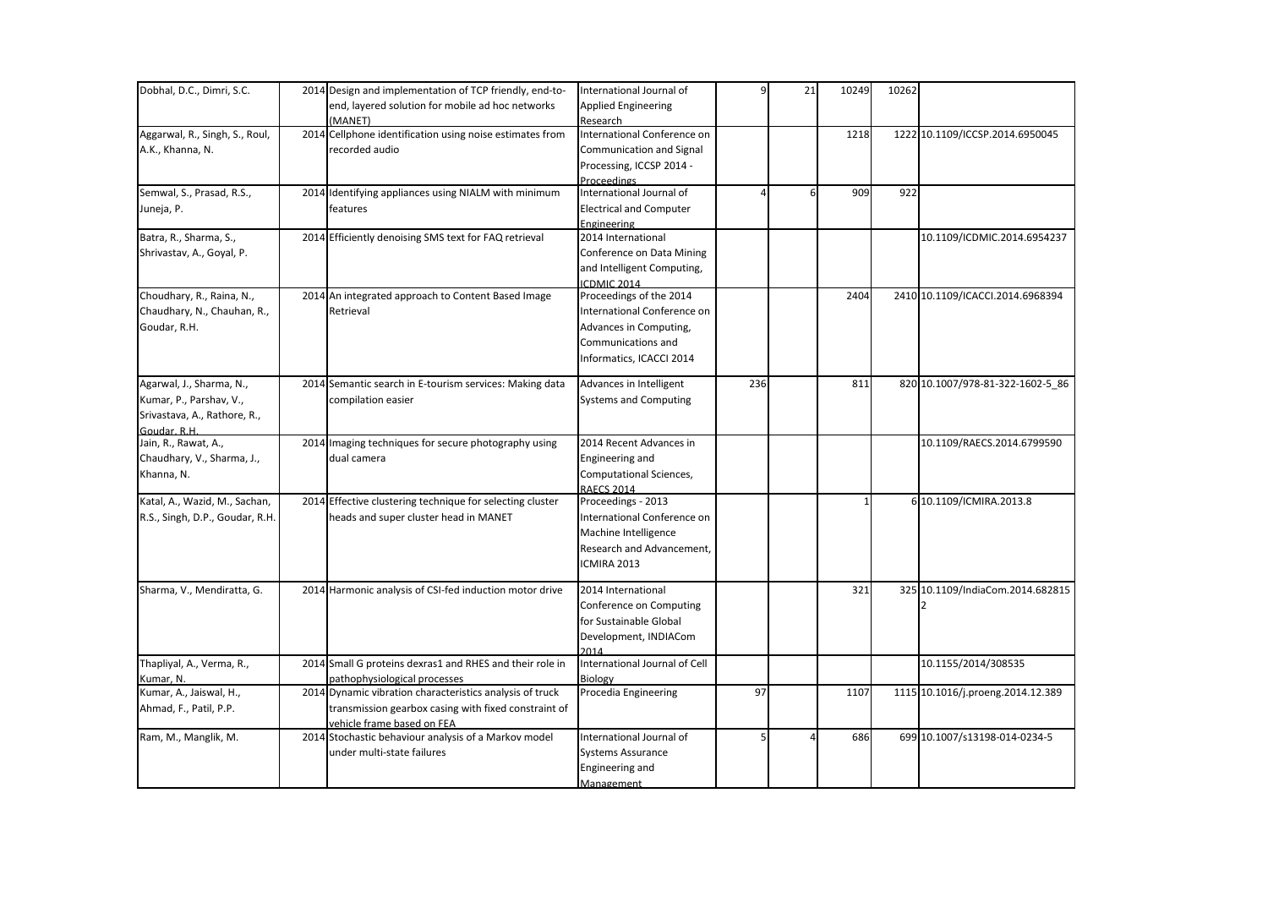| Dobhal, D.C., Dimri, S.C.       | 2014 Design and implementation of TCP friendly, end-to-<br>end, layered solution for mobile ad hoc networks | International Journal of<br><b>Applied Engineering</b> | 9   | 21 | 10249        | 10262 |                                   |
|---------------------------------|-------------------------------------------------------------------------------------------------------------|--------------------------------------------------------|-----|----|--------------|-------|-----------------------------------|
|                                 | (MANET)                                                                                                     | Research                                               |     |    |              |       |                                   |
| Aggarwal, R., Singh, S., Roul,  | 2014 Cellphone identification using noise estimates from                                                    | International Conference on                            |     |    | 1218         |       | 1222 10.1109/ICCSP.2014.6950045   |
| A.K., Khanna, N.                | recorded audio                                                                                              | Communication and Signal                               |     |    |              |       |                                   |
|                                 |                                                                                                             |                                                        |     |    |              |       |                                   |
|                                 |                                                                                                             | Processing, ICCSP 2014 -                               |     |    |              |       |                                   |
| Semwal, S., Prasad, R.S.,       | 2014 Identifying appliances using NIALM with minimum                                                        | <b>Proceedings</b><br>International Journal of         |     | 6  | 909          | 922   |                                   |
|                                 | features                                                                                                    |                                                        |     |    |              |       |                                   |
| Juneja, P.                      |                                                                                                             | <b>Electrical and Computer</b>                         |     |    |              |       |                                   |
| Batra, R., Sharma, S.,          | 2014 Efficiently denoising SMS text for FAQ retrieval                                                       | Engineering<br>2014 International                      |     |    |              |       | 10.1109/ICDMIC.2014.6954237       |
|                                 |                                                                                                             | Conference on Data Mining                              |     |    |              |       |                                   |
| Shrivastav, A., Goyal, P.       |                                                                                                             |                                                        |     |    |              |       |                                   |
|                                 |                                                                                                             | and Intelligent Computing,                             |     |    |              |       |                                   |
| Choudhary, R., Raina, N.,       | 2014 An integrated approach to Content Based Image                                                          | ICDMIC 2014<br>Proceedings of the 2014                 |     |    | 2404         |       | 2410 10.1109/ICACCI.2014.6968394  |
| Chaudhary, N., Chauhan, R.,     | Retrieval                                                                                                   | International Conference on                            |     |    |              |       |                                   |
|                                 |                                                                                                             |                                                        |     |    |              |       |                                   |
| Goudar, R.H.                    |                                                                                                             | Advances in Computing,                                 |     |    |              |       |                                   |
|                                 |                                                                                                             | Communications and                                     |     |    |              |       |                                   |
|                                 |                                                                                                             | Informatics, ICACCI 2014                               |     |    |              |       |                                   |
| Agarwal, J., Sharma, N.,        | 2014 Semantic search in E-tourism services: Making data                                                     | Advances in Intelligent                                | 236 |    | 811          |       | 820 10.1007/978-81-322-1602-5 86  |
| Kumar, P., Parshav, V.,         | compilation easier                                                                                          | <b>Systems and Computing</b>                           |     |    |              |       |                                   |
| Srivastava, A., Rathore, R.,    |                                                                                                             |                                                        |     |    |              |       |                                   |
| Goudar, R.H.                    |                                                                                                             |                                                        |     |    |              |       |                                   |
| Jain, R., Rawat, A.,            | 2014 Imaging techniques for secure photography using                                                        | 2014 Recent Advances in                                |     |    |              |       | 10.1109/RAECS.2014.6799590        |
| Chaudhary, V., Sharma, J.,      | dual camera                                                                                                 | Engineering and                                        |     |    |              |       |                                   |
| Khanna, N.                      |                                                                                                             | Computational Sciences,                                |     |    |              |       |                                   |
|                                 |                                                                                                             | <b>RAECS 2014</b>                                      |     |    |              |       |                                   |
| Katal, A., Wazid, M., Sachan,   | 2014 Effective clustering technique for selecting cluster                                                   | Proceedings - 2013                                     |     |    | $\mathbf{1}$ |       | 6 10.1109/ICMIRA.2013.8           |
| R.S., Singh, D.P., Goudar, R.H. | heads and super cluster head in MANET                                                                       | International Conference on                            |     |    |              |       |                                   |
|                                 |                                                                                                             | Machine Intelligence                                   |     |    |              |       |                                   |
|                                 |                                                                                                             | Research and Advancement,                              |     |    |              |       |                                   |
|                                 |                                                                                                             | ICMIRA 2013                                            |     |    |              |       |                                   |
|                                 |                                                                                                             |                                                        |     |    |              |       |                                   |
| Sharma, V., Mendiratta, G.      | 2014 Harmonic analysis of CSI-fed induction motor drive                                                     | 2014 International                                     |     |    | 321          |       | 325 10.1109/IndiaCom.2014.682815  |
|                                 |                                                                                                             | Conference on Computing                                |     |    |              |       |                                   |
|                                 |                                                                                                             | for Sustainable Global                                 |     |    |              |       |                                   |
|                                 |                                                                                                             | Development, INDIACom                                  |     |    |              |       |                                   |
|                                 |                                                                                                             | 2014                                                   |     |    |              |       |                                   |
| Thapliyal, A., Verma, R.,       | 2014 Small G proteins dexras1 and RHES and their role in                                                    | International Journal of Cell                          |     |    |              |       | 10.1155/2014/308535               |
| Kumar, N.                       | pathophysiological processes                                                                                | Biology                                                |     |    |              |       |                                   |
| Kumar, A., Jaiswal, H.,         | 2014 Dynamic vibration characteristics analysis of truck                                                    | Procedia Engineering                                   | 97  |    | 1107         |       | 1115 10.1016/j.proeng.2014.12.389 |
| Ahmad, F., Patil, P.P.          | transmission gearbox casing with fixed constraint of                                                        |                                                        |     |    |              |       |                                   |
|                                 | vehicle frame based on FEA                                                                                  |                                                        |     |    |              |       |                                   |
| Ram, M., Manglik, M.            | 2014 Stochastic behaviour analysis of a Markov model                                                        | International Journal of                               | 5   |    | 686          |       | 699 10.1007/s13198-014-0234-5     |
|                                 | under multi-state failures                                                                                  | <b>Systems Assurance</b>                               |     |    |              |       |                                   |
|                                 |                                                                                                             | Engineering and                                        |     |    |              |       |                                   |
|                                 |                                                                                                             | Management                                             |     |    |              |       |                                   |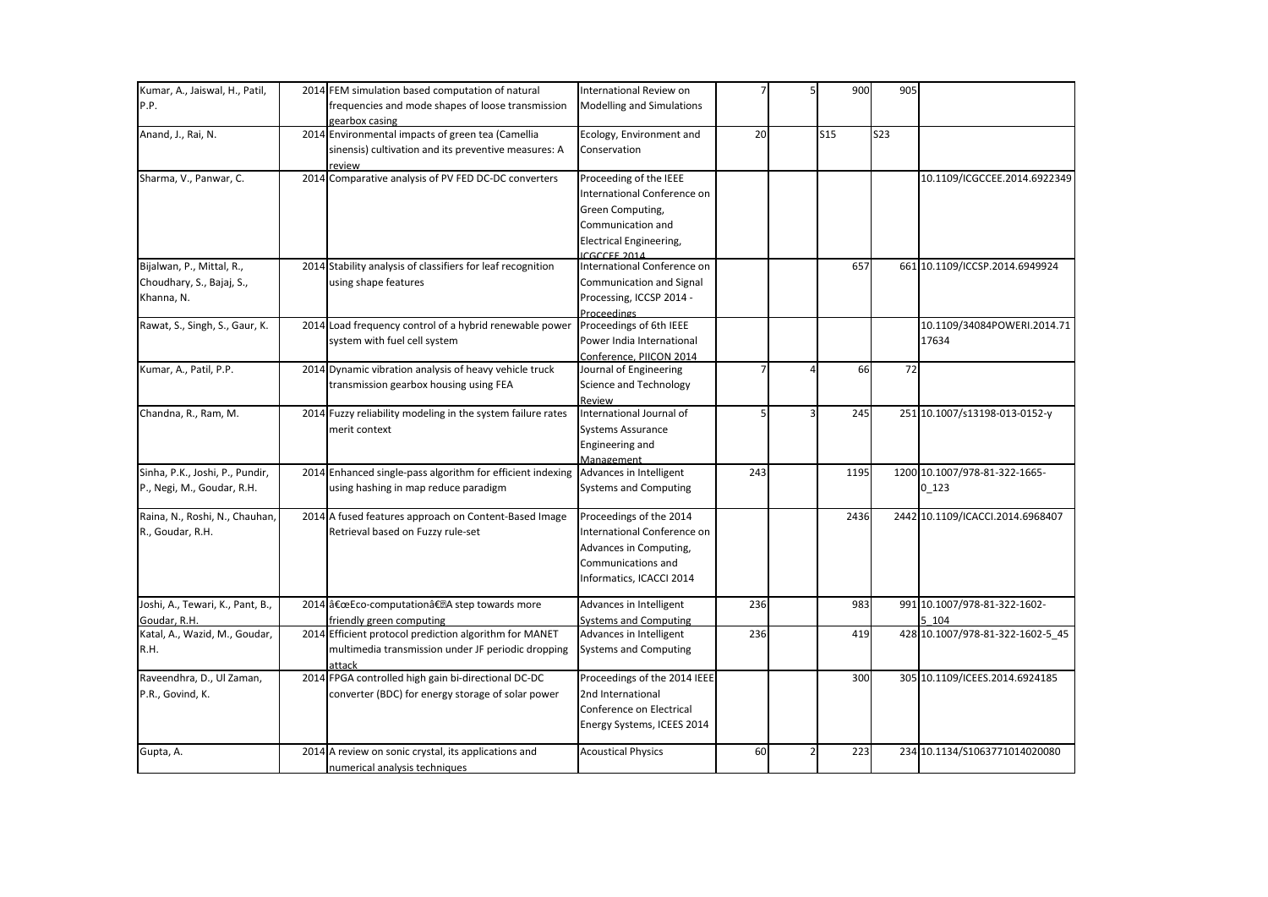| Kumar, A., Jaiswal, H., Patil,   | 2014 FEM simulation based computation of natural            | International Review on                     |     | 900        | 905        |                                  |
|----------------------------------|-------------------------------------------------------------|---------------------------------------------|-----|------------|------------|----------------------------------|
| P.P.                             | frequencies and mode shapes of loose transmission           | <b>Modelling and Simulations</b>            |     |            |            |                                  |
|                                  | gearbox casing                                              |                                             |     |            |            |                                  |
| Anand, J., Rai, N.               | 2014 Environmental impacts of green tea (Camellia           | Ecology, Environment and                    | 20  | <b>S15</b> | <b>S23</b> |                                  |
|                                  | sinensis) cultivation and its preventive measures: A        | Conservation                                |     |            |            |                                  |
|                                  | review                                                      |                                             |     |            |            |                                  |
| Sharma, V., Panwar, C.           | 2014 Comparative analysis of PV FED DC-DC converters        | Proceeding of the IEEE                      |     |            |            | 10.1109/ICGCCEE.2014.6922349     |
|                                  |                                                             | International Conference on                 |     |            |            |                                  |
|                                  |                                                             | Green Computing,                            |     |            |            |                                  |
|                                  |                                                             | Communication and                           |     |            |            |                                  |
|                                  |                                                             | Electrical Engineering,                     |     |            |            |                                  |
| Bijalwan, P., Mittal, R.,        | 2014 Stability analysis of classifiers for leaf recognition | ICGCCFF 2014<br>International Conference on |     | 657        |            | 661 10.1109/ICCSP.2014.6949924   |
| Choudhary, S., Bajaj, S.,        | using shape features                                        | Communication and Signal                    |     |            |            |                                  |
| Khanna, N.                       |                                                             | Processing, ICCSP 2014 -                    |     |            |            |                                  |
|                                  |                                                             | Proceedings                                 |     |            |            |                                  |
| Rawat, S., Singh, S., Gaur, K.   | 2014 Load frequency control of a hybrid renewable power     | Proceedings of 6th IEEE                     |     |            |            | 10.1109/34084POWERI.2014.71      |
|                                  | system with fuel cell system                                | Power India International                   |     |            |            | 17634                            |
|                                  |                                                             | Conference, PIICON 2014                     |     |            |            |                                  |
| Kumar, A., Patil, P.P.           | 2014 Dynamic vibration analysis of heavy vehicle truck      | Journal of Engineering                      |     | 66         | 72         |                                  |
|                                  | transmission gearbox housing using FEA                      | Science and Technology                      |     |            |            |                                  |
|                                  |                                                             | Review                                      |     |            |            |                                  |
| Chandna, R., Ram, M.             | 2014 Fuzzy reliability modeling in the system failure rates | International Journal of                    | 5   | 245        |            | 251 10.1007/s13198-013-0152-y    |
|                                  | merit context                                               | Systems Assurance                           |     |            |            |                                  |
|                                  |                                                             | Engineering and                             |     |            |            |                                  |
|                                  |                                                             | Management                                  |     |            |            |                                  |
| Sinha, P.K., Joshi, P., Pundir,  | 2014 Enhanced single-pass algorithm for efficient indexing  | Advances in Intelligent                     | 243 | 1195       |            | 1200 10.1007/978-81-322-1665-    |
| P., Negi, M., Goudar, R.H.       | using hashing in map reduce paradigm                        | Systems and Computing                       |     |            |            | $0_123$                          |
|                                  |                                                             |                                             |     |            |            |                                  |
| Raina, N., Roshi, N., Chauhan,   | 2014 A fused features approach on Content-Based Image       | Proceedings of the 2014                     |     | 2436       |            | 2442 10.1109/ICACCI.2014.6968407 |
| R., Goudar, R.H.                 | Retrieval based on Fuzzy rule-set                           | International Conference on                 |     |            |            |                                  |
|                                  |                                                             | Advances in Computing,                      |     |            |            |                                  |
|                                  |                                                             | Communications and                          |     |            |            |                                  |
|                                  |                                                             | Informatics, ICACCI 2014                    |     |            |            |                                  |
| Joshi, A., Tewari, K., Pant, B., | 2014 "Eco-computationâ€. A step towards more                | Advances in Intelligent                     | 236 | 983        |            | 991 10.1007/978-81-322-1602-     |
| Goudar, R.H.                     | friendly green computing                                    | <b>Systems and Computing</b>                |     |            |            | 5 104                            |
| Katal, A., Wazid, M., Goudar,    | 2014 Efficient protocol prediction algorithm for MANET      | Advances in Intelligent                     | 236 | 419        |            | 428 10.1007/978-81-322-1602-5_45 |
| R.H.                             | multimedia transmission under JF periodic dropping          | <b>Systems and Computing</b>                |     |            |            |                                  |
|                                  | attack                                                      |                                             |     |            |            |                                  |
| Raveendhra, D., Ul Zaman,        | 2014 FPGA controlled high gain bi-directional DC-DC         | Proceedings of the 2014 IEEE                |     | 300        |            | 305 10.1109/ICEES.2014.6924185   |
| P.R., Govind, K.                 | converter (BDC) for energy storage of solar power           | 2nd International                           |     |            |            |                                  |
|                                  |                                                             | Conference on Electrical                    |     |            |            |                                  |
|                                  |                                                             | Energy Systems, ICEES 2014                  |     |            |            |                                  |
|                                  |                                                             |                                             |     |            |            |                                  |
| Gupta, A.                        | 2014 A review on sonic crystal, its applications and        | <b>Acoustical Physics</b>                   | 60  | 223        |            | 234 10.1134/S1063771014020080    |
|                                  | numerical analysis techniques                               |                                             |     |            |            |                                  |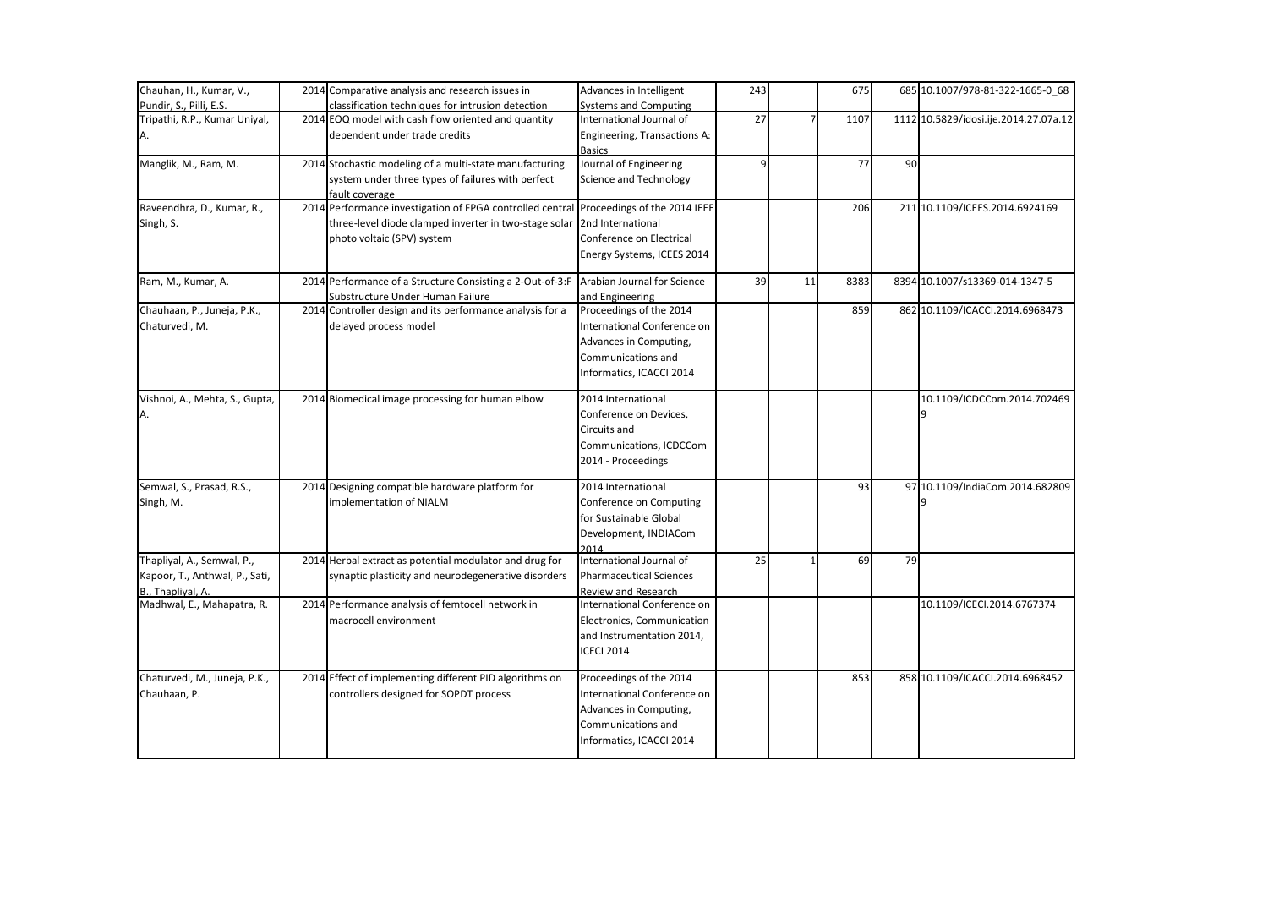| Chauhan, H., Kumar, V.,        | 2014 Comparative analysis and research issues in          | Advances in Intelligent        | 243 |    | 675  |    | 685 10.1007/978-81-322-1665-0 68      |
|--------------------------------|-----------------------------------------------------------|--------------------------------|-----|----|------|----|---------------------------------------|
| Pundir, S., Pilli, E.S.        | classification techniques for intrusion detection         | Systems and Computing          |     |    |      |    |                                       |
| Tripathi, R.P., Kumar Uniyal,  | 2014 EOQ model with cash flow oriented and quantity       | International Journal of       | 27  |    | 1107 |    | 1112 10.5829/idosi.ije.2014.27.07a.12 |
| А.                             | dependent under trade credits                             | Engineering, Transactions A:   |     |    |      |    |                                       |
|                                |                                                           | <b>Basics</b>                  |     |    |      |    |                                       |
| Manglik, M., Ram, M.           | 2014 Stochastic modeling of a multi-state manufacturing   | Journal of Engineering         | 9   |    | 77   | 90 |                                       |
|                                | system under three types of failures with perfect         | <b>Science and Technology</b>  |     |    |      |    |                                       |
|                                | fault coverage                                            |                                |     |    |      |    |                                       |
| Raveendhra, D., Kumar, R.,     | 2014 Performance investigation of FPGA controlled central | Proceedings of the 2014 IEEE   |     |    | 206  |    | 211 10.1109/ICEES.2014.6924169        |
| Singh, S.                      | three-level diode clamped inverter in two-stage solar     | 2nd International              |     |    |      |    |                                       |
|                                | photo voltaic (SPV) system                                | Conference on Electrical       |     |    |      |    |                                       |
|                                |                                                           | Energy Systems, ICEES 2014     |     |    |      |    |                                       |
| Ram, M., Kumar, A.             | 2014 Performance of a Structure Consisting a 2-Out-of-3:F | Arabian Journal for Science    | 39  | 11 | 8383 |    | 8394 10.1007/s13369-014-1347-5        |
|                                | Substructure Under Human Failure                          | and Engineering                |     |    |      |    |                                       |
| Chauhaan, P., Juneja, P.K.,    | 2014 Controller design and its performance analysis for a | Proceedings of the 2014        |     |    | 859  |    | 862 10.1109/ICACCI.2014.6968473       |
| Chaturvedi, M.                 | delayed process model                                     | International Conference on    |     |    |      |    |                                       |
|                                |                                                           | Advances in Computing,         |     |    |      |    |                                       |
|                                |                                                           | Communications and             |     |    |      |    |                                       |
|                                |                                                           | Informatics, ICACCI 2014       |     |    |      |    |                                       |
| Vishnoi, A., Mehta, S., Gupta, | 2014 Biomedical image processing for human elbow          | 2014 International             |     |    |      |    | 10.1109/ICDCCom.2014.702469           |
|                                |                                                           | Conference on Devices,         |     |    |      |    |                                       |
|                                |                                                           | Circuits and                   |     |    |      |    |                                       |
|                                |                                                           | Communications, ICDCCom        |     |    |      |    |                                       |
|                                |                                                           | 2014 - Proceedings             |     |    |      |    |                                       |
| Semwal, S., Prasad, R.S.,      | 2014 Designing compatible hardware platform for           | 2014 International             |     |    | 93   |    | 97 10.1109/IndiaCom.2014.682809       |
| Singh, M.                      | implementation of NIALM                                   | Conference on Computing        |     |    |      |    |                                       |
|                                |                                                           | for Sustainable Global         |     |    |      |    |                                       |
|                                |                                                           | Development, INDIACom          |     |    |      |    |                                       |
|                                |                                                           | 2014                           |     |    |      |    |                                       |
| Thapliyal, A., Semwal, P.,     | 2014 Herbal extract as potential modulator and drug for   | International Journal of       | 25  |    | 69   | 79 |                                       |
| Kapoor, T., Anthwal, P., Sati, | synaptic plasticity and neurodegenerative disorders       | <b>Pharmaceutical Sciences</b> |     |    |      |    |                                       |
| B., Thaplival, A.              |                                                           | Review and Research            |     |    |      |    |                                       |
| Madhwal, E., Mahapatra, R.     | 2014 Performance analysis of femtocell network in         | International Conference on    |     |    |      |    | 10.1109/ICECI.2014.6767374            |
|                                | macrocell environment                                     | Electronics, Communication     |     |    |      |    |                                       |
|                                |                                                           | and Instrumentation 2014,      |     |    |      |    |                                       |
|                                |                                                           | <b>ICECI 2014</b>              |     |    |      |    |                                       |
| Chaturvedi, M., Juneja, P.K.,  | 2014 Effect of implementing different PID algorithms on   | Proceedings of the 2014        |     |    | 853  |    | 858 10.1109/ICACCI.2014.6968452       |
| Chauhaan, P.                   | controllers designed for SOPDT process                    | International Conference on    |     |    |      |    |                                       |
|                                |                                                           | Advances in Computing,         |     |    |      |    |                                       |
|                                |                                                           | Communications and             |     |    |      |    |                                       |
|                                |                                                           | Informatics, ICACCI 2014       |     |    |      |    |                                       |
|                                |                                                           |                                |     |    |      |    |                                       |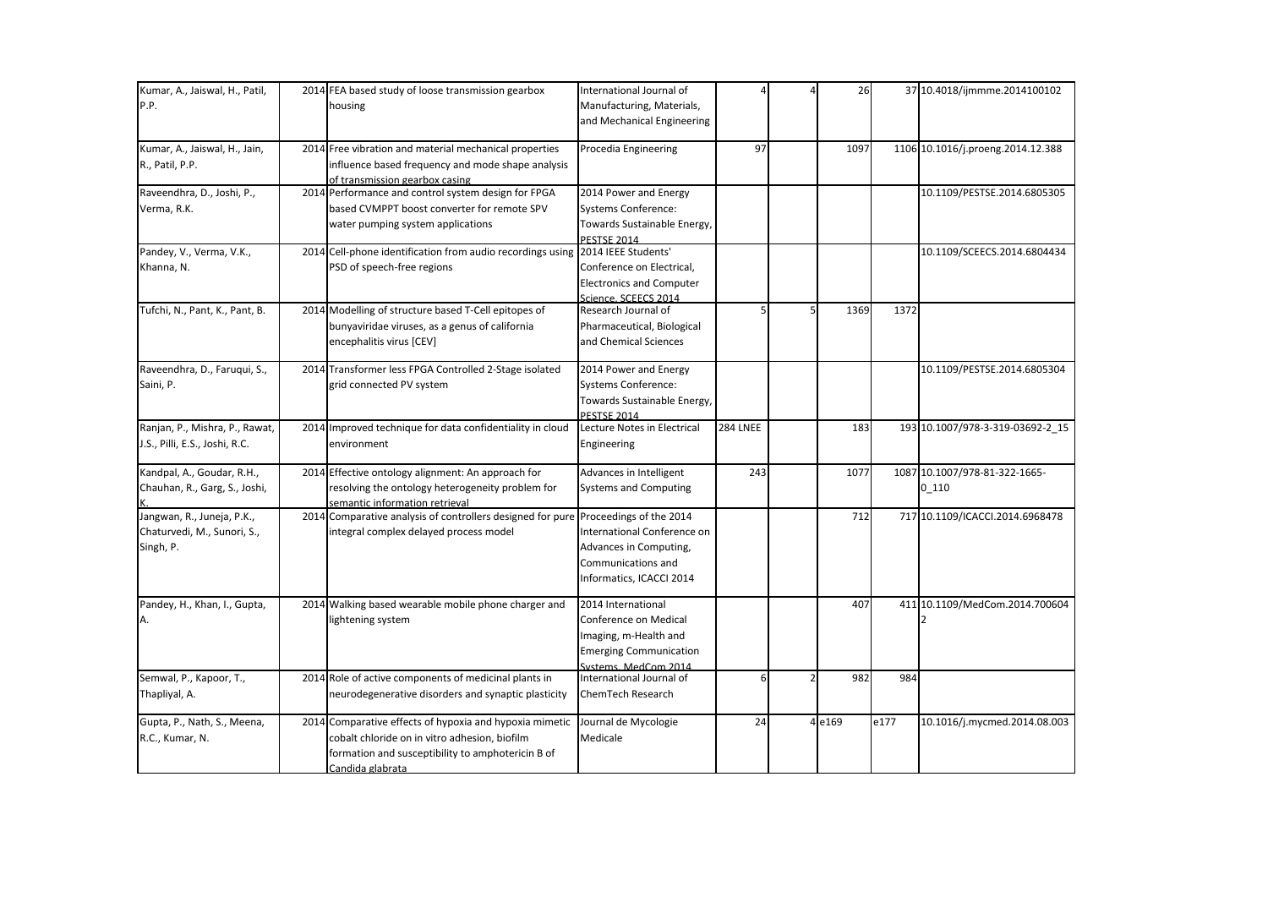| Kumar, A., Jaiswal, H., Patil,<br>P.P.                                 | 2014 FEA based study of loose transmission gearbox<br>housing                                                                                                                     | International Journal of<br>Manufacturing, Materials,<br>and Mechanical Engineering                                           |                 | 26     |      | 37 10.4018/ijmmme.2014100102             |
|------------------------------------------------------------------------|-----------------------------------------------------------------------------------------------------------------------------------------------------------------------------------|-------------------------------------------------------------------------------------------------------------------------------|-----------------|--------|------|------------------------------------------|
| Kumar, A., Jaiswal, H., Jain,<br>R., Patil, P.P.                       | 2014 Free vibration and material mechanical properties<br>influence based frequency and mode shape analysis<br>of transmission gearbox casing                                     | Procedia Engineering                                                                                                          | 97              | 1097   |      | 1106 10.1016/j.proeng.2014.12.388        |
| Raveendhra, D., Joshi, P.,<br>Verma, R.K.                              | 2014 Performance and control system design for FPGA<br>based CVMPPT boost converter for remote SPV<br>water pumping system applications                                           | 2014 Power and Energy<br><b>Systems Conference:</b><br>Towards Sustainable Energy,<br><b>PESTSE 2014</b>                      |                 |        |      | 10.1109/PESTSE.2014.6805305              |
| Pandey, V., Verma, V.K.,<br>Khanna, N.                                 | 2014 Cell-phone identification from audio recordings using<br>PSD of speech-free regions                                                                                          | 2014 IEEE Students'<br>Conference on Electrical,<br><b>Electronics and Computer</b><br>Science, SCEECS 2014                   |                 |        |      | 10.1109/SCEECS.2014.6804434              |
| Tufchi, N., Pant, K., Pant, B.                                         | 2014 Modelling of structure based T-Cell epitopes of<br>bunyaviridae viruses, as a genus of california<br>encephalitis virus [CEV]                                                | Research Journal of<br>Pharmaceutical, Biological<br>and Chemical Sciences                                                    |                 | 1369   | 1372 |                                          |
| Raveendhra, D., Faruqui, S.,<br>Saini, P.                              | 2014 Transformer less FPGA Controlled 2-Stage isolated<br>grid connected PV system                                                                                                | 2014 Power and Energy<br><b>Systems Conference:</b><br>Towards Sustainable Energy,<br>PESTSE 2014                             |                 |        |      | 10.1109/PESTSE.2014.6805304              |
| Ranjan, P., Mishra, P., Rawat,<br>J.S., Pilli, E.S., Joshi, R.C.       | 2014 Improved technique for data confidentiality in cloud<br>environment                                                                                                          | Lecture Notes in Electrical<br>Engineering                                                                                    | <b>284 LNEE</b> | 183    |      | 193 10.1007/978-3-319-03692-2_15         |
| Kandpal, A., Goudar, R.H.,<br>Chauhan, R., Garg, S., Joshi,            | 2014 Effective ontology alignment: An approach for<br>resolving the ontology heterogeneity problem for<br>semantic information retrieval                                          | Advances in Intelligent<br><b>Systems and Computing</b>                                                                       | 243             | 1077   |      | 1087 10.1007/978-81-322-1665-<br>$0_110$ |
| Jangwan, R., Juneja, P.K.,<br>Chaturvedi, M., Sunori, S.,<br>Singh, P. | 2014 Comparative analysis of controllers designed for pure Proceedings of the 2014<br>integral complex delayed process model                                                      | International Conference on<br>Advances in Computing,<br>Communications and<br>Informatics, ICACCI 2014                       |                 | 712    |      | 717 10.1109/ICACCI.2014.6968478          |
| Pandey, H., Khan, I., Gupta,<br>Α.                                     | 2014 Walking based wearable mobile phone charger and<br>lightening system                                                                                                         | 2014 International<br>Conference on Medical<br>Imaging, m-Health and<br><b>Emerging Communication</b><br>Systems, MedCom 2014 |                 | 407    |      | 411 10.1109/MedCom.2014.700604           |
| Semwal, P., Kapoor, T.,<br>Thapliyal, A.                               | 2014 Role of active components of medicinal plants in<br>neurodegenerative disorders and synaptic plasticity                                                                      | International Journal of<br>ChemTech Research                                                                                 | 6               | 982    | 984  |                                          |
| Gupta, P., Nath, S., Meena,<br>R.C., Kumar, N.                         | 2014 Comparative effects of hypoxia and hypoxia mimetic<br>cobalt chloride on in vitro adhesion, biofilm<br>formation and susceptibility to amphotericin B of<br>Candida glabrata | Journal de Mycologie<br>Medicale                                                                                              | 24              | 4 e169 | e177 | 10.1016/j.mycmed.2014.08.003             |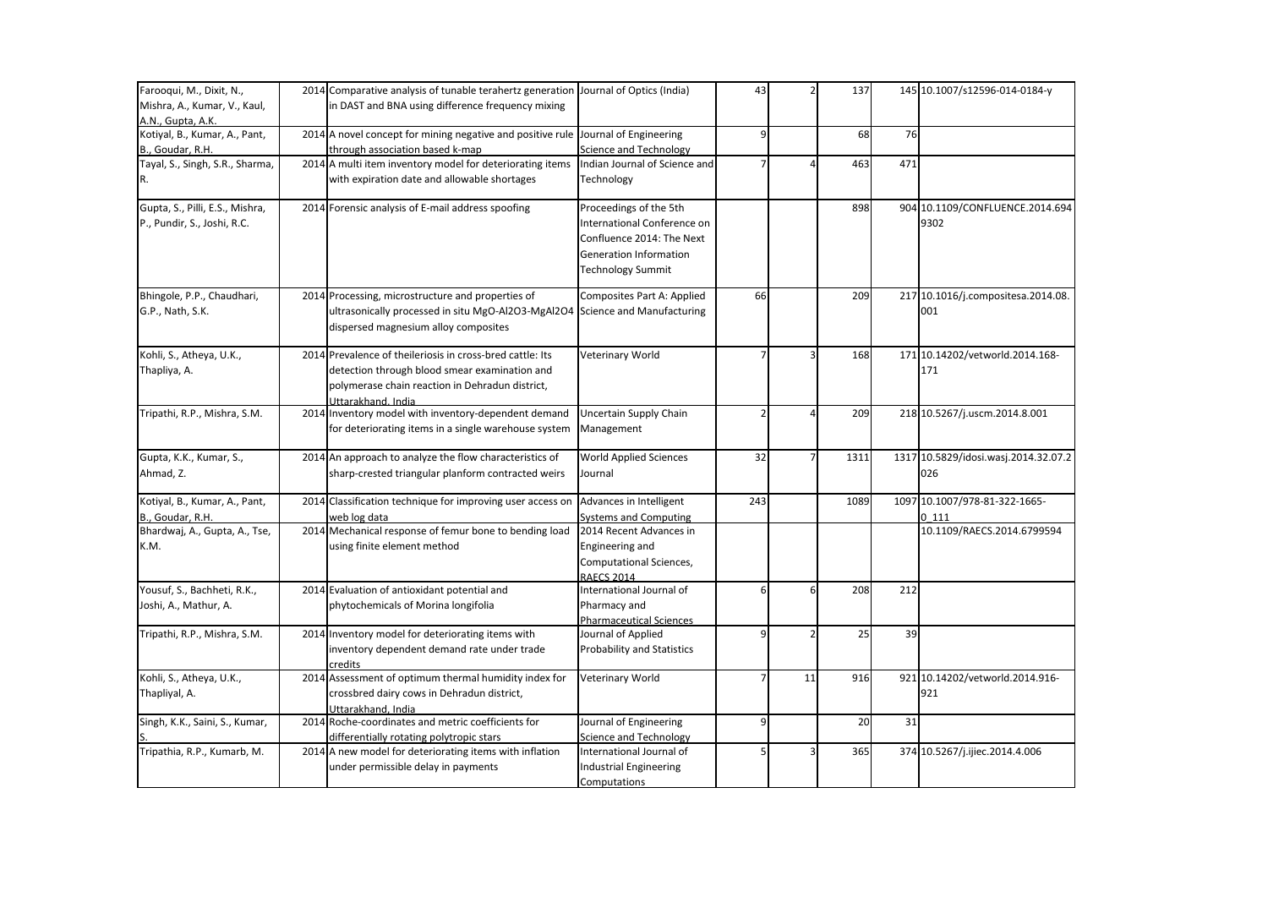| Farooqui, M., Dixit, N.,        | 2014 Comparative analysis of tunable terahertz generation Journal of Optics (India) |                                   | 43  |    | 137  |      | 145 10.1007/s12596-014-0184-y        |
|---------------------------------|-------------------------------------------------------------------------------------|-----------------------------------|-----|----|------|------|--------------------------------------|
| Mishra, A., Kumar, V., Kaul,    | in DAST and BNA using difference frequency mixing                                   |                                   |     |    |      |      |                                      |
| A.N., Gupta, A.K.               |                                                                                     |                                   |     |    |      |      |                                      |
| Kotiyal, B., Kumar, A., Pant,   | 2014 A novel concept for mining negative and positive rule Journal of Engineering   |                                   | 9   |    | 68   | 76   |                                      |
| B., Goudar, R.H.                | through association based k-map                                                     | Science and Technology            |     |    |      |      |                                      |
| Tayal, S., Singh, S.R., Sharma, | 2014 A multi item inventory model for deteriorating items                           | Indian Journal of Science and     |     |    | 463  | 471  |                                      |
| R.                              | with expiration date and allowable shortages                                        | Technology                        |     |    |      |      |                                      |
| Gupta, S., Pilli, E.S., Mishra, | 2014 Forensic analysis of E-mail address spoofing                                   | Proceedings of the 5th            |     |    | 898  | 904  | 10.1109/CONFLUENCE.2014.694          |
| P., Pundir, S., Joshi, R.C.     |                                                                                     | International Conference on       |     |    |      |      | 9302                                 |
|                                 |                                                                                     | Confluence 2014: The Next         |     |    |      |      |                                      |
|                                 |                                                                                     | <b>Generation Information</b>     |     |    |      |      |                                      |
|                                 |                                                                                     | Technology Summit                 |     |    |      |      |                                      |
| Bhingole, P.P., Chaudhari,      | 2014 Processing, microstructure and properties of                                   | Composites Part A: Applied        | 66  |    | 209  |      | 217 10.1016/j.compositesa.2014.08.   |
| G.P., Nath, S.K.                | ultrasonically processed in situ MgO-Al2O3-MgAl2O4                                  | Science and Manufacturing         |     |    |      |      | 001                                  |
|                                 | dispersed magnesium alloy composites                                                |                                   |     |    |      |      |                                      |
| Kohli, S., Atheya, U.K.,        | 2014 Prevalence of theileriosis in cross-bred cattle: Its                           | Veterinary World                  |     |    | 168  |      | 171 10.14202/vetworld.2014.168-      |
| Thapliya, A.                    | detection through blood smear examination and                                       |                                   |     |    |      |      | 171                                  |
|                                 | polymerase chain reaction in Dehradun district,                                     |                                   |     |    |      |      |                                      |
|                                 | Uttarakhand, India                                                                  |                                   |     |    |      |      |                                      |
| Tripathi, R.P., Mishra, S.M.    | 2014 Inventory model with inventory-dependent demand                                | Uncertain Supply Chain            |     |    | 209  |      | 218 10.5267/j.uscm.2014.8.001        |
|                                 | for deteriorating items in a single warehouse system                                | Management                        |     |    |      |      |                                      |
|                                 |                                                                                     |                                   |     |    |      |      |                                      |
| Gupta, K.K., Kumar, S.,         | 2014 An approach to analyze the flow characteristics of                             | <b>World Applied Sciences</b>     | 32  |    | 1311 |      | 1317 10.5829/idosi.wasj.2014.32.07.2 |
| Ahmad, Z.                       | sharp-crested triangular planform contracted weirs                                  | Journal                           |     |    |      |      | 026                                  |
| Kotiyal, B., Kumar, A., Pant,   | 2014 Classification technique for improving user access on                          | Advances in Intelligent           | 243 |    | 1089 | 1097 | 10.1007/978-81-322-1665-             |
| B., Goudar, R.H.                | web log data                                                                        | Systems and Computing             |     |    |      |      | 0111                                 |
| Bhardwaj, A., Gupta, A., Tse,   | 2014 Mechanical response of femur bone to bending load                              | 2014 Recent Advances in           |     |    |      |      | 10.1109/RAECS.2014.6799594           |
| K.M.                            | using finite element method                                                         | Engineering and                   |     |    |      |      |                                      |
|                                 |                                                                                     | Computational Sciences,           |     |    |      |      |                                      |
|                                 |                                                                                     | <b>RAECS 2014</b>                 |     |    |      |      |                                      |
| Yousuf, S., Bachheti, R.K.,     | 2014 Evaluation of antioxidant potential and                                        | International Journal of          | 6   | 6  | 208  | 212  |                                      |
| Joshi, A., Mathur, A.           | phytochemicals of Morina longifolia                                                 | Pharmacy and                      |     |    |      |      |                                      |
|                                 |                                                                                     | <b>Pharmaceutical Sciences</b>    |     |    |      |      |                                      |
| Tripathi, R.P., Mishra, S.M.    | 2014 Inventory model for deteriorating items with                                   | Journal of Applied                | q   |    | 25   | 39   |                                      |
|                                 | inventory dependent demand rate under trade                                         | <b>Probability and Statistics</b> |     |    |      |      |                                      |
|                                 | credits                                                                             |                                   |     |    |      |      |                                      |
| Kohli, S., Atheya, U.K.,        | 2014 Assessment of optimum thermal humidity index for                               | Veterinary World                  |     | 11 | 916  |      | 921 10.14202/vetworld.2014.916-      |
| Thapliyal, A.                   | crossbred dairy cows in Dehradun district,                                          |                                   |     |    |      |      | 921                                  |
|                                 | Uttarakhand, India                                                                  |                                   |     |    |      |      |                                      |
| Singh, K.K., Saini, S., Kumar,  | 2014 Roche-coordinates and metric coefficients for                                  | Journal of Engineering            | 9   |    | 20   | 31   |                                      |
|                                 | differentially rotating polytropic stars                                            | Science and Technology            |     |    |      |      |                                      |
| Tripathia, R.P., Kumarb, M.     | 2014 A new model for deteriorating items with inflation                             | International Journal of          |     |    | 365  |      | 374 10.5267/j.ijiec.2014.4.006       |
|                                 | under permissible delay in payments                                                 | <b>Industrial Engineering</b>     |     |    |      |      |                                      |
|                                 |                                                                                     | Computations                      |     |    |      |      |                                      |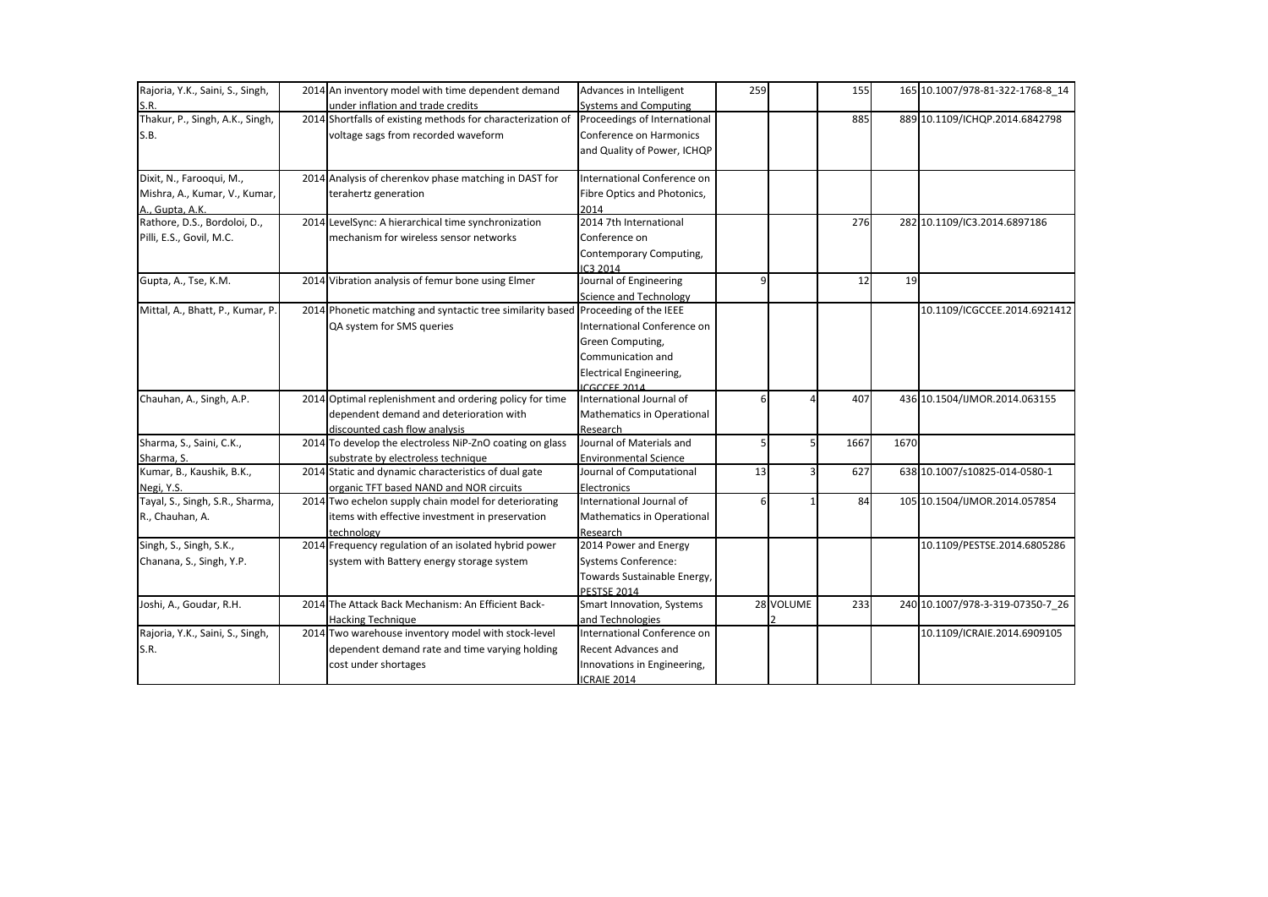| Rajoria, Y.K., Saini, S., Singh, | 2014 An inventory model with time dependent demand                                | Advances in Intelligent          | 259 |           | 155  |           | 165 10.1007/978-81-322-1768-8 14 |
|----------------------------------|-----------------------------------------------------------------------------------|----------------------------------|-----|-----------|------|-----------|----------------------------------|
| S.R.                             | under inflation and trade credits                                                 | <b>Systems and Computing</b>     |     |           |      |           |                                  |
| Thakur, P., Singh, A.K., Singh,  | 2014 Shortfalls of existing methods for characterization of                       | Proceedings of International     |     |           | 885  |           | 889 10.1109/ICHQP.2014.6842798   |
| S.B.                             | voltage sags from recorded waveform                                               | Conference on Harmonics          |     |           |      |           |                                  |
|                                  |                                                                                   | and Quality of Power, ICHQP      |     |           |      |           |                                  |
| Dixit, N., Farooqui, M.,         | 2014 Analysis of cherenkov phase matching in DAST for                             | International Conference on      |     |           |      |           |                                  |
| Mishra, A., Kumar, V., Kumar,    | terahertz generation                                                              | Fibre Optics and Photonics,      |     |           |      |           |                                  |
| A., Gupta, A.K.                  |                                                                                   | 2014                             |     |           |      |           |                                  |
| Rathore, D.S., Bordoloi, D.,     | 2014 LevelSync: A hierarchical time synchronization                               | 2014 7th International           |     |           | 276  |           | 282 10.1109/IC3.2014.6897186     |
| Pilli, E.S., Govil, M.C.         | mechanism for wireless sensor networks                                            | Conference on                    |     |           |      |           |                                  |
|                                  |                                                                                   | Contemporary Computing,          |     |           |      |           |                                  |
|                                  |                                                                                   | IC3 2014                         |     |           |      |           |                                  |
| Gupta, A., Tse, K.M.             | 2014 Vibration analysis of femur bone using Elmer                                 | Journal of Engineering           | q   |           | 12   | <b>19</b> |                                  |
|                                  |                                                                                   | <b>Science and Technology</b>    |     |           |      |           |                                  |
| Mittal, A., Bhatt, P., Kumar, P. | 2014 Phonetic matching and syntactic tree similarity based Proceeding of the IEEE |                                  |     |           |      |           | 10.1109/ICGCCEE.2014.6921412     |
|                                  | QA system for SMS queries                                                         | International Conference on      |     |           |      |           |                                  |
|                                  |                                                                                   | Green Computing,                 |     |           |      |           |                                  |
|                                  |                                                                                   | Communication and                |     |           |      |           |                                  |
|                                  |                                                                                   | <b>Electrical Engineering,</b>   |     |           |      |           |                                  |
|                                  |                                                                                   | <b>ICGCCEE 2014</b>              |     |           |      |           |                                  |
| Chauhan, A., Singh, A.P.         | 2014 Optimal replenishment and ordering policy for time                           | International Journal of         | 6   |           | 407  |           | 436 10.1504/IJMOR.2014.063155    |
|                                  | dependent demand and deterioration with                                           | Mathematics in Operational       |     |           |      |           |                                  |
|                                  | discounted cash flow analysis                                                     | Research                         |     |           |      |           |                                  |
| Sharma, S., Saini, C.K.,         | 2014 To develop the electroless NiP-ZnO coating on glass                          | Journal of Materials and         |     |           | 1667 | 1670      |                                  |
| Sharma, S.                       | substrate by electroless technique                                                | <b>Environmental Science</b>     |     |           |      |           |                                  |
| Kumar, B., Kaushik, B.K.,        | 2014 Static and dynamic characteristics of dual gate                              | Journal of Computational         | 13  |           | 627  |           | 638 10.1007/s10825-014-0580-1    |
| Negi, Y.S.                       | organic TFT based NAND and NOR circuits                                           | Electronics                      |     |           |      |           |                                  |
| Tayal, S., Singh, S.R., Sharma,  | 2014 Two echelon supply chain model for deteriorating                             | International Journal of         |     |           | 84   |           | 105 10.1504/IJMOR.2014.057854    |
| R., Chauhan, A.                  | items with effective investment in preservation                                   | Mathematics in Operational       |     |           |      |           |                                  |
|                                  | technology                                                                        | Research                         |     |           |      |           |                                  |
| Singh, S., Singh, S.K.,          | 2014 Frequency regulation of an isolated hybrid power                             | 2014 Power and Energy            |     |           |      |           | 10.1109/PESTSE.2014.6805286      |
| Chanana, S., Singh, Y.P.         | system with Battery energy storage system                                         | <b>Systems Conference:</b>       |     |           |      |           |                                  |
|                                  |                                                                                   | Towards Sustainable Energy,      |     |           |      |           |                                  |
|                                  |                                                                                   | <b>PESTSE 2014</b>               |     |           |      |           |                                  |
| Joshi, A., Goudar, R.H.          | 2014 The Attack Back Mechanism: An Efficient Back-                                | <b>Smart Innovation, Systems</b> |     | 28 VOLUME | 233  |           | 240 10.1007/978-3-319-07350-7 26 |
|                                  | <b>Hacking Technique</b>                                                          | and Technologies                 |     |           |      |           |                                  |
| Rajoria, Y.K., Saini, S., Singh, | 2014 Two warehouse inventory model with stock-level                               | International Conference on      |     |           |      |           | 10.1109/ICRAIE.2014.6909105      |
| S.R.                             | dependent demand rate and time varying holding                                    | <b>Recent Advances and</b>       |     |           |      |           |                                  |
|                                  | cost under shortages                                                              | Innovations in Engineering,      |     |           |      |           |                                  |
|                                  |                                                                                   | ICRAIE 2014                      |     |           |      |           |                                  |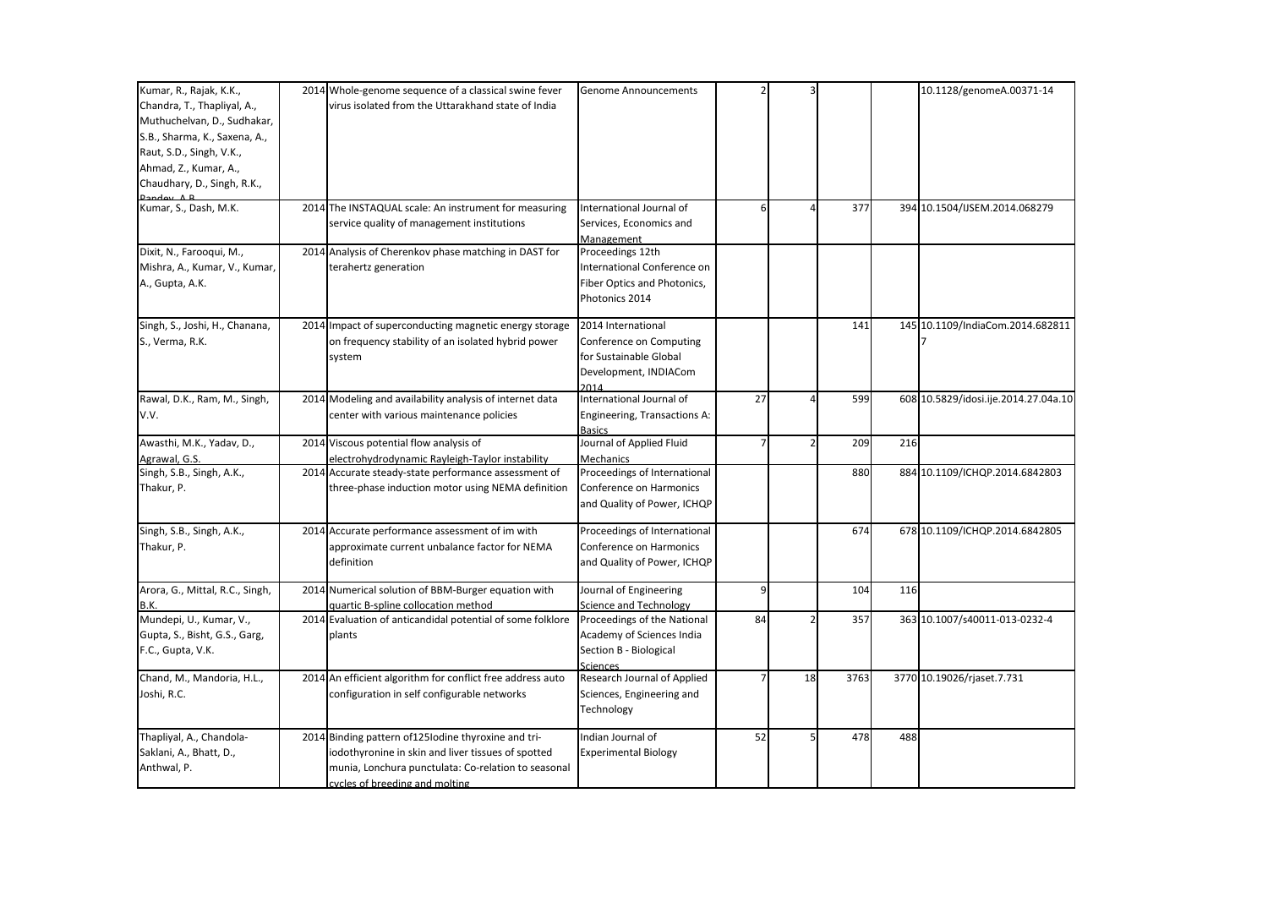| Kumar, R., Rajak, K.K.,         |      | 2014 Whole-genome sequence of a classical swine fever      | Genome Announcements         |    |    |      |     | 10.1128/genomeA.00371-14             |
|---------------------------------|------|------------------------------------------------------------|------------------------------|----|----|------|-----|--------------------------------------|
| Chandra, T., Thapliyal, A.,     |      | virus isolated from the Uttarakhand state of India         |                              |    |    |      |     |                                      |
| Muthuchelvan, D., Sudhakar,     |      |                                                            |                              |    |    |      |     |                                      |
| S.B., Sharma, K., Saxena, A.,   |      |                                                            |                              |    |    |      |     |                                      |
| Raut, S.D., Singh, V.K.,        |      |                                                            |                              |    |    |      |     |                                      |
| Ahmad, Z., Kumar, A.,           |      |                                                            |                              |    |    |      |     |                                      |
| Chaudhary, D., Singh, R.K.,     |      |                                                            |                              |    |    |      |     |                                      |
|                                 |      |                                                            |                              |    |    |      |     |                                      |
| Kumar, S., Dash, M.K.           | 2014 | The INSTAQUAL scale: An instrument for measuring           | International Journal of     | 6  |    | 377  |     | 394 10.1504/IJSEM.2014.068279        |
|                                 |      | service quality of management institutions                 | Services, Economics and      |    |    |      |     |                                      |
|                                 |      |                                                            | Management                   |    |    |      |     |                                      |
| Dixit, N., Farooqui, M.,        |      | 2014 Analysis of Cherenkov phase matching in DAST for      | Proceedings 12th             |    |    |      |     |                                      |
| Mishra, A., Kumar, V., Kumar,   |      | terahertz generation                                       | International Conference on  |    |    |      |     |                                      |
| A., Gupta, A.K.                 |      |                                                            | Fiber Optics and Photonics,  |    |    |      |     |                                      |
|                                 |      |                                                            | Photonics 2014               |    |    |      |     |                                      |
| Singh, S., Joshi, H., Chanana,  |      | 2014 Impact of superconducting magnetic energy storage     | 2014 International           |    |    | 141  |     | 145 10.1109/IndiaCom.2014.682811     |
| S., Verma, R.K.                 |      | on frequency stability of an isolated hybrid power         | Conference on Computing      |    |    |      |     |                                      |
|                                 |      | system                                                     | for Sustainable Global       |    |    |      |     |                                      |
|                                 |      |                                                            | Development, INDIACom        |    |    |      |     |                                      |
|                                 |      |                                                            | 2014                         |    |    |      |     |                                      |
| Rawal, D.K., Ram, M., Singh,    |      | 2014 Modeling and availability analysis of internet data   | International Journal of     | 27 |    | 599  |     | 608 10.5829/idosi.ije.2014.27.04a.10 |
| V.V.                            |      | center with various maintenance policies                   | Engineering, Transactions A: |    |    |      |     |                                      |
|                                 |      |                                                            | <b>Basics</b>                |    |    |      |     |                                      |
| Awasthi, M.K., Yadav, D.,       |      | 2014 Viscous potential flow analysis of                    | Journal of Applied Fluid     | 7  |    | 209  | 216 |                                      |
| Agrawal, G.S.                   |      | electrohydrodynamic Rayleigh-Taylor instability            | <b>Mechanics</b>             |    |    |      |     |                                      |
| Singh, S.B., Singh, A.K.,       |      | 2014 Accurate steady-state performance assessment of       | Proceedings of International |    |    | 880  |     | 884 10.1109/ICHQP.2014.6842803       |
| Thakur, P.                      |      | three-phase induction motor using NEMA definition          | Conference on Harmonics      |    |    |      |     |                                      |
|                                 |      |                                                            | and Quality of Power, ICHQP  |    |    |      |     |                                      |
| Singh, S.B., Singh, A.K.,       |      | 2014 Accurate performance assessment of im with            | Proceedings of International |    |    | 674  |     | 678 10.1109/ICHQP.2014.6842805       |
| Thakur, P.                      |      | approximate current unbalance factor for NEMA              | Conference on Harmonics      |    |    |      |     |                                      |
|                                 |      | definition                                                 | and Quality of Power, ICHQP  |    |    |      |     |                                      |
|                                 |      |                                                            |                              |    |    |      |     |                                      |
| Arora, G., Mittal, R.C., Singh, |      | 2014 Numerical solution of BBM-Burger equation with        | Journal of Engineering       | 9  |    | 104  | 116 |                                      |
| B.K.                            |      | quartic B-spline collocation method                        | Science and Technology       |    |    |      |     |                                      |
| Mundepi, U., Kumar, V.,         |      | 2014 Evaluation of anticandidal potential of some folklore | Proceedings of the National  | 84 |    | 357  |     | 363 10.1007/s40011-013-0232-4        |
| Gupta, S., Bisht, G.S., Garg,   |      | plants                                                     | Academy of Sciences India    |    |    |      |     |                                      |
| F.C., Gupta, V.K.               |      |                                                            | Section B - Biological       |    |    |      |     |                                      |
|                                 |      |                                                            | Sciences                     |    |    |      |     |                                      |
| Chand, M., Mandoria, H.L.,      |      | 2014 An efficient algorithm for conflict free address auto | Research Journal of Applied  |    | 18 | 3763 |     | 3770 10.19026/rjaset.7.731           |
| Joshi, R.C.                     |      | configuration in self configurable networks                | Sciences, Engineering and    |    |    |      |     |                                      |
|                                 |      |                                                            | Technology                   |    |    |      |     |                                      |
| Thapliyal, A., Chandola-        |      | 2014 Binding pattern of 125 Iodine thyroxine and tri-      | Indian Journal of            | 52 |    | 478  | 488 |                                      |
| Saklani, A., Bhatt, D.,         |      | iodothyronine in skin and liver tissues of spotted         | <b>Experimental Biology</b>  |    |    |      |     |                                      |
| Anthwal, P.                     |      | munia, Lonchura punctulata: Co-relation to seasonal        |                              |    |    |      |     |                                      |
|                                 |      | cycles of breeding and molting                             |                              |    |    |      |     |                                      |
|                                 |      |                                                            |                              |    |    |      |     |                                      |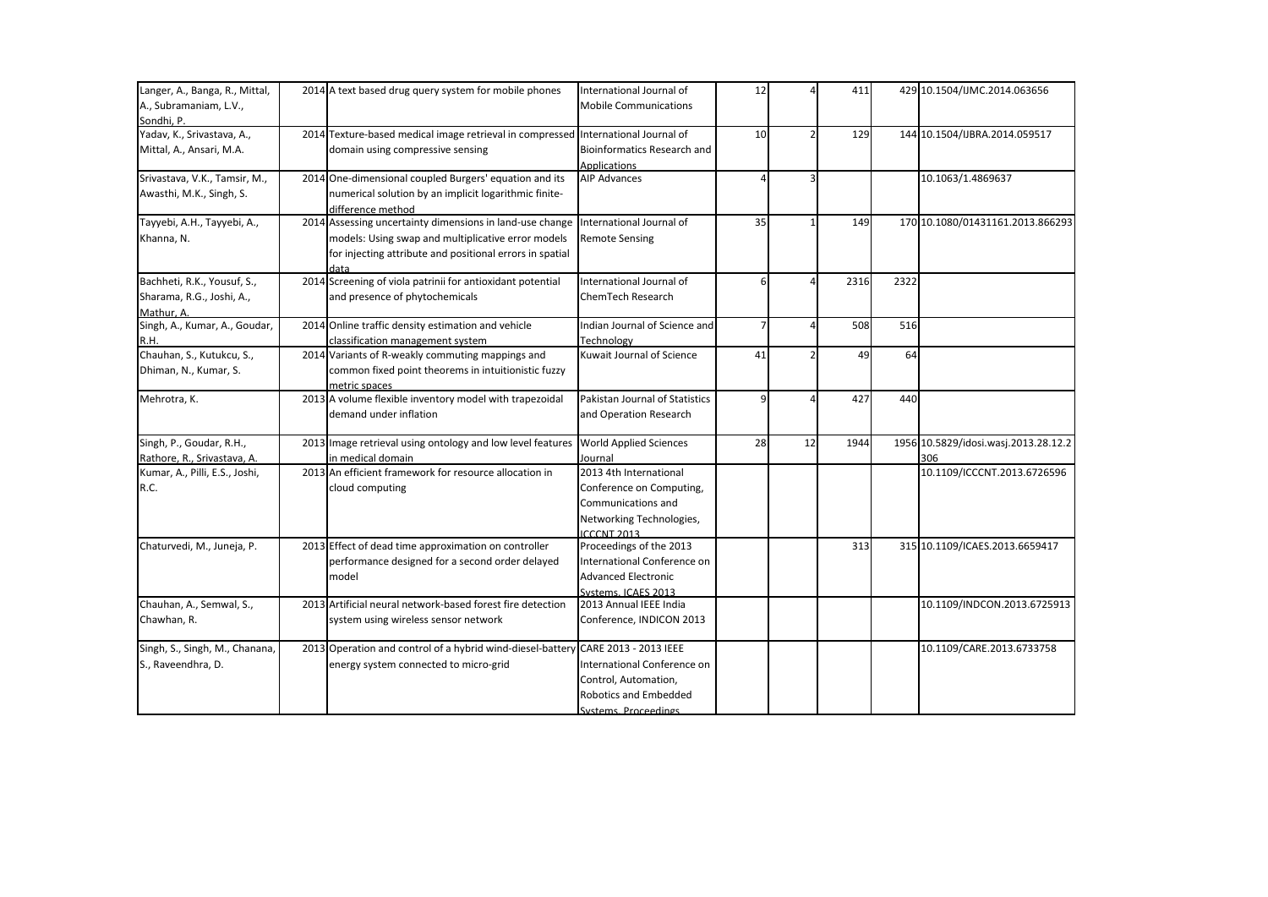| Langer, A., Banga, R., Mittal,<br>A., Subramaniam, L.V.,               | 2014 A text based drug query system for mobile phones                                                                                                                              | International Journal of<br><b>Mobile Communications</b>                                                                   | 12             |    | 411  |      | 429 10.1504/IJMC.2014.063656                |
|------------------------------------------------------------------------|------------------------------------------------------------------------------------------------------------------------------------------------------------------------------------|----------------------------------------------------------------------------------------------------------------------------|----------------|----|------|------|---------------------------------------------|
| Sondhi. P.                                                             |                                                                                                                                                                                    |                                                                                                                            |                |    |      |      |                                             |
| Yadav, K., Srivastava, A.,<br>Mittal, A., Ansari, M.A.                 | 2014 Texture-based medical image retrieval in compressed International Journal of<br>domain using compressive sensing                                                              | <b>Bioinformatics Research and</b><br><b>Applications</b>                                                                  | 10             |    | 129  |      | 144 10.1504/IJBRA.2014.059517               |
| Srivastava, V.K., Tamsir, M.,<br>Awasthi, M.K., Singh, S.              | 2014 One-dimensional coupled Burgers' equation and its<br>numerical solution by an implicit logarithmic finite-<br>difference method                                               | <b>AIP Advances</b>                                                                                                        |                |    |      |      | 10.1063/1.4869637                           |
| Tayyebi, A.H., Tayyebi, A.,<br>Khanna, N.                              | 2014 Assessing uncertainty dimensions in land-use change<br>models: Using swap and multiplicative error models<br>for injecting attribute and positional errors in spatial<br>data | International Journal of<br><b>Remote Sensing</b>                                                                          | 35             |    | 149  |      | 170 10.1080/01431161.2013.866293            |
| Bachheti, R.K., Yousuf, S.,<br>Sharama, R.G., Joshi, A.,<br>Mathur. A. | 2014 Screening of viola patrinii for antioxidant potential<br>and presence of phytochemicals                                                                                       | International Journal of<br>ChemTech Research                                                                              |                |    | 2316 | 2322 |                                             |
| Singh, A., Kumar, A., Goudar,<br>R.H.                                  | 2014 Online traffic density estimation and vehicle<br>classification management system                                                                                             | Indian Journal of Science and<br>Technology                                                                                | $\overline{7}$ |    | 508  | 516  |                                             |
| Chauhan, S., Kutukcu, S.,<br>Dhiman, N., Kumar, S.                     | 2014 Variants of R-weakly commuting mappings and<br>common fixed point theorems in intuitionistic fuzzy<br>metric spaces                                                           | Kuwait Journal of Science                                                                                                  | 41             |    | 49   | 64   |                                             |
| Mehrotra, K.                                                           | 2013 A volume flexible inventory model with trapezoidal<br>demand under inflation                                                                                                  | Pakistan Journal of Statistics<br>and Operation Research                                                                   | q              |    | 427  | 440  |                                             |
| Singh, P., Goudar, R.H.,<br>Rathore, R., Srivastava, A.                | 2013 Image retrieval using ontology and low level features<br>in medical domain                                                                                                    | <b>World Applied Sciences</b><br>Journal                                                                                   | 28             | 12 | 1944 |      | 1956 10.5829/idosi.wasj.2013.28.12.2<br>306 |
| Kumar, A., Pilli, E.S., Joshi,<br>R.C.                                 | 2013 An efficient framework for resource allocation in<br>cloud computing                                                                                                          | 2013 4th International<br>Conference on Computing,<br>Communications and<br>Networking Technologies,<br><b>ICCCNT 2013</b> |                |    |      |      | 10.1109/ICCCNT.2013.6726596                 |
| Chaturvedi, M., Juneja, P.                                             | 2013 Effect of dead time approximation on controller<br>performance designed for a second order delayed<br>model                                                                   | Proceedings of the 2013<br>International Conference on<br><b>Advanced Electronic</b><br>Systems, ICAES 2013                |                |    | 313  |      | 315 10.1109/ICAES.2013.6659417              |
| Chauhan, A., Semwal, S.,<br>Chawhan, R.                                | 2013 Artificial neural network-based forest fire detection<br>system using wireless sensor network                                                                                 | 2013 Annual IEEE India<br>Conference, INDICON 2013                                                                         |                |    |      |      | 10.1109/INDCON.2013.6725913                 |
| Singh, S., Singh, M., Chanana,<br>S., Raveendhra, D.                   | 2013 Operation and control of a hybrid wind-diesel-battery CARE 2013 - 2013 IEEE<br>energy system connected to micro-grid                                                          | International Conference on<br>Control, Automation,<br>Robotics and Embedded<br>Systems Proceedings                        |                |    |      |      | 10.1109/CARE.2013.6733758                   |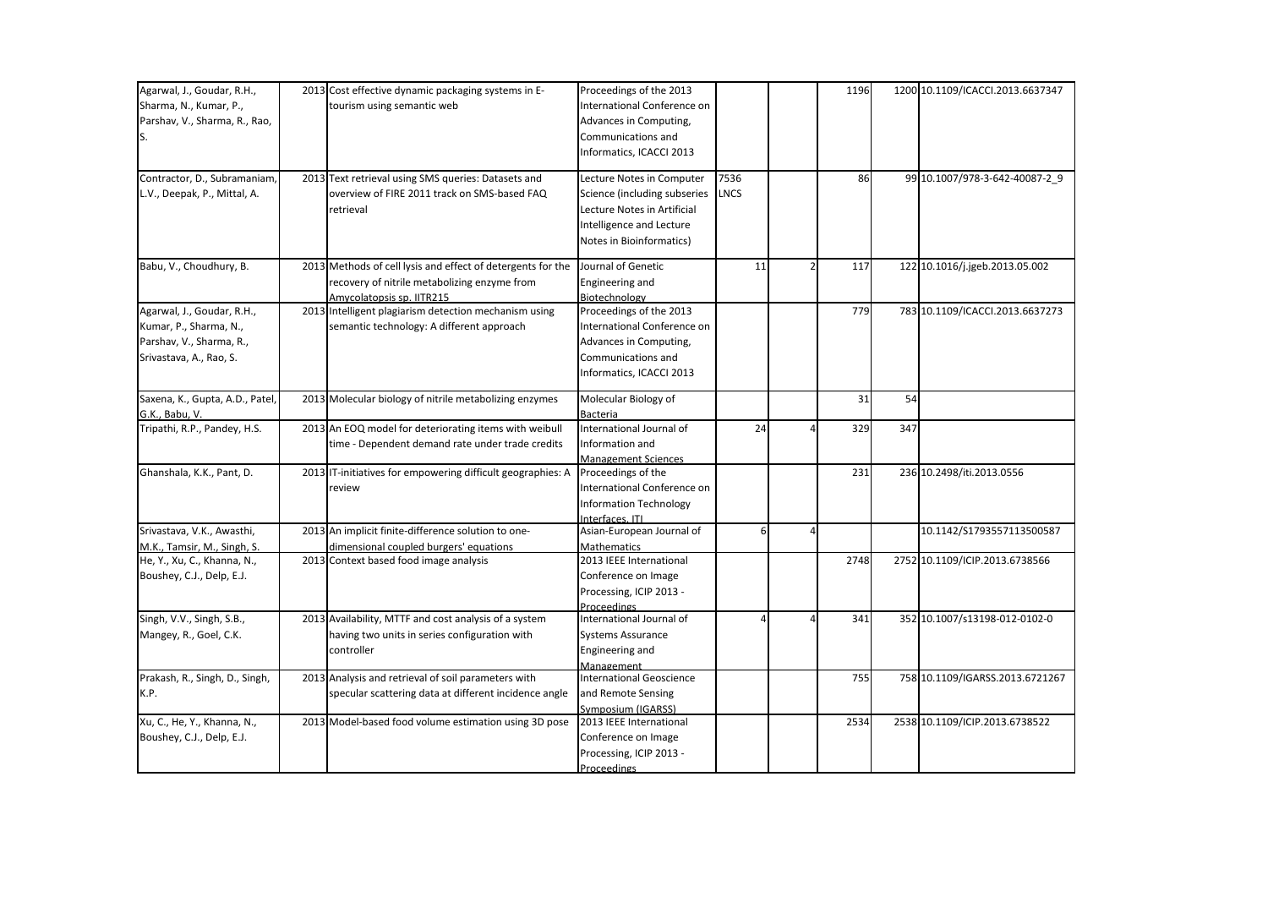| Agarwal, J., Goudar, R.H.,                                 | 2013 Cost effective dynamic packaging systems in E-                              | Proceedings of the 2013                       |      |   | 1196 |     | 1200 10.1109/ICACCI.2013.6637347 |
|------------------------------------------------------------|----------------------------------------------------------------------------------|-----------------------------------------------|------|---|------|-----|----------------------------------|
| Sharma, N., Kumar, P.,                                     | tourism using semantic web                                                       | International Conference on                   |      |   |      |     |                                  |
| Parshav, V., Sharma, R., Rao,                              |                                                                                  | Advances in Computing,                        |      |   |      |     |                                  |
| S.                                                         |                                                                                  | Communications and                            |      |   |      |     |                                  |
|                                                            |                                                                                  |                                               |      |   |      |     |                                  |
|                                                            |                                                                                  | Informatics, ICACCI 2013                      |      |   |      |     |                                  |
| Contractor, D., Subramaniam,                               | 2013 Text retrieval using SMS queries: Datasets and                              | Lecture Notes in Computer                     | 7536 |   | 86   |     | 99 10.1007/978-3-642-40087-2_9   |
| L.V., Deepak, P., Mittal, A.                               | overview of FIRE 2011 track on SMS-based FAQ                                     | Science (including subseries                  | LNCS |   |      |     |                                  |
|                                                            | retrieval                                                                        | Lecture Notes in Artificial                   |      |   |      |     |                                  |
|                                                            |                                                                                  | Intelligence and Lecture                      |      |   |      |     |                                  |
|                                                            |                                                                                  | Notes in Bioinformatics)                      |      |   |      |     |                                  |
|                                                            |                                                                                  |                                               |      |   |      |     |                                  |
| Babu, V., Choudhury, B.                                    | 2013 Methods of cell lysis and effect of detergents for the                      | Journal of Genetic                            | 11   |   | 117  |     | 122 10.1016/j.jgeb.2013.05.002   |
|                                                            | recovery of nitrile metabolizing enzyme from                                     | Engineering and                               |      |   |      |     |                                  |
|                                                            | Amycolatopsis sp. IITR215                                                        | Biotechnology                                 |      |   |      |     |                                  |
| Agarwal, J., Goudar, R.H.,                                 | 2013 Intelligent plagiarism detection mechanism using                            | Proceedings of the 2013                       |      |   | 779  |     | 783 10.1109/ICACCI.2013.6637273  |
| Kumar, P., Sharma, N.,                                     | semantic technology: A different approach                                        | International Conference on                   |      |   |      |     |                                  |
| Parshav, V., Sharma, R.,                                   |                                                                                  | Advances in Computing,                        |      |   |      |     |                                  |
| Srivastava, A., Rao, S.                                    |                                                                                  | Communications and                            |      |   |      |     |                                  |
|                                                            |                                                                                  | Informatics, ICACCI 2013                      |      |   |      |     |                                  |
|                                                            |                                                                                  |                                               |      |   | 31   | 54  |                                  |
| Saxena, K., Gupta, A.D., Patel,                            | 2013 Molecular biology of nitrile metabolizing enzymes                           | Molecular Biology of                          |      |   |      |     |                                  |
| G.K., Babu, V.<br>Tripathi, R.P., Pandey, H.S.             |                                                                                  | Bacteria<br>International Journal of          | 24   |   | 329  | 347 |                                  |
|                                                            | 2013 An EOQ model for deteriorating items with weibull                           |                                               |      |   |      |     |                                  |
|                                                            | time - Dependent demand rate under trade credits                                 | Information and                               |      |   |      |     |                                  |
| Ghanshala, K.K., Pant, D.                                  | 2013 IT-initiatives for empowering difficult geographies: A                      | <b>Management Sciences</b>                    |      |   | 231  |     | 236 10.2498/iti.2013.0556        |
|                                                            |                                                                                  | Proceedings of the                            |      |   |      |     |                                  |
|                                                            | review                                                                           | International Conference on                   |      |   |      |     |                                  |
|                                                            |                                                                                  | <b>Information Technology</b>                 |      |   |      |     |                                  |
| Srivastava, V.K., Awasthi,                                 | 2013 An implicit finite-difference solution to one-                              | Interfaces, ITI<br>Asian-European Journal of  | 6    | 4 |      |     | 10.1142/S1793557113500587        |
|                                                            |                                                                                  |                                               |      |   |      |     |                                  |
| M.K., Tamsir, M., Singh, S.<br>He, Y., Xu, C., Khanna, N., | dimensional coupled burgers' equations<br>2013 Context based food image analysis | <b>Mathematics</b><br>2013 IEEE International |      |   | 2748 |     | 2752 10.1109/ICIP.2013.6738566   |
|                                                            |                                                                                  |                                               |      |   |      |     |                                  |
| Boushey, C.J., Delp, E.J.                                  |                                                                                  | Conference on Image                           |      |   |      |     |                                  |
|                                                            |                                                                                  | Processing, ICIP 2013 -                       |      |   |      |     |                                  |
| Singh, V.V., Singh, S.B.,                                  | 2013 Availability, MTTF and cost analysis of a system                            | Proceedings<br>International Journal of       |      |   | 341  |     | 352 10.1007/s13198-012-0102-0    |
|                                                            |                                                                                  |                                               |      |   |      |     |                                  |
| Mangey, R., Goel, C.K.                                     | having two units in series configuration with                                    | <b>Systems Assurance</b>                      |      |   |      |     |                                  |
|                                                            | controller                                                                       | Engineering and                               |      |   |      |     |                                  |
| Prakash, R., Singh, D., Singh,                             | 2013 Analysis and retrieval of soil parameters with                              | Management<br><b>International Geoscience</b> |      |   | 755  |     | 758 10.1109/IGARSS.2013.6721267  |
| K.P.                                                       | specular scattering data at different incidence angle                            | and Remote Sensing                            |      |   |      |     |                                  |
|                                                            |                                                                                  |                                               |      |   |      |     |                                  |
| Xu, C., He, Y., Khanna, N.,                                | 2013 Model-based food volume estimation using 3D pose                            | Symposium (IGARSS)<br>2013 IEEE International |      |   | 2534 |     | 2538 10.1109/ICIP.2013.6738522   |
| Boushey, C.J., Delp, E.J.                                  |                                                                                  | Conference on Image                           |      |   |      |     |                                  |
|                                                            |                                                                                  |                                               |      |   |      |     |                                  |
|                                                            |                                                                                  | Processing, ICIP 2013 -                       |      |   |      |     |                                  |
|                                                            |                                                                                  | Proceedings                                   |      |   |      |     |                                  |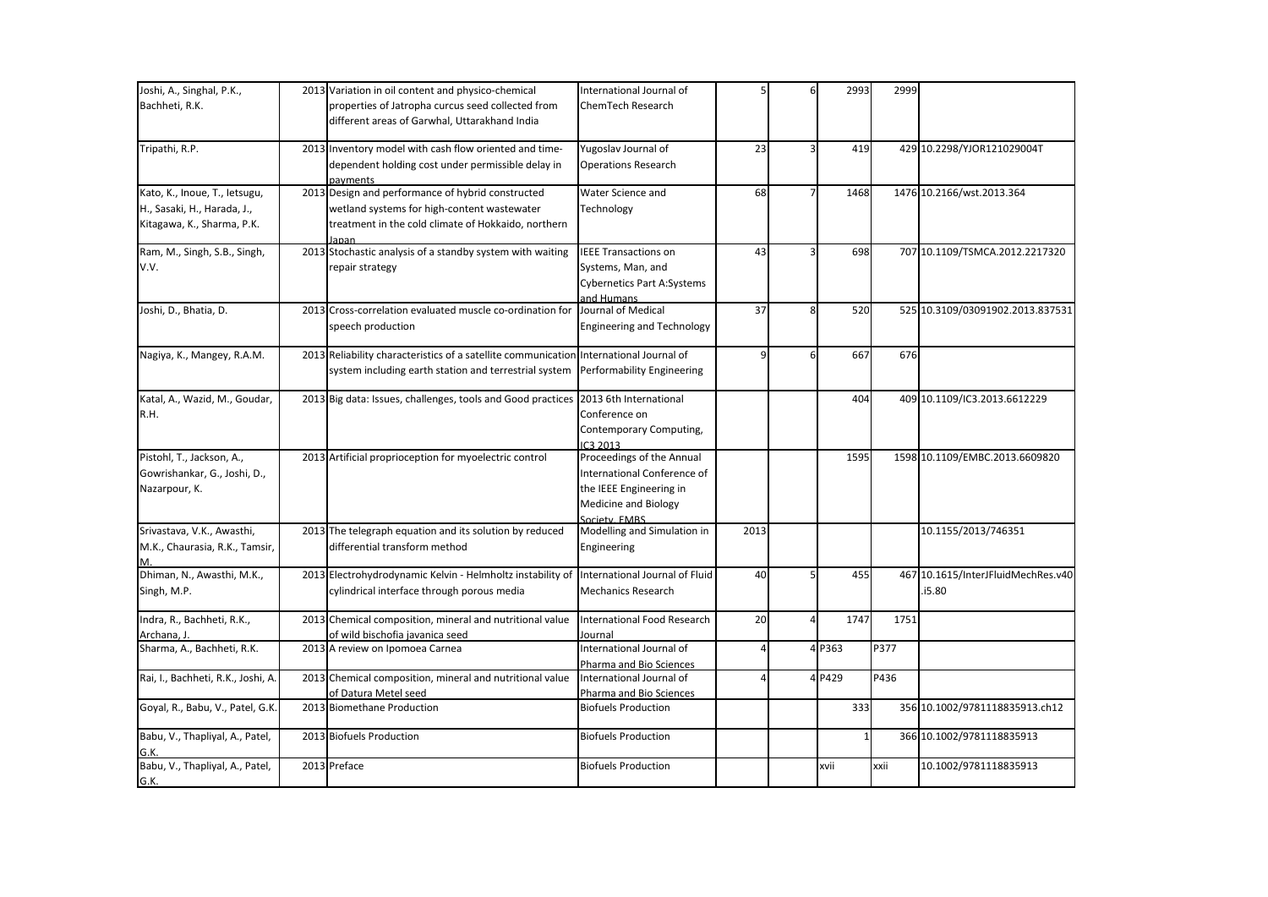| Joshi, A., Singhal, P.K.,          | 2013 Variation in oil content and physico-chemical                                     | International Journal of           |      | 6 | 2993         | 2999 |                                    |
|------------------------------------|----------------------------------------------------------------------------------------|------------------------------------|------|---|--------------|------|------------------------------------|
| Bachheti, R.K.                     | properties of Jatropha curcus seed collected from                                      | <b>ChemTech Research</b>           |      |   |              |      |                                    |
|                                    | different areas of Garwhal, Uttarakhand India                                          |                                    |      |   |              |      |                                    |
|                                    |                                                                                        |                                    |      |   |              |      |                                    |
| Tripathi, R.P.                     | 2013 Inventory model with cash flow oriented and time-                                 | Yugoslav Journal of                | 23   | 3 | 419          |      | 429 10.2298/YJOR121029004T         |
|                                    | dependent holding cost under permissible delay in                                      | <b>Operations Research</b>         |      |   |              |      |                                    |
|                                    | payments                                                                               |                                    |      |   |              |      |                                    |
| Kato, K., Inoue, T., letsugu,      | 2013 Design and performance of hybrid constructed                                      | Water Science and                  | 68   |   | 1468         |      | 1476 10.2166/wst.2013.364          |
| H., Sasaki, H., Harada, J.,        | wetland systems for high-content wastewater                                            | Technology                         |      |   |              |      |                                    |
| Kitagawa, K., Sharma, P.K.         | treatment in the cold climate of Hokkaido, northern                                    |                                    |      |   |              |      |                                    |
|                                    | lanan                                                                                  |                                    |      |   |              |      |                                    |
| Ram, M., Singh, S.B., Singh,       | 2013 Stochastic analysis of a standby system with waiting                              | <b>IEEE Transactions on</b>        | 43   |   | 698          |      | 707 10.1109/TSMCA.2012.2217320     |
| V.V.                               | repair strategy                                                                        | Systems, Man, and                  |      |   |              |      |                                    |
|                                    |                                                                                        | <b>Cybernetics Part A:Systems</b>  |      |   |              |      |                                    |
|                                    |                                                                                        | and Humans                         |      |   |              |      |                                    |
| Joshi, D., Bhatia, D.              | 2013 Cross-correlation evaluated muscle co-ordination for                              | Journal of Medical                 | 37   | 8 | 520          |      | 525 10.3109/03091902.2013.837531   |
|                                    | speech production                                                                      | <b>Engineering and Technology</b>  |      |   |              |      |                                    |
|                                    |                                                                                        |                                    |      |   |              |      |                                    |
| Nagiya, K., Mangey, R.A.M.         | 2013 Reliability characteristics of a satellite communication International Journal of |                                    |      | 6 | 667          | 676  |                                    |
|                                    | system including earth station and terrestrial system                                  | Performability Engineering         |      |   |              |      |                                    |
|                                    |                                                                                        |                                    |      |   |              |      |                                    |
| Katal, A., Wazid, M., Goudar,      | 2013 Big data: Issues, challenges, tools and Good practices                            | 2013 6th International             |      |   | 404          |      | 409 10.1109/IC3.2013.6612229       |
| R.H.                               |                                                                                        | Conference on                      |      |   |              |      |                                    |
|                                    |                                                                                        | Contemporary Computing,            |      |   |              |      |                                    |
|                                    |                                                                                        | IC3 2013                           |      |   |              |      |                                    |
| Pistohl, T., Jackson, A.,          | 2013 Artificial proprioception for myoelectric control                                 | Proceedings of the Annual          |      |   | 1595         |      | 1598 10.1109/EMBC.2013.6609820     |
| Gowrishankar, G., Joshi, D.,       |                                                                                        | International Conference of        |      |   |              |      |                                    |
| Nazarpour, K.                      |                                                                                        | the IEEE Engineering in            |      |   |              |      |                                    |
|                                    |                                                                                        | Medicine and Biology               |      |   |              |      |                                    |
|                                    |                                                                                        | Society, EMBS                      |      |   |              |      |                                    |
| Srivastava, V.K., Awasthi,         | 2013 The telegraph equation and its solution by reduced                                | Modelling and Simulation in        | 2013 |   |              |      | 10.1155/2013/746351                |
| M.K., Chaurasia, R.K., Tamsir,     | differential transform method                                                          | Engineering                        |      |   |              |      |                                    |
|                                    |                                                                                        |                                    |      |   |              |      |                                    |
| Dhiman, N., Awasthi, M.K.,         | 2013 Electrohydrodynamic Kelvin - Helmholtz instability of                             | International Journal of Fluid     | 40   |   | 455          |      | 467 10.1615/InterJFluidMechRes.v40 |
| Singh, M.P.                        | cylindrical interface through porous media                                             | <b>Mechanics Research</b>          |      |   |              |      | .i5.80                             |
|                                    |                                                                                        |                                    |      |   |              |      |                                    |
| Indra, R., Bachheti, R.K.,         | 2013 Chemical composition, mineral and nutritional value                               | <b>International Food Research</b> | 20   | 4 | 1747         | 1751 |                                    |
| Archana, J.                        | of wild bischofia javanica seed                                                        | Journal                            |      |   |              |      |                                    |
| Sharma, A., Bachheti, R.K.         | 2013 A review on Ipomoea Carnea                                                        | International Journal of           |      |   | 4 P363       | P377 |                                    |
|                                    |                                                                                        | Pharma and Bio Sciences            |      |   |              |      |                                    |
| Rai, I., Bachheti, R.K., Joshi, A. | 2013 Chemical composition, mineral and nutritional value                               | International Journal of           |      |   | 4 P429       | P436 |                                    |
|                                    | of Datura Metel seed                                                                   | Pharma and Bio Sciences            |      |   |              |      |                                    |
| Goyal, R., Babu, V., Patel, G.K.   | 2013 Biomethane Production                                                             | <b>Biofuels Production</b>         |      |   | 333          |      | 356 10.1002/9781118835913.ch12     |
|                                    |                                                                                        |                                    |      |   |              |      |                                    |
| Babu, V., Thapliyal, A., Patel,    | 2013 Biofuels Production                                                               | <b>Biofuels Production</b>         |      |   | $\mathbf{1}$ |      | 366 10.1002/9781118835913          |
| G.K.                               |                                                                                        |                                    |      |   |              |      |                                    |
| Babu, V., Thapliyal, A., Patel,    | 2013 Preface                                                                           | <b>Biofuels Production</b>         |      |   | xvii         | xxii | 10.1002/9781118835913              |
| G.K.                               |                                                                                        |                                    |      |   |              |      |                                    |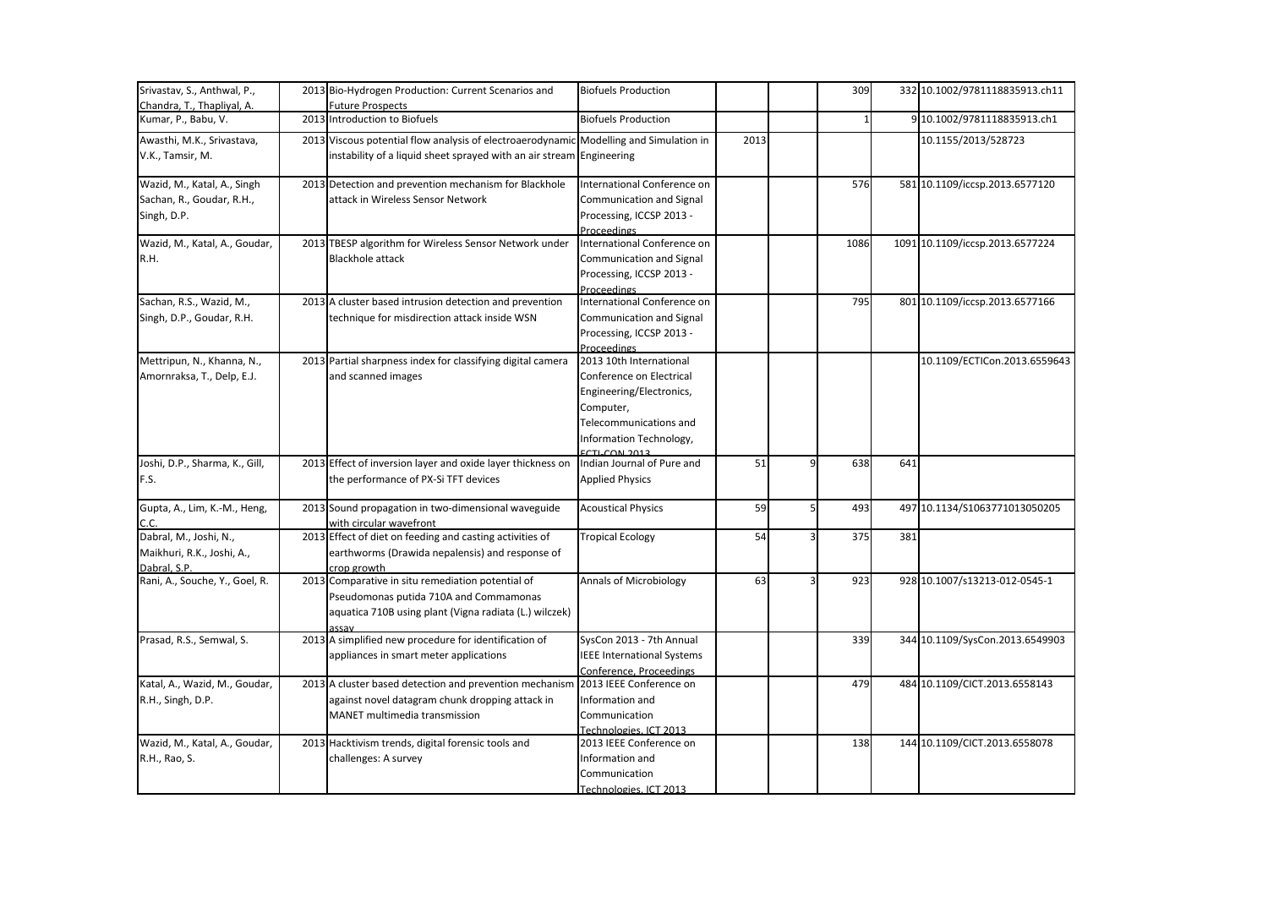| Srivastav, S., Anthwal, P.,                       | 2013 Bio-Hydrogen Production: Current Scenarios and                                                                                                            | <b>Biofuels Production</b>                        |      | 309                 |     | 332 10.1002/9781118835913.ch11  |
|---------------------------------------------------|----------------------------------------------------------------------------------------------------------------------------------------------------------------|---------------------------------------------------|------|---------------------|-----|---------------------------------|
| Chandra, T., Thapliyal, A.<br>Kumar, P., Babu, V. | <b>Future Prospects</b><br>2013 Introduction to Biofuels                                                                                                       | <b>Biofuels Production</b>                        |      |                     |     | 9 10.1002/9781118835913.ch1     |
|                                                   |                                                                                                                                                                |                                                   |      |                     |     |                                 |
| Awasthi, M.K., Srivastava,<br>V.K., Tamsir, M.    | 2013 Viscous potential flow analysis of electroaerodynamic Modelling and Simulation in<br>instability of a liquid sheet sprayed with an air stream Engineering |                                                   | 2013 |                     |     | 10.1155/2013/528723             |
| Wazid, M., Katal, A., Singh                       | 2013 Detection and prevention mechanism for Blackhole                                                                                                          | International Conference on                       |      | 576                 |     | 581 10.1109/iccsp.2013.6577120  |
| Sachan, R., Goudar, R.H.,                         | attack in Wireless Sensor Network                                                                                                                              | Communication and Signal                          |      |                     |     |                                 |
| Singh, D.P.                                       |                                                                                                                                                                | Processing, ICCSP 2013 -                          |      |                     |     |                                 |
|                                                   |                                                                                                                                                                | Proceedings                                       |      |                     |     |                                 |
| Wazid, M., Katal, A., Goudar,                     | 2013 TBESP algorithm for Wireless Sensor Network under                                                                                                         | International Conference on                       |      | 1086                |     | 1091 10.1109/iccsp.2013.6577224 |
| R.H.                                              | <b>Blackhole attack</b>                                                                                                                                        | Communication and Signal                          |      |                     |     |                                 |
|                                                   |                                                                                                                                                                | Processing, ICCSP 2013 -                          |      |                     |     |                                 |
| Sachan, R.S., Wazid, M.,                          | 2013 A cluster based intrusion detection and prevention                                                                                                        | Proceedings<br>International Conference on        |      | 795                 |     | 801 10.1109/iccsp.2013.6577166  |
| Singh, D.P., Goudar, R.H.                         | technique for misdirection attack inside WSN                                                                                                                   | Communication and Signal                          |      |                     |     |                                 |
|                                                   |                                                                                                                                                                | Processing, ICCSP 2013 -                          |      |                     |     |                                 |
|                                                   |                                                                                                                                                                | <b>Proceedings</b>                                |      |                     |     |                                 |
| Mettripun, N., Khanna, N.,                        | 2013 Partial sharpness index for classifying digital camera                                                                                                    | 2013 10th International                           |      |                     |     | 10.1109/ECTICon.2013.6559643    |
| Amornraksa, T., Delp, E.J.                        | and scanned images                                                                                                                                             | Conference on Electrical                          |      |                     |     |                                 |
|                                                   |                                                                                                                                                                | Engineering/Electronics,                          |      |                     |     |                                 |
|                                                   |                                                                                                                                                                | Computer,                                         |      |                     |     |                                 |
|                                                   |                                                                                                                                                                | Telecommunications and                            |      |                     |     |                                 |
|                                                   |                                                                                                                                                                | Information Technology,                           |      |                     |     |                                 |
|                                                   |                                                                                                                                                                | <b>ECTLCON 2012</b>                               |      |                     |     |                                 |
| Joshi, D.P., Sharma, K., Gill,                    | 2013 Effect of inversion layer and oxide layer thickness on                                                                                                    | Indian Journal of Pure and                        | 51   | 9<br>638            | 641 |                                 |
| F.S.                                              | the performance of PX-Si TFT devices                                                                                                                           | <b>Applied Physics</b>                            |      |                     |     |                                 |
| Gupta, A., Lim, K.-M., Heng,                      | 2013 Sound propagation in two-dimensional waveguide                                                                                                            | <b>Acoustical Physics</b>                         | 59   | $\mathsf{S}$<br>493 |     | 497 10.1134/S1063771013050205   |
| C.C.                                              | with circular wavefront                                                                                                                                        |                                                   |      |                     |     |                                 |
| Dabral, M., Joshi, N.,                            | 2013 Effect of diet on feeding and casting activities of                                                                                                       | <b>Tropical Ecology</b>                           | 54   | 375<br>3            | 381 |                                 |
| Maikhuri, R.K., Joshi, A.,                        | earthworms (Drawida nepalensis) and response of                                                                                                                |                                                   |      |                     |     |                                 |
| Dabral, S.P.<br>Rani, A., Souche, Y., Goel, R.    | crop growth<br>2013 Comparative in situ remediation potential of                                                                                               | <b>Annals of Microbiology</b>                     | 63   | 923                 |     | 928 10.1007/s13213-012-0545-1   |
|                                                   | Pseudomonas putida 710A and Commamonas                                                                                                                         |                                                   |      |                     |     |                                 |
|                                                   | aquatica 710B using plant (Vigna radiata (L.) wilczek)                                                                                                         |                                                   |      |                     |     |                                 |
|                                                   |                                                                                                                                                                |                                                   |      |                     |     |                                 |
| Prasad, R.S., Semwal, S.                          | 2013 A simplified new procedure for identification of                                                                                                          | SysCon 2013 - 7th Annual                          |      | 339                 |     | 344 10.1109/SysCon.2013.6549903 |
|                                                   | appliances in smart meter applications                                                                                                                         | <b>IEEE International Systems</b>                 |      |                     |     |                                 |
|                                                   |                                                                                                                                                                | Conference, Proceedings                           |      |                     |     |                                 |
| Katal, A., Wazid, M., Goudar,                     | 2013 A cluster based detection and prevention mechanism                                                                                                        | 2013 IEEE Conference on                           |      | 479                 |     | 484 10.1109/CICT.2013.6558143   |
| R.H., Singh, D.P.                                 | against novel datagram chunk dropping attack in                                                                                                                | Information and                                   |      |                     |     |                                 |
|                                                   | MANET multimedia transmission                                                                                                                                  | Communication                                     |      |                     |     |                                 |
| Wazid, M., Katal, A., Goudar,                     | 2013 Hacktivism trends, digital forensic tools and                                                                                                             | Technologies, ICT 2013<br>2013 IEEE Conference on |      | 138                 |     | 144 10.1109/CICT.2013.6558078   |
| R.H., Rao, S.                                     | challenges: A survey                                                                                                                                           | Information and                                   |      |                     |     |                                 |
|                                                   |                                                                                                                                                                | Communication                                     |      |                     |     |                                 |
|                                                   |                                                                                                                                                                | Technologies, ICT 2013                            |      |                     |     |                                 |
|                                                   |                                                                                                                                                                |                                                   |      |                     |     |                                 |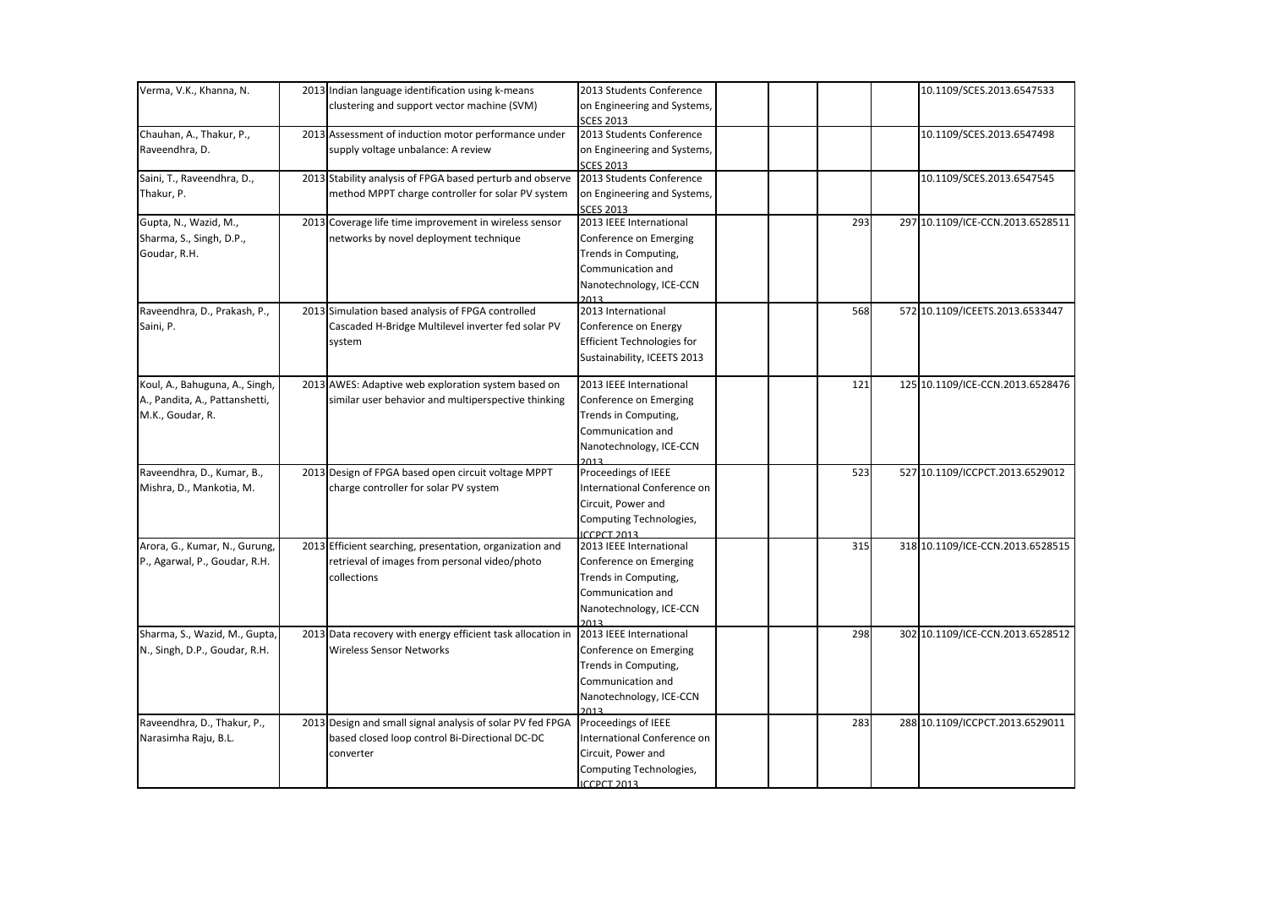| Verma, V.K., Khanna, N.        | 2013 Indian language identification using k-means           | 2013 Students Conference          |     | 10.1109/SCES.2013.6547533        |
|--------------------------------|-------------------------------------------------------------|-----------------------------------|-----|----------------------------------|
|                                | clustering and support vector machine (SVM)                 | on Engineering and Systems,       |     |                                  |
|                                |                                                             | <b>SCES 2013</b>                  |     |                                  |
| Chauhan, A., Thakur, P.,       | 2013 Assessment of induction motor performance under        | 2013 Students Conference          |     | 10.1109/SCES.2013.6547498        |
| Raveendhra, D.                 | supply voltage unbalance: A review                          | on Engineering and Systems,       |     |                                  |
|                                |                                                             | <b>SCES 2013</b>                  |     |                                  |
| Saini, T., Raveendhra, D.,     | 2013 Stability analysis of FPGA based perturb and observe   | 2013 Students Conference          |     | 10.1109/SCES.2013.6547545        |
| Thakur, P.                     | method MPPT charge controller for solar PV system           | on Engineering and Systems,       |     |                                  |
|                                |                                                             | <b>SCES 2013</b>                  |     |                                  |
| Gupta, N., Wazid, M.,          | 2013 Coverage life time improvement in wireless sensor      | 2013 IEEE International           | 293 | 297 10.1109/ICE-CCN.2013.6528511 |
| Sharma, S., Singh, D.P.,       | networks by novel deployment technique                      | Conference on Emerging            |     |                                  |
| Goudar, R.H.                   |                                                             | Trends in Computing,              |     |                                  |
|                                |                                                             | Communication and                 |     |                                  |
|                                |                                                             | Nanotechnology, ICE-CCN           |     |                                  |
|                                |                                                             | วกาว                              |     |                                  |
| Raveendhra, D., Prakash, P.,   | 2013 Simulation based analysis of FPGA controlled           | 2013 International                | 568 | 572 10.1109/ICEETS.2013.6533447  |
| Saini, P.                      | Cascaded H-Bridge Multilevel inverter fed solar PV          | Conference on Energy              |     |                                  |
|                                | system                                                      | <b>Efficient Technologies for</b> |     |                                  |
|                                |                                                             | Sustainability, ICEETS 2013       |     |                                  |
|                                |                                                             |                                   |     |                                  |
| Koul, A., Bahuguna, A., Singh, | 2013 AWES: Adaptive web exploration system based on         | 2013 IEEE International           | 121 | 125 10.1109/ICE-CCN.2013.6528476 |
| A., Pandita, A., Pattanshetti, | similar user behavior and multiperspective thinking         | Conference on Emerging            |     |                                  |
| M.K., Goudar, R.               |                                                             | Trends in Computing,              |     |                                  |
|                                |                                                             | Communication and                 |     |                                  |
|                                |                                                             | Nanotechnology, ICE-CCN           |     |                                  |
|                                |                                                             | วกาว                              |     |                                  |
| Raveendhra, D., Kumar, B.,     | 2013 Design of FPGA based open circuit voltage MPPT         | Proceedings of IEEE               | 523 | 527 10.1109/ICCPCT.2013.6529012  |
| Mishra, D., Mankotia, M.       | charge controller for solar PV system                       | International Conference on       |     |                                  |
|                                |                                                             | Circuit, Power and                |     |                                  |
|                                |                                                             | Computing Technologies,           |     |                                  |
|                                |                                                             | <b>ICCPCT 2013</b>                |     |                                  |
| Arora, G., Kumar, N., Gurung,  | 2013 Efficient searching, presentation, organization and    | 2013 IEEE International           | 315 | 318 10.1109/ICE-CCN.2013.6528515 |
| P., Agarwal, P., Goudar, R.H.  | retrieval of images from personal video/photo               | Conference on Emerging            |     |                                  |
|                                | collections                                                 | Trends in Computing,              |     |                                  |
|                                |                                                             | Communication and                 |     |                                  |
|                                |                                                             | Nanotechnology, ICE-CCN           |     |                                  |
|                                |                                                             | วกาว                              |     |                                  |
| Sharma, S., Wazid, M., Gupta,  | 2013 Data recovery with energy efficient task allocation in | 2013 IEEE International           | 298 | 302 10.1109/ICE-CCN.2013.6528512 |
| N., Singh, D.P., Goudar, R.H.  | <b>Wireless Sensor Networks</b>                             | Conference on Emerging            |     |                                  |
|                                |                                                             | Trends in Computing,              |     |                                  |
|                                |                                                             | Communication and                 |     |                                  |
|                                |                                                             | Nanotechnology, ICE-CCN           |     |                                  |
|                                |                                                             | 2013                              |     |                                  |
| Raveendhra, D., Thakur, P.,    | 2013 Design and small signal analysis of solar PV fed FPGA  | Proceedings of IEEE               | 283 | 288 10.1109/ICCPCT.2013.6529011  |
| Narasimha Raju, B.L.           | based closed loop control Bi-Directional DC-DC              | International Conference on       |     |                                  |
|                                | converter                                                   | Circuit, Power and                |     |                                  |
|                                |                                                             | Computing Technologies,           |     |                                  |
|                                |                                                             | ICCPCT 2013                       |     |                                  |
|                                |                                                             |                                   |     |                                  |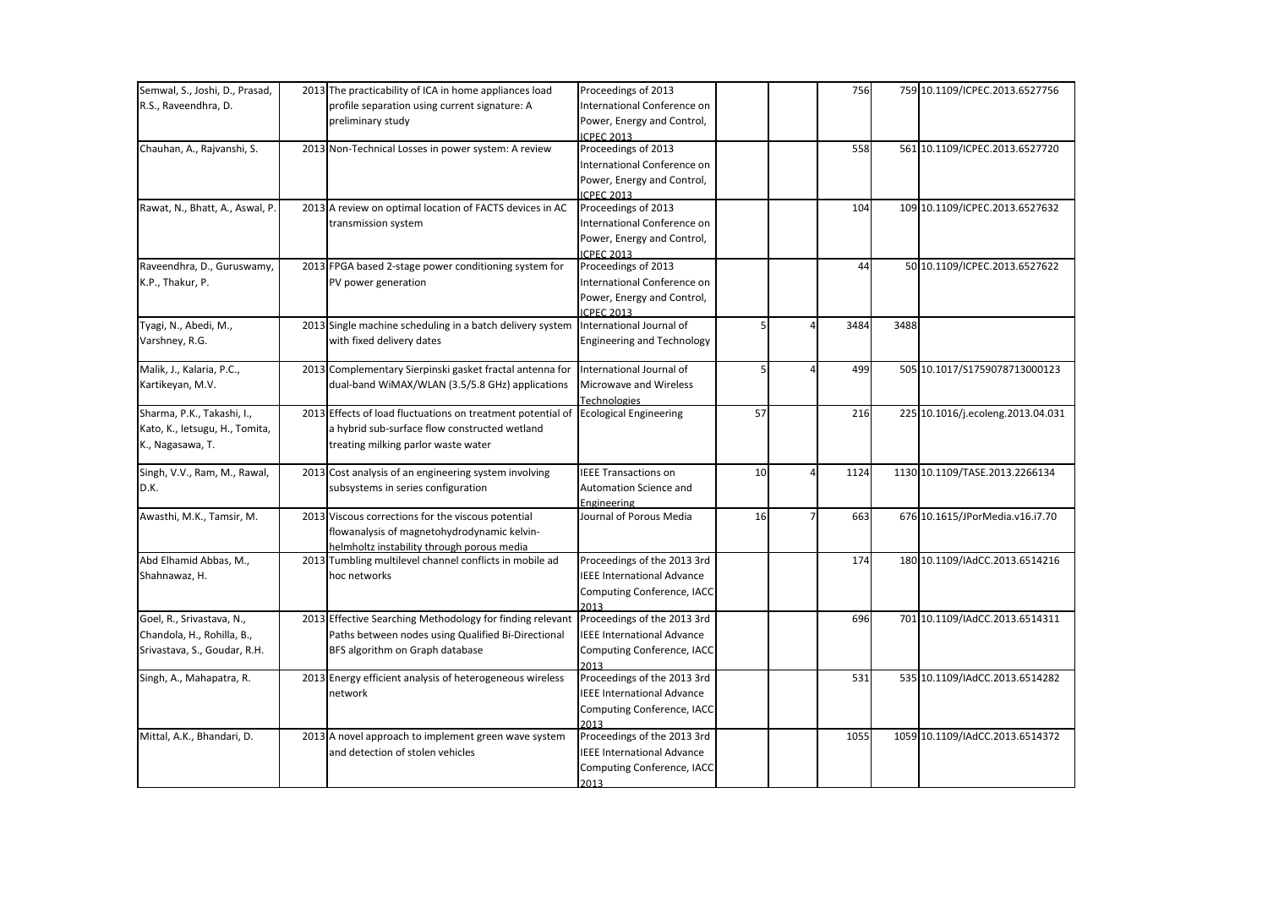| Semwal, S., Joshi, D., Prasad,  | 2013 The practicability of ICA in home appliances load                                    | Proceedings of 2013                           |    |   | 756  |      | 759 10.1109/ICPEC.2013.6527756    |
|---------------------------------|-------------------------------------------------------------------------------------------|-----------------------------------------------|----|---|------|------|-----------------------------------|
| R.S., Raveendhra, D.            | profile separation using current signature: A                                             | International Conference on                   |    |   |      |      |                                   |
|                                 | preliminary study                                                                         | Power, Energy and Control,                    |    |   |      |      |                                   |
|                                 |                                                                                           | <b>ICPEC 2013</b>                             |    |   |      |      |                                   |
| Chauhan, A., Rajvanshi, S.      | 2013 Non-Technical Losses in power system: A review                                       | Proceedings of 2013                           |    |   | 558  |      | 561 10.1109/ICPEC.2013.6527720    |
|                                 |                                                                                           | International Conference on                   |    |   |      |      |                                   |
|                                 |                                                                                           | Power, Energy and Control,                    |    |   |      |      |                                   |
|                                 |                                                                                           | <b>ICPEC 2013</b>                             |    |   |      |      |                                   |
| Rawat, N., Bhatt, A., Aswal, P. | 2013 A review on optimal location of FACTS devices in AC                                  | Proceedings of 2013                           |    |   | 104  |      | 109 10.1109/ICPEC.2013.6527632    |
|                                 | transmission system                                                                       | International Conference on                   |    |   |      |      |                                   |
|                                 |                                                                                           | Power, Energy and Control,                    |    |   |      |      |                                   |
|                                 |                                                                                           | <b>ICPEC 2013</b>                             |    |   |      |      |                                   |
| Raveendhra, D., Guruswamy,      | 2013 FPGA based 2-stage power conditioning system for                                     | Proceedings of 2013                           |    |   | 44   |      | 50 10.1109/ICPEC.2013.6527622     |
| K.P., Thakur, P.                | PV power generation                                                                       | International Conference on                   |    |   |      |      |                                   |
|                                 |                                                                                           | Power, Energy and Control,                    |    |   |      |      |                                   |
| Tyagi, N., Abedi, M.,           | 2013 Single machine scheduling in a batch delivery system                                 | <b>ICPEC 2013</b><br>International Journal of |    |   | 3484 | 3488 |                                   |
| Varshney, R.G.                  | with fixed delivery dates                                                                 | <b>Engineering and Technology</b>             |    |   |      |      |                                   |
|                                 |                                                                                           |                                               |    |   |      |      |                                   |
| Malik, J., Kalaria, P.C.,       | 2013 Complementary Sierpinski gasket fractal antenna for                                  | International Journal of                      | 5  |   | 499  |      | 505 10.1017/S1759078713000123     |
| Kartikeyan, M.V.                | dual-band WiMAX/WLAN (3.5/5.8 GHz) applications                                           | Microwave and Wireless                        |    |   |      |      |                                   |
|                                 |                                                                                           | <b>Technologies</b>                           |    |   |      |      |                                   |
| Sharma, P.K., Takashi, I.,      | 2013 Effects of load fluctuations on treatment potential of                               | <b>Ecological Engineering</b>                 | 57 |   | 216  |      | 225 10.1016/j.ecoleng.2013.04.031 |
| Kato, K., Ietsugu, H., Tomita,  | a hybrid sub-surface flow constructed wetland                                             |                                               |    |   |      |      |                                   |
| K., Nagasawa, T.                | treating milking parlor waste water                                                       |                                               |    |   |      |      |                                   |
|                                 |                                                                                           |                                               |    |   |      |      |                                   |
| Singh, V.V., Ram, M., Rawal,    | 2013 Cost analysis of an engineering system involving                                     | <b>IEEE Transactions on</b>                   | 10 | 4 | 1124 |      | 1130 10.1109/TASE.2013.2266134    |
| D.K.                            | subsystems in series configuration                                                        | Automation Science and                        |    |   |      |      |                                   |
| Awasthi, M.K., Tamsir, M.       | 2013 Viscous corrections for the viscous potential                                        | Engineering<br>Journal of Porous Media        | 16 |   | 663  |      | 676 10.1615/JPorMedia.v16.i7.70   |
|                                 |                                                                                           |                                               |    |   |      |      |                                   |
|                                 | flowanalysis of magnetohydrodynamic kelvin-<br>helmholtz instability through porous media |                                               |    |   |      |      |                                   |
| Abd Elhamid Abbas, M.,          | 2013 Tumbling multilevel channel conflicts in mobile ad                                   | Proceedings of the 2013 3rd                   |    |   | 174  |      | 180 10.1109/IAdCC.2013.6514216    |
| Shahnawaz, H.                   | hoc networks                                                                              | <b>IEEE International Advance</b>             |    |   |      |      |                                   |
|                                 |                                                                                           | Computing Conference, IACC                    |    |   |      |      |                                   |
|                                 |                                                                                           | 2013                                          |    |   |      |      |                                   |
| Goel, R., Srivastava, N.,       | 2013 Effective Searching Methodology for finding relevant                                 | Proceedings of the 2013 3rd                   |    |   | 696  |      | 701 10.1109/IAdCC.2013.6514311    |
| Chandola, H., Rohilla, B.,      | Paths between nodes using Qualified Bi-Directional                                        | <b>IEEE International Advance</b>             |    |   |      |      |                                   |
| Srivastava, S., Goudar, R.H.    | BFS algorithm on Graph database                                                           | Computing Conference, IACC                    |    |   |      |      |                                   |
|                                 |                                                                                           | 2013                                          |    |   |      |      |                                   |
| Singh, A., Mahapatra, R.        | 2013 Energy efficient analysis of heterogeneous wireless                                  | Proceedings of the 2013 3rd                   |    |   | 531  |      | 535 10.1109/IAdCC.2013.6514282    |
|                                 | network                                                                                   | <b>IEEE International Advance</b>             |    |   |      |      |                                   |
|                                 |                                                                                           | Computing Conference, IACC                    |    |   |      |      |                                   |
|                                 |                                                                                           | 2013                                          |    |   |      |      |                                   |
| Mittal, A.K., Bhandari, D.      | 2013 A novel approach to implement green wave system                                      | Proceedings of the 2013 3rd                   |    |   | 1055 |      | 1059 10.1109/IAdCC.2013.6514372   |
|                                 | and detection of stolen vehicles                                                          | <b>IEEE International Advance</b>             |    |   |      |      |                                   |
|                                 |                                                                                           | Computing Conference, IACC                    |    |   |      |      |                                   |
|                                 |                                                                                           | 2013                                          |    |   |      |      |                                   |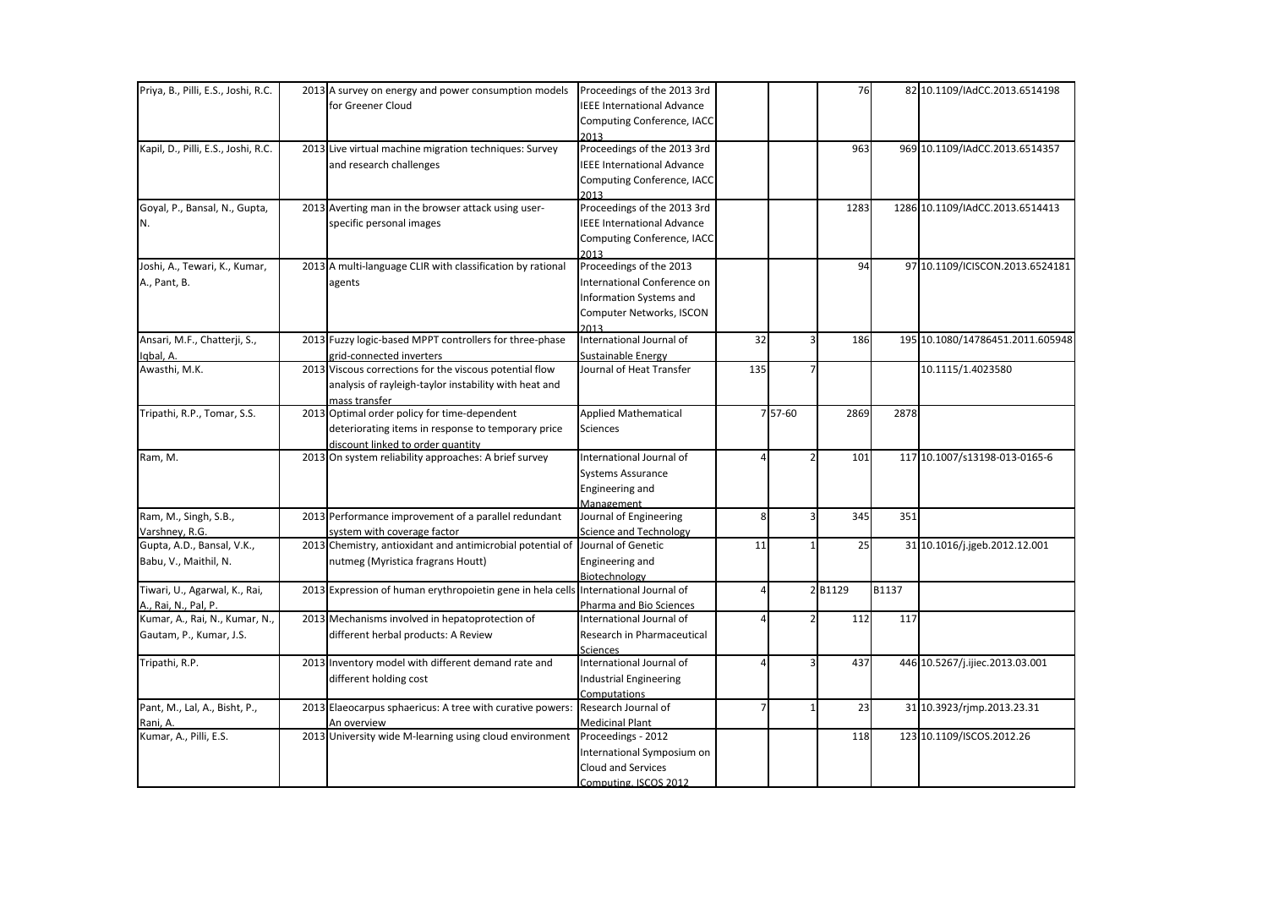| Priya, B., Pilli, E.S., Joshi, R.C. | 2013 A survey on energy and power consumption models                                | Proceedings of the 2013 3rd       |                |         | 76                    |       | 82 10.1109/IAdCC.2013.6514198    |
|-------------------------------------|-------------------------------------------------------------------------------------|-----------------------------------|----------------|---------|-----------------------|-------|----------------------------------|
|                                     | for Greener Cloud                                                                   | <b>IEEE International Advance</b> |                |         |                       |       |                                  |
|                                     |                                                                                     | Computing Conference, IACC        |                |         |                       |       |                                  |
|                                     |                                                                                     | 2013                              |                |         |                       |       |                                  |
| Kapil, D., Pilli, E.S., Joshi, R.C. | 2013 Live virtual machine migration techniques: Survey                              | Proceedings of the 2013 3rd       |                |         | 963                   |       | 969 10.1109/IAdCC.2013.6514357   |
|                                     | and research challenges                                                             | <b>IEEE International Advance</b> |                |         |                       |       |                                  |
|                                     |                                                                                     | Computing Conference, IACC        |                |         |                       |       |                                  |
|                                     |                                                                                     | 2013                              |                |         |                       |       |                                  |
| Goyal, P., Bansal, N., Gupta,       | 2013 Averting man in the browser attack using user-                                 | Proceedings of the 2013 3rd       |                |         | 1283                  |       | 1286 10.1109/IAdCC.2013.6514413  |
| N.                                  | specific personal images                                                            | <b>IEEE International Advance</b> |                |         |                       |       |                                  |
|                                     |                                                                                     | Computing Conference, IACC        |                |         |                       |       |                                  |
|                                     |                                                                                     | 2013                              |                |         |                       |       |                                  |
| Joshi, A., Tewari, K., Kumar,       | 2013 A multi-language CLIR with classification by rational                          | Proceedings of the 2013           |                |         | 94                    |       | 97 10.1109/ICISCON.2013.6524181  |
| A., Pant, B.                        | agents                                                                              | International Conference on       |                |         |                       |       |                                  |
|                                     |                                                                                     | Information Systems and           |                |         |                       |       |                                  |
|                                     |                                                                                     | Computer Networks, ISCON          |                |         |                       |       |                                  |
|                                     |                                                                                     | 2013                              |                |         |                       |       |                                  |
| Ansari, M.F., Chatterji, S.,        | 2013 Fuzzy logic-based MPPT controllers for three-phase                             | International Journal of          | 32             |         | $\overline{3}$<br>186 |       | 195 10.1080/14786451.2011.605948 |
| Iqbal, A.                           | grid-connected inverters                                                            | Sustainable Energy                |                |         |                       |       |                                  |
| Awasthi, M.K.                       | 2013 Viscous corrections for the viscous potential flow                             | Journal of Heat Transfer          | 135            |         |                       |       | 10.1115/1.4023580                |
|                                     | analysis of rayleigh-taylor instability with heat and                               |                                   |                |         |                       |       |                                  |
|                                     | mass transfer                                                                       |                                   |                |         |                       |       |                                  |
| Tripathi, R.P., Tomar, S.S.         | 2013 Optimal order policy for time-dependent                                        | <b>Applied Mathematical</b>       |                | 7 57-60 | 2869                  | 2878  |                                  |
|                                     | deteriorating items in response to temporary price                                  | <b>Sciences</b>                   |                |         |                       |       |                                  |
|                                     | discount linked to order quantity                                                   |                                   |                |         |                       |       |                                  |
| Ram, M.                             | 2013 On system reliability approaches: A brief survey                               | International Journal of          |                |         | 101                   |       | 117 10.1007/s13198-013-0165-6    |
|                                     |                                                                                     | <b>Systems Assurance</b>          |                |         |                       |       |                                  |
|                                     |                                                                                     | Engineering and                   |                |         |                       |       |                                  |
|                                     |                                                                                     | Management                        |                |         |                       |       |                                  |
| Ram, M., Singh, S.B.,               | 2013 Performance improvement of a parallel redundant                                | Journal of Engineering            | 8              | 3       | 345                   | 351   |                                  |
| Varshney, R.G.                      | system with coverage factor                                                         | Science and Technology            |                |         |                       |       |                                  |
| Gupta, A.D., Bansal, V.K.,          | 2013 Chemistry, antioxidant and antimicrobial potential of Journal of Genetic       |                                   | 11             |         | 25                    |       | 31 10.1016/j.jgeb.2012.12.001    |
| Babu, V., Maithil, N.               | nutmeg (Myristica fragrans Houtt)                                                   | Engineering and                   |                |         |                       |       |                                  |
|                                     |                                                                                     | Biotechnology                     |                |         |                       |       |                                  |
| Tiwari, U., Agarwal, K., Rai,       | 2013 Expression of human erythropoietin gene in hela cells International Journal of |                                   |                |         | 2 B1129               | B1137 |                                  |
| A., Rai, N., Pal, P.                |                                                                                     | Pharma and Bio Sciences           |                |         |                       |       |                                  |
| Kumar, A., Rai, N., Kumar, N.,      | 2013 Mechanisms involved in hepatoprotection of                                     | International Journal of          |                |         | 112                   | 117   |                                  |
| Gautam, P., Kumar, J.S.             | different herbal products: A Review                                                 | Research in Pharmaceutical        |                |         |                       |       |                                  |
|                                     |                                                                                     | <b>Sciences</b>                   |                |         |                       |       |                                  |
| Tripathi, R.P.                      | 2013 Inventory model with different demand rate and                                 | International Journal of          |                | 3       | 437                   |       | 446 10.5267/j.ijiec.2013.03.001  |
|                                     | different holding cost                                                              | <b>Industrial Engineering</b>     |                |         |                       |       |                                  |
|                                     |                                                                                     | Computations                      |                |         |                       |       |                                  |
| Pant, M., Lal, A., Bisht, P.,       | 2013 Elaeocarpus sphaericus: A tree with curative powers: Research Journal of       |                                   | $\overline{7}$ |         | 23                    |       | 31 10.3923/rjmp.2013.23.31       |
| Rani, A.                            | An overview                                                                         | <b>Medicinal Plant</b>            |                |         |                       |       |                                  |
| Kumar, A., Pilli, E.S.              | 2013 University wide M-learning using cloud environment                             | Proceedings - 2012                |                |         | 118                   |       | 123 10.1109/ISCOS.2012.26        |
|                                     |                                                                                     | International Symposium on        |                |         |                       |       |                                  |
|                                     |                                                                                     | Cloud and Services                |                |         |                       |       |                                  |
|                                     |                                                                                     | Computing, ISCOS 2012             |                |         |                       |       |                                  |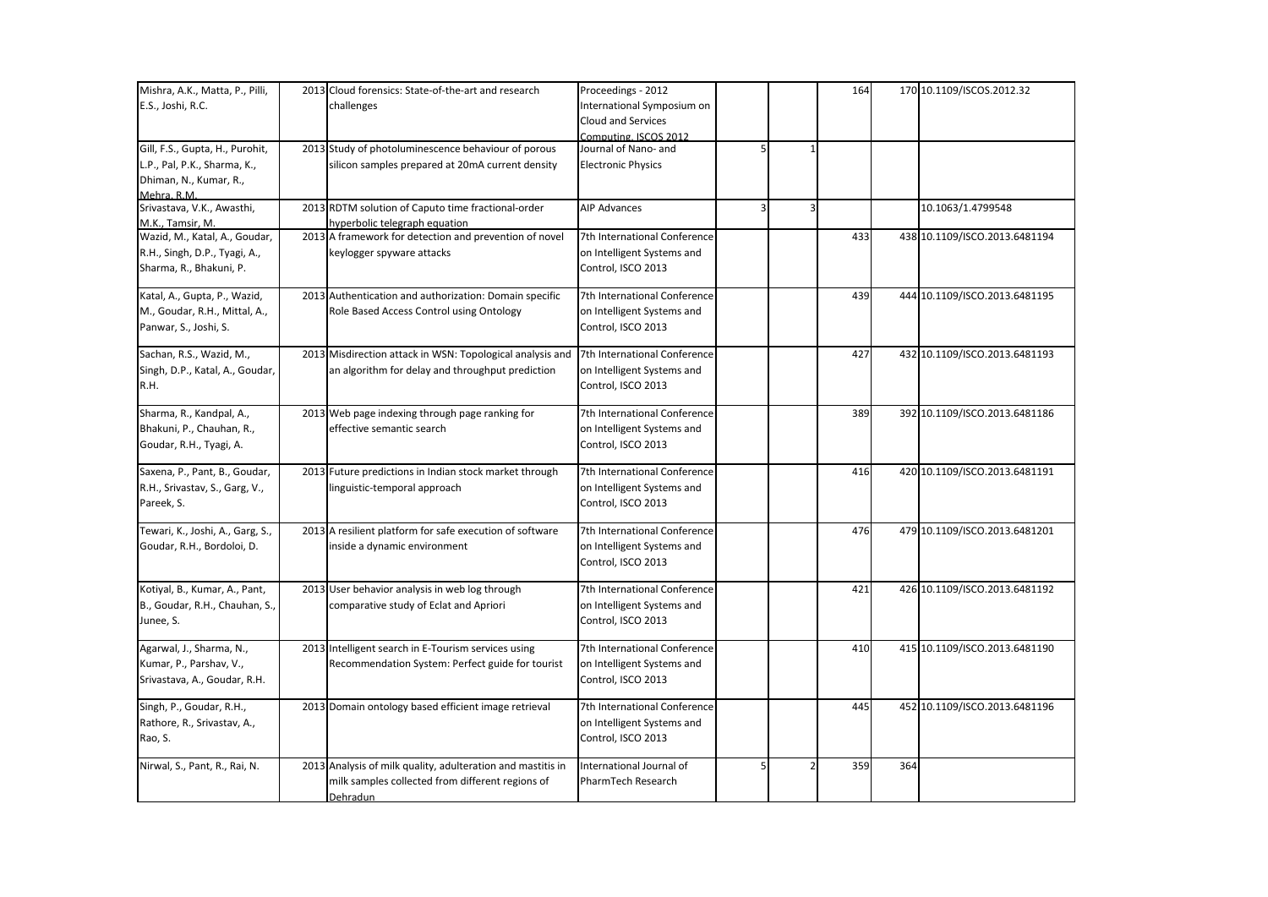| Mishra, A.K., Matta, P., Pilli,  | 2013 Cloud forensics: State-of-the-art and research         | Proceedings - 2012           |                         |                | 164 |     | 170 10.1109/ISCOS.2012.32     |
|----------------------------------|-------------------------------------------------------------|------------------------------|-------------------------|----------------|-----|-----|-------------------------------|
| E.S., Joshi, R.C.                | challenges                                                  | International Symposium on   |                         |                |     |     |                               |
|                                  |                                                             | <b>Cloud and Services</b>    |                         |                |     |     |                               |
|                                  |                                                             | Computing, ISCOS 2012        |                         |                |     |     |                               |
| Gill, F.S., Gupta, H., Purohit,  | 2013 Study of photoluminescence behaviour of porous         | Journal of Nano- and         |                         |                |     |     |                               |
| L.P., Pal, P.K., Sharma, K.,     | silicon samples prepared at 20mA current density            | <b>Electronic Physics</b>    |                         |                |     |     |                               |
| Dhiman, N., Kumar, R.,           |                                                             |                              |                         |                |     |     |                               |
| Mehra, R.M.                      |                                                             |                              |                         |                |     |     |                               |
| Srivastava, V.K., Awasthi,       | 2013 RDTM solution of Caputo time fractional-order          | <b>AIP Advances</b>          | $\overline{\mathbf{3}}$ | $\overline{3}$ |     |     | 10.1063/1.4799548             |
| M.K., Tamsir, M.                 | hyperbolic telegraph equation                               |                              |                         |                |     |     |                               |
| Wazid, M., Katal, A., Goudar,    | 2013 A framework for detection and prevention of novel      | 7th International Conference |                         |                | 433 |     | 438 10.1109/ISCO.2013.6481194 |
| R.H., Singh, D.P., Tyagi, A.,    | keylogger spyware attacks                                   | on Intelligent Systems and   |                         |                |     |     |                               |
| Sharma, R., Bhakuni, P.          |                                                             | Control, ISCO 2013           |                         |                |     |     |                               |
| Katal, A., Gupta, P., Wazid,     | 2013 Authentication and authorization: Domain specific      | 7th International Conference |                         |                | 439 |     | 444 10.1109/ISCO.2013.6481195 |
| M., Goudar, R.H., Mittal, A.,    | Role Based Access Control using Ontology                    | on Intelligent Systems and   |                         |                |     |     |                               |
| Panwar, S., Joshi, S.            |                                                             | Control, ISCO 2013           |                         |                |     |     |                               |
| Sachan, R.S., Wazid, M.,         | 2013 Misdirection attack in WSN: Topological analysis and   | 7th International Conference |                         |                | 427 |     | 432 10.1109/ISCO.2013.6481193 |
| Singh, D.P., Katal, A., Goudar,  | an algorithm for delay and throughput prediction            | on Intelligent Systems and   |                         |                |     |     |                               |
| R.H.                             |                                                             | Control, ISCO 2013           |                         |                |     |     |                               |
| Sharma, R., Kandpal, A.,         | 2013 Web page indexing through page ranking for             | 7th International Conference |                         |                | 389 |     | 392 10.1109/ISCO.2013.6481186 |
| Bhakuni, P., Chauhan, R.,        | effective semantic search                                   | on Intelligent Systems and   |                         |                |     |     |                               |
| Goudar, R.H., Tyagi, A.          |                                                             | Control, ISCO 2013           |                         |                |     |     |                               |
| Saxena, P., Pant, B., Goudar,    | 2013 Future predictions in Indian stock market through      | 7th International Conference |                         |                | 416 |     | 420 10.1109/ISCO.2013.6481191 |
| R.H., Srivastav, S., Garg, V.,   | linguistic-temporal approach                                | on Intelligent Systems and   |                         |                |     |     |                               |
| Pareek, S.                       |                                                             | Control, ISCO 2013           |                         |                |     |     |                               |
|                                  |                                                             |                              |                         |                | 476 |     |                               |
| Tewari, K., Joshi, A., Garg, S., | 2013 A resilient platform for safe execution of software    | 7th International Conference |                         |                |     |     | 479 10.1109/ISCO.2013.6481201 |
| Goudar, R.H., Bordoloi, D.       | inside a dynamic environment                                | on Intelligent Systems and   |                         |                |     |     |                               |
|                                  |                                                             | Control, ISCO 2013           |                         |                |     |     |                               |
| Kotiyal, B., Kumar, A., Pant,    | 2013 User behavior analysis in web log through              | 7th International Conference |                         |                | 421 |     | 426 10.1109/ISCO.2013.6481192 |
| B., Goudar, R.H., Chauhan, S.,   | comparative study of Eclat and Apriori                      | on Intelligent Systems and   |                         |                |     |     |                               |
| Junee, S.                        |                                                             | Control, ISCO 2013           |                         |                |     |     |                               |
| Agarwal, J., Sharma, N.,         | 2013 Intelligent search in E-Tourism services using         | 7th International Conference |                         |                | 410 |     | 415 10.1109/ISCO.2013.6481190 |
| Kumar, P., Parshav, V.,          | Recommendation System: Perfect guide for tourist            | on Intelligent Systems and   |                         |                |     |     |                               |
| Srivastava, A., Goudar, R.H.     |                                                             | Control, ISCO 2013           |                         |                |     |     |                               |
| Singh, P., Goudar, R.H.,         | 2013 Domain ontology based efficient image retrieval        | 7th International Conference |                         |                | 445 |     | 452 10.1109/ISCO.2013.6481196 |
| Rathore, R., Srivastav, A.,      |                                                             | on Intelligent Systems and   |                         |                |     |     |                               |
| Rao, S.                          |                                                             | Control, ISCO 2013           |                         |                |     |     |                               |
| Nirwal, S., Pant, R., Rai, N.    | 2013 Analysis of milk quality, adulteration and mastitis in | International Journal of     | 5                       |                | 359 | 364 |                               |
|                                  | milk samples collected from different regions of            | PharmTech Research           |                         |                |     |     |                               |
|                                  | Dehradun                                                    |                              |                         |                |     |     |                               |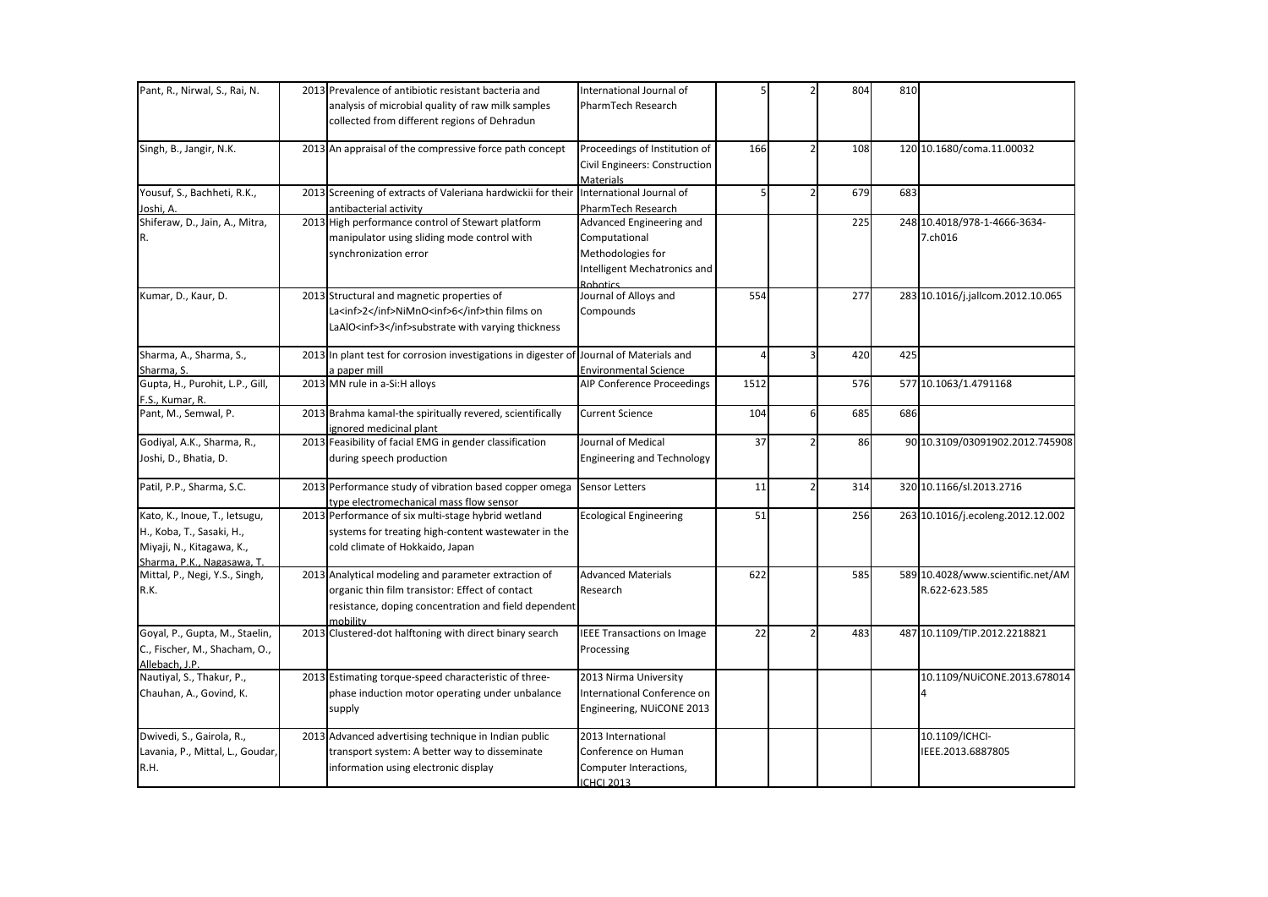| Pant, R., Nirwal, S., Rai, N.                                                                                         | 2013 Prevalence of antibiotic resistant bacteria and<br>analysis of microbial quality of raw milk samples<br>collected from different regions of Dehradun                   | International Journal of<br>PharmTech Research                                                             |      |                          | 804 | 810 |                                                    |
|-----------------------------------------------------------------------------------------------------------------------|-----------------------------------------------------------------------------------------------------------------------------------------------------------------------------|------------------------------------------------------------------------------------------------------------|------|--------------------------|-----|-----|----------------------------------------------------|
| Singh, B., Jangir, N.K.                                                                                               | 2013 An appraisal of the compressive force path concept                                                                                                                     | Proceedings of Institution of<br>Civil Engineers: Construction<br>Materials                                | 166  |                          | 108 |     | 120 10.1680/coma.11.00032                          |
| Yousuf, S., Bachheti, R.K.,<br>Joshi, A.                                                                              | 2013 Screening of extracts of Valeriana hardwickii for their<br>antibacterial activity                                                                                      | International Journal of<br>PharmTech Research                                                             |      | $\overline{\phantom{a}}$ | 679 | 683 |                                                    |
| Shiferaw, D., Jain, A., Mitra,<br>R.                                                                                  | 2013 High performance control of Stewart platform<br>manipulator using sliding mode control with<br>synchronization error                                                   | Advanced Engineering and<br>Computational<br>Methodologies for<br>Intelligent Mechatronics and<br>Robotics |      |                          | 225 |     | 248 10.4018/978-1-4666-3634-<br>7.ch016            |
| Kumar, D., Kaur, D.                                                                                                   | 2013 Structural and magnetic properties of<br>La <inf>2</inf> NiMnO <inf>6</inf> thin films on<br>LaAlO <inf>3</inf> substrate with varying thickness                       | Journal of Alloys and<br>Compounds                                                                         | 554  |                          | 277 |     | 283 10.1016/j.jallcom.2012.10.065                  |
| Sharma, A., Sharma, S.,<br>Sharma, S.                                                                                 | 2013 In plant test for corrosion investigations in digester of Journal of Materials and<br>a paper mill                                                                     | <b>Environmental Science</b>                                                                               |      | 3                        | 420 | 425 |                                                    |
| Gupta, H., Purohit, L.P., Gill,<br>F.S., Kumar, R.                                                                    | 2013 MN rule in a-Si:H alloys                                                                                                                                               | AIP Conference Proceedings                                                                                 | 1512 |                          | 576 |     | 577 10.1063/1.4791168                              |
| Pant, M., Semwal, P.                                                                                                  | 2013 Brahma kamal-the spiritually revered, scientifically<br>ignored medicinal plant                                                                                        | <b>Current Science</b>                                                                                     | 104  | 6                        | 685 | 686 |                                                    |
| Godiyal, A.K., Sharma, R.,<br>Joshi, D., Bhatia, D.                                                                   | 2013 Feasibility of facial EMG in gender classification<br>during speech production                                                                                         | Journal of Medical<br><b>Engineering and Technology</b>                                                    | 37   |                          | 86  |     | 90 10.3109/03091902.2012.745908                    |
| Patil, P.P., Sharma, S.C.                                                                                             | 2013 Performance study of vibration based copper omega<br>type electromechanical mass flow sensor                                                                           | <b>Sensor Letters</b>                                                                                      | 11   | $\overline{2}$           | 314 |     | 320 10.1166/sl.2013.2716                           |
| Kato, K., Inoue, T., letsugu,<br>H., Koba, T., Sasaki, H.,<br>Miyaji, N., Kitagawa, K.,<br>Sharma, P.K., Nagasawa, T. | 2013 Performance of six multi-stage hybrid wetland<br>systems for treating high-content wastewater in the<br>cold climate of Hokkaido, Japan                                | <b>Ecological Engineering</b>                                                                              | 51   |                          | 256 |     | 263 10.1016/j.ecoleng.2012.12.002                  |
| Mittal, P., Negi, Y.S., Singh,<br>R.K.                                                                                | 2013 Analytical modeling and parameter extraction of<br>organic thin film transistor: Effect of contact<br>resistance, doping concentration and field dependent<br>mobility | <b>Advanced Materials</b><br>Research                                                                      | 622  |                          | 585 |     | 589 10.4028/www.scientific.net/AM<br>R.622-623.585 |
| Goyal, P., Gupta, M., Staelin,<br>C., Fischer, M., Shacham, O.,<br>Allebach. J.P.                                     | 2013 Clustered-dot halftoning with direct binary search                                                                                                                     | <b>IEEE Transactions on Image</b><br>Processing                                                            | 22   |                          | 483 |     | 487 10.1109/TIP.2012.2218821                       |
| Nautiyal, S., Thakur, P.,<br>Chauhan, A., Govind, K.                                                                  | 2013 Estimating torque-speed characteristic of three-<br>phase induction motor operating under unbalance<br>supply                                                          | 2013 Nirma University<br>International Conference on<br>Engineering, NUiCONE 2013                          |      |                          |     |     | 10.1109/NUiCONE.2013.678014                        |
| Dwivedi, S., Gairola, R.,<br>Lavania, P., Mittal, L., Goudar,<br>R.H.                                                 | 2013 Advanced advertising technique in Indian public<br>transport system: A better way to disseminate<br>information using electronic display                               | 2013 International<br>Conference on Human<br>Computer Interactions,<br><b>ICHCI 2013</b>                   |      |                          |     |     | 10.1109/ICHCI-<br>IEEE.2013.6887805                |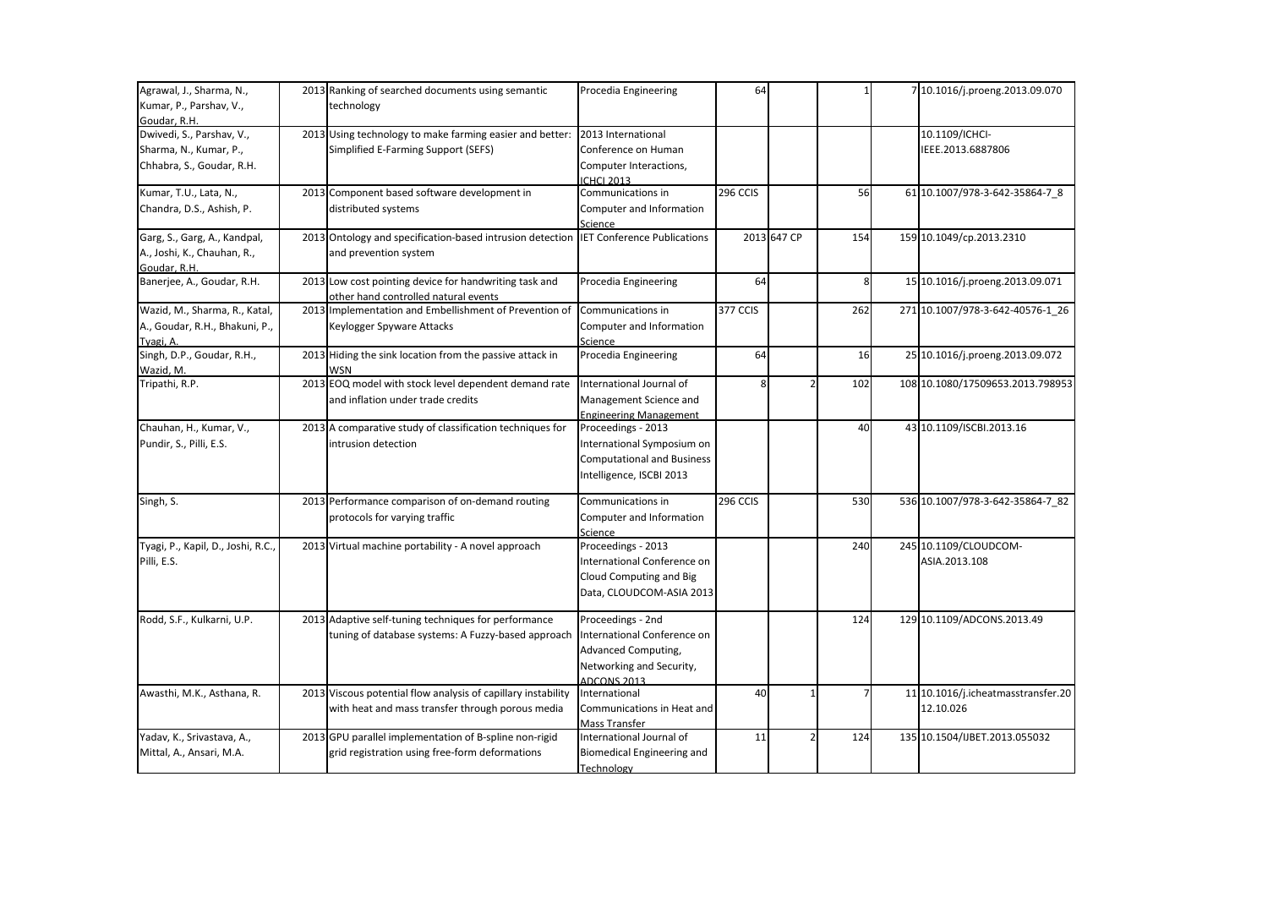| Agrawal, J., Sharma, N.,           | 2013 Ranking of searched documents using semantic                                     | Procedia Engineering              | 64       |             |                | 7 10.1016/j.proeng.2013.09.070     |
|------------------------------------|---------------------------------------------------------------------------------------|-----------------------------------|----------|-------------|----------------|------------------------------------|
|                                    |                                                                                       |                                   |          |             |                |                                    |
| Kumar, P., Parshav, V.,            | technology                                                                            |                                   |          |             |                |                                    |
| Goudar, R.H.                       |                                                                                       |                                   |          |             |                |                                    |
| Dwivedi, S., Parshav, V.,          | 2013 Using technology to make farming easier and better:                              | 2013 International                |          |             |                | 10.1109/ICHCI-                     |
| Sharma, N., Kumar, P.,             | Simplified E-Farming Support (SEFS)                                                   | Conference on Human               |          |             |                | IEEE.2013.6887806                  |
| Chhabra, S., Goudar, R.H.          |                                                                                       | Computer Interactions,            |          |             |                |                                    |
|                                    |                                                                                       | <b>ICHCI 2013</b>                 |          |             |                |                                    |
| Kumar, T.U., Lata, N.,             | 2013 Component based software development in                                          | Communications in                 | 296 CCIS |             | 56             | 61 10.1007/978-3-642-35864-7 8     |
| Chandra, D.S., Ashish, P.          | distributed systems                                                                   | Computer and Information          |          |             |                |                                    |
|                                    |                                                                                       | Science                           |          |             |                |                                    |
| Garg, S., Garg, A., Kandpal,       | 2013 Ontology and specification-based intrusion detection IET Conference Publications |                                   |          | 2013 647 CP | 154            | 159 10.1049/cp.2013.2310           |
| A., Joshi, K., Chauhan, R.,        | and prevention system                                                                 |                                   |          |             |                |                                    |
| Goudar, R.H.                       |                                                                                       |                                   |          |             |                |                                    |
| Banerjee, A., Goudar, R.H.         | 2013 Low cost pointing device for handwriting task and                                | Procedia Engineering              | 64       |             | 8              | 15 10.1016/j.proeng.2013.09.071    |
|                                    | other hand controlled natural events                                                  |                                   |          |             |                |                                    |
| Wazid, M., Sharma, R., Katal,      | 2013 Implementation and Embellishment of Prevention of                                | Communications in                 | 377 CCIS |             | 262            | 271 10.1007/978-3-642-40576-1 26   |
|                                    |                                                                                       |                                   |          |             |                |                                    |
| A., Goudar, R.H., Bhakuni, P.,     | Keylogger Spyware Attacks                                                             | Computer and Information          |          |             |                |                                    |
| Tyagi, A.                          |                                                                                       | Science                           |          |             |                |                                    |
| Singh, D.P., Goudar, R.H.,         | 2013 Hiding the sink location from the passive attack in                              | Procedia Engineering              | 64       |             | 16             | 25 10.1016/j.proeng.2013.09.072    |
| Wazid, M.                          | WSN                                                                                   |                                   |          |             |                |                                    |
| Tripathi, R.P.                     | 2013 EOQ model with stock level dependent demand rate                                 | International Journal of          |          |             | 102            | 108 10.1080/17509653.2013.798953   |
|                                    | and inflation under trade credits                                                     | Management Science and            |          |             |                |                                    |
|                                    |                                                                                       | <b>Engineering Management</b>     |          |             |                |                                    |
| Chauhan, H., Kumar, V.,            | 2013 A comparative study of classification techniques for                             | Proceedings - 2013                |          |             | 40             | 43 10.1109/ISCBI.2013.16           |
| Pundir, S., Pilli, E.S.            | intrusion detection                                                                   | International Symposium on        |          |             |                |                                    |
|                                    |                                                                                       | <b>Computational and Business</b> |          |             |                |                                    |
|                                    |                                                                                       |                                   |          |             |                |                                    |
|                                    |                                                                                       | Intelligence, ISCBI 2013          |          |             |                |                                    |
| Singh, S.                          | 2013 Performance comparison of on-demand routing                                      | Communications in                 | 296 CCIS |             | 530            | 536 10.1007/978-3-642-35864-7_82   |
|                                    | protocols for varying traffic                                                         | Computer and Information          |          |             |                |                                    |
|                                    |                                                                                       | Science                           |          |             |                |                                    |
| Tyagi, P., Kapil, D., Joshi, R.C., | 2013 Virtual machine portability - A novel approach                                   | Proceedings - 2013                |          |             | 240            | 245 10.1109/CLOUDCOM-              |
|                                    |                                                                                       |                                   |          |             |                |                                    |
| Pilli, E.S.                        |                                                                                       | International Conference on       |          |             |                | ASIA.2013.108                      |
|                                    |                                                                                       | Cloud Computing and Big           |          |             |                |                                    |
|                                    |                                                                                       | Data, CLOUDCOM-ASIA 2013          |          |             |                |                                    |
| Rodd, S.F., Kulkarni, U.P.         | 2013 Adaptive self-tuning techniques for performance                                  | Proceedings - 2nd                 |          |             | 124            | 129 10.1109/ADCONS.2013.49         |
|                                    |                                                                                       | International Conference on       |          |             |                |                                    |
|                                    | tuning of database systems: A Fuzzy-based approach                                    |                                   |          |             |                |                                    |
|                                    |                                                                                       | Advanced Computing,               |          |             |                |                                    |
|                                    |                                                                                       | Networking and Security,          |          |             |                |                                    |
|                                    |                                                                                       | <b>ADCONS 2013</b>                |          |             |                |                                    |
| Awasthi, M.K., Asthana, R.         | 2013 Viscous potential flow analysis of capillary instability                         | International                     | 40       |             | $\overline{7}$ | 11 10.1016/j.icheatmasstransfer.20 |
|                                    | with heat and mass transfer through porous media                                      | Communications in Heat and        |          |             |                | 12.10.026                          |
|                                    |                                                                                       | Mass Transfer                     |          |             |                |                                    |
| Yadav, K., Srivastava, A.,         | 2013 GPU parallel implementation of B-spline non-rigid                                | International Journal of          | 11       |             | 124            | 135 10.1504/IJBET.2013.055032      |
| Mittal, A., Ansari, M.A.           | grid registration using free-form deformations                                        | Biomedical Engineering and        |          |             |                |                                    |
|                                    |                                                                                       | Technology                        |          |             |                |                                    |
|                                    |                                                                                       |                                   |          |             |                |                                    |